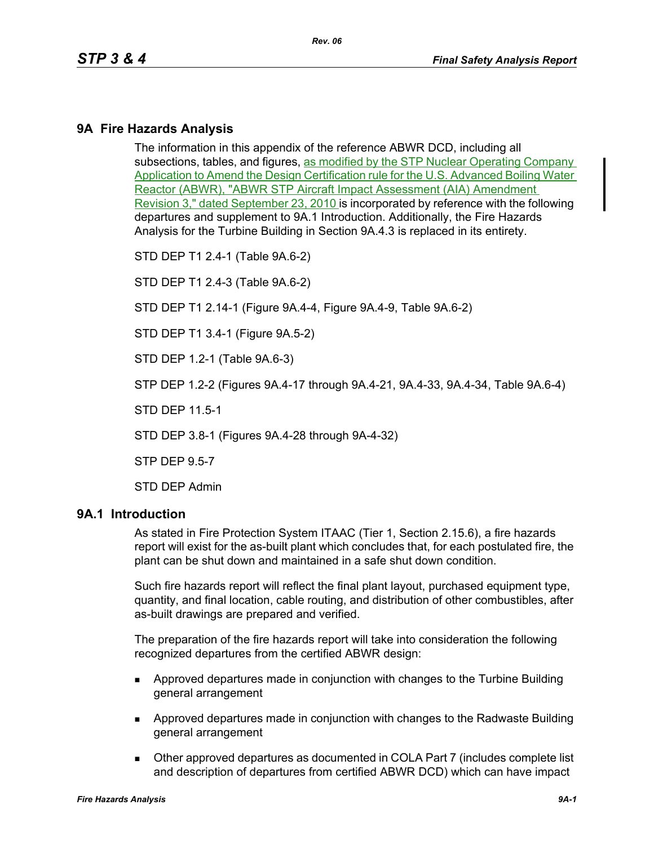# **9A Fire Hazards Analysis**

The information in this appendix of the reference ABWR DCD, including all subsections, tables, and figures, as modified by the STP Nuclear Operating Company Application to Amend the Design Certification rule for the U.S. Advanced Boiling Water Reactor (ABWR), "ABWR STP Aircraft Impact Assessment (AIA) Amendment Revision 3," dated September 23, 2010 is incorporated by reference with the following departures and supplement to 9A.1 Introduction. Additionally, the Fire Hazards Analysis for the Turbine Building in Section 9A.4.3 is replaced in its entirety.

STD DEP T1 2.4-1 (Table 9A.6-2)

STD DEP T1 2.4-3 (Table 9A.6-2)

STD DEP T1 2.14-1 (Figure 9A.4-4, Figure 9A.4-9, Table 9A.6-2)

STD DEP T1 3.4-1 (Figure 9A.5-2)

STD DEP 1.2-1 (Table 9A.6-3)

STP DEP 1.2-2 (Figures 9A.4-17 through 9A.4-21, 9A.4-33, 9A.4-34, Table 9A.6-4)

STD DEP 11.5-1

STD DEP 3.8-1 (Figures 9A.4-28 through 9A-4-32)

STP DEP 9.5-7

STD DEP Admin

#### **9A.1 Introduction**

As stated in Fire Protection System ITAAC (Tier 1, Section 2.15.6), a fire hazards report will exist for the as-built plant which concludes that, for each postulated fire, the plant can be shut down and maintained in a safe shut down condition.

Such fire hazards report will reflect the final plant layout, purchased equipment type, quantity, and final location, cable routing, and distribution of other combustibles, after as-built drawings are prepared and verified.

The preparation of the fire hazards report will take into consideration the following recognized departures from the certified ABWR design:

- **Approved departures made in conjunction with changes to the Turbine Building** general arrangement
- Approved departures made in conjunction with changes to the Radwaste Building general arrangement
- Other approved departures as documented in COLA Part 7 (includes complete list and description of departures from certified ABWR DCD) which can have impact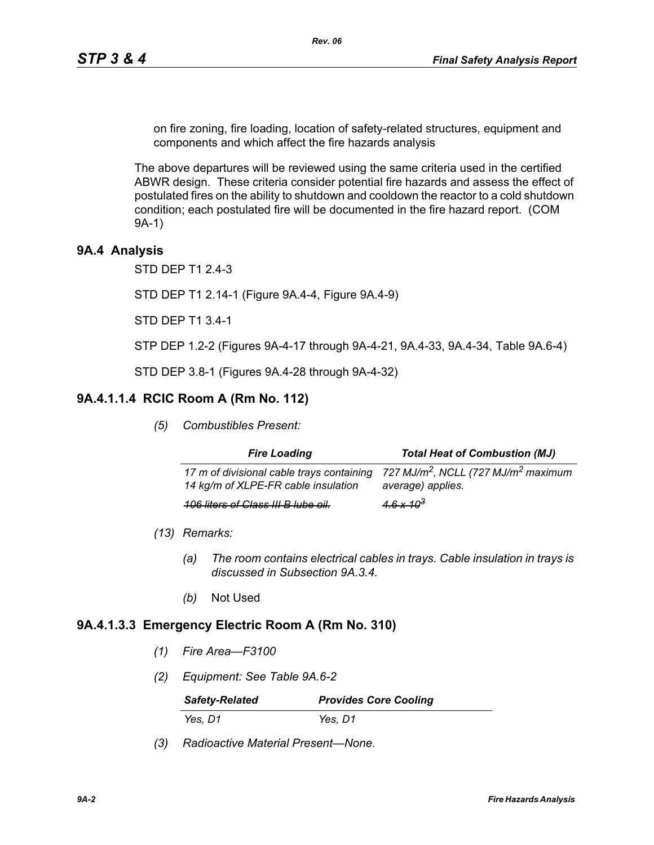on fire zoning, fire loading, location of safety-related structures, equipment and components and which affect the fire hazards analysis

*Rev. 06*

The above departures will be reviewed using the same criteria used in the certified ABWR design. These criteria consider potential fire hazards and assess the effect of postulated fires on the ability to shutdown and cooldown the reactor to a cold shutdown condition; each postulated fire will be documented in the fire hazard report. (COM 9A-1)

# **9A.4 Analysis**

STD DEP T1 2.4-3

STD DEP T1 2.14-1 (Figure 9A.4-4, Figure 9A.4-9)

STD DEP T1 3.4-1

STP DEP 1.2-2 (Figures 9A-4-17 through 9A-4-21, 9A.4-33, 9A.4-34, Table 9A.6-4)

STD DEP 3.8-1 (Figures 9A.4-28 through 9A-4-32)

## **9A.4.1.1.4 RCIC Room A (Rm No. 112)**

*(5) Combustibles Present:*

| <b>Fire Loading</b>                                                              | <b>Total Heat of Combustion (MJ)</b>                                             |
|----------------------------------------------------------------------------------|----------------------------------------------------------------------------------|
| 17 m of divisional cable trays containing<br>14 kg/m of XLPE-FR cable insulation | 727 MJ/m <sup>2</sup> , NCLL (727 MJ/m <sup>2</sup> maximum<br>average) applies. |
| <b>106 liters of Class III B lube oil.</b>                                       | $4.6 \times 10^3$                                                                |

- *(13) Remarks:*
	- *(a) The room contains electrical cables in trays. Cable insulation in trays is discussed in Subsection 9A.3.4.*
	- *(b)* Not Used

#### **9A.4.1.3.3 Emergency Electric Room A (Rm No. 310)**

- *(1) Fire Area—F3100*
- *(2) Equipment: See Table 9A.6-2*

| <b>Safety-Related</b> | <b>Provides Core Cooling</b> |
|-----------------------|------------------------------|
| Yes, D1               | Yes, D1                      |

*(3) Radioactive Material Present—None.*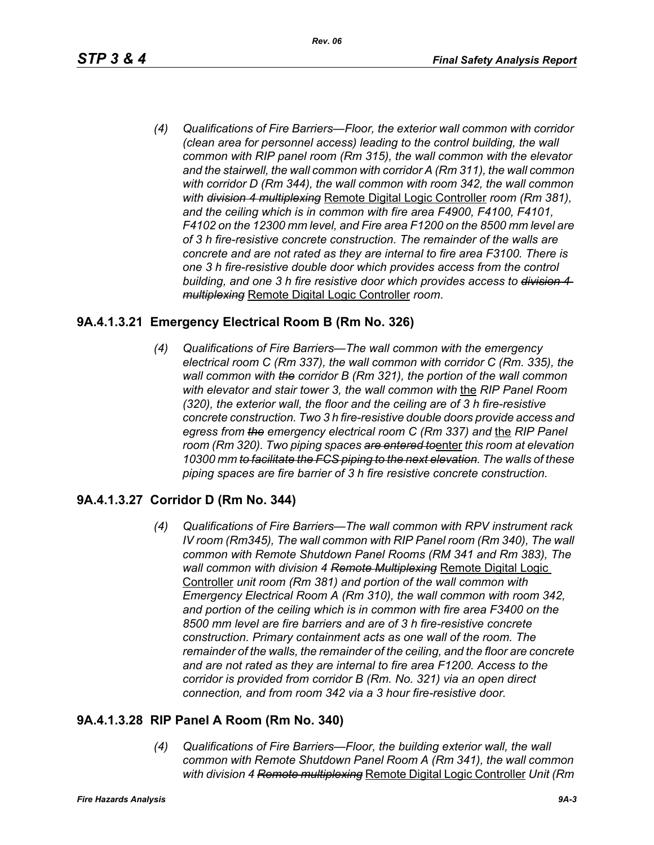*(4) Qualifications of Fire Barriers—Floor, the exterior wall common with corridor (clean area for personnel access) leading to the control building, the wall common with RIP panel room (Rm 315), the wall common with the elevator and the stairwell, the wall common with corridor A (Rm 311), the wall common with corridor D (Rm 344), the wall common with room 342, the wall common with division 4 multiplexing* Remote Digital Logic Controller *room (Rm 381), and the ceiling which is in common with fire area F4900, F4100, F4101, F4102 on the 12300 mm level, and Fire area F1200 on the 8500 mm level are of 3 h fire-resistive concrete construction. The remainder of the walls are concrete and are not rated as they are internal to fire area F3100. There is one 3 h fire-resistive double door which provides access from the control building, and one 3 h fire resistive door which provides access to division 4 multiplexing* Remote Digital Logic Controller *room*.

# **9A.4.1.3.21 Emergency Electrical Room B (Rm No. 326)**

*(4) Qualifications of Fire Barriers—The wall common with the emergency electrical room C (Rm 337), the wall common with corridor C (Rm. 335), the wall common with the corridor B (Rm 321), the portion of the wall common with elevator and stair tower 3, the wall common with* the *RIP Panel Room (320), the exterior wall, the floor and the ceiling are of 3 h fire-resistive concrete construction. Two 3 h fire-resistive double doors provide access and*  egress from the emergency electrical room C (Rm 337) and the RIP Panel *room (Rm 320). Two piping spaces are entered to*enter *this room at elevation 10300 mm to facilitate the FCS piping to the next elevation. The walls of these piping spaces are fire barrier of 3 h fire resistive concrete construction.*

# **9A.4.1.3.27 Corridor D (Rm No. 344)**

*(4) Qualifications of Fire Barriers—The wall common with RPV instrument rack IV room (Rm345), The wall common with RIP Panel room (Rm 340), The wall common with Remote Shutdown Panel Rooms (RM 341 and Rm 383), The wall common with division 4 Remote Multiplexing* Remote Digital Logic Controller *unit room (Rm 381) and portion of the wall common with Emergency Electrical Room A (Rm 310), the wall common with room 342, and portion of the ceiling which is in common with fire area F3400 on the 8500 mm level are fire barriers and are of 3 h fire-resistive concrete construction. Primary containment acts as one wall of the room. The remainder of the walls, the remainder of the ceiling, and the floor are concrete and are not rated as they are internal to fire area F1200. Access to the corridor is provided from corridor B (Rm. No. 321) via an open direct connection, and from room 342 via a 3 hour fire-resistive door.*

# **9A.4.1.3.28 RIP Panel A Room (Rm No. 340)**

*(4) Qualifications of Fire Barriers—Floor, the building exterior wall, the wall common with Remote Shutdown Panel Room A (Rm 341), the wall common with division 4 Remote multiplexing* Remote Digital Logic Controller *Unit (Rm*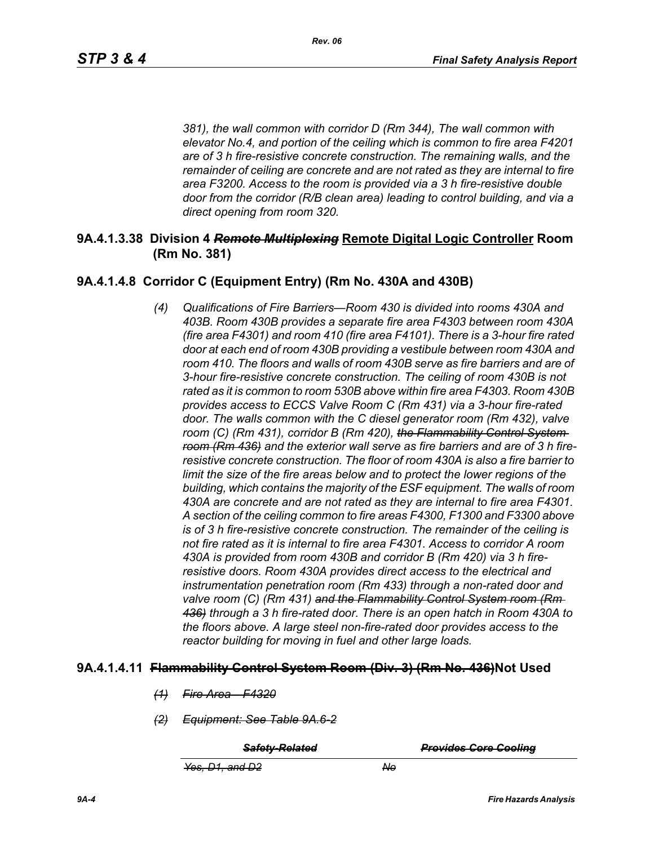*381), the wall common with corridor D (Rm 344), The wall common with elevator No.4, and portion of the ceiling which is common to fire area F4201 are of 3 h fire-resistive concrete construction. The remaining walls, and the remainder of ceiling are concrete and are not rated as they are internal to fire area F3200. Access to the room is provided via a 3 h fire-resistive double door from the corridor (R/B clean area) leading to control building, and via a direct opening from room 320.*

## **9A.4.1.3.38 Division 4** *Remote Multiplexing* **Remote Digital Logic Controller Room (Rm No. 381)**

# **9A.4.1.4.8 Corridor C (Equipment Entry) (Rm No. 430A and 430B)**

*(4) Qualifications of Fire Barriers—Room 430 is divided into rooms 430A and 403B. Room 430B provides a separate fire area F4303 between room 430A (fire area F4301) and room 410 (fire area F4101). There is a 3-hour fire rated door at each end of room 430B providing a vestibule between room 430A and*  room 410. The floors and walls of room 430B serve as fire barriers and are of *3-hour fire-resistive concrete construction. The ceiling of room 430B is not rated as it is common to room 530B above within fire area F4303. Room 430B provides access to ECCS Valve Room C (Rm 431) via a 3-hour fire-rated door. The walls common with the C diesel generator room (Rm 432), valve room (C) (Rm 431), corridor B (Rm 420), the Flammability Control System room (Rm 436) and the exterior wall serve as fire barriers and are of 3 h fireresistive concrete construction. The floor of room 430A is also a fire barrier to limit the size of the fire areas below and to protect the lower regions of the building, which contains the majority of the ESF equipment. The walls of room 430A are concrete and are not rated as they are internal to fire area F4301. A section of the ceiling common to fire areas F4300, F1300 and F3300 above is of 3 h fire-resistive concrete construction. The remainder of the ceiling is not fire rated as it is internal to fire area F4301. Access to corridor A room 430A is provided from room 430B and corridor B (Rm 420) via 3 h fireresistive doors. Room 430A provides direct access to the electrical and instrumentation penetration room (Rm 433) through a non-rated door and valve room (C) (Rm 431) and the Flammability Control System room (Rm 436) through a 3 h fire-rated door. There is an open hatch in Room 430A to the floors above. A large steel non-fire-rated door provides access to the reactor building for moving in fuel and other large loads.*

#### **9A.4.1.4.11 Flammability Control System Room (Div. 3) (Rm No. 436)Not Used**

- *(1) Fire Area—F4320*
- *(2) Equipment: See Table 9A.6-2*

*Safety-Related Provides Core Cooling*

*Yes, D1, and D2 No*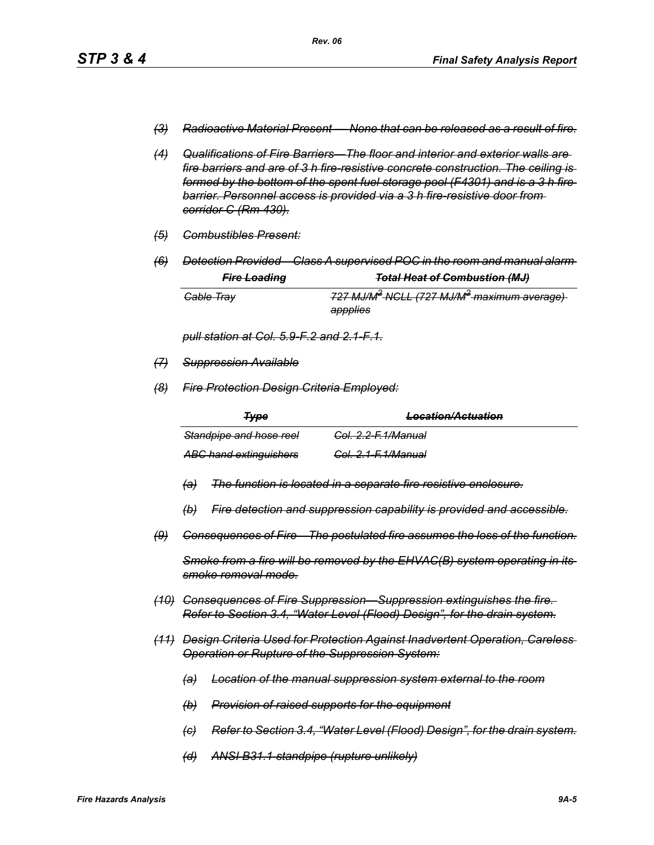- *(3) Radioactive Material Present None that can be released as a result of fire.*
- *(4) Qualifications of Fire Barriers—The floor and interior and exterior walls are fire barriers and are of 3 h fire-resistive concrete construction. The ceiling is formed by the bottom of the spent fuel storage pool (F4301) and is a 3 h fire barrier. Personnel access is provided via a 3 h fire-resistive door from corridor C (Rm 430).*
- *(5) Combustibles Present:*
- *(6) Detection Provided—Class A supervised POC in the room and manual alarm Fire Loading Total Heat of Combustion (MJ)*

| <del>rire Loading</del> | <del>10tal fleat of Compustion (MJ)</del>                          |
|-------------------------|--------------------------------------------------------------------|
| <del>Cable Tray</del>   | 727 MJ/M <sup>2</sup> NCLL (727 MJ/M <sup>2</sup> maximum average) |
|                         | appplies                                                           |

*pull station at Col. 5.9-F.2 and 2.1-F.1.*

- *(7) Suppression Available*
- *(8) Fire Protection Design Criteria Employed:*

| <b>Type</b>                   | I acotion/Actuation<br><del>Locanom Aciuanom</del> |
|-------------------------------|----------------------------------------------------|
| Standpipe and hose reel       | <del>Col. 2.2-F.1/Manual</del>                     |
| <b>ABC hand extinguishers</b> | <del>Col. 2.1-F.1/Manual</del>                     |

- *(a) The function is located in a separate fire resistive enclosure.*
- *(b) Fire detection and suppression capability is provided and accessible.*
- *(9) Consequences of Fire—The postulated fire assumes the loss of the function.*

*Smoke from a fire will be removed by the EHVAC(B) system operating in its smoke removal mode.*

- *(10) Consequences of Fire Suppression—Suppression extinguishes the fire. Refer to Section 3.4, "Water Level (Flood) Design", for the drain system.*
- *(11) Design Criteria Used for Protection Against Inadvertent Operation, Careless Operation or Rupture of the Suppression System:*
	- *(a) Location of the manual suppression system external to the room*
	- *(b) Provision of raised supports for the equipment*
	- *(c) Refer to Section 3.4, "Water Level (Flood) Design", for the drain system.*
	- *(d) ANSI B31.1 standpipe (rupture unlikely)*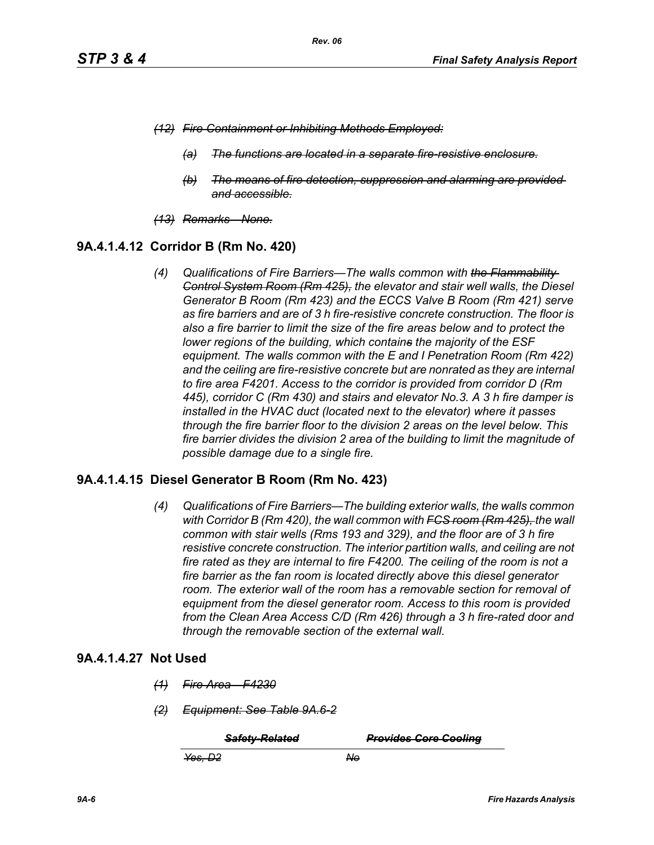- *(12) Fire Containment or Inhibiting Methods Employed:*
	- *(a) The functions are located in a separate fire-resistive enclosure.*
	- *(b) The means of fire detection, suppression and alarming are provided and accessible.*
- *(13) Remarks—None.*

## **9A.4.1.4.12 Corridor B (Rm No. 420)**

*(4) Qualifications of Fire Barriers—The walls common with the Flammability Control System Room (Rm 425), the elevator and stair well walls, the Diesel Generator B Room (Rm 423) and the ECCS Valve B Room (Rm 421) serve as fire barriers and are of 3 h fire-resistive concrete construction. The floor is also a fire barrier to limit the size of the fire areas below and to protect the lower regions of the building, which contains the majority of the ESF equipment. The walls common with the E and I Penetration Room (Rm 422) and the ceiling are fire-resistive concrete but are nonrated as they are internal to fire area F4201. Access to the corridor is provided from corridor D (Rm 445), corridor C (Rm 430) and stairs and elevator No.3. A 3 h fire damper is installed in the HVAC duct (located next to the elevator) where it passes through the fire barrier floor to the division 2 areas on the level below. This fire barrier divides the division 2 area of the building to limit the magnitude of possible damage due to a single fire.*

#### **9A.4.1.4.15 Diesel Generator B Room (Rm No. 423)**

*(4) Qualifications of Fire Barriers—The building exterior walls, the walls common with Corridor B (Rm 420), the wall common with FCS room (Rm 425), the wall common with stair wells (Rms 193 and 329), and the floor are of 3 h fire resistive concrete construction. The interior partition walls, and ceiling are not fire rated as they are internal to fire F4200. The ceiling of the room is not a fire barrier as the fan room is located directly above this diesel generator*  room. The exterior wall of the room has a removable section for removal of *equipment from the diesel generator room. Access to this room is provided from the Clean Area Access C/D (Rm 426) through a 3 h fire-rated door and through the removable section of the external wall.*

#### **9A.4.1.4.27 Not Used**

- *(1) Fire Area—F4230*
- *(2) Equipment: See Table 9A.6-2*

*Safety-Related Provides Core Cooling*

*Yes, D2 No*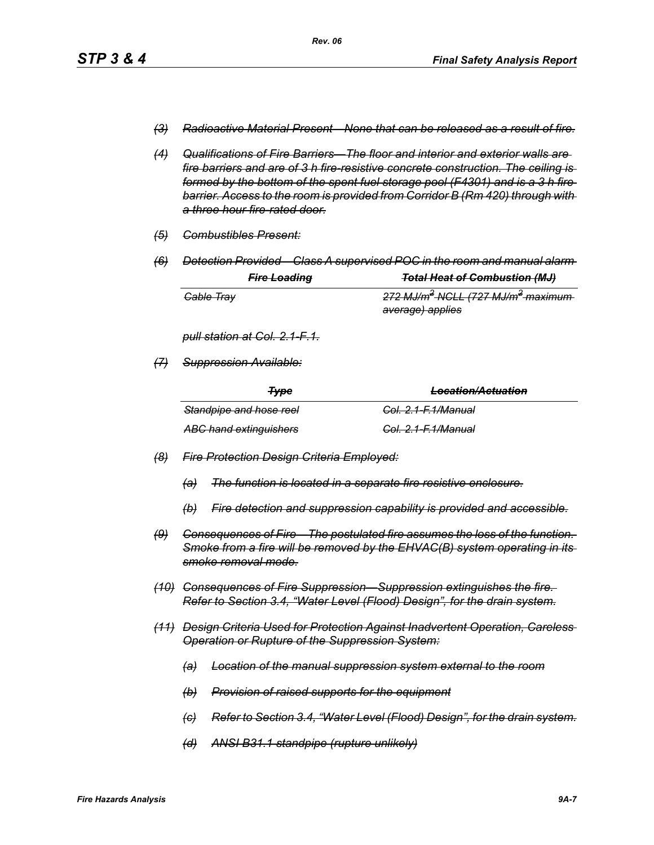- *(3) Radioactive Material Present—None that can be released as a result of fire.*
- *(4) Qualifications of Fire Barriers—The floor and interior and exterior walls are fire barriers and are of 3 h fire-resistive concrete construction. The ceiling is formed by the bottom of the spent fuel storage pool (F4301) and is a 3 h fire barrier. Access to the room is provided from Corridor B (Rm 420) through with a three hour fire-rated door.*
- *(5) Combustibles Present:*
- *(6) Detection Provided—Class A supervised POC in the room and manual alarm*

|                       | <b>Fire Loading</b> | <b>Total Heat of Combustion (MJ)</b>                      |
|-----------------------|---------------------|-----------------------------------------------------------|
| <del>Cable Tray</del> |                     | 272 MJ/m <sup>2</sup> NGLL (727 MJ/m <sup>2</sup> maximum |
|                       |                     | <del>average) applies</del>                               |

*pull station at Col. 2.1-F.1.*

*(7) Suppression Available:*

| <del>Typ</del> e              | <u>Location/Actuation</u><br><del>Locanom Acidanom</del> |
|-------------------------------|----------------------------------------------------------|
| Standpipe and hose reel       | <del>Col. 2.1-F.1/Manual</del>                           |
| <b>ABC hand extinguishers</b> | <del>Col. 2.1-F.1/Manual</del>                           |

- *(8) Fire Protection Design Criteria Employed:*
	- *(a) The function is located in a separate fire resistive enclosure.*
	- *(b) Fire detection and suppression capability is provided and accessible.*
- *(9) Consequences of Fire—The postulated fire assumes the loss of the function. Smoke from a fire will be removed by the EHVAC(B) system operating in its smoke removal mode.*
- *(10) Consequences of Fire Suppression—Suppression extinguishes the fire. Refer to Section 3.4, "Water Level (Flood) Design", for the drain system.*
- *(11) Design Criteria Used for Protection Against Inadvertent Operation, Careless Operation or Rupture of the Suppression System:*
	- *(a) Location of the manual suppression system external to the room*
	- *(b) Provision of raised supports for the equipment*
	- *(c) Refer to Section 3.4, "Water Level (Flood) Design", for the drain system.*
	- *(d) ANSI B31.1 standpipe (rupture unlikely)*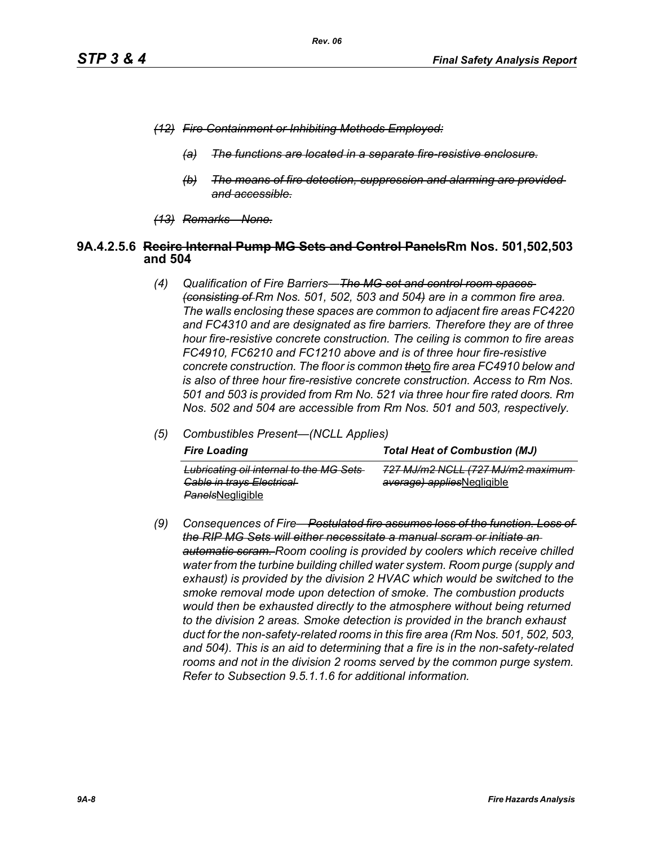- *(12) Fire Containment or Inhibiting Methods Employed:*
	- *(a) The functions are located in a separate fire-resistive enclosure.*
	- *(b) The means of fire detection, suppression and alarming are provided and accessible.*
- *(13) Remarks—None.*

#### **9A.4.2.5.6 Recirc Internal Pump MG Sets and Control PanelsRm Nos. 501,502,503 and 504**

- *(4) Qualification of Fire Barriers—The MG set and control room spaces (consisting of Rm Nos. 501, 502, 503 and 504) are in a common fire area. The walls enclosing these spaces are common to adjacent fire areas FC4220 and FC4310 and are designated as fire barriers. Therefore they are of three hour fire-resistive concrete construction. The ceiling is common to fire areas FC4910, FC6210 and FC1210 above and is of three hour fire-resistive concrete construction. The floor is common the*to *fire area FC4910 below and is also of three hour fire-resistive concrete construction. Access to Rm Nos. 501 and 503 is provided from Rm No. 521 via three hour fire rated doors. Rm Nos. 502 and 504 are accessible from Rm Nos. 501 and 503, respectively.*
- *(5) Combustibles Present—(NCLL Applies)*

| <b>Fire Loading</b>                                                                                    | <b>Total Heat of Combustion (MJ)</b>                            |
|--------------------------------------------------------------------------------------------------------|-----------------------------------------------------------------|
| Lubricating oil internal to the MG Sets<br><b>Gable in trays Electrical</b><br><b>PanelsNegligible</b> | 727 MJ/m2 NGLL (727 MJ/m2 maximum<br>average) appliesNegligible |

*(9) Consequences of Fire—Postulated fire assumes loss of the function. Loss of the RIP MG Sets will either necessitate a manual scram or initiate an automatic scram. Room cooling is provided by coolers which receive chilled water from the turbine building chilled water system. Room purge (supply and exhaust) is provided by the division 2 HVAC which would be switched to the smoke removal mode upon detection of smoke. The combustion products would then be exhausted directly to the atmosphere without being returned to the division 2 areas. Smoke detection is provided in the branch exhaust duct for the non-safety-related rooms in this fire area (Rm Nos. 501, 502, 503, and 504). This is an aid to determining that a fire is in the non-safety-related rooms and not in the division 2 rooms served by the common purge system. Refer to Subsection 9.5.1.1.6 for additional information.*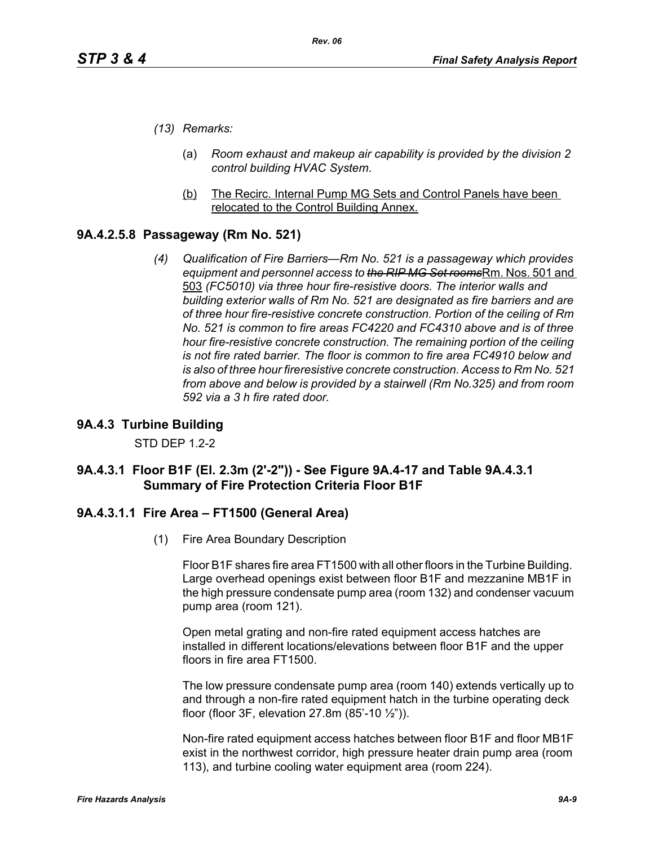- *(13) Remarks:*
	- (a) *Room exhaust and makeup air capability is provided by the division 2 control building HVAC System*.
	- (b) The Recirc. Internal Pump MG Sets and Control Panels have been relocated to the Control Building Annex.

## **9A.4.2.5.8 Passageway (Rm No. 521)**

*(4) Qualification of Fire Barriers—Rm No. 521 is a passageway which provides equipment and personnel access to the RIP MG Set rooms*Rm. Nos. 501 and 503 *(FC5010) via three hour fire-resistive doors. The interior walls and building exterior walls of Rm No. 521 are designated as fire barriers and are of three hour fire-resistive concrete construction. Portion of the ceiling of Rm No. 521 is common to fire areas FC4220 and FC4310 above and is of three hour fire-resistive concrete construction. The remaining portion of the ceiling is not fire rated barrier. The floor is common to fire area FC4910 below and is also of three hour fireresistive concrete construction. Access to Rm No. 521 from above and below is provided by a stairwell (Rm No.325) and from room 592 via a 3 h fire rated door.*

#### **9A.4.3 Turbine Building**

STD DEP 1.2-2

## **9A.4.3.1 Floor B1F (El. 2.3m (2'-2")) - See Figure 9A.4-17 and Table 9A.4.3.1 Summary of Fire Protection Criteria Floor B1F**

#### **9A.4.3.1.1 Fire Area – FT1500 (General Area)**

(1) Fire Area Boundary Description

Floor B1F shares fire area FT1500 with all other floors in the Turbine Building. Large overhead openings exist between floor B1F and mezzanine MB1F in the high pressure condensate pump area (room 132) and condenser vacuum pump area (room 121).

Open metal grating and non-fire rated equipment access hatches are installed in different locations/elevations between floor B1F and the upper floors in fire area FT1500.

The low pressure condensate pump area (room 140) extends vertically up to and through a non-fire rated equipment hatch in the turbine operating deck floor (floor 3F, elevation 27.8m (85'-10 ½")).

Non-fire rated equipment access hatches between floor B1F and floor MB1F exist in the northwest corridor, high pressure heater drain pump area (room 113), and turbine cooling water equipment area (room 224).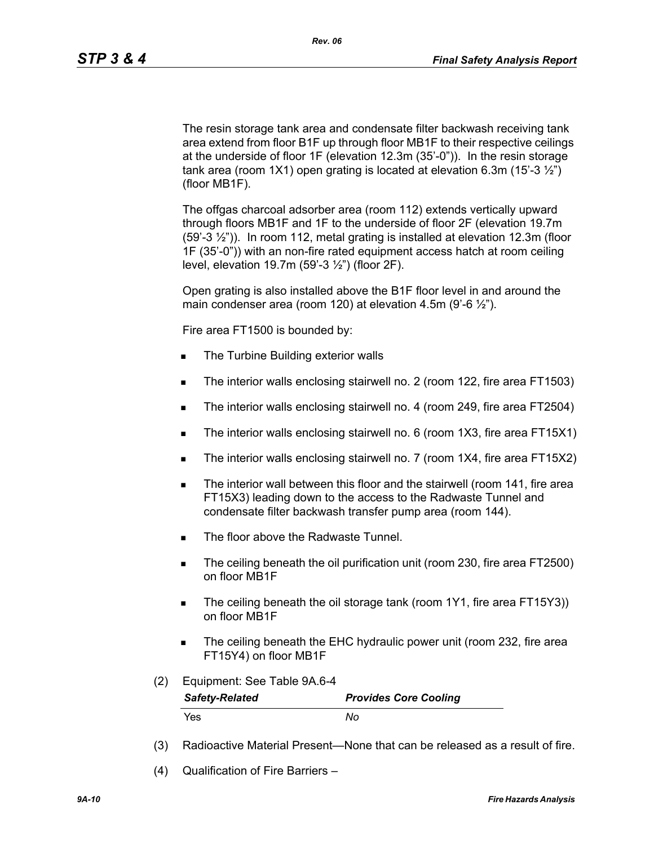The resin storage tank area and condensate filter backwash receiving tank area extend from floor B1F up through floor MB1F to their respective ceilings at the underside of floor 1F (elevation 12.3m (35'-0")). In the resin storage tank area (room 1X1) open grating is located at elevation 6.3m (15'-3 $\frac{1}{2}$ ") (floor MB1F).

The offgas charcoal adsorber area (room 112) extends vertically upward through floors MB1F and 1F to the underside of floor 2F (elevation 19.7m (59'-3 ½")). In room 112, metal grating is installed at elevation 12.3m (floor 1F (35'-0")) with an non-fire rated equipment access hatch at room ceiling level, elevation 19.7m (59'-3 ½") (floor 2F).

Open grating is also installed above the B1F floor level in and around the main condenser area (room 120) at elevation 4.5m (9'-6 $\frac{1}{2}$ ").

Fire area FT1500 is bounded by:

- The Turbine Building exterior walls
- The interior walls enclosing stairwell no. 2 (room 122, fire area FT1503)
- The interior walls enclosing stairwell no. 4 (room 249, fire area FT2504)
- The interior walls enclosing stairwell no. 6 (room 1X3, fire area FT15X1)
- The interior walls enclosing stairwell no. 7 (room 1X4, fire area FT15X2)
- The interior wall between this floor and the stairwell (room 141, fire area FT15X3) leading down to the access to the Radwaste Tunnel and condensate filter backwash transfer pump area (room 144).
- The floor above the Radwaste Tunnel.
- The ceiling beneath the oil purification unit (room 230, fire area FT2500) on floor MB1F
- The ceiling beneath the oil storage tank (room 1Y1, fire area FT15Y3)) on floor MB1F
- The ceiling beneath the EHC hydraulic power unit (room 232, fire area FT15Y4) on floor MB1F
- (2) Equipment: See Table 9A.6-4

| <b>Safety-Related</b> | <b>Provides Core Cooling</b> |
|-----------------------|------------------------------|
| Yes                   | Nο                           |

- (3) Radioactive Material Present—None that can be released as a result of fire.
- (4) Qualification of Fire Barriers –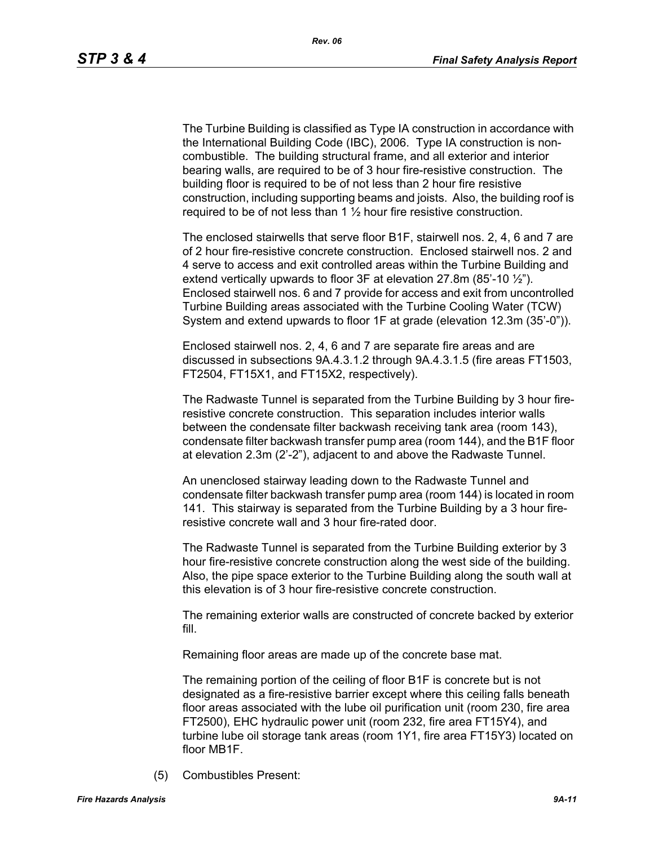The Turbine Building is classified as Type IA construction in accordance with the International Building Code (IBC), 2006. Type IA construction is noncombustible. The building structural frame, and all exterior and interior bearing walls, are required to be of 3 hour fire-resistive construction. The building floor is required to be of not less than 2 hour fire resistive construction, including supporting beams and joists. Also, the building roof is required to be of not less than 1  $\frac{1}{2}$  hour fire resistive construction.

The enclosed stairwells that serve floor B1F, stairwell nos. 2, 4, 6 and 7 are of 2 hour fire-resistive concrete construction. Enclosed stairwell nos. 2 and 4 serve to access and exit controlled areas within the Turbine Building and extend vertically upwards to floor  $3F$  at elevation 27.8m (85'-10  $\frac{1}{2}$ "). Enclosed stairwell nos. 6 and 7 provide for access and exit from uncontrolled Turbine Building areas associated with the Turbine Cooling Water (TCW) System and extend upwards to floor 1F at grade (elevation 12.3m (35'-0")).

Enclosed stairwell nos. 2, 4, 6 and 7 are separate fire areas and are discussed in subsections 9A.4.3.1.2 through 9A.4.3.1.5 (fire areas FT1503, FT2504, FT15X1, and FT15X2, respectively).

The Radwaste Tunnel is separated from the Turbine Building by 3 hour fireresistive concrete construction. This separation includes interior walls between the condensate filter backwash receiving tank area (room 143), condensate filter backwash transfer pump area (room 144), and the B1F floor at elevation 2.3m (2'-2"), adjacent to and above the Radwaste Tunnel.

An unenclosed stairway leading down to the Radwaste Tunnel and condensate filter backwash transfer pump area (room 144) is located in room 141. This stairway is separated from the Turbine Building by a 3 hour fireresistive concrete wall and 3 hour fire-rated door.

The Radwaste Tunnel is separated from the Turbine Building exterior by 3 hour fire-resistive concrete construction along the west side of the building. Also, the pipe space exterior to the Turbine Building along the south wall at this elevation is of 3 hour fire-resistive concrete construction.

The remaining exterior walls are constructed of concrete backed by exterior fill.

Remaining floor areas are made up of the concrete base mat.

The remaining portion of the ceiling of floor B1F is concrete but is not designated as a fire-resistive barrier except where this ceiling falls beneath floor areas associated with the lube oil purification unit (room 230, fire area FT2500), EHC hydraulic power unit (room 232, fire area FT15Y4), and turbine lube oil storage tank areas (room 1Y1, fire area FT15Y3) located on floor MB1F.

(5) Combustibles Present: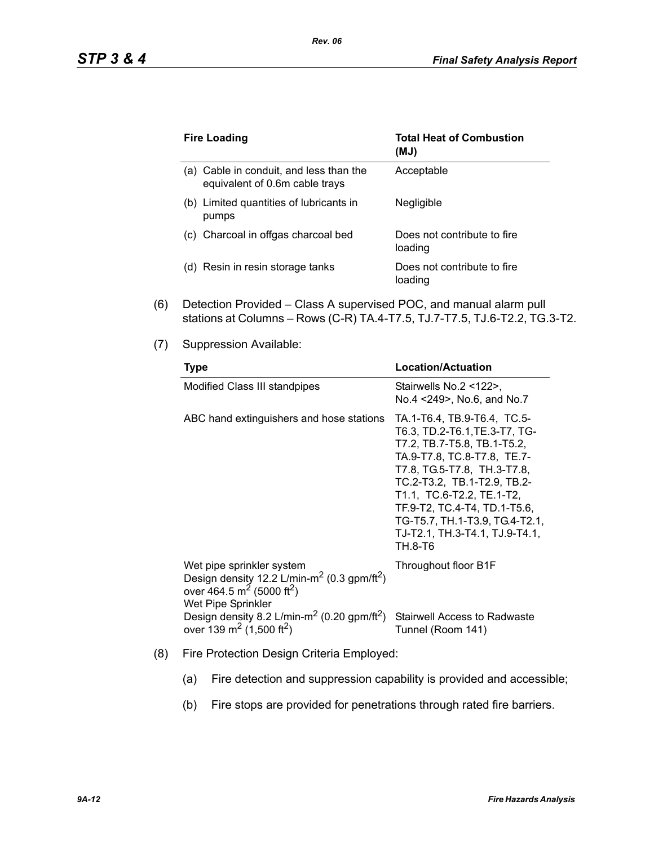| <b>Fire Loading</b>                                                       | <b>Total Heat of Combustion</b><br>(MJ) |
|---------------------------------------------------------------------------|-----------------------------------------|
| (a) Cable in conduit, and less than the<br>equivalent of 0.6m cable trays | Acceptable                              |
| (b) Limited quantities of lubricants in<br>pumps                          | Negligible                              |
| Charcoal in offgas charcoal bed<br>(C)                                    | Does not contribute to fire<br>loading  |
| Resin in resin storage tanks<br>(d)                                       | Does not contribute to fire<br>loading  |

- (6) Detection Provided Class A supervised POC, and manual alarm pull stations at Columns – Rows (C-R) TA.4-T7.5, TJ.7-T7.5, TJ.6-T2.2, TG.3-T2.
- (7) Suppression Available:

| <b>Type</b>                                                                                                                                                                                                                                                                                            | <b>Location/Actuation</b>                                                                                                                                                                                                                                                                                                            |
|--------------------------------------------------------------------------------------------------------------------------------------------------------------------------------------------------------------------------------------------------------------------------------------------------------|--------------------------------------------------------------------------------------------------------------------------------------------------------------------------------------------------------------------------------------------------------------------------------------------------------------------------------------|
| Modified Class III standpipes                                                                                                                                                                                                                                                                          | Stairwells No.2 <122>.<br>No.4 <249>, No.6, and No.7                                                                                                                                                                                                                                                                                 |
| ABC hand extinguishers and hose stations                                                                                                                                                                                                                                                               | TA.1-T6.4, TB.9-T6.4, TC.5-<br>T6.3, TD.2-T6.1, TE.3-T7, TG-<br>T7.2, TB.7-T5.8, TB.1-T5.2,<br>TA.9-T7.8, TC.8-T7.8, TE.7-<br>T7.8, TG.5-T7.8, TH.3-T7.8,<br>TC.2-T3.2, TB.1-T2.9, TB.2-<br>T1.1, TC.6-T2.2, TE.1-T2,<br>TF.9-T2, TC.4-T4, TD.1-T5.6,<br>TG-T5.7, TH.1-T3.9, TG.4-T2.1,<br>TJ-T2.1, TH.3-T4.1, TJ.9-T4.1,<br>TH.8-T6 |
| Wet pipe sprinkler system<br>Design density 12.2 L/min-m <sup>2</sup> (0.3 gpm/ft <sup>2</sup> )<br>over 464.5 m <sup>2</sup> (5000 ft <sup>2</sup> )<br>Wet Pipe Sprinkler<br>Design density 8.2 L/min-m <sup>2</sup> (0.20 gpm/ft <sup>2</sup> )<br>over 139 m <sup>2</sup> (1,500 ft <sup>2</sup> ) | Throughout floor B1F<br><b>Stairwell Access to Radwaste</b>                                                                                                                                                                                                                                                                          |
|                                                                                                                                                                                                                                                                                                        | Tunnel (Room 141)                                                                                                                                                                                                                                                                                                                    |

- (8) Fire Protection Design Criteria Employed:
	- (a) Fire detection and suppression capability is provided and accessible;
	- (b) Fire stops are provided for penetrations through rated fire barriers.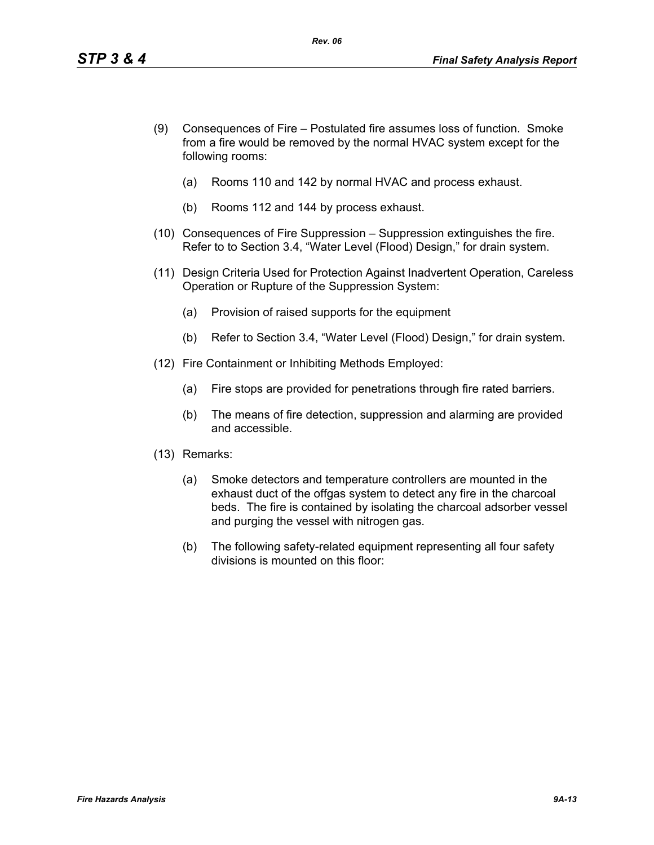- (9) Consequences of Fire Postulated fire assumes loss of function. Smoke from a fire would be removed by the normal HVAC system except for the following rooms:
	- (a) Rooms 110 and 142 by normal HVAC and process exhaust.
	- (b) Rooms 112 and 144 by process exhaust.
- (10) Consequences of Fire Suppression Suppression extinguishes the fire. Refer to to Section 3.4, "Water Level (Flood) Design," for drain system.
- (11) Design Criteria Used for Protection Against Inadvertent Operation, Careless Operation or Rupture of the Suppression System:
	- (a) Provision of raised supports for the equipment
	- (b) Refer to Section 3.4, "Water Level (Flood) Design," for drain system.
- (12) Fire Containment or Inhibiting Methods Employed:
	- (a) Fire stops are provided for penetrations through fire rated barriers.
	- (b) The means of fire detection, suppression and alarming are provided and accessible.
- (13) Remarks:
	- (a) Smoke detectors and temperature controllers are mounted in the exhaust duct of the offgas system to detect any fire in the charcoal beds. The fire is contained by isolating the charcoal adsorber vessel and purging the vessel with nitrogen gas.
	- (b) The following safety-related equipment representing all four safety divisions is mounted on this floor: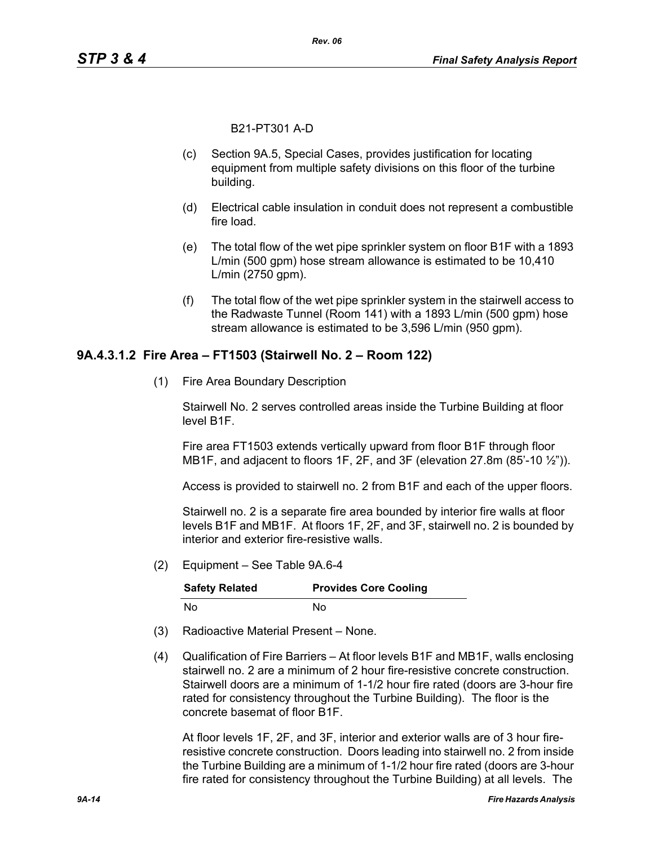B21-PT301 A-D

- (c) Section 9A.5, Special Cases, provides justification for locating equipment from multiple safety divisions on this floor of the turbine building.
- (d) Electrical cable insulation in conduit does not represent a combustible fire load.
- (e) The total flow of the wet pipe sprinkler system on floor B1F with a 1893 L/min (500 gpm) hose stream allowance is estimated to be 10,410 L/min (2750 gpm).
- (f) The total flow of the wet pipe sprinkler system in the stairwell access to the Radwaste Tunnel (Room 141) with a 1893 L/min (500 gpm) hose stream allowance is estimated to be 3,596 L/min (950 gpm).

#### **9A.4.3.1.2 Fire Area – FT1503 (Stairwell No. 2 – Room 122)**

(1) Fire Area Boundary Description

Stairwell No. 2 serves controlled areas inside the Turbine Building at floor level B1F.

Fire area FT1503 extends vertically upward from floor B1F through floor MB1F, and adjacent to floors 1F, 2F, and 3F (elevation 27.8m (85'-10 ½")).

Access is provided to stairwell no. 2 from B1F and each of the upper floors.

Stairwell no. 2 is a separate fire area bounded by interior fire walls at floor levels B1F and MB1F. At floors 1F, 2F, and 3F, stairwell no. 2 is bounded by interior and exterior fire-resistive walls.

(2) Equipment – See Table 9A.6-4

| <b>Safety Related</b> | <b>Provides Core Cooling</b> |
|-----------------------|------------------------------|
| No.                   | N٥                           |

- (3) Radioactive Material Present None.
- (4) Qualification of Fire Barriers At floor levels B1F and MB1F, walls enclosing stairwell no. 2 are a minimum of 2 hour fire-resistive concrete construction. Stairwell doors are a minimum of 1-1/2 hour fire rated (doors are 3-hour fire rated for consistency throughout the Turbine Building). The floor is the concrete basemat of floor B1F.

At floor levels 1F, 2F, and 3F, interior and exterior walls are of 3 hour fireresistive concrete construction. Doors leading into stairwell no. 2 from inside the Turbine Building are a minimum of 1-1/2 hour fire rated (doors are 3-hour fire rated for consistency throughout the Turbine Building) at all levels. The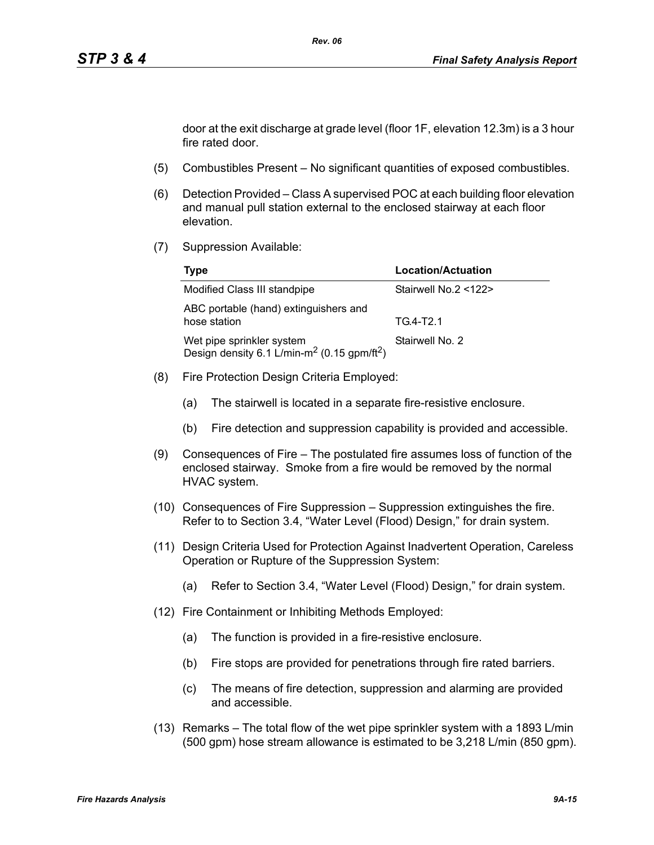door at the exit discharge at grade level (floor 1F, elevation 12.3m) is a 3 hour fire rated door.

- (5) Combustibles Present No significant quantities of exposed combustibles.
- (6) Detection Provided Class A supervised POC at each building floor elevation and manual pull station external to the enclosed stairway at each floor elevation.
- (7) Suppression Available:

| Type                                                                                             | <b>Location/Actuation</b> |
|--------------------------------------------------------------------------------------------------|---------------------------|
| Modified Class III standpipe                                                                     | Stairwell No.2 <122>      |
| ABC portable (hand) extinguishers and<br>hose station                                            | TG4-T2.1                  |
| Wet pipe sprinkler system<br>Design density 6.1 L/min-m <sup>2</sup> (0.15 gpm/ft <sup>2</sup> ) | Stairwell No. 2           |

- (8) Fire Protection Design Criteria Employed:
	- (a) The stairwell is located in a separate fire-resistive enclosure.
	- (b) Fire detection and suppression capability is provided and accessible.
- (9) Consequences of Fire The postulated fire assumes loss of function of the enclosed stairway. Smoke from a fire would be removed by the normal HVAC system.
- (10) Consequences of Fire Suppression Suppression extinguishes the fire. Refer to to Section 3.4, "Water Level (Flood) Design," for drain system.
- (11) Design Criteria Used for Protection Against Inadvertent Operation, Careless Operation or Rupture of the Suppression System:
	- (a) Refer to Section 3.4, "Water Level (Flood) Design," for drain system.
- (12) Fire Containment or Inhibiting Methods Employed:
	- (a) The function is provided in a fire-resistive enclosure.
	- (b) Fire stops are provided for penetrations through fire rated barriers.
	- (c) The means of fire detection, suppression and alarming are provided and accessible.
- (13) Remarks The total flow of the wet pipe sprinkler system with a 1893 L/min (500 gpm) hose stream allowance is estimated to be 3,218 L/min (850 gpm).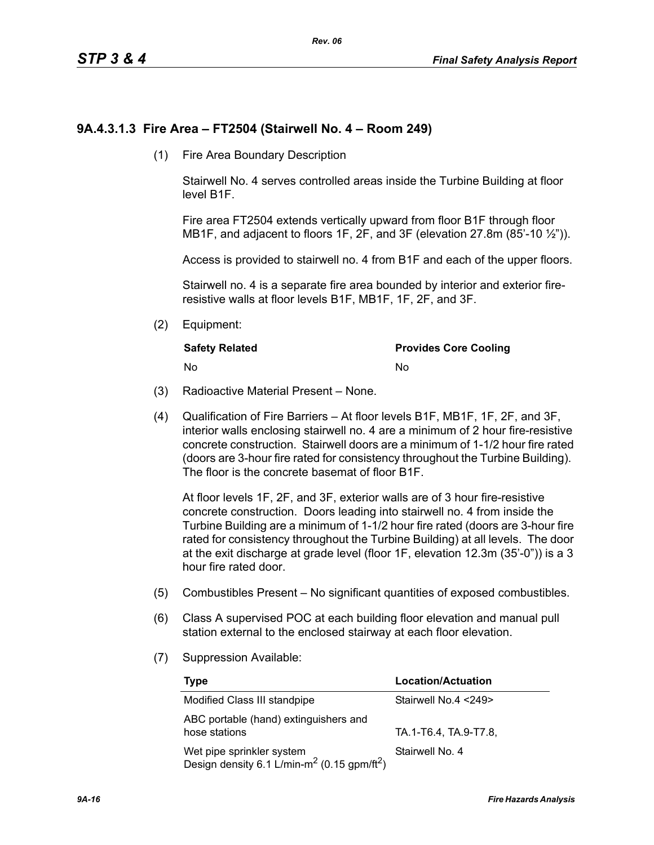# **9A.4.3.1.3 Fire Area – FT2504 (Stairwell No. 4 – Room 249)**

(1) Fire Area Boundary Description

Stairwell No. 4 serves controlled areas inside the Turbine Building at floor level B1F.

Fire area FT2504 extends vertically upward from floor B1F through floor MB1F, and adjacent to floors 1F, 2F, and 3F (elevation 27.8m (85'-10 1/2")).

Access is provided to stairwell no. 4 from B1F and each of the upper floors.

Stairwell no. 4 is a separate fire area bounded by interior and exterior fireresistive walls at floor levels B1F, MB1F, 1F, 2F, and 3F.

(2) Equipment:

| <b>Safety Related</b> | <b>Provides Core Cooling</b> |
|-----------------------|------------------------------|
| - No                  | No                           |

- (3) Radioactive Material Present None.
- (4) Qualification of Fire Barriers At floor levels B1F, MB1F, 1F, 2F, and 3F, interior walls enclosing stairwell no. 4 are a minimum of 2 hour fire-resistive concrete construction. Stairwell doors are a minimum of 1-1/2 hour fire rated (doors are 3-hour fire rated for consistency throughout the Turbine Building). The floor is the concrete basemat of floor B1F.

At floor levels 1F, 2F, and 3F, exterior walls are of 3 hour fire-resistive concrete construction. Doors leading into stairwell no. 4 from inside the Turbine Building are a minimum of 1-1/2 hour fire rated (doors are 3-hour fire rated for consistency throughout the Turbine Building) at all levels. The door at the exit discharge at grade level (floor 1F, elevation 12.3m (35'-0")) is a 3 hour fire rated door.

- (5) Combustibles Present No significant quantities of exposed combustibles.
- (6) Class A supervised POC at each building floor elevation and manual pull station external to the enclosed stairway at each floor elevation.
- (7) Suppression Available:

| Type                                                                                             | Location/Actuation    |
|--------------------------------------------------------------------------------------------------|-----------------------|
| Modified Class III standpipe                                                                     | Stairwell No.4 <249>  |
| ABC portable (hand) extinguishers and<br>hose stations                                           | TA.1-T6.4, TA.9-T7.8, |
| Wet pipe sprinkler system<br>Design density 6.1 L/min-m <sup>2</sup> (0.15 gpm/ft <sup>2</sup> ) | Stairwell No. 4       |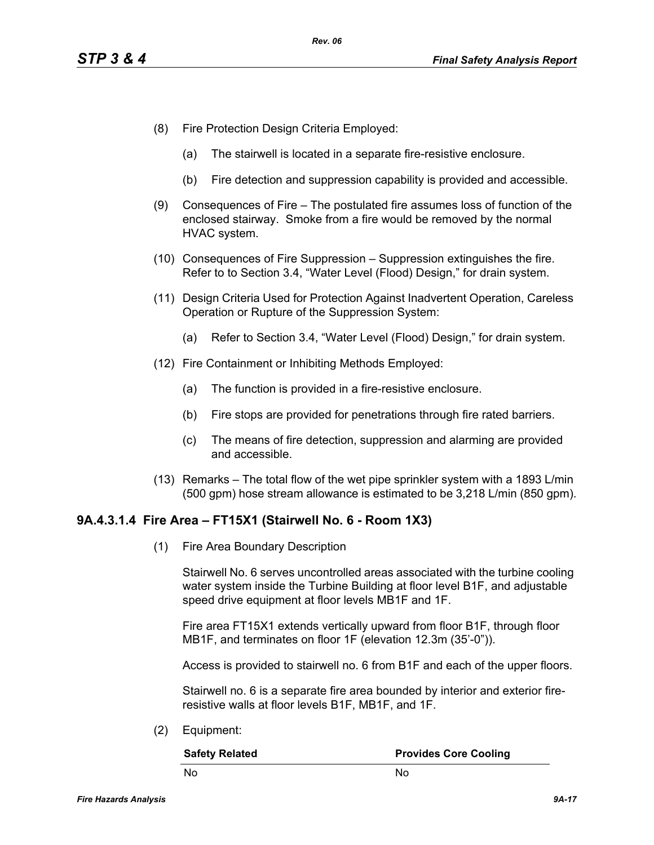- (8) Fire Protection Design Criteria Employed:
	- (a) The stairwell is located in a separate fire-resistive enclosure.
	- (b) Fire detection and suppression capability is provided and accessible.
- (9) Consequences of Fire The postulated fire assumes loss of function of the enclosed stairway. Smoke from a fire would be removed by the normal HVAC system.
- (10) Consequences of Fire Suppression Suppression extinguishes the fire. Refer to to Section 3.4, "Water Level (Flood) Design," for drain system.
- (11) Design Criteria Used for Protection Against Inadvertent Operation, Careless Operation or Rupture of the Suppression System:
	- (a) Refer to Section 3.4, "Water Level (Flood) Design," for drain system.
- (12) Fire Containment or Inhibiting Methods Employed:
	- (a) The function is provided in a fire-resistive enclosure.
	- (b) Fire stops are provided for penetrations through fire rated barriers.
	- (c) The means of fire detection, suppression and alarming are provided and accessible.
- (13) Remarks The total flow of the wet pipe sprinkler system with a 1893 L/min (500 gpm) hose stream allowance is estimated to be 3,218 L/min (850 gpm).

#### **9A.4.3.1.4 Fire Area – FT15X1 (Stairwell No. 6 - Room 1X3)**

(1) Fire Area Boundary Description

Stairwell No. 6 serves uncontrolled areas associated with the turbine cooling water system inside the Turbine Building at floor level B1F, and adjustable speed drive equipment at floor levels MB1F and 1F.

Fire area FT15X1 extends vertically upward from floor B1F, through floor MB1F, and terminates on floor 1F (elevation 12.3m (35'-0")).

Access is provided to stairwell no. 6 from B1F and each of the upper floors.

Stairwell no. 6 is a separate fire area bounded by interior and exterior fireresistive walls at floor levels B1F, MB1F, and 1F.

(2) Equipment:

| <b>Safety Related</b> | <b>Provides Core Cooling</b> |
|-----------------------|------------------------------|
| - No                  | Nο                           |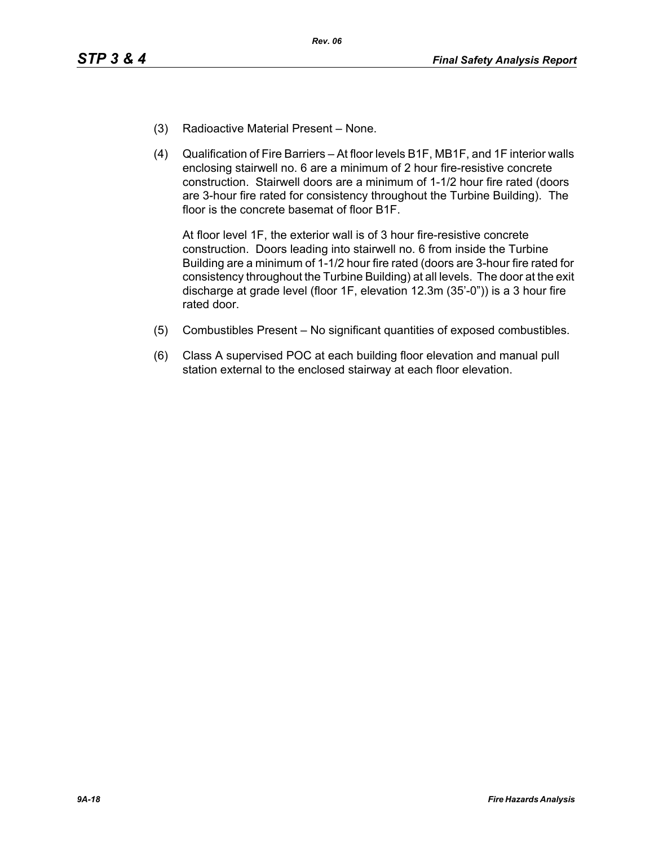- (3) Radioactive Material Present None.
- (4) Qualification of Fire Barriers At floor levels B1F, MB1F, and 1F interior walls enclosing stairwell no. 6 are a minimum of 2 hour fire-resistive concrete construction. Stairwell doors are a minimum of 1-1/2 hour fire rated (doors are 3-hour fire rated for consistency throughout the Turbine Building). The floor is the concrete basemat of floor B1F.

At floor level 1F, the exterior wall is of 3 hour fire-resistive concrete construction. Doors leading into stairwell no. 6 from inside the Turbine Building are a minimum of 1-1/2 hour fire rated (doors are 3-hour fire rated for consistency throughout the Turbine Building) at all levels. The door at the exit discharge at grade level (floor 1F, elevation 12.3m (35'-0")) is a 3 hour fire rated door.

- (5) Combustibles Present No significant quantities of exposed combustibles.
- (6) Class A supervised POC at each building floor elevation and manual pull station external to the enclosed stairway at each floor elevation.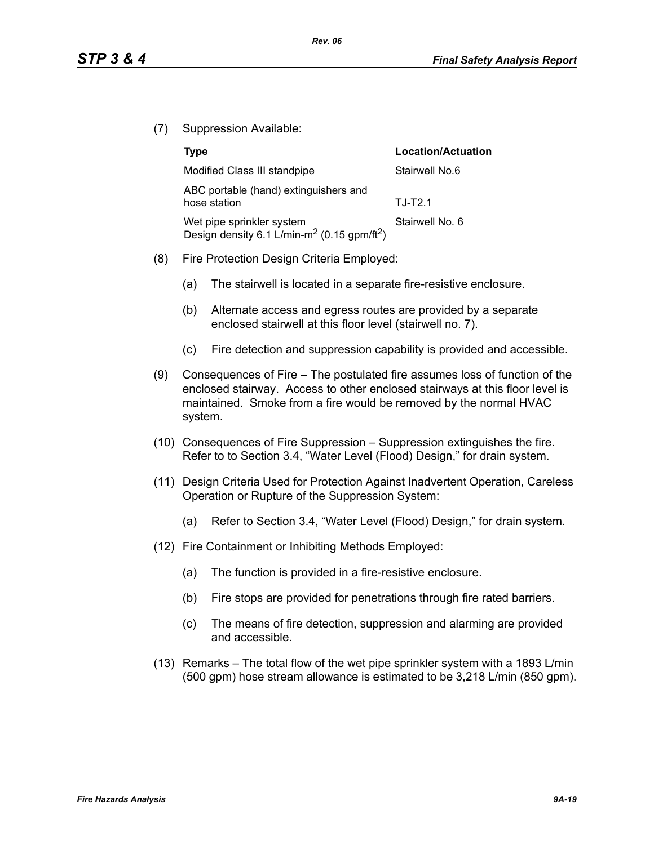(7) Suppression Available:

| Type                                                                                             | Location/Actuation |
|--------------------------------------------------------------------------------------------------|--------------------|
| Modified Class III standpipe                                                                     | Stairwell No.6     |
| ABC portable (hand) extinguishers and<br>hose station                                            | $T.J-T2.1$         |
| Wet pipe sprinkler system<br>Design density 6.1 L/min-m <sup>2</sup> (0.15 gpm/ft <sup>2</sup> ) | Stairwell No. 6    |

- (8) Fire Protection Design Criteria Employed:
	- (a) The stairwell is located in a separate fire-resistive enclosure.
	- (b) Alternate access and egress routes are provided by a separate enclosed stairwell at this floor level (stairwell no. 7).
	- (c) Fire detection and suppression capability is provided and accessible.
- (9) Consequences of Fire The postulated fire assumes loss of function of the enclosed stairway. Access to other enclosed stairways at this floor level is maintained. Smoke from a fire would be removed by the normal HVAC system.
- (10) Consequences of Fire Suppression Suppression extinguishes the fire. Refer to to Section 3.4, "Water Level (Flood) Design," for drain system.
- (11) Design Criteria Used for Protection Against Inadvertent Operation, Careless Operation or Rupture of the Suppression System:
	- (a) Refer to Section 3.4, "Water Level (Flood) Design," for drain system.
- (12) Fire Containment or Inhibiting Methods Employed:
	- (a) The function is provided in a fire-resistive enclosure.
	- (b) Fire stops are provided for penetrations through fire rated barriers.
	- (c) The means of fire detection, suppression and alarming are provided and accessible.
- (13) Remarks The total flow of the wet pipe sprinkler system with a 1893 L/min (500 gpm) hose stream allowance is estimated to be 3,218 L/min (850 gpm).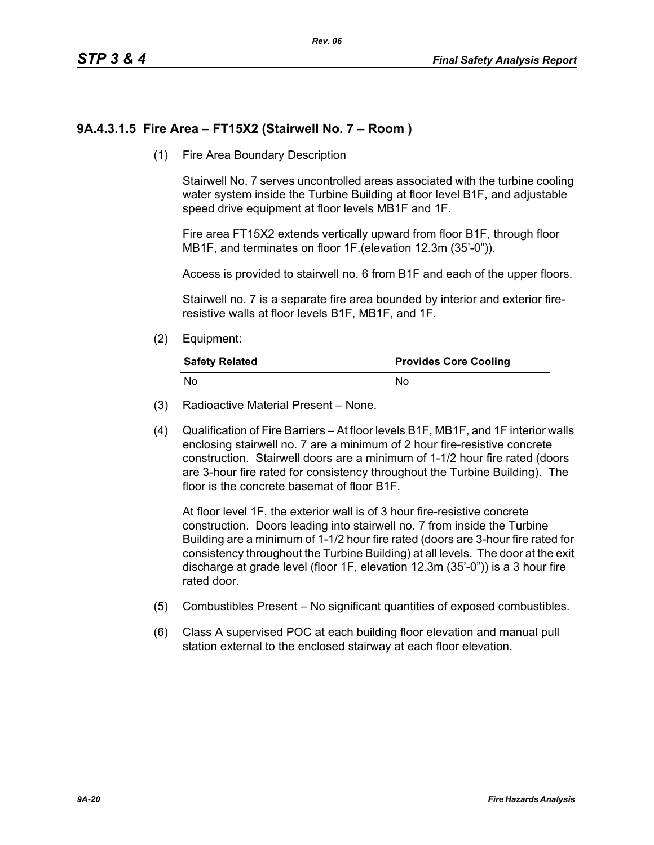# **9A.4.3.1.5 Fire Area – FT15X2 (Stairwell No. 7 – Room )**

(1) Fire Area Boundary Description

Stairwell No. 7 serves uncontrolled areas associated with the turbine cooling water system inside the Turbine Building at floor level B1F, and adjustable speed drive equipment at floor levels MB1F and 1F.

Fire area FT15X2 extends vertically upward from floor B1F, through floor MB1F, and terminates on floor 1F.(elevation 12.3m (35'-0")).

Access is provided to stairwell no. 6 from B1F and each of the upper floors.

Stairwell no. 7 is a separate fire area bounded by interior and exterior fireresistive walls at floor levels B1F, MB1F, and 1F.

(2) Equipment:

| <b>Safety Related</b> | <b>Provides Core Cooling</b> |
|-----------------------|------------------------------|
| No                    | N٥                           |

- (3) Radioactive Material Present None.
- (4) Qualification of Fire Barriers At floor levels B1F, MB1F, and 1F interior walls enclosing stairwell no. 7 are a minimum of 2 hour fire-resistive concrete construction. Stairwell doors are a minimum of 1-1/2 hour fire rated (doors are 3-hour fire rated for consistency throughout the Turbine Building). The floor is the concrete basemat of floor B1F.

At floor level 1F, the exterior wall is of 3 hour fire-resistive concrete construction. Doors leading into stairwell no. 7 from inside the Turbine Building are a minimum of 1-1/2 hour fire rated (doors are 3-hour fire rated for consistency throughout the Turbine Building) at all levels. The door at the exit discharge at grade level (floor 1F, elevation 12.3m (35'-0")) is a 3 hour fire rated door.

- (5) Combustibles Present No significant quantities of exposed combustibles.
- (6) Class A supervised POC at each building floor elevation and manual pull station external to the enclosed stairway at each floor elevation.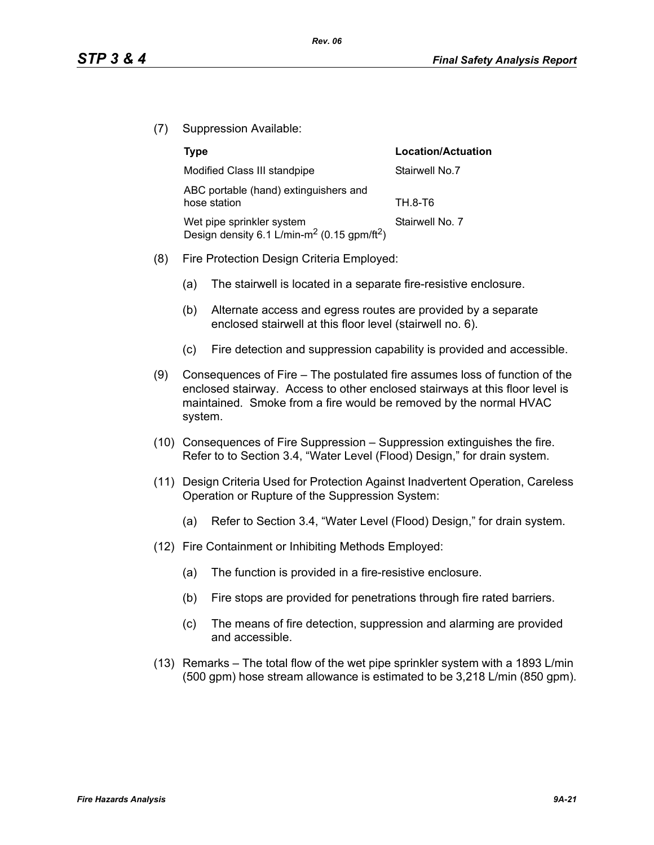(7) Suppression Available:

|     | <b>Type</b>                                                                                      | Location/Actuation |
|-----|--------------------------------------------------------------------------------------------------|--------------------|
|     | Modified Class III standpipe                                                                     | Stairwell No.7     |
|     | ABC portable (hand) extinguishers and<br>hose station                                            | TH.8-T6            |
|     | Wet pipe sprinkler system<br>Design density 6.1 L/min-m <sup>2</sup> (0.15 gpm/ft <sup>2</sup> ) | Stairwell No. 7    |
| (8) | Fire Protection Design Criteria Employed:                                                        |                    |

- (a) The stairwell is located in a separate fire-resistive enclosure.
- (b) Alternate access and egress routes are provided by a separate enclosed stairwell at this floor level (stairwell no. 6).
- (c) Fire detection and suppression capability is provided and accessible.
- (9) Consequences of Fire The postulated fire assumes loss of function of the enclosed stairway. Access to other enclosed stairways at this floor level is maintained. Smoke from a fire would be removed by the normal HVAC system.
- (10) Consequences of Fire Suppression Suppression extinguishes the fire. Refer to to Section 3.4, "Water Level (Flood) Design," for drain system.
- (11) Design Criteria Used for Protection Against Inadvertent Operation, Careless Operation or Rupture of the Suppression System:
	- (a) Refer to Section 3.4, "Water Level (Flood) Design," for drain system.
- (12) Fire Containment or Inhibiting Methods Employed:
	- (a) The function is provided in a fire-resistive enclosure.
	- (b) Fire stops are provided for penetrations through fire rated barriers.
	- (c) The means of fire detection, suppression and alarming are provided and accessible.
- (13) Remarks The total flow of the wet pipe sprinkler system with a 1893 L/min (500 gpm) hose stream allowance is estimated to be 3,218 L/min (850 gpm).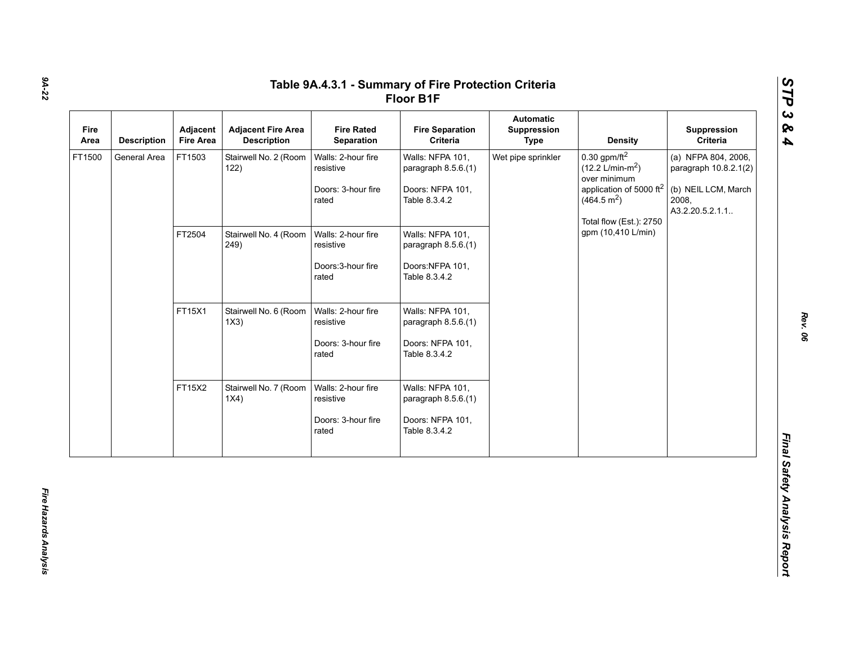|                        | <b>Description</b> | Adjacent<br><b>Fire Area</b> | <b>Adjacent Fire Area</b><br><b>Description</b> | <b>Fire Rated</b><br>Separation                                | <b>Fire Separation</b><br>Criteria                                           | Automatic<br>Suppression<br><b>Type</b> | <b>Density</b>                                                                                                                                                        | Suppression<br>Criteria                                                                          |
|------------------------|--------------------|------------------------------|-------------------------------------------------|----------------------------------------------------------------|------------------------------------------------------------------------------|-----------------------------------------|-----------------------------------------------------------------------------------------------------------------------------------------------------------------------|--------------------------------------------------------------------------------------------------|
| FT1500<br>General Area |                    | FT1503                       | Stairwell No. 2 (Room<br>122)                   | Walls: 2-hour fire<br>resistive<br>Doors: 3-hour fire<br>rated | Walls: NFPA 101,<br>paragraph 8.5.6.(1)<br>Doors: NFPA 101,<br>Table 8.3.4.2 | Wet pipe sprinkler                      | $0.30$ gpm/ft <sup>2</sup><br>$(12.2 \text{ L/min-m}^2)$<br>over minimum<br>application of 5000 ft <sup>2</sup><br>(464.5 m <sup>2</sup> )<br>Total flow (Est.): 2750 | (a) NFPA 804, 2006,<br>paragraph 10.8.2.1(2)<br>(b) NEIL LCM, March<br>2008,<br>A3.2.20.5.2.1.1. |
|                        |                    | FT2504                       | Stairwell No. 4 (Room<br>249)                   | Walls: 2-hour fire<br>resistive<br>Doors: 3-hour fire          | Walls: NFPA 101,<br>paragraph 8.5.6.(1)<br>Doors:NFPA 101,                   | gpm (10,410 L/min)                      |                                                                                                                                                                       |                                                                                                  |
|                        |                    |                              |                                                 |                                                                | rated                                                                        | Table 8.3.4.2                           |                                                                                                                                                                       |                                                                                                  |
|                        |                    | FT15X1                       | Stairwell No. 6 (Room<br>1X3)                   | Walls: 2-hour fire<br>resistive                                | Walls: NFPA 101,<br>paragraph 8.5.6.(1)                                      |                                         |                                                                                                                                                                       |                                                                                                  |
|                        |                    |                              |                                                 | Doors: 3-hour fire<br>rated                                    | Doors: NFPA 101,<br>Table 8.3.4.2                                            |                                         |                                                                                                                                                                       |                                                                                                  |
|                        |                    | FT15X2                       | Stairwell No. 7 (Room<br>1X4)                   | Walls: 2-hour fire<br>resistive                                | Walls: NFPA 101,<br>paragraph 8.5.6.(1)                                      |                                         |                                                                                                                                                                       |                                                                                                  |
|                        |                    |                              |                                                 | Doors: 3-hour fire<br>rated                                    | Doors: NFPA 101,<br>Table 8.3.4.2                                            |                                         |                                                                                                                                                                       |                                                                                                  |

*STP 3 & 4*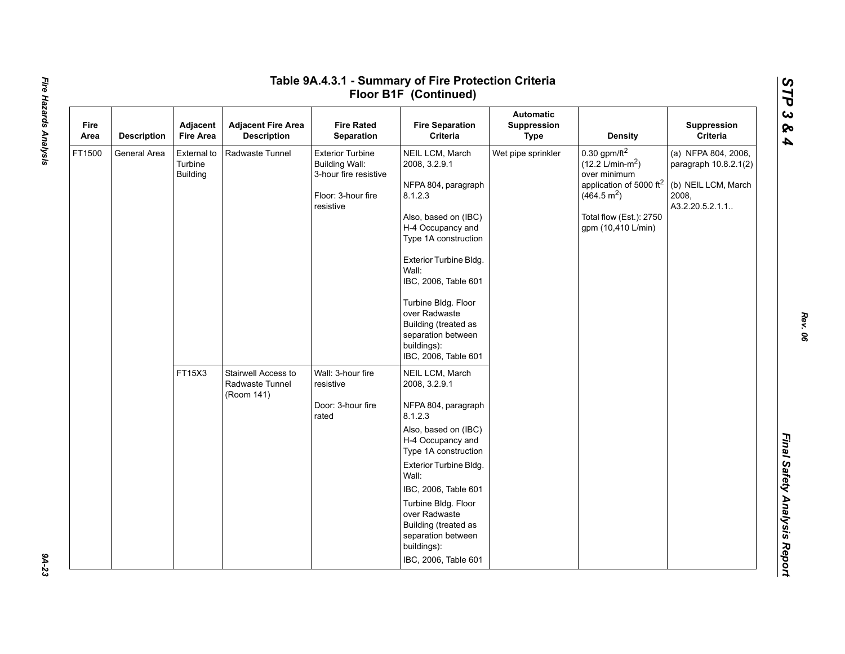|              |                    |                                           |                                                      |                                                                                                              | Floor B1F (Continued)                                                                                                                                                                                                                                                                                                           |                                                |                                                                                                                                                                                             |                                                                                                  |
|--------------|--------------------|-------------------------------------------|------------------------------------------------------|--------------------------------------------------------------------------------------------------------------|---------------------------------------------------------------------------------------------------------------------------------------------------------------------------------------------------------------------------------------------------------------------------------------------------------------------------------|------------------------------------------------|---------------------------------------------------------------------------------------------------------------------------------------------------------------------------------------------|--------------------------------------------------------------------------------------------------|
| Fire<br>Area | <b>Description</b> | Adjacent<br><b>Fire Area</b>              | <b>Adjacent Fire Area</b><br><b>Description</b>      | <b>Fire Rated</b><br>Separation                                                                              | <b>Fire Separation</b><br>Criteria                                                                                                                                                                                                                                                                                              | <b>Automatic</b><br>Suppression<br><b>Type</b> | <b>Density</b>                                                                                                                                                                              | Suppression<br>Criteria                                                                          |
| FT1500       | General Area       | External to<br>Turbine<br><b>Building</b> | Radwaste Tunnel                                      | <b>Exterior Turbine</b><br><b>Building Wall:</b><br>3-hour fire resistive<br>Floor: 3-hour fire<br>resistive | NEIL LCM, March<br>2008, 3.2.9.1<br>NFPA 804, paragraph<br>8.1.2.3<br>Also, based on (IBC)<br>H-4 Occupancy and<br>Type 1A construction<br>Exterior Turbine Bldg.<br>Wall:<br>IBC, 2006, Table 601<br>Turbine Bldg. Floor<br>over Radwaste<br>Building (treated as<br>separation between<br>buildings):<br>IBC, 2006, Table 601 | Wet pipe sprinkler                             | $0.30$ gpm/ft <sup>2</sup><br>$(12.2 \text{ L/min-m}^2)$<br>over minimum<br>application of 5000 ft <sup>2</sup><br>(464.5 m <sup>2</sup> )<br>Total flow (Est.): 2750<br>gpm (10,410 L/min) | (a) NFPA 804, 2006,<br>paragraph 10.8.2.1(2)<br>(b) NEIL LCM, March<br>2008,<br>A3.2.20.5.2.1.1. |
|              |                    | FT15X3                                    | Stairwell Access to<br>Radwaste Tunnel<br>(Room 141) | Wall: 3-hour fire<br>resistive                                                                               | NEIL LCM, March<br>2008, 3.2.9.1                                                                                                                                                                                                                                                                                                |                                                |                                                                                                                                                                                             |                                                                                                  |
|              |                    |                                           |                                                      | Door: 3-hour fire<br>rated                                                                                   | NFPA 804, paragraph<br>8.1.2.3                                                                                                                                                                                                                                                                                                  |                                                |                                                                                                                                                                                             |                                                                                                  |
|              |                    |                                           |                                                      |                                                                                                              | Also, based on (IBC)<br>H-4 Occupancy and<br>Type 1A construction                                                                                                                                                                                                                                                               |                                                |                                                                                                                                                                                             |                                                                                                  |
|              |                    |                                           |                                                      |                                                                                                              | Exterior Turbine Bldg.<br>Wall:                                                                                                                                                                                                                                                                                                 |                                                |                                                                                                                                                                                             |                                                                                                  |
|              |                    |                                           |                                                      |                                                                                                              | IBC, 2006, Table 601                                                                                                                                                                                                                                                                                                            |                                                |                                                                                                                                                                                             |                                                                                                  |
|              |                    |                                           |                                                      |                                                                                                              | Turbine Bldg. Floor<br>over Radwaste<br>Building (treated as<br>separation between<br>buildings):                                                                                                                                                                                                                               |                                                |                                                                                                                                                                                             |                                                                                                  |
|              |                    |                                           |                                                      |                                                                                                              | IBC, 2006, Table 601                                                                                                                                                                                                                                                                                                            |                                                |                                                                                                                                                                                             |                                                                                                  |

*STP 3 & 4*

9A-23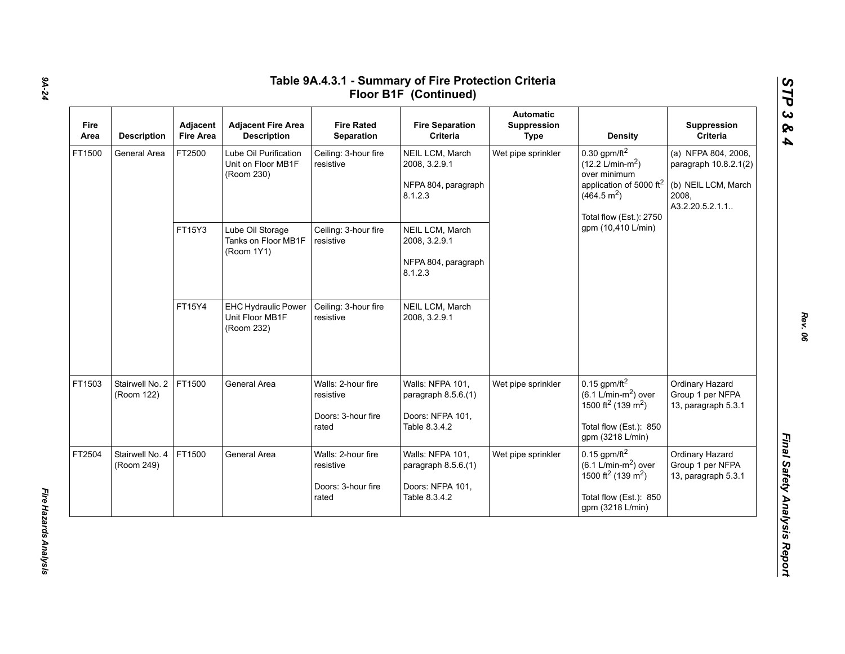| Fire<br>Area           | <b>Description</b>            | Adjacent<br><b>Fire Area</b> | <b>Adjacent Fire Area</b><br><b>Description</b>             | <b>Fire Rated</b><br>Separation                                | <b>Fire Separation</b><br>Criteria                                           | <b>Automatic</b><br>Suppression<br><b>Type</b> | <b>Density</b>                                                                                                                                                        | Suppression<br>Criteria                                                                          |
|------------------------|-------------------------------|------------------------------|-------------------------------------------------------------|----------------------------------------------------------------|------------------------------------------------------------------------------|------------------------------------------------|-----------------------------------------------------------------------------------------------------------------------------------------------------------------------|--------------------------------------------------------------------------------------------------|
| FT1500<br>General Area |                               | FT2500                       | Lube Oil Purification<br>Unit on Floor MB1F<br>(Room 230)   | Ceiling: 3-hour fire<br>resistive                              | NEIL LCM, March<br>2008, 3.2.9.1<br>NFPA 804, paragraph<br>8.1.2.3           | Wet pipe sprinkler                             | $0.30$ gpm/ft <sup>2</sup><br>$(12.2 \text{ L/min-m}^2)$<br>over minimum<br>application of 5000 ft <sup>2</sup><br>(464.5 m <sup>2</sup> )<br>Total flow (Est.): 2750 | (a) NFPA 804, 2006,<br>paragraph 10.8.2.1(2)<br>(b) NEIL LCM, March<br>2008,<br>A3.2.20.5.2.1.1. |
|                        |                               | FT15Y3                       | Lube Oil Storage<br>Tanks on Floor MB1F<br>(Room 1Y1)       | Ceiling: 3-hour fire<br>resistive                              | NEIL LCM, March<br>2008, 3.2.9.1<br>NFPA 804, paragraph<br>8.1.2.3           |                                                | gpm (10,410 L/min)                                                                                                                                                    |                                                                                                  |
|                        |                               | FT15Y4                       | <b>EHC Hydraulic Power</b><br>Unit Floor MB1F<br>(Room 232) | Ceiling: 3-hour fire<br>resistive                              | NEIL LCM, March<br>2008, 3.2.9.1                                             |                                                |                                                                                                                                                                       |                                                                                                  |
| FT1503                 | Stairwell No. 2<br>(Room 122) | FT1500                       | General Area                                                | Walls: 2-hour fire<br>resistive<br>Doors: 3-hour fire<br>rated | Walls: NFPA 101,<br>paragraph 8.5.6.(1)<br>Doors: NFPA 101,<br>Table 8.3.4.2 | Wet pipe sprinkler                             | $0.15$ gpm/ft <sup>2</sup><br>$(6.1 \text{ L/min-m}^2)$ over<br>1500 ft <sup>2</sup> (139 m <sup>2</sup> )<br>Total flow (Est.): 850<br>gpm (3218 L/min)              | Ordinary Hazard<br>Group 1 per NFPA<br>13, paragraph 5.3.1                                       |
| FT2504                 | Stairwell No. 4<br>(Room 249) | FT1500                       | General Area                                                | Walls: 2-hour fire<br>resistive<br>Doors: 3-hour fire<br>rated | Walls: NFPA 101,<br>paragraph 8.5.6.(1)<br>Doors: NFPA 101,<br>Table 8.3.4.2 | Wet pipe sprinkler                             | $0.15$ gpm/ft <sup>2</sup><br>$(6.1 \text{ L/min-m}^2)$ over<br>1500 ft <sup>2</sup> (139 m <sup>2</sup> )<br>Total flow (Est.): 850<br>gpm (3218 L/min)              | Ordinary Hazard<br>Group 1 per NFPA<br>13, paragraph 5.3.1                                       |

*Rev. 06*

*STP 3 & 4*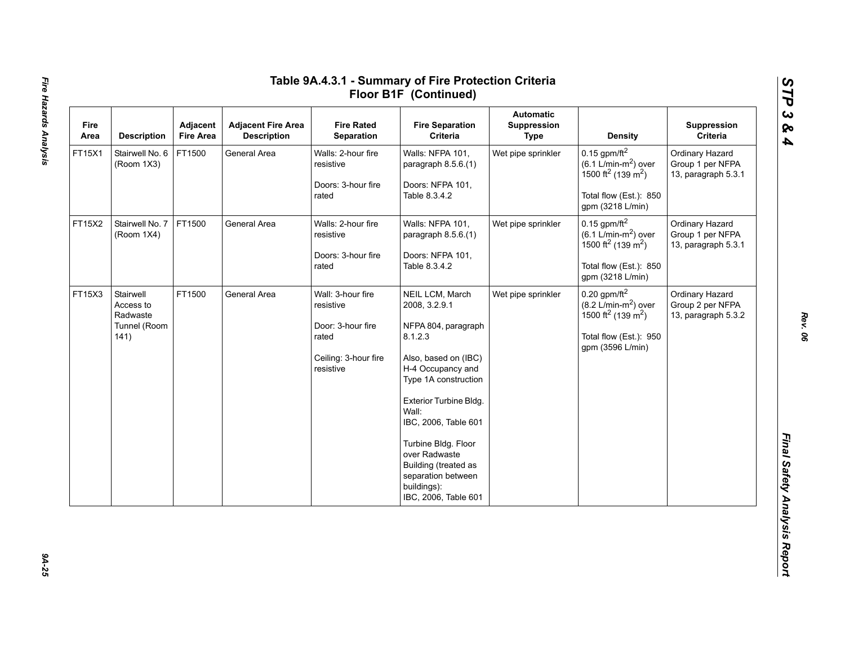| Fire<br>Area | <b>Description</b>                                         | Adjacent<br><b>Fire Area</b> | <b>Adjacent Fire Area</b><br><b>Description</b> | <b>Fire Rated</b><br>Separation                                                                   | <b>Fire Separation</b><br>Criteria                                                                                                                                                                                                                                                                                              | <b>Automatic</b><br>Suppression<br><b>Type</b> | <b>Density</b>                                                                                                                                               | Suppression<br>Criteria                                    |
|--------------|------------------------------------------------------------|------------------------------|-------------------------------------------------|---------------------------------------------------------------------------------------------------|---------------------------------------------------------------------------------------------------------------------------------------------------------------------------------------------------------------------------------------------------------------------------------------------------------------------------------|------------------------------------------------|--------------------------------------------------------------------------------------------------------------------------------------------------------------|------------------------------------------------------------|
| FT15X1       | Stairwell No. 6<br>(Room 1X3)                              | FT1500                       | General Area                                    | Walls: 2-hour fire<br>resistive<br>Doors: 3-hour fire<br>rated                                    | Walls: NFPA 101,<br>paragraph 8.5.6.(1)<br>Doors: NFPA 101,<br>Table 8.3.4.2                                                                                                                                                                                                                                                    | Wet pipe sprinkler                             | $0.15$ gpm/ft <sup>2</sup><br>$(6.1$ L/min-m <sup>2</sup> ) over<br>1500 ft <sup>2</sup> (139 m <sup>2</sup> )<br>Total flow (Est.): 850<br>gpm (3218 L/min) | Ordinary Hazard<br>Group 1 per NFPA<br>13, paragraph 5.3.1 |
| FT15X2       | Stairwell No. 7<br>(Room 1X4)                              | FT1500                       | General Area                                    | Walls: 2-hour fire<br>resistive<br>Doors: 3-hour fire<br>rated                                    | Walls: NFPA 101,<br>paragraph 8.5.6.(1)<br>Doors: NFPA 101,<br>Table 8.3.4.2                                                                                                                                                                                                                                                    | Wet pipe sprinkler                             | $0.15$ gpm/ft <sup>2</sup><br>$(6.1 \text{ L/min-m}^2)$ over<br>1500 ft <sup>2</sup> (139 m <sup>2</sup> )<br>Total flow (Est.): 850<br>gpm (3218 L/min)     | Ordinary Hazard<br>Group 1 per NFPA<br>13, paragraph 5.3.1 |
| FT15X3       | Stairwell<br>Access to<br>Radwaste<br>Tunnel (Room<br>141) | FT1500                       | General Area                                    | Wall: 3-hour fire<br>resistive<br>Door: 3-hour fire<br>rated<br>Ceiling: 3-hour fire<br>resistive | NEIL LCM, March<br>2008, 3.2.9.1<br>NFPA 804, paragraph<br>8.1.2.3<br>Also, based on (IBC)<br>H-4 Occupancy and<br>Type 1A construction<br>Exterior Turbine Bldg.<br>Wall:<br>IBC, 2006, Table 601<br>Turbine Bldg. Floor<br>over Radwaste<br>Building (treated as<br>separation between<br>buildings):<br>IBC, 2006, Table 601 | Wet pipe sprinkler                             | $0.20$ gpm/ft <sup>2</sup><br>$(8.2 \text{ L/min-m}^2)$ over<br>1500 ft <sup>2</sup> (139 m <sup>2</sup> )<br>Total flow (Est.): 950<br>gpm (3596 L/min)     | Ordinary Hazard<br>Group 2 per NFPA<br>13, paragraph 5.3.2 |

*STP 3 & 4*

9A-25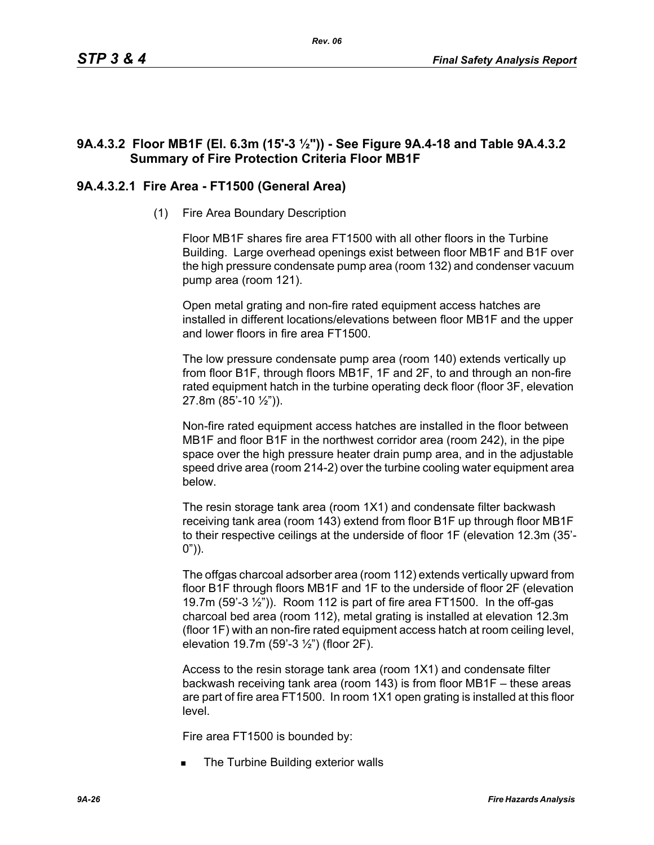# **9A.4.3.2 Floor MB1F (El. 6.3m (15'-3 ½")) - See Figure 9A.4-18 and Table 9A.4.3.2 Summary of Fire Protection Criteria Floor MB1F**

# **9A.4.3.2.1 Fire Area - FT1500 (General Area)**

(1) Fire Area Boundary Description

Floor MB1F shares fire area FT1500 with all other floors in the Turbine Building. Large overhead openings exist between floor MB1F and B1F over the high pressure condensate pump area (room 132) and condenser vacuum pump area (room 121).

Open metal grating and non-fire rated equipment access hatches are installed in different locations/elevations between floor MB1F and the upper and lower floors in fire area FT1500.

The low pressure condensate pump area (room 140) extends vertically up from floor B1F, through floors MB1F, 1F and 2F, to and through an non-fire rated equipment hatch in the turbine operating deck floor (floor 3F, elevation 27.8m (85'-10 ½")).

Non-fire rated equipment access hatches are installed in the floor between MB1F and floor B1F in the northwest corridor area (room 242), in the pipe space over the high pressure heater drain pump area, and in the adjustable speed drive area (room 214-2) over the turbine cooling water equipment area below.

The resin storage tank area (room 1X1) and condensate filter backwash receiving tank area (room 143) extend from floor B1F up through floor MB1F to their respective ceilings at the underside of floor 1F (elevation 12.3m (35'-  $0")$ ).

The offgas charcoal adsorber area (room 112) extends vertically upward from floor B1F through floors MB1F and 1F to the underside of floor 2F (elevation 19.7m (59'-3 ½")). Room 112 is part of fire area FT1500. In the off-gas charcoal bed area (room 112), metal grating is installed at elevation 12.3m (floor 1F) with an non-fire rated equipment access hatch at room ceiling level, elevation 19.7m (59'-3 ½") (floor 2F).

Access to the resin storage tank area (room 1X1) and condensate filter backwash receiving tank area (room 143) is from floor MB1F – these areas are part of fire area FT1500. In room 1X1 open grating is installed at this floor level.

Fire area FT1500 is bounded by:

The Turbine Building exterior walls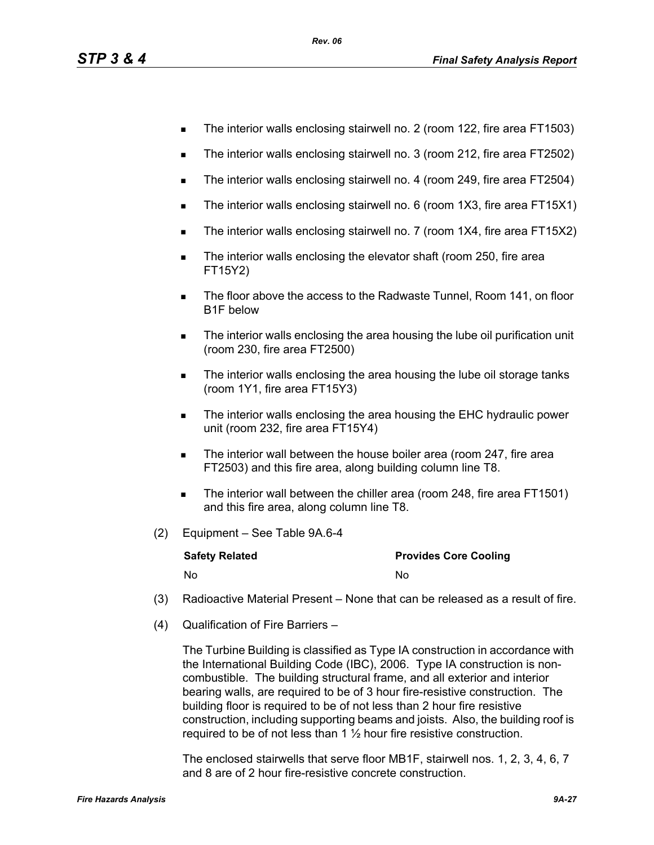- The interior walls enclosing stairwell no. 2 (room 122, fire area FT1503)
- The interior walls enclosing stairwell no. 3 (room 212, fire area FT2502)
- The interior walls enclosing stairwell no. 4 (room 249, fire area FT2504)
- The interior walls enclosing stairwell no. 6 (room 1X3, fire area FT15X1)
- The interior walls enclosing stairwell no. 7 (room 1X4, fire area FT15X2)
- **The interior walls enclosing the elevator shaft (room 250, fire area** FT15Y2)
- **The floor above the access to the Radwaste Tunnel, Room 141, on floor** B1F below
- **The interior walls enclosing the area housing the lube oil purification unit** (room 230, fire area FT2500)
- The interior walls enclosing the area housing the lube oil storage tanks (room 1Y1, fire area FT15Y3)
- The interior walls enclosing the area housing the EHC hydraulic power unit (room 232, fire area FT15Y4)
- **The interior wall between the house boiler area (room 247, fire area** FT2503) and this fire area, along building column line T8.
- The interior wall between the chiller area (room 248, fire area FT1501) and this fire area, along column line T8.
- (2) Equipment See Table 9A.6-4

| <b>Safety Related</b> | <b>Provides Core Cooling</b> |
|-----------------------|------------------------------|
| No                    | No                           |

- (3) Radioactive Material Present None that can be released as a result of fire.
- (4) Qualification of Fire Barriers –

The Turbine Building is classified as Type IA construction in accordance with the International Building Code (IBC), 2006. Type IA construction is noncombustible. The building structural frame, and all exterior and interior bearing walls, are required to be of 3 hour fire-resistive construction. The building floor is required to be of not less than 2 hour fire resistive construction, including supporting beams and joists. Also, the building roof is required to be of not less than  $1\frac{1}{2}$  hour fire resistive construction.

The enclosed stairwells that serve floor MB1F, stairwell nos. 1, 2, 3, 4, 6, 7 and 8 are of 2 hour fire-resistive concrete construction.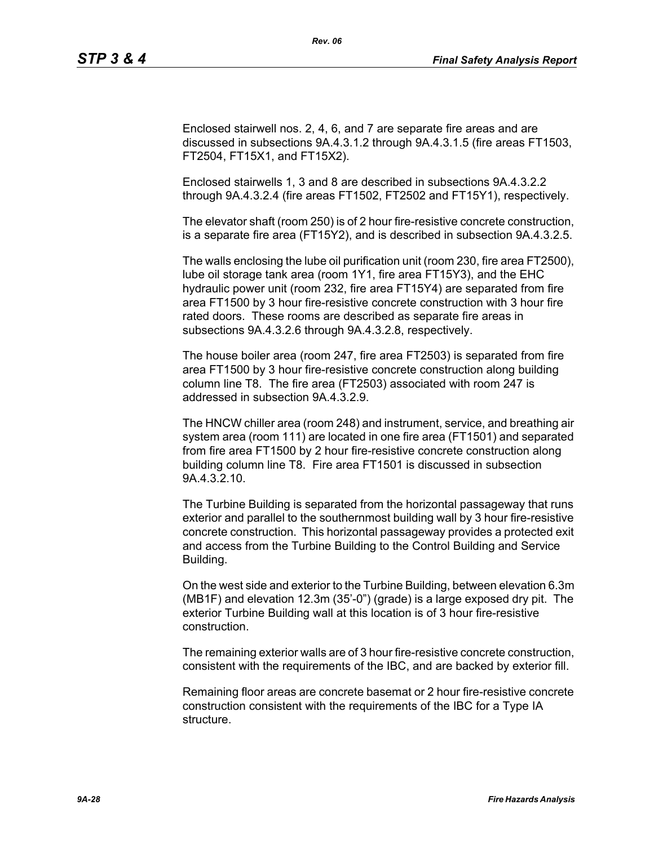Enclosed stairwell nos. 2, 4, 6, and 7 are separate fire areas and are discussed in subsections 9A.4.3.1.2 through 9A.4.3.1.5 (fire areas FT1503, FT2504, FT15X1, and FT15X2).

*Rev. 06*

Enclosed stairwells 1, 3 and 8 are described in subsections 9A.4.3.2.2 through 9A.4.3.2.4 (fire areas FT1502, FT2502 and FT15Y1), respectively.

The elevator shaft (room 250) is of 2 hour fire-resistive concrete construction, is a separate fire area (FT15Y2), and is described in subsection 9A.4.3.2.5.

The walls enclosing the lube oil purification unit (room 230, fire area FT2500), lube oil storage tank area (room 1Y1, fire area FT15Y3), and the EHC hydraulic power unit (room 232, fire area FT15Y4) are separated from fire area FT1500 by 3 hour fire-resistive concrete construction with 3 hour fire rated doors. These rooms are described as separate fire areas in subsections 9A.4.3.2.6 through 9A.4.3.2.8, respectively.

The house boiler area (room 247, fire area FT2503) is separated from fire area FT1500 by 3 hour fire-resistive concrete construction along building column line T8. The fire area (FT2503) associated with room 247 is addressed in subsection 9A.4.3.2.9.

The HNCW chiller area (room 248) and instrument, service, and breathing air system area (room 111) are located in one fire area (FT1501) and separated from fire area FT1500 by 2 hour fire-resistive concrete construction along building column line T8. Fire area FT1501 is discussed in subsection 9A.4.3.2.10.

The Turbine Building is separated from the horizontal passageway that runs exterior and parallel to the southernmost building wall by 3 hour fire-resistive concrete construction. This horizontal passageway provides a protected exit and access from the Turbine Building to the Control Building and Service Building.

On the west side and exterior to the Turbine Building, between elevation 6.3m (MB1F) and elevation 12.3m (35'-0") (grade) is a large exposed dry pit. The exterior Turbine Building wall at this location is of 3 hour fire-resistive construction.

The remaining exterior walls are of 3 hour fire-resistive concrete construction, consistent with the requirements of the IBC, and are backed by exterior fill.

Remaining floor areas are concrete basemat or 2 hour fire-resistive concrete construction consistent with the requirements of the IBC for a Type IA structure.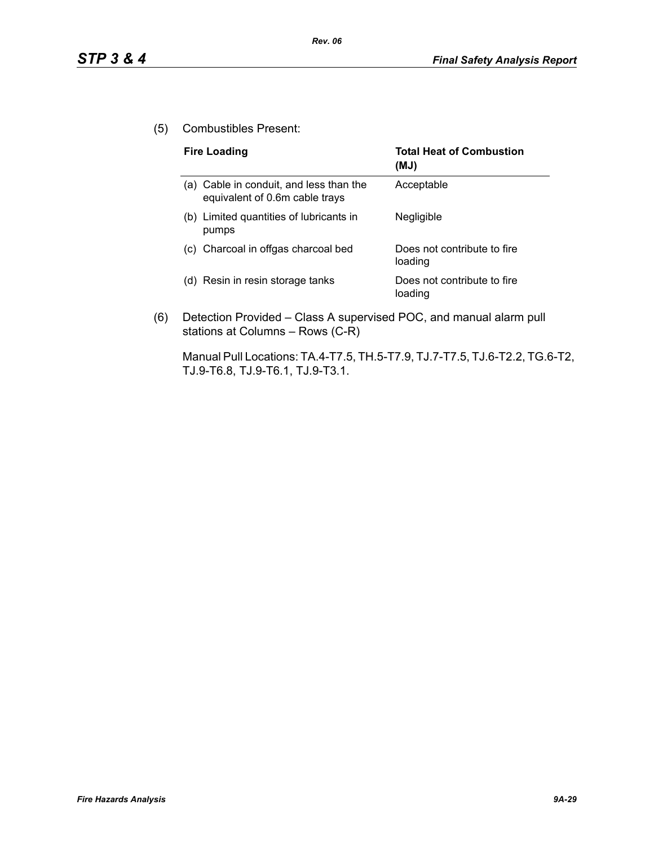(5) Combustibles Present:

| <b>Fire Loading</b>                                                       | <b>Total Heat of Combustion</b><br>(MJ) |
|---------------------------------------------------------------------------|-----------------------------------------|
| (a) Cable in conduit, and less than the<br>equivalent of 0.6m cable trays | Acceptable                              |
| (b) Limited quantities of lubricants in<br>pumps                          | Negligible                              |
| (c) Charcoal in offgas charcoal bed                                       | Does not contribute to fire<br>loading  |
| Resin in resin storage tanks<br>(d)                                       | Does not contribute to fire<br>loading  |

(6) Detection Provided – Class A supervised POC, and manual alarm pull stations at Columns – Rows (C-R)

Manual Pull Locations: TA.4-T7.5, TH.5-T7.9, TJ.7-T7.5, TJ.6-T2.2, TG.6-T2, TJ.9-T6.8, TJ.9-T6.1, TJ.9-T3.1.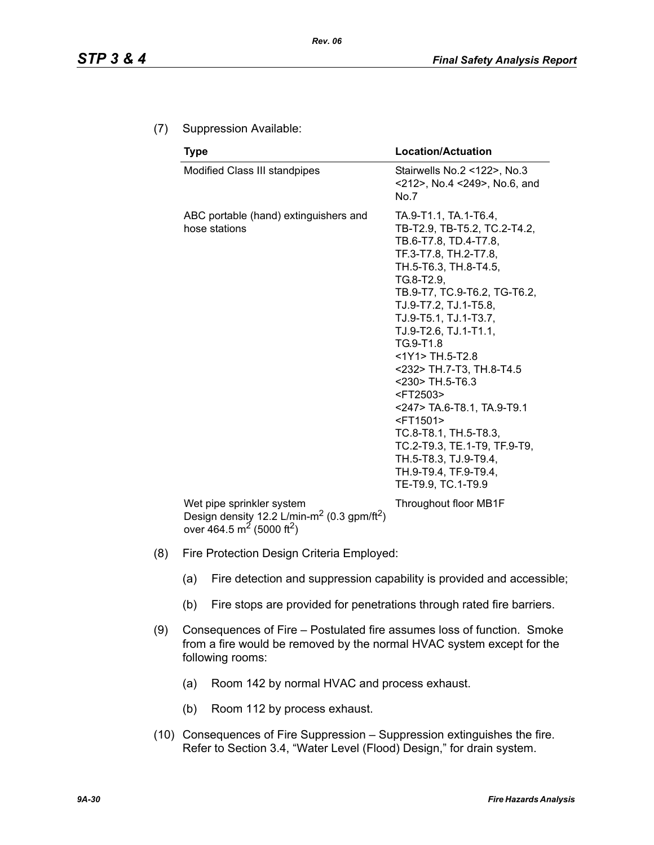## (7) Suppression Available:

| <b>Type</b>                                            | <b>Location/Actuation</b>                                                                                                                                                                                                                                                                                                                                                                                                                                                                                                                                      |
|--------------------------------------------------------|----------------------------------------------------------------------------------------------------------------------------------------------------------------------------------------------------------------------------------------------------------------------------------------------------------------------------------------------------------------------------------------------------------------------------------------------------------------------------------------------------------------------------------------------------------------|
| Modified Class III standpipes                          | Stairwells No.2 <122>, No.3<br><212>, No.4 <249>, No.6, and<br>No.7                                                                                                                                                                                                                                                                                                                                                                                                                                                                                            |
| ABC portable (hand) extinguishers and<br>hose stations | TA.9-T1.1, TA.1-T6.4,<br>TB-T2.9, TB-T5.2, TC.2-T4.2,<br>TB.6-T7.8, TD.4-T7.8,<br>TF.3-T7.8, TH.2-T7.8,<br>TH.5-T6.3, TH.8-T4.5,<br>TG.8-T2.9.<br>TB.9-T7, TC.9-T6.2, TG-T6.2,<br>TJ.9-T7.2, TJ.1-T5.8,<br>TJ.9-T5.1, TJ.1-T3.7,<br>TJ.9-T2.6, TJ.1-T1.1,<br>TG.9-T1.8<br><1Y1> TH.5-T2.8<br><232> TH.7-T3, TH.8-T4.5<br><230> TH.5-T6.3<br><ft2503><br/>&lt;247&gt; TA.6-T8.1, TA.9-T9.1<br/><ft1501><br/>TC.8-T8.1, TH.5-T8.3,<br/>TC.2-T9.3, TE.1-T9, TF.9-T9,<br/>TH.5-T8.3, TJ.9-T9.4,<br/>TH.9-T9.4, TF.9-T9.4,<br/>TE-T9.9, TC.1-T9.9</ft1501></ft2503> |
| Wet pipe sprinkler system                              | Throughout floor MB1F                                                                                                                                                                                                                                                                                                                                                                                                                                                                                                                                          |

Wet pipe sprinkler system Design density 12.2 L/min-m<sup>2</sup> (0.3 gpm/ft<sup>2</sup>) over 464.5 m<sup>2</sup> (5000 ft<sup>2</sup>)

- (8) Fire Protection Design Criteria Employed:
	- (a) Fire detection and suppression capability is provided and accessible;
	- (b) Fire stops are provided for penetrations through rated fire barriers.
- (9) Consequences of Fire Postulated fire assumes loss of function. Smoke from a fire would be removed by the normal HVAC system except for the following rooms:
	- (a) Room 142 by normal HVAC and process exhaust.
	- (b) Room 112 by process exhaust.
- (10) Consequences of Fire Suppression Suppression extinguishes the fire. Refer to Section 3.4, "Water Level (Flood) Design," for drain system.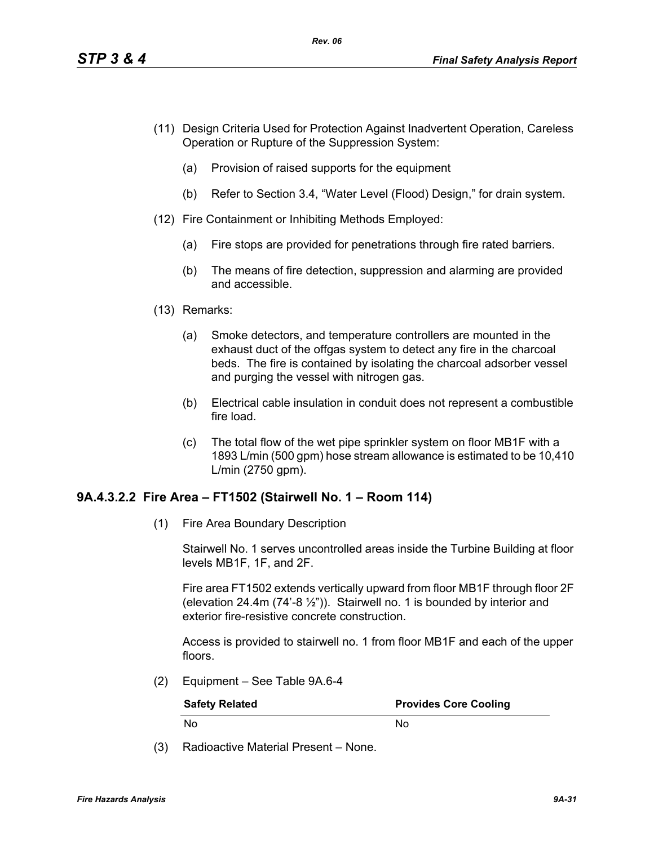- (11) Design Criteria Used for Protection Against Inadvertent Operation, Careless Operation or Rupture of the Suppression System:
	- (a) Provision of raised supports for the equipment
	- (b) Refer to Section 3.4, "Water Level (Flood) Design," for drain system.
- (12) Fire Containment or Inhibiting Methods Employed:
	- (a) Fire stops are provided for penetrations through fire rated barriers.
	- (b) The means of fire detection, suppression and alarming are provided and accessible.
- (13) Remarks:
	- (a) Smoke detectors, and temperature controllers are mounted in the exhaust duct of the offgas system to detect any fire in the charcoal beds. The fire is contained by isolating the charcoal adsorber vessel and purging the vessel with nitrogen gas.
	- (b) Electrical cable insulation in conduit does not represent a combustible fire load.
	- (c) The total flow of the wet pipe sprinkler system on floor MB1F with a 1893 L/min (500 gpm) hose stream allowance is estimated to be 10,410 L/min (2750 gpm).

#### **9A.4.3.2.2 Fire Area – FT1502 (Stairwell No. 1 – Room 114)**

(1) Fire Area Boundary Description

Stairwell No. 1 serves uncontrolled areas inside the Turbine Building at floor levels MB1F, 1F, and 2F.

Fire area FT1502 extends vertically upward from floor MB1F through floor 2F (elevation 24.4m  $(74^{\degree}-8\frac{1}{2^{\degree}})$ ). Stairwell no. 1 is bounded by interior and exterior fire-resistive concrete construction.

Access is provided to stairwell no. 1 from floor MB1F and each of the upper floors.

(2) Equipment – See Table 9A.6-4

| <b>Safety Related</b> | <b>Provides Core Cooling</b> |
|-----------------------|------------------------------|
| . No                  | Nο                           |

(3) Radioactive Material Present – None.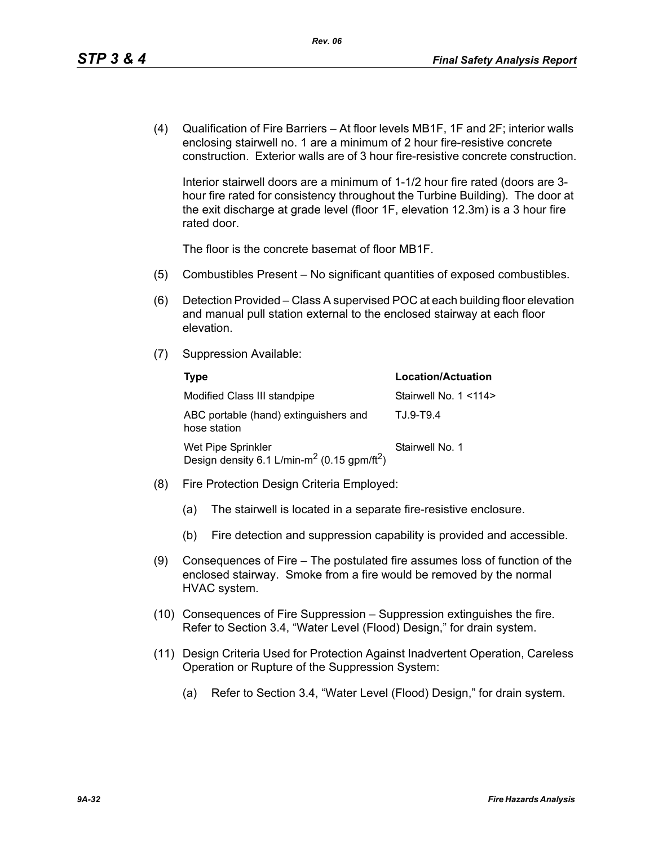(4) Qualification of Fire Barriers – At floor levels MB1F, 1F and 2F; interior walls enclosing stairwell no. 1 are a minimum of 2 hour fire-resistive concrete construction. Exterior walls are of 3 hour fire-resistive concrete construction.

Interior stairwell doors are a minimum of 1-1/2 hour fire rated (doors are 3 hour fire rated for consistency throughout the Turbine Building). The door at the exit discharge at grade level (floor 1F, elevation 12.3m) is a 3 hour fire rated door.

The floor is the concrete basemat of floor MB1F.

- (5) Combustibles Present No significant quantities of exposed combustibles.
- (6) Detection Provided Class A supervised POC at each building floor elevation and manual pull station external to the enclosed stairway at each floor elevation.
- (7) Suppression Available:

| Type                                                                                      | Location/Actuation     |
|-------------------------------------------------------------------------------------------|------------------------|
| Modified Class III standpipe                                                              | Stairwell No. 1 < 114> |
| ABC portable (hand) extinguishers and<br>hose station                                     | T.J.9-T9.4             |
| Wet Pipe Sprinkler<br>Design density 6.1 L/min-m <sup>2</sup> (0.15 gpm/ft <sup>2</sup> ) | Stairwell No. 1        |

- (8) Fire Protection Design Criteria Employed:
	- (a) The stairwell is located in a separate fire-resistive enclosure.
	- (b) Fire detection and suppression capability is provided and accessible.
- (9) Consequences of Fire The postulated fire assumes loss of function of the enclosed stairway. Smoke from a fire would be removed by the normal HVAC system.
- (10) Consequences of Fire Suppression Suppression extinguishes the fire. Refer to Section 3.4, "Water Level (Flood) Design," for drain system.
- (11) Design Criteria Used for Protection Against Inadvertent Operation, Careless Operation or Rupture of the Suppression System:
	- (a) Refer to Section 3.4, "Water Level (Flood) Design," for drain system.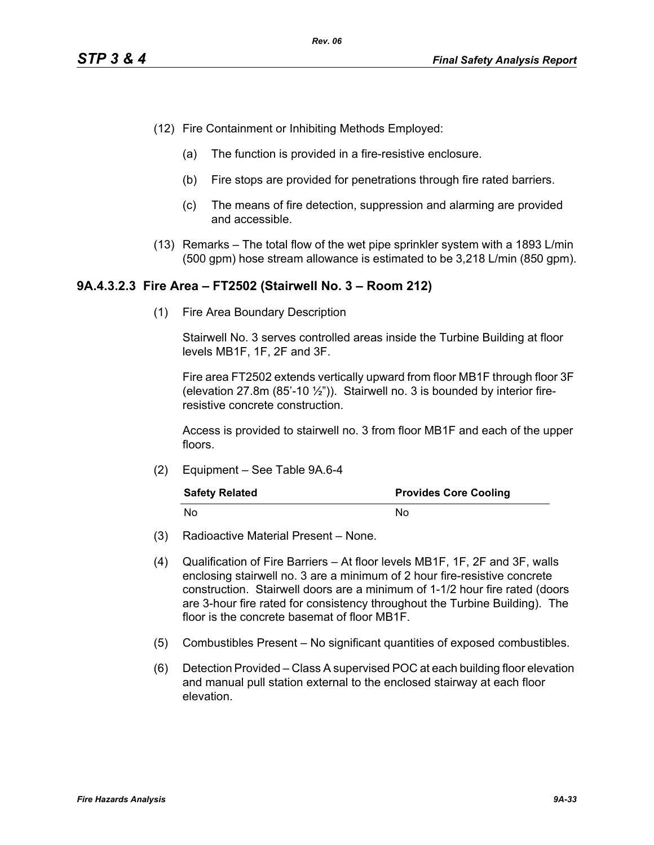- (12) Fire Containment or Inhibiting Methods Employed:
	- (a) The function is provided in a fire-resistive enclosure.
	- (b) Fire stops are provided for penetrations through fire rated barriers.
	- (c) The means of fire detection, suppression and alarming are provided and accessible.
- (13) Remarks The total flow of the wet pipe sprinkler system with a 1893 L/min (500 gpm) hose stream allowance is estimated to be 3,218 L/min (850 gpm).

#### **9A.4.3.2.3 Fire Area – FT2502 (Stairwell No. 3 – Room 212)**

(1) Fire Area Boundary Description

Stairwell No. 3 serves controlled areas inside the Turbine Building at floor levels MB1F, 1F, 2F and 3F.

Fire area FT2502 extends vertically upward from floor MB1F through floor 3F (elevation 27.8m  $(85'-10\frac{1}{2})$ ). Stairwell no. 3 is bounded by interior fireresistive concrete construction.

Access is provided to stairwell no. 3 from floor MB1F and each of the upper floors.

(2) Equipment – See Table 9A.6-4

| <b>Safety Related</b> | <b>Provides Core Cooling</b> |
|-----------------------|------------------------------|
| - No                  | N٥                           |

- (3) Radioactive Material Present None.
- (4) Qualification of Fire Barriers At floor levels MB1F, 1F, 2F and 3F, walls enclosing stairwell no. 3 are a minimum of 2 hour fire-resistive concrete construction. Stairwell doors are a minimum of 1-1/2 hour fire rated (doors are 3-hour fire rated for consistency throughout the Turbine Building). The floor is the concrete basemat of floor MB1F.
- (5) Combustibles Present No significant quantities of exposed combustibles.
- (6) Detection Provided Class A supervised POC at each building floor elevation and manual pull station external to the enclosed stairway at each floor elevation.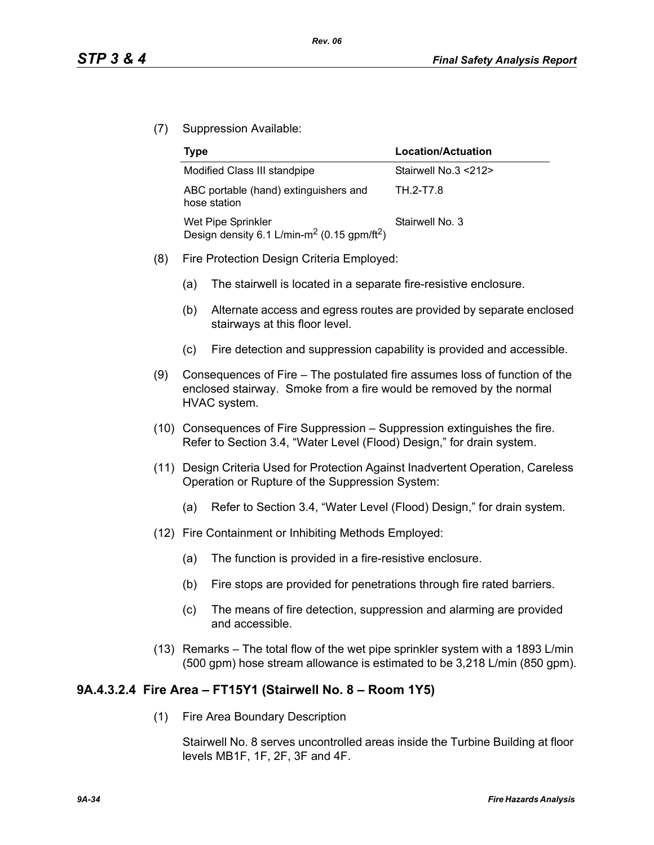(7) Suppression Available:

| Type                                                                                      | Location/Actuation   |
|-------------------------------------------------------------------------------------------|----------------------|
| Modified Class III standpipe                                                              | Stairwell No.3 <212> |
| ABC portable (hand) extinguishers and<br>hose station                                     | TH 2-T7.8            |
| Wet Pipe Sprinkler<br>Design density 6.1 L/min-m <sup>2</sup> (0.15 gpm/ft <sup>2</sup> ) | Stairwell No. 3      |

- (8) Fire Protection Design Criteria Employed:
	- (a) The stairwell is located in a separate fire-resistive enclosure.
	- (b) Alternate access and egress routes are provided by separate enclosed stairways at this floor level.
	- (c) Fire detection and suppression capability is provided and accessible.
- (9) Consequences of Fire The postulated fire assumes loss of function of the enclosed stairway. Smoke from a fire would be removed by the normal HVAC system.
- (10) Consequences of Fire Suppression Suppression extinguishes the fire. Refer to Section 3.4, "Water Level (Flood) Design," for drain system.
- (11) Design Criteria Used for Protection Against Inadvertent Operation, Careless Operation or Rupture of the Suppression System:
	- (a) Refer to Section 3.4, "Water Level (Flood) Design," for drain system.
- (12) Fire Containment or Inhibiting Methods Employed:
	- (a) The function is provided in a fire-resistive enclosure.
	- (b) Fire stops are provided for penetrations through fire rated barriers.
	- (c) The means of fire detection, suppression and alarming are provided and accessible.
- (13) Remarks The total flow of the wet pipe sprinkler system with a 1893 L/min (500 gpm) hose stream allowance is estimated to be 3,218 L/min (850 gpm).

# **9A.4.3.2.4 Fire Area – FT15Y1 (Stairwell No. 8 – Room 1Y5)**

(1) Fire Area Boundary Description

Stairwell No. 8 serves uncontrolled areas inside the Turbine Building at floor levels MB1F, 1F, 2F, 3F and 4F.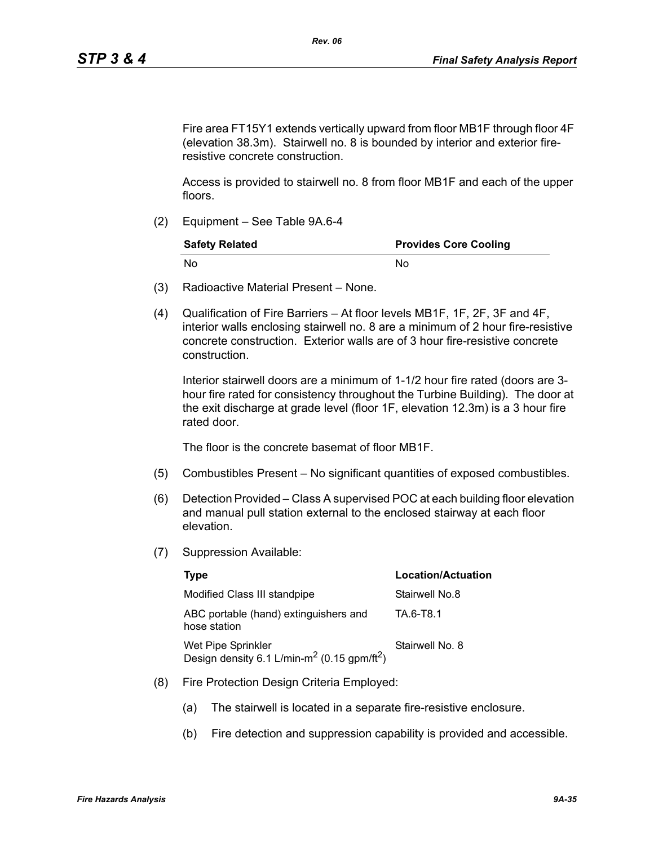Fire area FT15Y1 extends vertically upward from floor MB1F through floor 4F (elevation 38.3m). Stairwell no. 8 is bounded by interior and exterior fireresistive concrete construction.

Access is provided to stairwell no. 8 from floor MB1F and each of the upper floors.

(2) Equipment – See Table 9A.6-4

| <b>Safety Related</b> | <b>Provides Core Cooling</b> |
|-----------------------|------------------------------|
| . No                  | N٥                           |

- (3) Radioactive Material Present None.
- (4) Qualification of Fire Barriers At floor levels MB1F, 1F, 2F, 3F and 4F, interior walls enclosing stairwell no. 8 are a minimum of 2 hour fire-resistive concrete construction. Exterior walls are of 3 hour fire-resistive concrete construction.

Interior stairwell doors are a minimum of 1-1/2 hour fire rated (doors are 3 hour fire rated for consistency throughout the Turbine Building). The door at the exit discharge at grade level (floor 1F, elevation 12.3m) is a 3 hour fire rated door.

The floor is the concrete basemat of floor MB1F.

- (5) Combustibles Present No significant quantities of exposed combustibles.
- (6) Detection Provided Class A supervised POC at each building floor elevation and manual pull station external to the enclosed stairway at each floor elevation.
- (7) Suppression Available:

| Type                                                                                      | <b>Location/Actuation</b> |
|-------------------------------------------------------------------------------------------|---------------------------|
| Modified Class III standpipe                                                              | Stairwell No.8            |
| ABC portable (hand) extinguishers and<br>hose station                                     | TA 6-T8.1                 |
| Wet Pipe Sprinkler<br>Design density 6.1 L/min-m <sup>2</sup> (0.15 gpm/ft <sup>2</sup> ) | Stairwell No. 8           |

- (8) Fire Protection Design Criteria Employed:
	- (a) The stairwell is located in a separate fire-resistive enclosure.
	- (b) Fire detection and suppression capability is provided and accessible.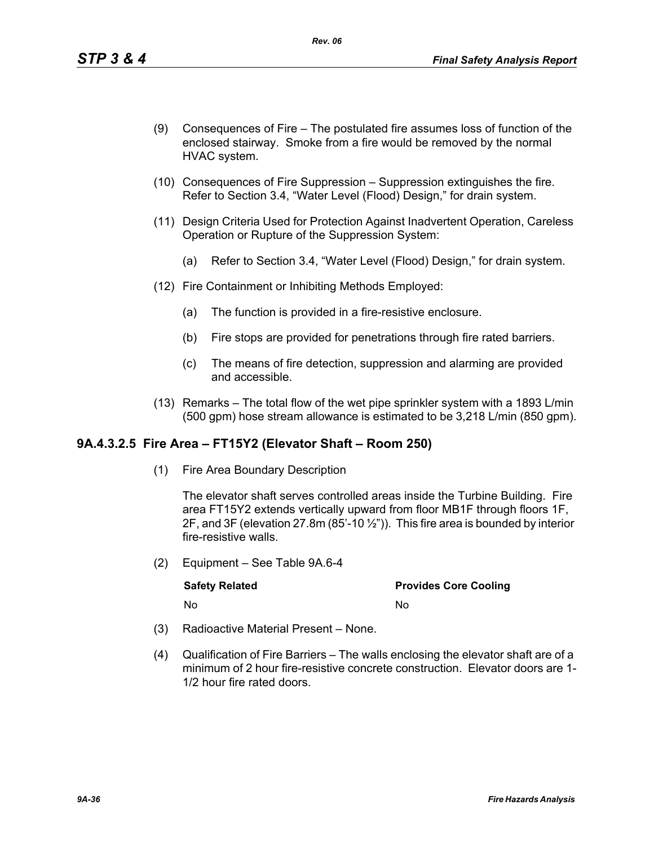- (9) Consequences of Fire The postulated fire assumes loss of function of the enclosed stairway. Smoke from a fire would be removed by the normal HVAC system.
- (10) Consequences of Fire Suppression Suppression extinguishes the fire. Refer to Section 3.4, "Water Level (Flood) Design," for drain system.
- (11) Design Criteria Used for Protection Against Inadvertent Operation, Careless Operation or Rupture of the Suppression System:
	- (a) Refer to Section 3.4, "Water Level (Flood) Design," for drain system.
- (12) Fire Containment or Inhibiting Methods Employed:
	- (a) The function is provided in a fire-resistive enclosure.
	- (b) Fire stops are provided for penetrations through fire rated barriers.
	- (c) The means of fire detection, suppression and alarming are provided and accessible.
- (13) Remarks The total flow of the wet pipe sprinkler system with a 1893 L/min (500 gpm) hose stream allowance is estimated to be 3,218 L/min (850 gpm).

#### **9A.4.3.2.5 Fire Area – FT15Y2 (Elevator Shaft – Room 250)**

(1) Fire Area Boundary Description

The elevator shaft serves controlled areas inside the Turbine Building. Fire area FT15Y2 extends vertically upward from floor MB1F through floors 1F, 2F, and 3F (elevation 27.8m (85'-10 $\frac{1}{2}$ ")). This fire area is bounded by interior fire-resistive walls.

(2) Equipment – See Table 9A.6-4

| <b>Safety Related</b> | <b>Provides Core Cooling</b> |
|-----------------------|------------------------------|
| No                    | Nο                           |

- (3) Radioactive Material Present None.
- (4) Qualification of Fire Barriers The walls enclosing the elevator shaft are of a minimum of 2 hour fire-resistive concrete construction. Elevator doors are 1- 1/2 hour fire rated doors.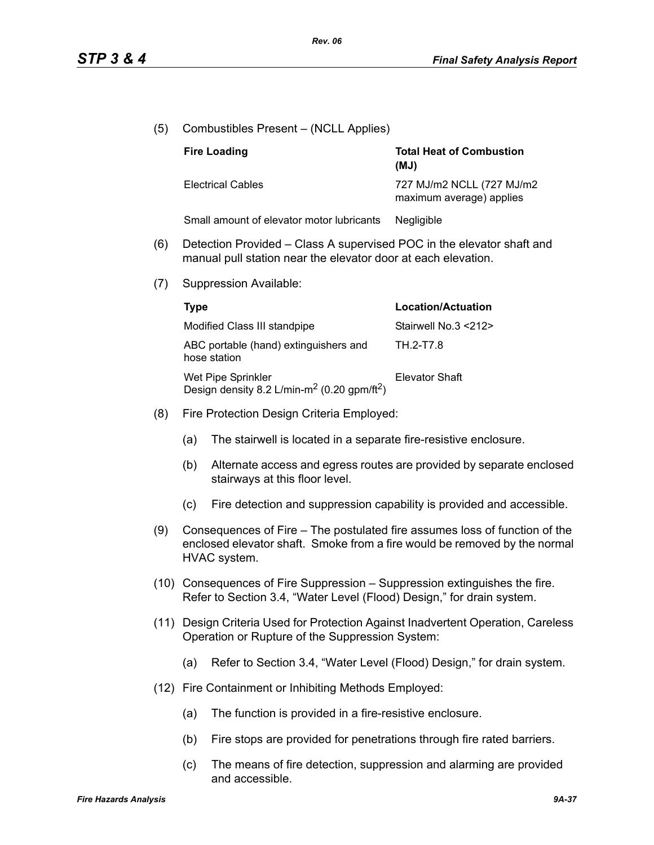- (5) Combustibles Present (NCLL Applies) (6) Detection Provided – Class A supervised POC in the elevator shaft and manual pull station near the elevator door at each elevation. (7) Suppression Available: (8) Fire Protection Design Criteria Employed: (a) The stairwell is located in a separate fire-resistive enclosure. (b) Alternate access and egress routes are provided by separate enclosed stairways at this floor level. (c) Fire detection and suppression capability is provided and accessible. (9) Consequences of Fire – The postulated fire assumes loss of function of the enclosed elevator shaft. Smoke from a fire would be removed by the normal HVAC system. (10) Consequences of Fire Suppression – Suppression extinguishes the fire. Refer to Section 3.4, "Water Level (Flood) Design," for drain system. (11) Design Criteria Used for Protection Against Inadvertent Operation, Careless Operation or Rupture of the Suppression System: (a) Refer to Section 3.4, "Water Level (Flood) Design," for drain system. (12) Fire Containment or Inhibiting Methods Employed: (a) The function is provided in a fire-resistive enclosure. (b) Fire stops are provided for penetrations through fire rated barriers. **Fire Loading Total Heat of Combustion (MJ)** Electrical Cables 727 MJ/m2 NCLL (727 MJ/m2 maximum average) applies Small amount of elevator motor lubricants Negligible **Type Location/Actuation** Modified Class III standpipe Stairwell No.3 <212> ABC portable (hand) extinguishers and hose station TH.2-T7.8 Wet Pipe Sprinkler Design density 8.2 L/min-m<sup>2</sup> (0.20 gpm/ft<sup>2</sup>) Elevator Shaft
	- (c) The means of fire detection, suppression and alarming are provided and accessible.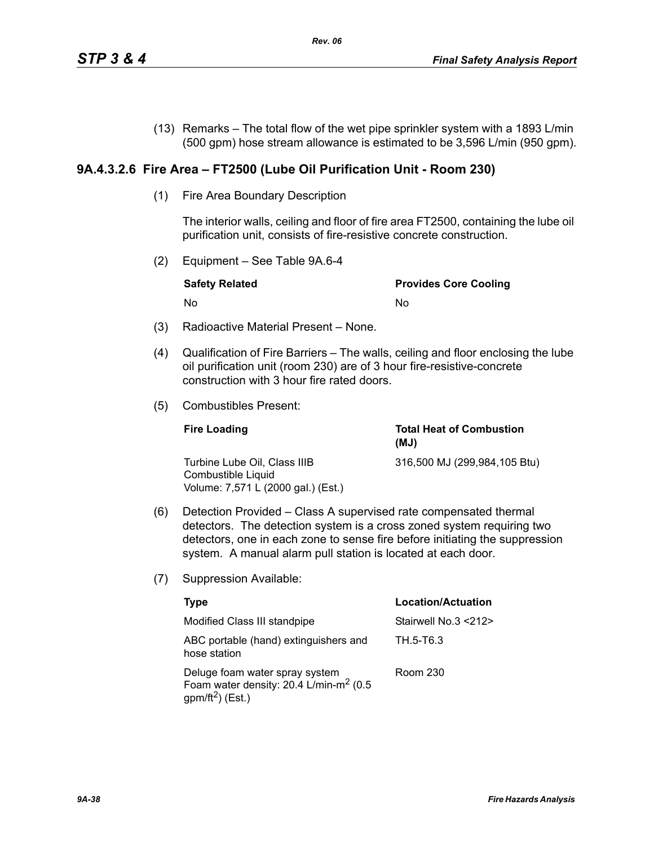(13) Remarks – The total flow of the wet pipe sprinkler system with a 1893 L/min (500 gpm) hose stream allowance is estimated to be 3,596 L/min (950 gpm).

# **9A.4.3.2.6 Fire Area – FT2500 (Lube Oil Purification Unit - Room 230)**

(1) Fire Area Boundary Description

The interior walls, ceiling and floor of fire area FT2500, containing the lube oil purification unit, consists of fire-resistive concrete construction.

(2) Equipment – See Table 9A.6-4

| <b>Safety Related</b> | <b>Provides Core Cooling</b> |
|-----------------------|------------------------------|
| . No                  | No                           |

- (3) Radioactive Material Present None.
- (4) Qualification of Fire Barriers The walls, ceiling and floor enclosing the lube oil purification unit (room 230) are of 3 hour fire-resistive-concrete construction with 3 hour fire rated doors.
- (5) Combustibles Present:

| <b>Fire Loading</b>                                                                      | <b>Total Heat of Combustion</b><br>(MJ) |
|------------------------------------------------------------------------------------------|-----------------------------------------|
| Turbine Lube Oil. Class IIIB<br>Combustible Liquid<br>Volume: 7,571 L (2000 gal.) (Est.) | 316,500 MJ (299,984,105 Btu)            |

- (6) Detection Provided Class A supervised rate compensated thermal detectors. The detection system is a cross zoned system requiring two detectors, one in each zone to sense fire before initiating the suppression system. A manual alarm pull station is located at each door.
- (7) Suppression Available:

| Type                                                                                                                 | Location/Actuation   |
|----------------------------------------------------------------------------------------------------------------------|----------------------|
| Modified Class III standpipe                                                                                         | Stairwell No.3 <212> |
| ABC portable (hand) extinguishers and<br>hose station                                                                | TH.5-T6.3            |
| Deluge foam water spray system<br>Foam water density: 20.4 L/min-m <sup>2</sup> (0.5<br>gpm/ft <sup>2</sup> ) (Est.) | Room 230             |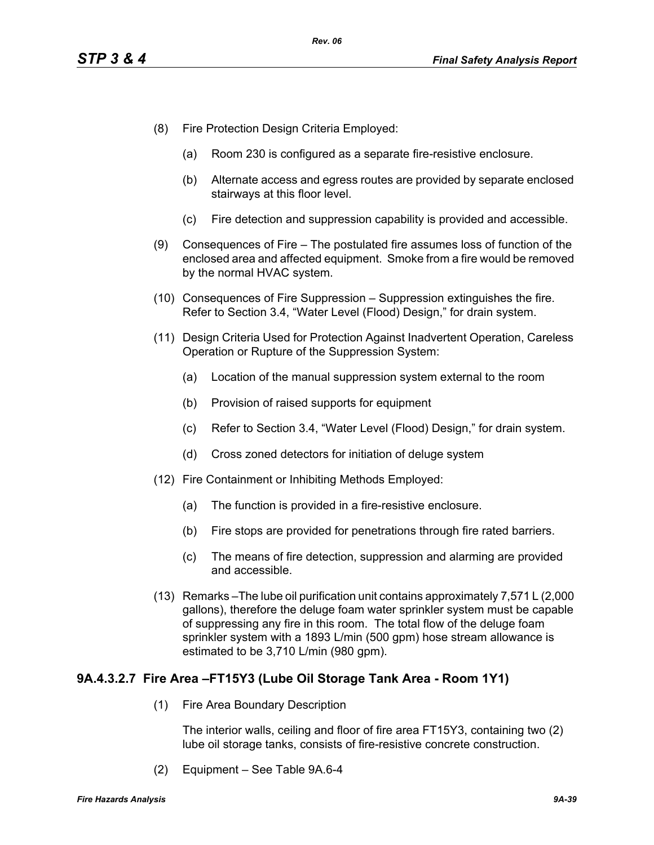- (8) Fire Protection Design Criteria Employed:
	- (a) Room 230 is configured as a separate fire-resistive enclosure.
	- (b) Alternate access and egress routes are provided by separate enclosed stairways at this floor level.
	- (c) Fire detection and suppression capability is provided and accessible.
- (9) Consequences of Fire The postulated fire assumes loss of function of the enclosed area and affected equipment. Smoke from a fire would be removed by the normal HVAC system.
- (10) Consequences of Fire Suppression Suppression extinguishes the fire. Refer to Section 3.4, "Water Level (Flood) Design," for drain system.
- (11) Design Criteria Used for Protection Against Inadvertent Operation, Careless Operation or Rupture of the Suppression System:
	- (a) Location of the manual suppression system external to the room
	- (b) Provision of raised supports for equipment
	- (c) Refer to Section 3.4, "Water Level (Flood) Design," for drain system.
	- (d) Cross zoned detectors for initiation of deluge system
- (12) Fire Containment or Inhibiting Methods Employed:
	- (a) The function is provided in a fire-resistive enclosure.
	- (b) Fire stops are provided for penetrations through fire rated barriers.
	- (c) The means of fire detection, suppression and alarming are provided and accessible.
- (13) Remarks –The lube oil purification unit contains approximately 7,571 L (2,000 gallons), therefore the deluge foam water sprinkler system must be capable of suppressing any fire in this room. The total flow of the deluge foam sprinkler system with a 1893 L/min (500 gpm) hose stream allowance is estimated to be 3,710 L/min (980 gpm).

# **9A.4.3.2.7 Fire Area –FT15Y3 (Lube Oil Storage Tank Area - Room 1Y1)**

(1) Fire Area Boundary Description

The interior walls, ceiling and floor of fire area FT15Y3, containing two (2) lube oil storage tanks, consists of fire-resistive concrete construction.

(2) Equipment – See Table 9A.6-4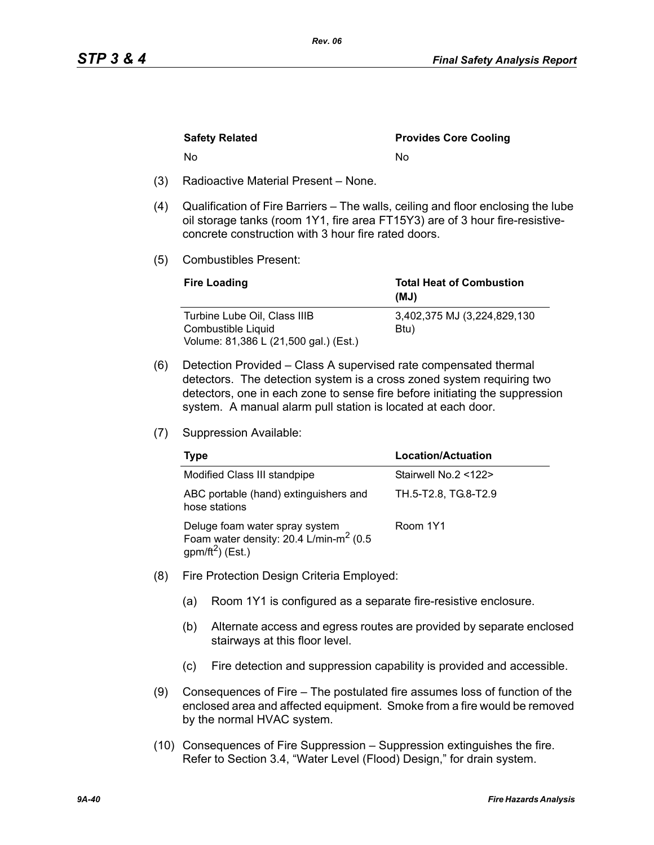| <b>Safety Related</b> | <b>Provides Core Cooling</b> |
|-----------------------|------------------------------|
| N٥                    | N٥                           |
| .<br>- -              |                              |

- (3) Radioactive Material Present None.
- (4) Qualification of Fire Barriers The walls, ceiling and floor enclosing the lube oil storage tanks (room 1Y1, fire area FT15Y3) are of 3 hour fire-resistiveconcrete construction with 3 hour fire rated doors.
- (5) Combustibles Present:

| <b>Fire Loading</b>                   | <b>Total Heat of Combustion</b><br>(MJ) |
|---------------------------------------|-----------------------------------------|
| Turbine Lube Oil, Class IIIB          | 3,402,375 MJ (3,224,829,130)            |
| Combustible Liquid                    | Btu)                                    |
| Volume: 81,386 L (21,500 gal.) (Est.) |                                         |

- (6) Detection Provided Class A supervised rate compensated thermal detectors. The detection system is a cross zoned system requiring two detectors, one in each zone to sense fire before initiating the suppression system. A manual alarm pull station is located at each door.
- (7) Suppression Available:

| Type                                                                                                        | Location/Actuation   |
|-------------------------------------------------------------------------------------------------------------|----------------------|
| Modified Class III standpipe                                                                                | Stairwell No.2 <122> |
| ABC portable (hand) extinguishers and<br>hose stations                                                      | TH.5-T2.8, TG.8-T2.9 |
| Deluge foam water spray system<br>Foam water density: 20.4 L/min-m <sup>2</sup> (0.5<br>$gpm/ft^2$ ) (Est.) | Room 1Y1             |

- (8) Fire Protection Design Criteria Employed:
	- (a) Room 1Y1 is configured as a separate fire-resistive enclosure.
	- (b) Alternate access and egress routes are provided by separate enclosed stairways at this floor level.
	- (c) Fire detection and suppression capability is provided and accessible.
- (9) Consequences of Fire The postulated fire assumes loss of function of the enclosed area and affected equipment. Smoke from a fire would be removed by the normal HVAC system.
- (10) Consequences of Fire Suppression Suppression extinguishes the fire. Refer to Section 3.4, "Water Level (Flood) Design," for drain system.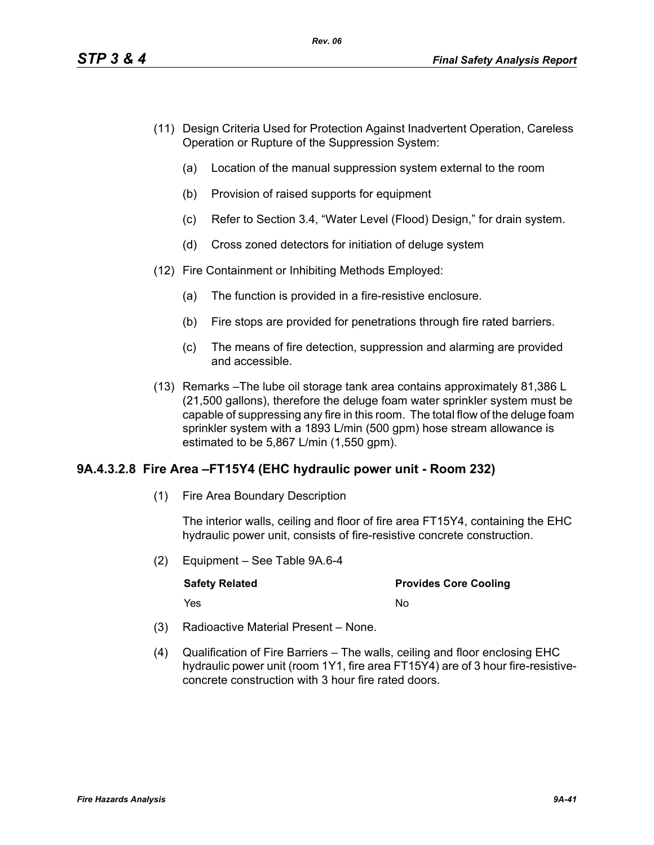- (11) Design Criteria Used for Protection Against Inadvertent Operation, Careless Operation or Rupture of the Suppression System:
	- (a) Location of the manual suppression system external to the room
	- (b) Provision of raised supports for equipment
	- (c) Refer to Section 3.4, "Water Level (Flood) Design," for drain system.
	- (d) Cross zoned detectors for initiation of deluge system
- (12) Fire Containment or Inhibiting Methods Employed:
	- (a) The function is provided in a fire-resistive enclosure.
	- (b) Fire stops are provided for penetrations through fire rated barriers.
	- (c) The means of fire detection, suppression and alarming are provided and accessible.
- (13) Remarks –The lube oil storage tank area contains approximately 81,386 L (21,500 gallons), therefore the deluge foam water sprinkler system must be capable of suppressing any fire in this room. The total flow of the deluge foam sprinkler system with a 1893 L/min (500 gpm) hose stream allowance is estimated to be 5,867 L/min (1,550 gpm).

# **9A.4.3.2.8 Fire Area –FT15Y4 (EHC hydraulic power unit - Room 232)**

(1) Fire Area Boundary Description

The interior walls, ceiling and floor of fire area FT15Y4, containing the EHC hydraulic power unit, consists of fire-resistive concrete construction.

(2) Equipment – See Table 9A.6-4

| <b>Safety Related</b> | <b>Provides Core Cooling</b> |
|-----------------------|------------------------------|
| Yes                   | N٥                           |

- (3) Radioactive Material Present None.
- (4) Qualification of Fire Barriers The walls, ceiling and floor enclosing EHC hydraulic power unit (room 1Y1, fire area FT15Y4) are of 3 hour fire-resistiveconcrete construction with 3 hour fire rated doors.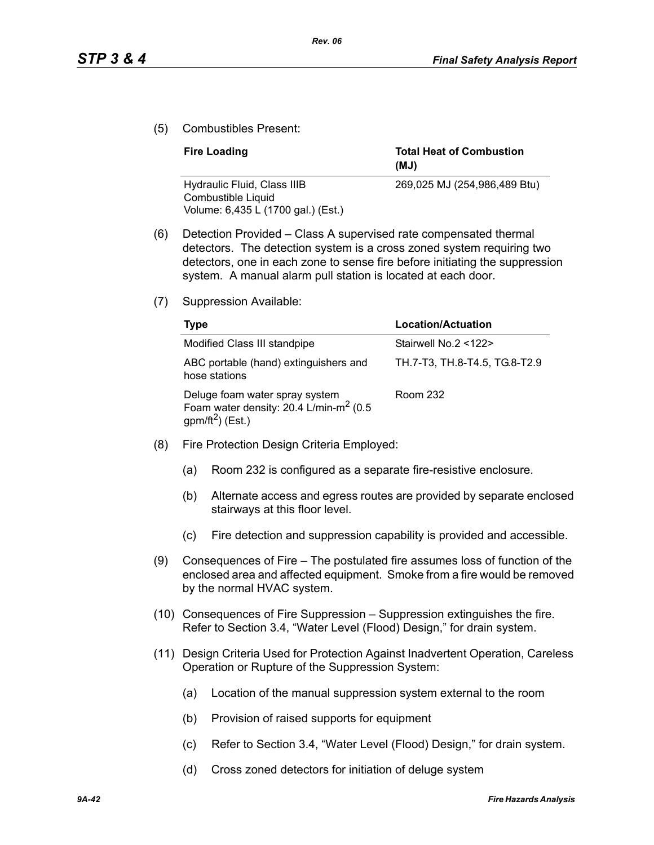(5) Combustibles Present:

| <b>Fire Loading</b>                               | <b>Total Heat of Combustion</b><br>(MJ) |
|---------------------------------------------------|-----------------------------------------|
| Hydraulic Fluid, Class IIIB<br>Combustible Liquid | 269,025 MJ (254,986,489 Btu)            |
| Volume: 6,435 L (1700 gal.) (Est.)                |                                         |

- (6) Detection Provided Class A supervised rate compensated thermal detectors. The detection system is a cross zoned system requiring two detectors, one in each zone to sense fire before initiating the suppression system. A manual alarm pull station is located at each door.
- (7) Suppression Available:

| Type                                                                                                                 | <b>Location/Actuation</b>     |
|----------------------------------------------------------------------------------------------------------------------|-------------------------------|
| Modified Class III standpipe                                                                                         | Stairwell No.2 <122>          |
| ABC portable (hand) extinguishers and<br>hose stations                                                               | TH.7-T3, TH.8-T4.5, TG.8-T2.9 |
| Deluge foam water spray system<br>Foam water density: 20.4 L/min-m <sup>2</sup> (0.5<br>gpm/ft <sup>2</sup> ) (Est.) | Room 232                      |

- (8) Fire Protection Design Criteria Employed:
	- (a) Room 232 is configured as a separate fire-resistive enclosure.
	- (b) Alternate access and egress routes are provided by separate enclosed stairways at this floor level.
	- (c) Fire detection and suppression capability is provided and accessible.
- (9) Consequences of Fire The postulated fire assumes loss of function of the enclosed area and affected equipment. Smoke from a fire would be removed by the normal HVAC system.
- (10) Consequences of Fire Suppression Suppression extinguishes the fire. Refer to Section 3.4, "Water Level (Flood) Design," for drain system.
- (11) Design Criteria Used for Protection Against Inadvertent Operation, Careless Operation or Rupture of the Suppression System:
	- (a) Location of the manual suppression system external to the room
	- (b) Provision of raised supports for equipment
	- (c) Refer to Section 3.4, "Water Level (Flood) Design," for drain system.
	- (d) Cross zoned detectors for initiation of deluge system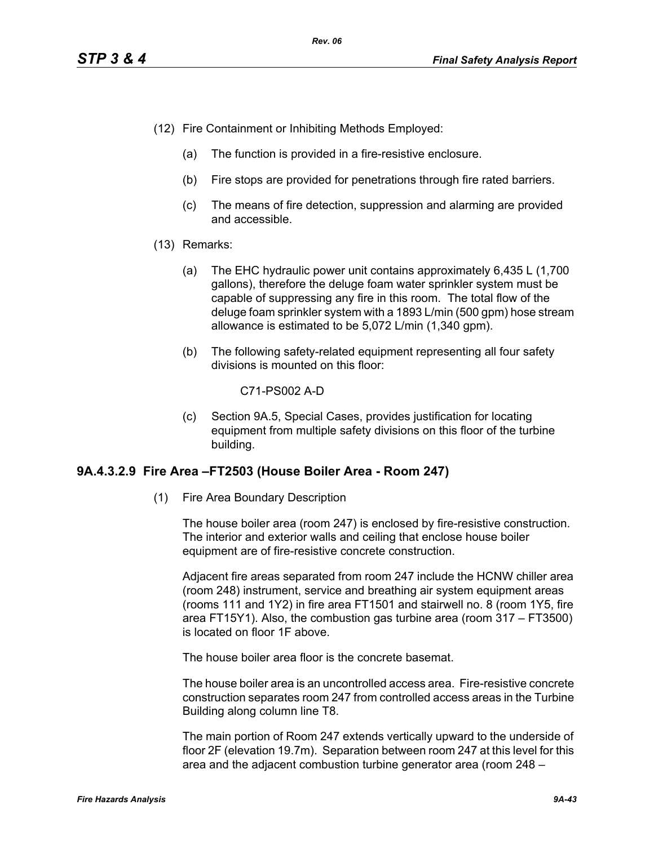- (12) Fire Containment or Inhibiting Methods Employed:
	- (a) The function is provided in a fire-resistive enclosure.
	- (b) Fire stops are provided for penetrations through fire rated barriers.
	- (c) The means of fire detection, suppression and alarming are provided and accessible.
- (13) Remarks:
	- (a) The EHC hydraulic power unit contains approximately 6,435 L (1,700 gallons), therefore the deluge foam water sprinkler system must be capable of suppressing any fire in this room. The total flow of the deluge foam sprinkler system with a 1893 L/min (500 gpm) hose stream allowance is estimated to be 5,072 L/min (1,340 gpm).
	- (b) The following safety-related equipment representing all four safety divisions is mounted on this floor:

C71-PS002 A-D

(c) Section 9A.5, Special Cases, provides justification for locating equipment from multiple safety divisions on this floor of the turbine building.

# **9A.4.3.2.9 Fire Area –FT2503 (House Boiler Area - Room 247)**

(1) Fire Area Boundary Description

The house boiler area (room 247) is enclosed by fire-resistive construction. The interior and exterior walls and ceiling that enclose house boiler equipment are of fire-resistive concrete construction.

Adjacent fire areas separated from room 247 include the HCNW chiller area (room 248) instrument, service and breathing air system equipment areas (rooms 111 and 1Y2) in fire area FT1501 and stairwell no. 8 (room 1Y5, fire area FT15Y1). Also, the combustion gas turbine area (room 317 – FT3500) is located on floor 1F above.

The house boiler area floor is the concrete basemat.

The house boiler area is an uncontrolled access area. Fire-resistive concrete construction separates room 247 from controlled access areas in the Turbine Building along column line T8.

The main portion of Room 247 extends vertically upward to the underside of floor 2F (elevation 19.7m). Separation between room 247 at this level for this area and the adjacent combustion turbine generator area (room 248 –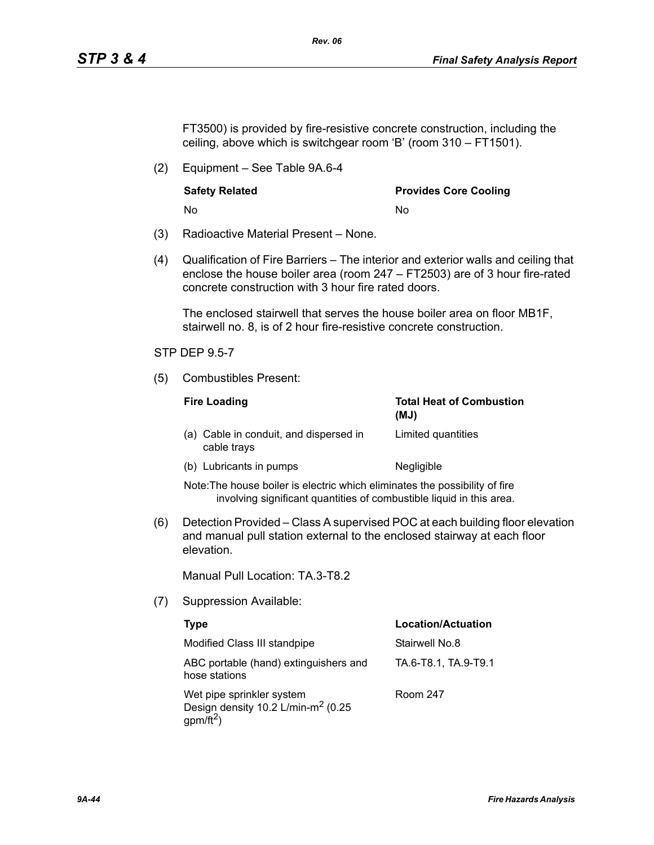FT3500) is provided by fire-resistive concrete construction, including the ceiling, above which is switchgear room 'B' (room 310 – FT1501).

*Rev. 06*

(2) Equipment – See Table 9A.6-4

No No

**Safety Related Community Community Provides Core Cooling** 

- (3) Radioactive Material Present None.
- (4) Qualification of Fire Barriers The interior and exterior walls and ceiling that enclose the house boiler area (room 247 – FT2503) are of 3 hour fire-rated concrete construction with 3 hour fire rated doors.

The enclosed stairwell that serves the house boiler area on floor MB1F, stairwell no. 8, is of 2 hour fire-resistive concrete construction.

# STP DEP 9.5-7

(5) Combustibles Present:

| <b>Fire Loading</b> |                                                       | <b>Total Heat of Combustion</b><br>(MJ) |
|---------------------|-------------------------------------------------------|-----------------------------------------|
|                     | (a) Cable in conduit, and dispersed in<br>cable trays | Limited quantities                      |
|                     | (b) Lubricants in pumps                               | Negligible                              |

Note:The house boiler is electric which eliminates the possibility of fire involving significant quantities of combustible liquid in this area.

(6) Detection Provided – Class A supervised POC at each building floor elevation and manual pull station external to the enclosed stairway at each floor elevation.

Manual Pull Location: TA.3-T8.2

(7) Suppression Available:

| Type                                                                                            | <b>Location/Actuation</b> |
|-------------------------------------------------------------------------------------------------|---------------------------|
| Modified Class III standpipe                                                                    | Stairwell No.8            |
| ABC portable (hand) extinguishers and<br>hose stations                                          | TA.6-T8.1, TA.9-T9.1      |
| Wet pipe sprinkler system<br>Design density 10.2 L/min-m <sup>2</sup> (0.25<br>$gpm/\bar{ft}^2$ | Room 247                  |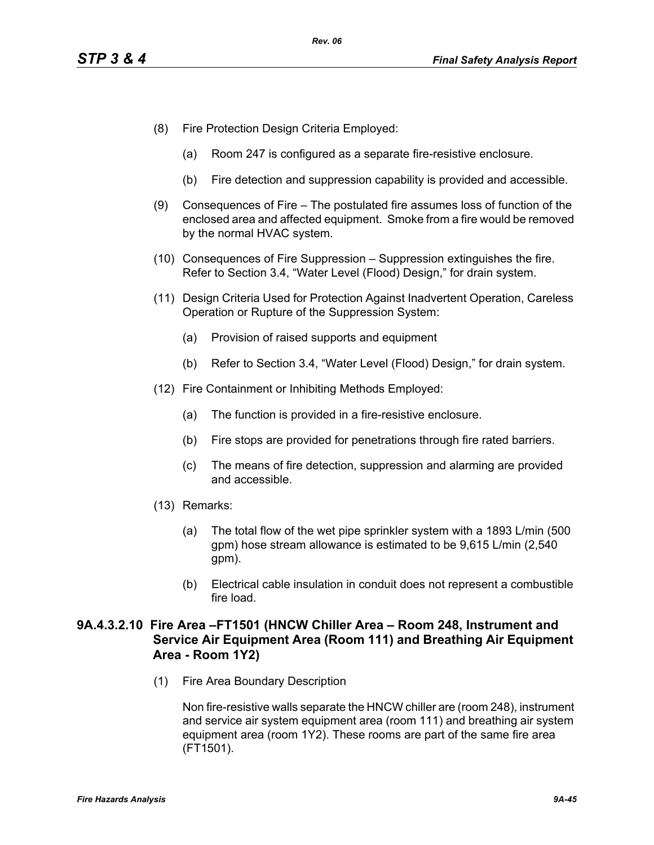- (8) Fire Protection Design Criteria Employed:
	- (a) Room 247 is configured as a separate fire-resistive enclosure.
	- (b) Fire detection and suppression capability is provided and accessible.
- (9) Consequences of Fire The postulated fire assumes loss of function of the enclosed area and affected equipment. Smoke from a fire would be removed by the normal HVAC system.
- (10) Consequences of Fire Suppression Suppression extinguishes the fire. Refer to Section 3.4, "Water Level (Flood) Design," for drain system.
- (11) Design Criteria Used for Protection Against Inadvertent Operation, Careless Operation or Rupture of the Suppression System:
	- (a) Provision of raised supports and equipment
	- (b) Refer to Section 3.4, "Water Level (Flood) Design," for drain system.
- (12) Fire Containment or Inhibiting Methods Employed:
	- (a) The function is provided in a fire-resistive enclosure.
	- (b) Fire stops are provided for penetrations through fire rated barriers.
	- (c) The means of fire detection, suppression and alarming are provided and accessible.
- (13) Remarks:
	- (a) The total flow of the wet pipe sprinkler system with a 1893 L/min (500 gpm) hose stream allowance is estimated to be 9,615 L/min (2,540 gpm).
	- (b) Electrical cable insulation in conduit does not represent a combustible fire load.

# **9A.4.3.2.10 Fire Area –FT1501 (HNCW Chiller Area – Room 248, Instrument and Service Air Equipment Area (Room 111) and Breathing Air Equipment Area - Room 1Y2)**

(1) Fire Area Boundary Description

Non fire-resistive walls separate the HNCW chiller are (room 248), instrument and service air system equipment area (room 111) and breathing air system equipment area (room 1Y2). These rooms are part of the same fire area (FT1501).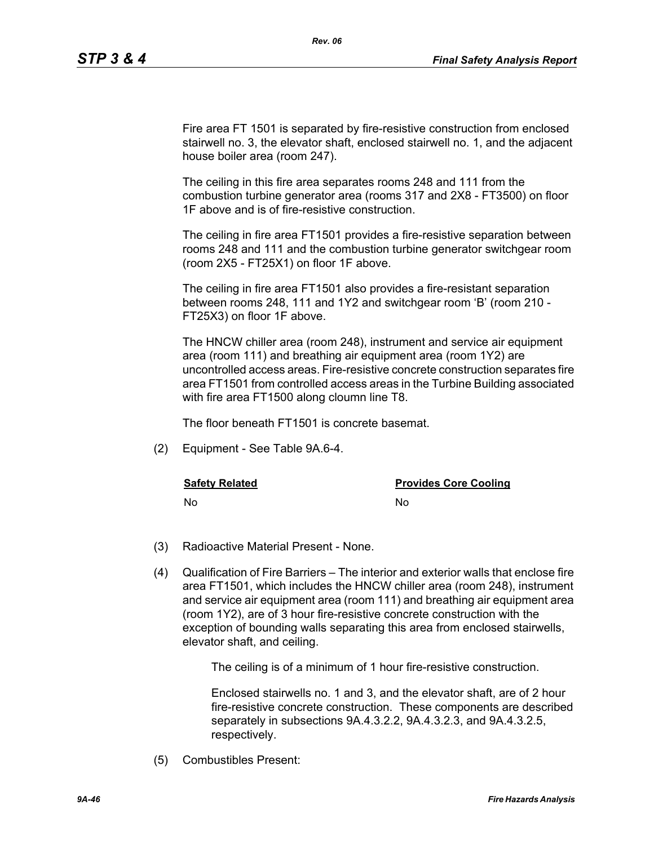Fire area FT 1501 is separated by fire-resistive construction from enclosed stairwell no. 3, the elevator shaft, enclosed stairwell no. 1, and the adjacent house boiler area (room 247).

*Rev. 06*

The ceiling in this fire area separates rooms 248 and 111 from the combustion turbine generator area (rooms 317 and 2X8 - FT3500) on floor 1F above and is of fire-resistive construction.

The ceiling in fire area FT1501 provides a fire-resistive separation between rooms 248 and 111 and the combustion turbine generator switchgear room (room 2X5 - FT25X1) on floor 1F above.

The ceiling in fire area FT1501 also provides a fire-resistant separation between rooms 248, 111 and 1Y2 and switchgear room 'B' (room 210 - FT25X3) on floor 1F above.

The HNCW chiller area (room 248), instrument and service air equipment area (room 111) and breathing air equipment area (room 1Y2) are uncontrolled access areas. Fire-resistive concrete construction separates fire area FT1501 from controlled access areas in the Turbine Building associated with fire area FT1500 along cloumn line T8.

The floor beneath FT1501 is concrete basemat.

(2) Equipment - See Table 9A.6-4.

**Safety Related Safety Related Provides Core Cooling** 

No No

- (3) Radioactive Material Present None.
- (4) Qualification of Fire Barriers The interior and exterior walls that enclose fire area FT1501, which includes the HNCW chiller area (room 248), instrument and service air equipment area (room 111) and breathing air equipment area (room 1Y2), are of 3 hour fire-resistive concrete construction with the exception of bounding walls separating this area from enclosed stairwells, elevator shaft, and ceiling.

The ceiling is of a minimum of 1 hour fire-resistive construction.

Enclosed stairwells no. 1 and 3, and the elevator shaft, are of 2 hour fire-resistive concrete construction. These components are described separately in subsections 9A.4.3.2.2, 9A.4.3.2.3, and 9A.4.3.2.5, respectively.

(5) Combustibles Present: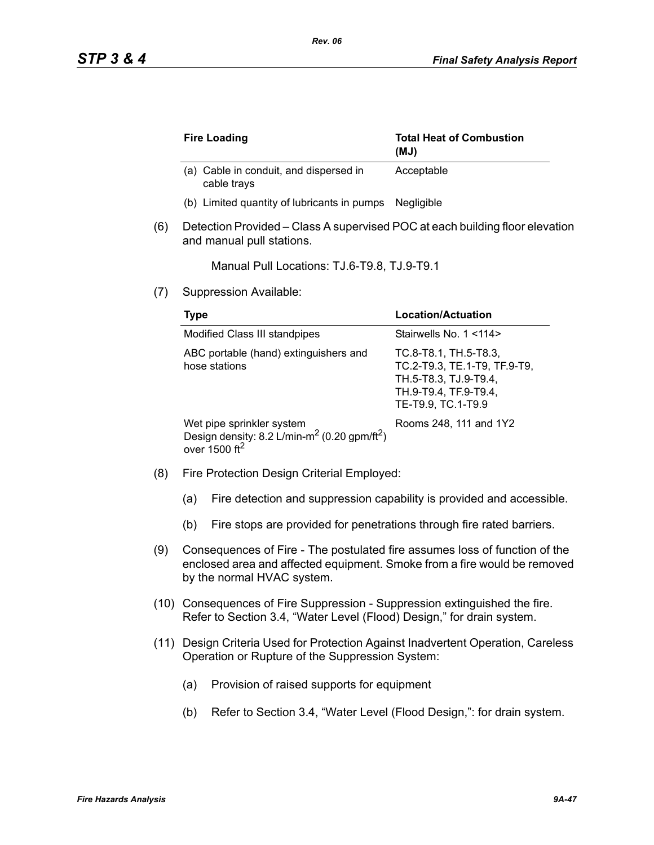|     | <b>Fire Loading</b>                                                                                                            | <b>Total Heat of Combustion</b><br>(MJ)                                                                                       |
|-----|--------------------------------------------------------------------------------------------------------------------------------|-------------------------------------------------------------------------------------------------------------------------------|
|     | (a) Cable in conduit, and dispersed in<br>cable trays                                                                          | Acceptable                                                                                                                    |
|     | (b) Limited quantity of lubricants in pumps                                                                                    | Negligible                                                                                                                    |
| (6) | Detection Provided – Class A supervised POC at each building floor elevation<br>and manual pull stations.                      |                                                                                                                               |
|     | Manual Pull Locations: TJ.6-T9.8, TJ.9-T9.1                                                                                    |                                                                                                                               |
| (7) | Suppression Available:                                                                                                         |                                                                                                                               |
|     | <b>Type</b>                                                                                                                    | <b>Location/Actuation</b>                                                                                                     |
|     | Modified Class III standpipes                                                                                                  | Stairwells No. 1 <114>                                                                                                        |
|     | ABC portable (hand) extinguishers and<br>hose stations                                                                         | TC.8-T8.1, TH.5-T8.3,<br>TC.2-T9.3, TE.1-T9, TF.9-T9,<br>TH.5-T8.3, TJ.9-T9.4,<br>TH.9-T9.4, TF.9-T9.4,<br>TE-T9.9, TC.1-T9.9 |
|     | Wet pipe sprinkler system<br>Design density: 8.2 L/min-m <sup>2</sup> (0.20 gpm/ft <sup>2</sup> )<br>over 1500 ft <sup>2</sup> | Rooms 248, 111 and 1Y2                                                                                                        |

- (8) Fire Protection Design Criterial Employed:
	- (a) Fire detection and suppression capability is provided and accessible.
	- (b) Fire stops are provided for penetrations through fire rated barriers.
- (9) Consequences of Fire The postulated fire assumes loss of function of the enclosed area and affected equipment. Smoke from a fire would be removed by the normal HVAC system.
- (10) Consequences of Fire Suppression Suppression extinguished the fire. Refer to Section 3.4, "Water Level (Flood) Design," for drain system.
- (11) Design Criteria Used for Protection Against Inadvertent Operation, Careless Operation or Rupture of the Suppression System:
	- (a) Provision of raised supports for equipment
	- (b) Refer to Section 3.4, "Water Level (Flood Design,": for drain system.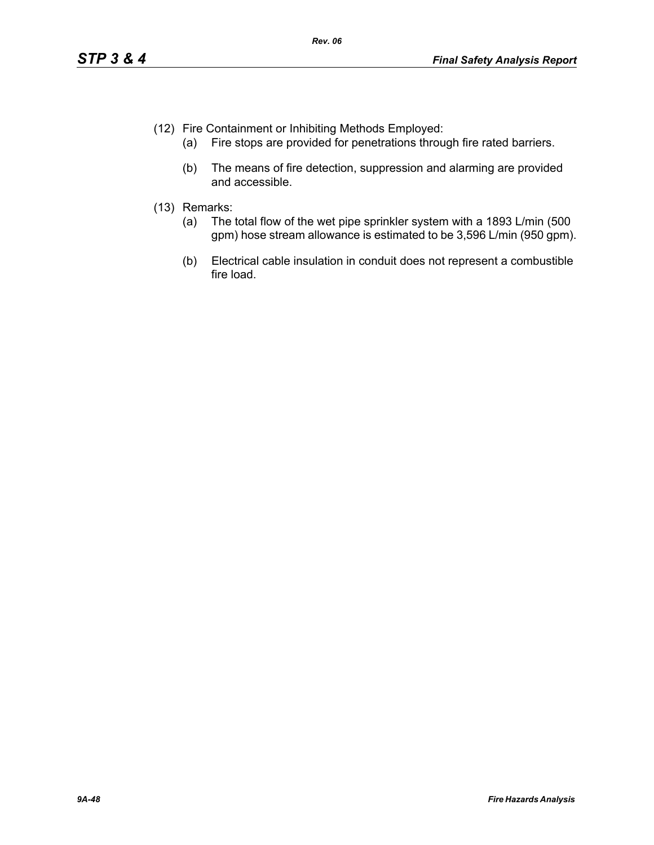- (12) Fire Containment or Inhibiting Methods Employed:
	- (a) Fire stops are provided for penetrations through fire rated barriers.
	- (b) The means of fire detection, suppression and alarming are provided and accessible.
- (13) Remarks:
	- (a) The total flow of the wet pipe sprinkler system with a 1893 L/min (500 gpm) hose stream allowance is estimated to be 3,596 L/min (950 gpm).
	- (b) Electrical cable insulation in conduit does not represent a combustible fire load.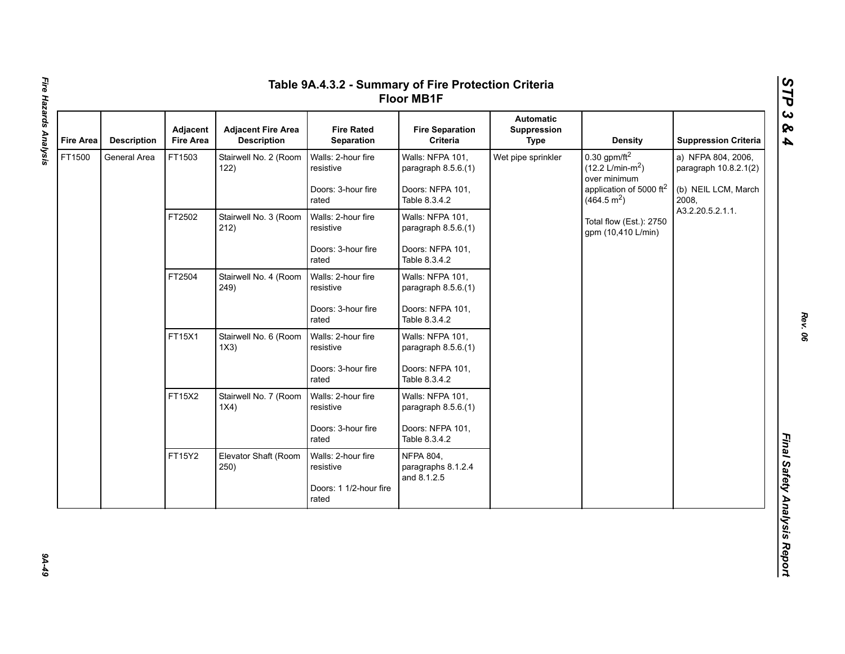| <b>Fire Area</b> | <b>Description</b> | <b>Adjacent</b><br><b>Fire Area</b> | <b>Adjacent Fire Area</b><br><b>Description</b> | <b>Fire Rated</b><br>Separation                                    | <b>Fire Separation</b><br>Criteria                                           | <b>Automatic</b><br>Suppression<br><b>Type</b> | <b>Density</b>                                                                                                                   | <b>Suppression Criteria</b>                                                 |
|------------------|--------------------|-------------------------------------|-------------------------------------------------|--------------------------------------------------------------------|------------------------------------------------------------------------------|------------------------------------------------|----------------------------------------------------------------------------------------------------------------------------------|-----------------------------------------------------------------------------|
| FT1500           | General Area       | FT1503                              | Stairwell No. 2 (Room<br>122)                   | Walls: 2-hour fire<br>resistive<br>Doors: 3-hour fire<br>rated     | Walls: NFPA 101,<br>paragraph 8.5.6.(1)<br>Doors: NFPA 101,<br>Table 8.3.4.2 | Wet pipe sprinkler                             | 0.30 gpm/ft $^2$<br>$(12.2 \text{ L/min-m}^2)$<br>over minimum<br>application of 5000 ft <sup>2</sup><br>(464.5 m <sup>2</sup> ) | a) NFPA 804, 2006,<br>paragraph 10.8.2.1(2)<br>(b) NEIL LCM, March<br>2008, |
|                  |                    | FT2502                              | Stairwell No. 3 (Room<br>212)                   | Walls: 2-hour fire<br>resistive<br>Doors: 3-hour fire              | Walls: NFPA 101,<br>paragraph 8.5.6.(1)<br>Doors: NFPA 101,                  |                                                | Total flow (Est.): 2750<br>gpm (10,410 L/min)                                                                                    | A3.2.20.5.2.1.1.                                                            |
|                  |                    | FT2504                              | Stairwell No. 4 (Room                           | rated<br>Walls: 2-hour fire                                        | Table 8.3.4.2<br>Walls: NFPA 101,                                            |                                                |                                                                                                                                  |                                                                             |
|                  |                    |                                     | 249)                                            | resistive<br>Doors: 3-hour fire<br>rated                           | paragraph 8.5.6.(1)<br>Doors: NFPA 101,<br>Table 8.3.4.2                     |                                                |                                                                                                                                  |                                                                             |
|                  |                    | FT15X1                              | Stairwell No. 6 (Room<br>1X3)                   | Walls: 2-hour fire<br>resistive                                    | Walls: NFPA 101,<br>paragraph 8.5.6.(1)                                      |                                                |                                                                                                                                  |                                                                             |
|                  |                    |                                     |                                                 | Doors: 3-hour fire<br>rated                                        | Doors: NFPA 101,<br>Table 8.3.4.2                                            |                                                |                                                                                                                                  |                                                                             |
|                  |                    | FT15X2                              | Stairwell No. 7 (Room<br>1X4)                   | Walls: 2-hour fire<br>resistive                                    | Walls: NFPA 101,<br>paragraph 8.5.6.(1)                                      |                                                |                                                                                                                                  |                                                                             |
|                  |                    |                                     |                                                 | Doors: 3-hour fire<br>rated                                        | Doors: NFPA 101,<br>Table 8.3.4.2                                            |                                                |                                                                                                                                  |                                                                             |
|                  |                    | FT15Y2                              | Elevator Shaft (Room<br>250)                    | Walls: 2-hour fire<br>resistive<br>Doors: 1 1/2-hour fire<br>rated | <b>NFPA 804,</b><br>paragraphs 8.1.2.4<br>and 8.1.2.5                        |                                                |                                                                                                                                  |                                                                             |

67-76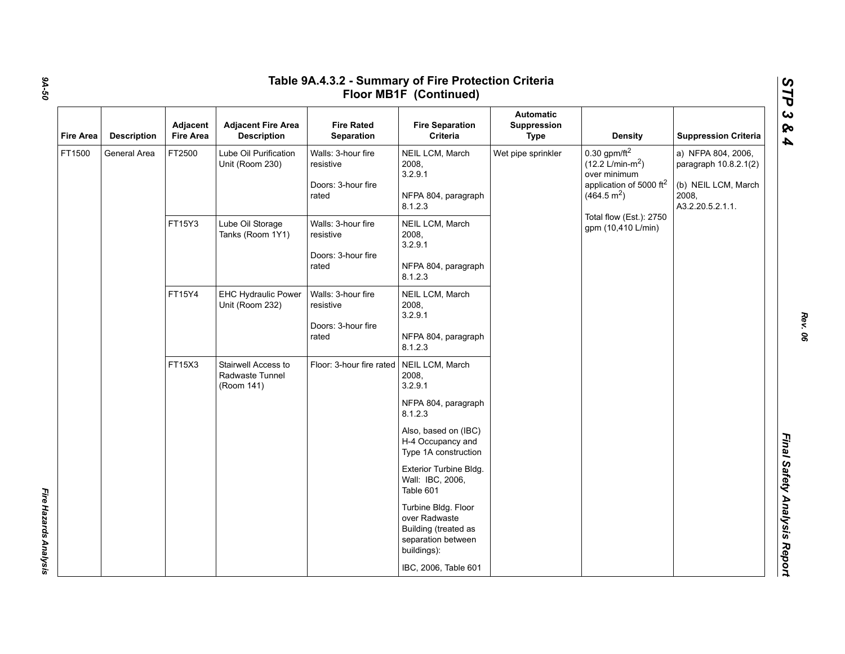|                  |                    | Adjacent         | <b>Adjacent Fire Area</b>                            | <b>Fire Rated</b>                                              | <b>Fire Separation</b>                                                                            | <b>Automatic</b><br>Suppression |                                                                                                                                            |                                                                                                 |
|------------------|--------------------|------------------|------------------------------------------------------|----------------------------------------------------------------|---------------------------------------------------------------------------------------------------|---------------------------------|--------------------------------------------------------------------------------------------------------------------------------------------|-------------------------------------------------------------------------------------------------|
| <b>Fire Area</b> | <b>Description</b> | <b>Fire Area</b> | <b>Description</b>                                   | Separation                                                     | Criteria                                                                                          | <b>Type</b>                     | <b>Density</b>                                                                                                                             | <b>Suppression Criteria</b>                                                                     |
| FT1500           | General Area       | FT2500           | Lube Oil Purification<br>Unit (Room 230)             | Walls: 3-hour fire<br>resistive<br>Doors: 3-hour fire<br>rated | NEIL LCM, March<br>2008,<br>3.2.9.1<br>NFPA 804, paragraph<br>8.1.2.3                             | Wet pipe sprinkler              | $0.30$ gpm/ft <sup>2</sup><br>$(12.2 \text{ L/min-m}^2)$<br>over minimum<br>application of 5000 ft <sup>2</sup><br>(464.5 m <sup>2</sup> ) | a) NFPA 804, 2006,<br>paragraph 10.8.2.1(2)<br>(b) NEIL LCM, March<br>2008,<br>A3.2.20.5.2.1.1. |
|                  |                    | FT15Y3           | Lube Oil Storage<br>Tanks (Room 1Y1)                 | Walls: 3-hour fire<br>resistive<br>Doors: 3-hour fire<br>rated | NEIL LCM, March<br>2008,<br>3.2.9.1<br>NFPA 804, paragraph<br>8.1.2.3                             |                                 | Total flow (Est.): 2750<br>gpm (10,410 L/min)                                                                                              |                                                                                                 |
|                  |                    | FT15Y4           | <b>EHC Hydraulic Power</b><br>Unit (Room 232)        | Walls: 3-hour fire<br>resistive<br>Doors: 3-hour fire<br>rated | NEIL LCM, March<br>2008,<br>3.2.9.1<br>NFPA 804, paragraph<br>8.1.2.3                             |                                 |                                                                                                                                            |                                                                                                 |
|                  |                    | FT15X3           | Stairwell Access to<br>Radwaste Tunnel<br>(Room 141) | Floor: 3-hour fire rated                                       | NEIL LCM, March<br>2008,<br>3.2.9.1<br>NFPA 804, paragraph<br>8.1.2.3                             |                                 |                                                                                                                                            |                                                                                                 |
|                  |                    |                  |                                                      |                                                                | Also, based on (IBC)<br>H-4 Occupancy and<br>Type 1A construction                                 |                                 |                                                                                                                                            |                                                                                                 |
|                  |                    |                  |                                                      |                                                                | Exterior Turbine Bldg.<br>Wall: IBC, 2006,<br>Table 601                                           |                                 |                                                                                                                                            |                                                                                                 |
|                  |                    |                  |                                                      |                                                                | Turbine Bldg. Floor<br>over Radwaste<br>Building (treated as<br>separation between<br>buildings): |                                 |                                                                                                                                            |                                                                                                 |

*9A-50*

*Fire Hazards Analysis* 

Fire Hazards Analysis

*Rev. 06*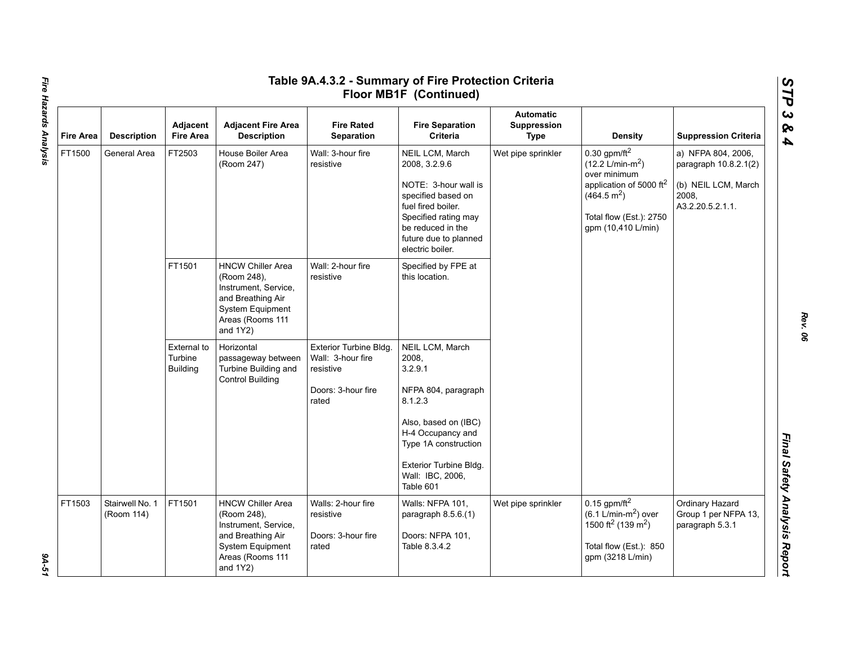| <b>Fire Area</b> | <b>Description</b>            | Adjacent<br><b>Fire Area</b>              | <b>Adjacent Fire Area</b><br><b>Description</b>                                                                                             | <b>Fire Rated</b><br><b>Separation</b>                                                  | <b>Fire Separation</b><br><b>Criteria</b>                                                                                                                                                      | <b>Automatic</b><br>Suppression<br><b>Type</b> | <b>Density</b>                                                                                                                                                                              | <b>Suppression Criteria</b>                                                                     |
|------------------|-------------------------------|-------------------------------------------|---------------------------------------------------------------------------------------------------------------------------------------------|-----------------------------------------------------------------------------------------|------------------------------------------------------------------------------------------------------------------------------------------------------------------------------------------------|------------------------------------------------|---------------------------------------------------------------------------------------------------------------------------------------------------------------------------------------------|-------------------------------------------------------------------------------------------------|
| FT1500           | General Area                  | FT2503                                    | House Boiler Area<br>(Room 247)                                                                                                             | Wall: 3-hour fire<br>resistive                                                          | NEIL LCM, March<br>2008, 3.2.9.6<br>NOTE: 3-hour wall is<br>specified based on<br>fuel fired boiler.<br>Specified rating may<br>be reduced in the<br>future due to planned<br>electric boiler. | Wet pipe sprinkler                             | $0.30$ gpm/ft <sup>2</sup><br>$(12.2 \text{ L/min-m}^2)$<br>over minimum<br>application of 5000 ft <sup>2</sup><br>(464.5 m <sup>2</sup> )<br>Total flow (Est.): 2750<br>gpm (10,410 L/min) | a) NFPA 804, 2006,<br>paragraph 10.8.2.1(2)<br>(b) NEIL LCM, March<br>2008,<br>A3.2.20.5.2.1.1. |
|                  |                               | FT1501                                    | <b>HNCW Chiller Area</b><br>(Room 248),<br>Instrument, Service,<br>and Breathing Air<br>System Equipment<br>Areas (Rooms 111<br>and 1Y2)    | Wall: 2-hour fire<br>resistive                                                          | Specified by FPE at<br>this location.                                                                                                                                                          |                                                |                                                                                                                                                                                             |                                                                                                 |
|                  |                               | External to<br>Turbine<br><b>Building</b> | Horizontal<br>passageway between<br>Turbine Building and<br><b>Control Building</b>                                                         | Exterior Turbine Bldg.<br>Wall: 3-hour fire<br>resistive<br>Doors: 3-hour fire<br>rated | NEIL LCM, March<br>2008,<br>3.2.9.1<br>NFPA 804, paragraph<br>8.1.2.3                                                                                                                          |                                                |                                                                                                                                                                                             |                                                                                                 |
|                  |                               |                                           |                                                                                                                                             |                                                                                         | Also, based on (IBC)<br>H-4 Occupancy and<br>Type 1A construction<br>Exterior Turbine Bldg.                                                                                                    |                                                |                                                                                                                                                                                             |                                                                                                 |
|                  |                               |                                           |                                                                                                                                             |                                                                                         | Wall: IBC, 2006,<br>Table 601                                                                                                                                                                  |                                                |                                                                                                                                                                                             |                                                                                                 |
| FT1503           | Stairwell No. 1<br>(Room 114) | FT1501                                    | <b>HNCW Chiller Area</b><br>(Room 248),<br>Instrument, Service,<br>and Breathing Air<br>System Equipment<br>Areas (Rooms 111<br>and $1Y2$ ) | Walls: 2-hour fire<br>resistive<br>Doors: 3-hour fire<br>rated                          | Walls: NFPA 101,<br>paragraph 8.5.6.(1)<br>Doors: NFPA 101,<br>Table 8.3.4.2                                                                                                                   | Wet pipe sprinkler                             | $0.15$ gpm/ft <sup>2</sup><br>$(6.1$ L/min-m <sup>2</sup> ) over<br>1500 ft <sup>2</sup> (139 m <sup>2</sup> )<br>Total flow (Est.): 850<br>gpm (3218 L/min)                                | Ordinary Hazard<br>Group 1 per NFPA 13,<br>paragraph 5.3.1                                      |

Fire Hazards Analysis *Fire Hazards Analysis 9A-51*

9A-51

*Rev. 06*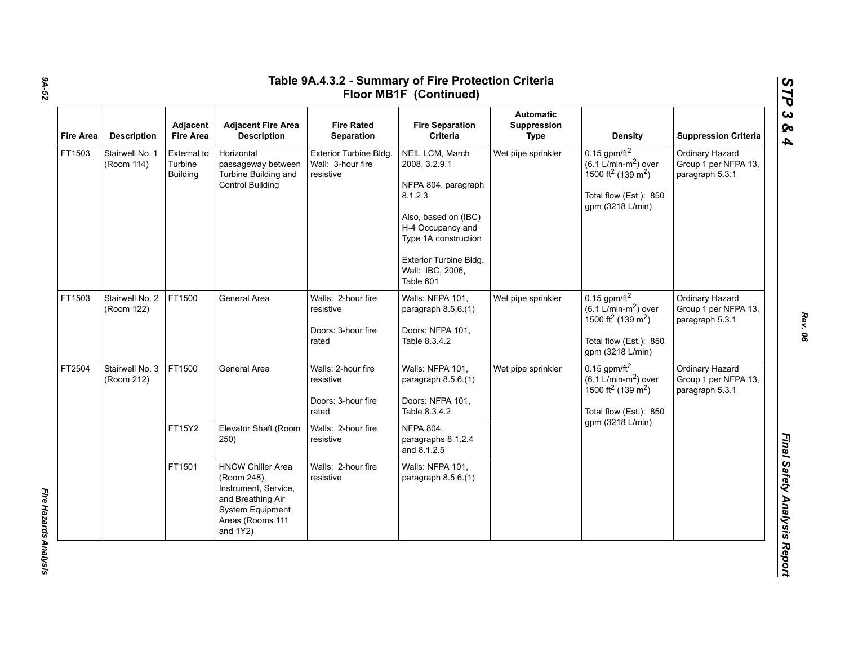| <b>Fire Area</b> | <b>Description</b>            | Adjacent<br><b>Fire Area</b>              | <b>Adjacent Fire Area</b><br><b>Description</b>                                                                                             | <b>Fire Rated</b><br>Separation                                                      | <b>Fire Separation</b><br>Criteria                                                                                                                                                                 | <b>Automatic</b><br>Suppression<br><b>Type</b> | <b>Density</b>                                                                                                                                           | <b>Suppression Criteria</b>                                |
|------------------|-------------------------------|-------------------------------------------|---------------------------------------------------------------------------------------------------------------------------------------------|--------------------------------------------------------------------------------------|----------------------------------------------------------------------------------------------------------------------------------------------------------------------------------------------------|------------------------------------------------|----------------------------------------------------------------------------------------------------------------------------------------------------------|------------------------------------------------------------|
| FT1503           | Stairwell No. 1<br>(Room 114) | External to<br>Turbine<br><b>Building</b> | Horizontal<br>passageway between<br>Turbine Building and<br><b>Control Building</b>                                                         | Exterior Turbine Bldg.<br>Wall: 3-hour fire<br>resistive                             | NEIL LCM, March<br>2008, 3.2.9.1<br>NFPA 804, paragraph<br>8.1.2.3<br>Also, based on (IBC)<br>H-4 Occupancy and<br>Type 1A construction<br>Exterior Turbine Bldg.<br>Wall: IBC, 2006,<br>Table 601 | Wet pipe sprinkler                             | $0.15$ gpm/ft <sup>2</sup><br>$(6.1 \text{ L/min-m}^2)$ over<br>1500 ft <sup>2</sup> (139 m <sup>2</sup> )<br>Total flow (Est.): 850<br>gpm (3218 L/min) | Ordinary Hazard<br>Group 1 per NFPA 13,<br>paragraph 5.3.1 |
| FT1503           | Stairwell No. 2<br>(Room 122) | FT1500                                    | General Area                                                                                                                                | Walls: 2-hour fire<br>resistive<br>Doors: 3-hour fire<br>rated                       | Walls: NFPA 101,<br>paragraph 8.5.6.(1)<br>Doors: NFPA 101,<br>Table 8.3.4.2                                                                                                                       | Wet pipe sprinkler                             | $0.15$ gpm/ft <sup>2</sup><br>$(6.1 \text{ L/min-m}^2)$ over<br>1500 ft <sup>2</sup> (139 m <sup>2</sup> )<br>Total flow (Est.): 850<br>gpm (3218 L/min) | Ordinary Hazard<br>Group 1 per NFPA 13,<br>paragraph 5.3.1 |
| FT2504           | Stairwell No. 3<br>(Room 212) | FT1500<br>FT15Y2                          | General Area<br>Elevator Shaft (Room                                                                                                        | Walls: 2-hour fire<br>resistive<br>Doors: 3-hour fire<br>rated<br>Walls: 2-hour fire | Walls: NFPA 101,<br>paragraph 8.5.6.(1)<br>Doors: NFPA 101,<br>Table 8.3.4.2<br><b>NFPA 804,</b>                                                                                                   | Wet pipe sprinkler                             | $0.15$ gpm/ft <sup>2</sup><br>$(6.1 \text{ L/min-m}^2)$ over<br>1500 ft <sup>2</sup> (139 m <sup>2</sup> )<br>Total flow (Est.): 850<br>gpm (3218 L/min) | Ordinary Hazard<br>Group 1 per NFPA 13,<br>paragraph 5.3.1 |
|                  |                               |                                           | 250)                                                                                                                                        | resistive                                                                            | paragraphs 8.1.2.4<br>and 8.1.2.5                                                                                                                                                                  |                                                |                                                                                                                                                          |                                                            |
|                  |                               | FT1501                                    | <b>HNCW Chiller Area</b><br>(Room 248),<br>Instrument, Service,<br>and Breathing Air<br>System Equipment<br>Areas (Rooms 111<br>and $1Y2$ ) | Walls: 2-hour fire<br>resistive                                                      | Walls: NFPA 101,<br>paragraph 8.5.6.(1)                                                                                                                                                            |                                                |                                                                                                                                                          |                                                            |

*STP 3 & 4*

*Rev. 06*

*9A-52*

Fire Hazards Analysis *Fire Hazards Analysis*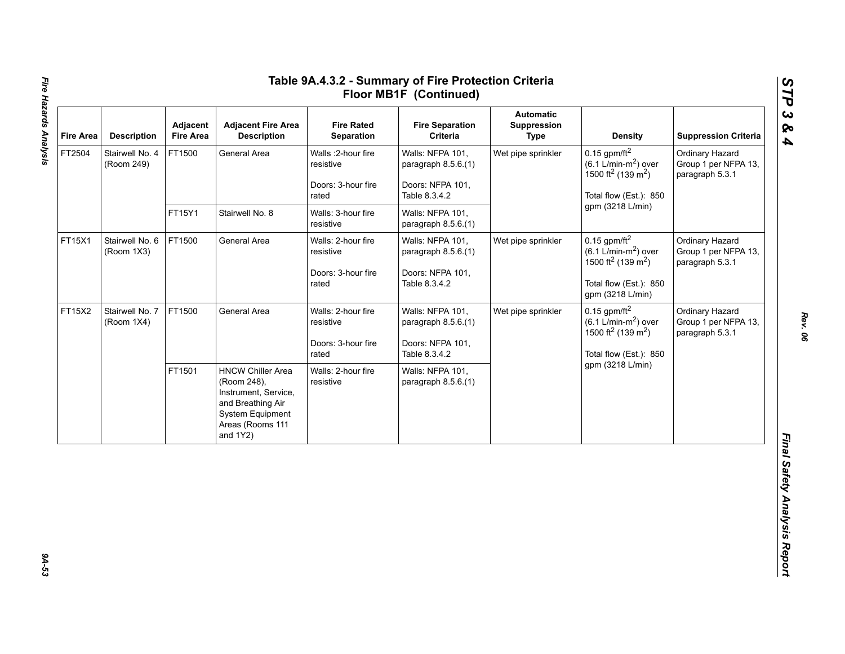| <b>Fire Area</b> | <b>Description</b>            | Adjacent<br><b>Fire Area</b> | <b>Adjacent Fire Area</b><br><b>Description</b>                                                                                             | <b>Fire Rated</b><br>Separation                                 | <b>Fire Separation</b><br>Criteria                                            | <b>Automatic</b><br>Suppression<br><b>Type</b> | <b>Density</b>                                                                                                                                           | <b>Suppression Criteria</b>                                |
|------------------|-------------------------------|------------------------------|---------------------------------------------------------------------------------------------------------------------------------------------|-----------------------------------------------------------------|-------------------------------------------------------------------------------|------------------------------------------------|----------------------------------------------------------------------------------------------------------------------------------------------------------|------------------------------------------------------------|
| FT2504           | Stairwell No. 4<br>(Room 249) | FT1500                       | General Area                                                                                                                                | Walls : 2-hour fire<br>resistive<br>Doors: 3-hour fire<br>rated | Walls: NFPA 101,<br>paragraph 8.5.6.(1)<br>Doors: NFPA 101,<br>Table 8.3.4.2  | Wet pipe sprinkler                             | $0.15$ gpm/ft <sup>2</sup><br>$(6.1 L/min-m2)$ over<br>1500 ft <sup>2</sup> (139 m <sup>2</sup> )<br>Total flow (Est.): 850                              | Ordinary Hazard<br>Group 1 per NFPA 13,<br>paragraph 5.3.1 |
|                  |                               | FT15Y1                       | Stairwell No. 8                                                                                                                             | Walls: 3-hour fire<br>resistive                                 | Walls: NFPA 101,<br>paragraph 8.5.6.(1)                                       |                                                | gpm (3218 L/min)                                                                                                                                         |                                                            |
| FT15X1           | Stairwell No. 6<br>(Room 1X3) | FT1500                       | General Area                                                                                                                                | Walls: 2-hour fire<br>resistive<br>Doors: 3-hour fire<br>rated  | Walls: NFPA 101,<br>paragraph $8.5.6(1)$<br>Doors: NFPA 101,<br>Table 8.3.4.2 | Wet pipe sprinkler                             | $0.15$ gpm/ft <sup>2</sup><br>$(6.1 \text{ L/min-m}^2)$ over<br>1500 ft <sup>2</sup> (139 m <sup>2</sup> )<br>Total flow (Est.): 850<br>gpm (3218 L/min) | Ordinary Hazard<br>Group 1 per NFPA 13,<br>paragraph 5.3.1 |
| FT15X2           | Stairwell No. 7<br>(Room 1X4) | FT1500                       | General Area                                                                                                                                | Walls: 2-hour fire<br>resistive<br>Doors: 3-hour fire<br>rated  | Walls: NFPA 101,<br>paragraph $8.5.6(1)$<br>Doors: NFPA 101,<br>Table 8.3.4.2 | Wet pipe sprinkler                             | $0.15$ gpm/ft <sup>2</sup><br>$(6.1$ L/min-m <sup>2</sup> ) over<br>1500 ft <sup>2</sup> (139 m <sup>2</sup> )<br>Total flow (Est.): 850                 | Ordinary Hazard<br>Group 1 per NFPA 13,<br>paragraph 5.3.1 |
|                  |                               | FT1501                       | <b>HNCW Chiller Area</b><br>(Room 248),<br>Instrument, Service,<br>and Breathing Air<br>System Equipment<br>Areas (Rooms 111<br>and $1Y2$ ) | Walls: 2-hour fire<br>resistive                                 | Walls: NFPA 101,<br>paragraph $8.5.6(1)$                                      |                                                | gpm (3218 L/min)                                                                                                                                         |                                                            |

9A-53

*Rev. 06*

*STP 3 & 4*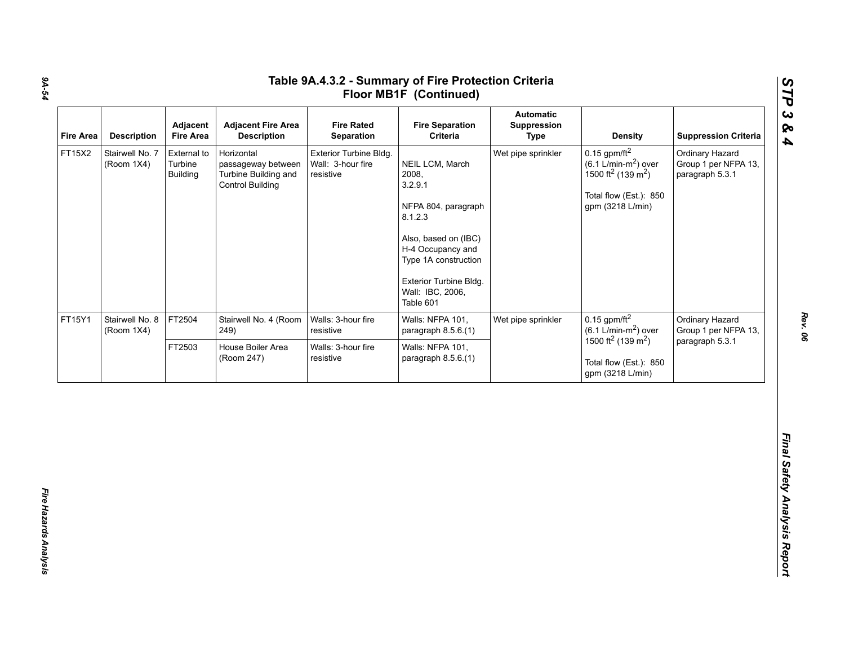| <b>Fire Area</b> | <b>Description</b>            | Adjacent<br><b>Fire Area</b>              | <b>Adjacent Fire Area</b><br><b>Description</b>                                     | <b>Fire Rated</b><br>Separation                          | <b>Fire Separation</b><br>Criteria                                                                                                                                                                    | <b>Automatic</b><br>Suppression<br><b>Type</b> | <b>Density</b>                                                                                                                                           | <b>Suppression Criteria</b>                                |
|------------------|-------------------------------|-------------------------------------------|-------------------------------------------------------------------------------------|----------------------------------------------------------|-------------------------------------------------------------------------------------------------------------------------------------------------------------------------------------------------------|------------------------------------------------|----------------------------------------------------------------------------------------------------------------------------------------------------------|------------------------------------------------------------|
| FT15X2           | Stairwell No. 7<br>(Room 1X4) | External to<br>Turbine<br><b>Building</b> | Horizontal<br>passageway between<br>Turbine Building and<br><b>Control Building</b> | Exterior Turbine Bldg.<br>Wall: 3-hour fire<br>resistive | NEIL LCM, March<br>2008,<br>3.2.9.1<br>NFPA 804, paragraph<br>8.1.2.3<br>Also, based on (IBC)<br>H-4 Occupancy and<br>Type 1A construction<br>Exterior Turbine Bldg.<br>Wall: IBC, 2006,<br>Table 601 | Wet pipe sprinkler                             | $0.15$ gpm/ft <sup>2</sup><br>$(6.1 \text{ L/min-m}^2)$ over<br>1500 ft <sup>2</sup> (139 m <sup>2</sup> )<br>Total flow (Est.): 850<br>gpm (3218 L/min) | Ordinary Hazard<br>Group 1 per NFPA 13,<br>paragraph 5.3.1 |
| FT15Y1           | Stairwell No. 8<br>(Room 1X4) | FT2504                                    | Stairwell No. 4 (Room<br>249)                                                       | Walls: 3-hour fire<br>resistive                          | Walls: NFPA 101,<br>paragraph 8.5.6.(1)                                                                                                                                                               | Wet pipe sprinkler                             | $0.15$ gpm/ft <sup>2</sup><br>$(6.1 \text{ L/min-m}^2)$ over                                                                                             | Ordinary Hazard<br>Group 1 per NFPA 13,                    |
|                  |                               | FT2503                                    | House Boiler Area<br>(Room 247)                                                     | Walls: 3-hour fire<br>resistive                          | Walls: NFPA 101,<br>paragraph 8.5.6.(1)                                                                                                                                                               |                                                | 1500 ft <sup>2</sup> (139 m <sup>2</sup> )<br>Total flow (Est.): 850<br>gpm (3218 L/min)                                                                 | paragraph 5.3.1                                            |

*9A-54*

*Rev. 06*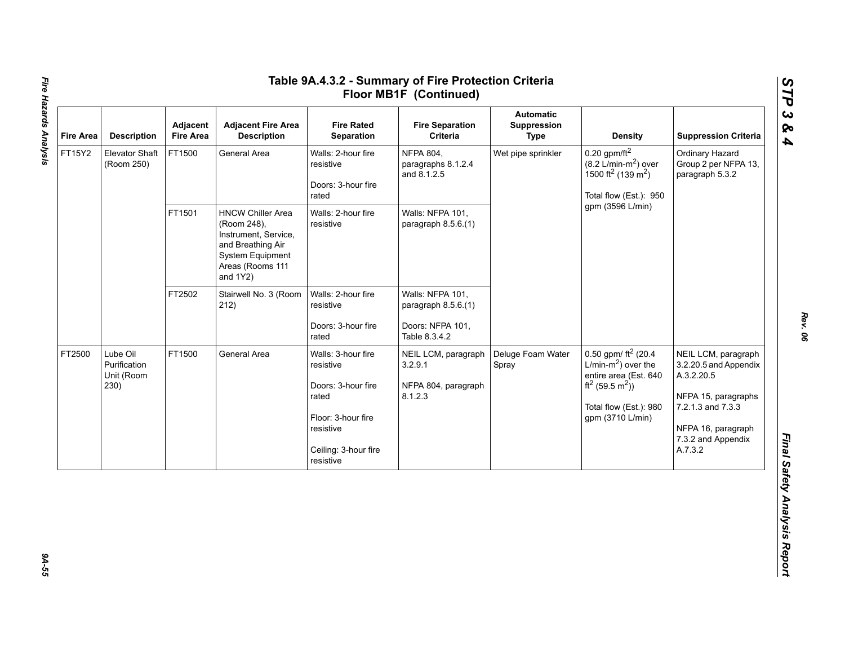| <b>Fire Area</b> | <b>Description</b>                             | Adjacent<br><b>Fire Area</b> | <b>Adjacent Fire Area</b><br><b>Description</b>                                                                                             | <b>Fire Rated</b><br>Separation                                                                                                        | <b>Fire Separation</b><br>Criteria                                           | <b>Automatic</b><br>Suppression<br><b>Type</b> | <b>Density</b>                                                                                                                                                     | <b>Suppression Criteria</b>                                                                                                                                   |
|------------------|------------------------------------------------|------------------------------|---------------------------------------------------------------------------------------------------------------------------------------------|----------------------------------------------------------------------------------------------------------------------------------------|------------------------------------------------------------------------------|------------------------------------------------|--------------------------------------------------------------------------------------------------------------------------------------------------------------------|---------------------------------------------------------------------------------------------------------------------------------------------------------------|
| FT15Y2           | Elevator Shaft<br>(Room 250)                   | FT1500                       | General Area                                                                                                                                | Walls: 2-hour fire<br>resistive<br>Doors: 3-hour fire<br>rated                                                                         | <b>NFPA 804,</b><br>paragraphs 8.1.2.4<br>and 8.1.2.5                        | Wet pipe sprinkler                             | $0.20$ gpm/ft <sup>2</sup><br>$(8.2 \text{ L/min-m}^2)$ over<br>1500 ft <sup>2</sup> (139 m <sup>2</sup> )<br>Total flow (Est.): 950                               | Ordinary Hazard<br>Group 2 per NFPA 13,<br>paragraph 5.3.2                                                                                                    |
|                  |                                                | FT1501                       | <b>HNCW Chiller Area</b><br>(Room 248),<br>Instrument, Service,<br>and Breathing Air<br>System Equipment<br>Areas (Rooms 111<br>and $1Y2$ ) | Walls: 2-hour fire<br>resistive                                                                                                        | Walls: NFPA 101,<br>paragraph 8.5.6.(1)                                      |                                                | gpm (3596 L/min)                                                                                                                                                   |                                                                                                                                                               |
|                  |                                                | FT2502                       | Stairwell No. 3 (Room<br>212)                                                                                                               | Walls: 2-hour fire<br>resistive<br>Doors: 3-hour fire<br>rated                                                                         | Walls: NFPA 101,<br>paragraph 8.5.6.(1)<br>Doors: NFPA 101,<br>Table 8.3.4.2 |                                                |                                                                                                                                                                    |                                                                                                                                                               |
| FT2500           | Lube Oil<br>Purification<br>Unit (Room<br>230) | FT1500                       | General Area                                                                                                                                | Walls: 3-hour fire<br>resistive<br>Doors: 3-hour fire<br>rated<br>Floor: 3-hour fire<br>resistive<br>Ceiling: 3-hour fire<br>resistive | NEIL LCM, paragraph<br>3.2.9.1<br>NFPA 804, paragraph<br>8.1.2.3             | Deluge Foam Water<br>Spray                     | 0.50 gpm/ $ft^2$ (20.4<br>L/min- $m2$ ) over the<br>entire area (Est. 640<br>ft <sup>2</sup> (59.5 m <sup>2</sup> ))<br>Total flow (Est.): 980<br>gpm (3710 L/min) | NEIL LCM, paragraph<br>3.2.20.5 and Appendix<br>A.3.2.20.5<br>NFPA 15, paragraphs<br>7.2.1.3 and 7.3.3<br>NFPA 16, paragraph<br>7.3.2 and Appendix<br>A.7.3.2 |

# Fire Hazards Analysis *Fire Hazards Analysis 9A-55*

*Rev. 06*

39-55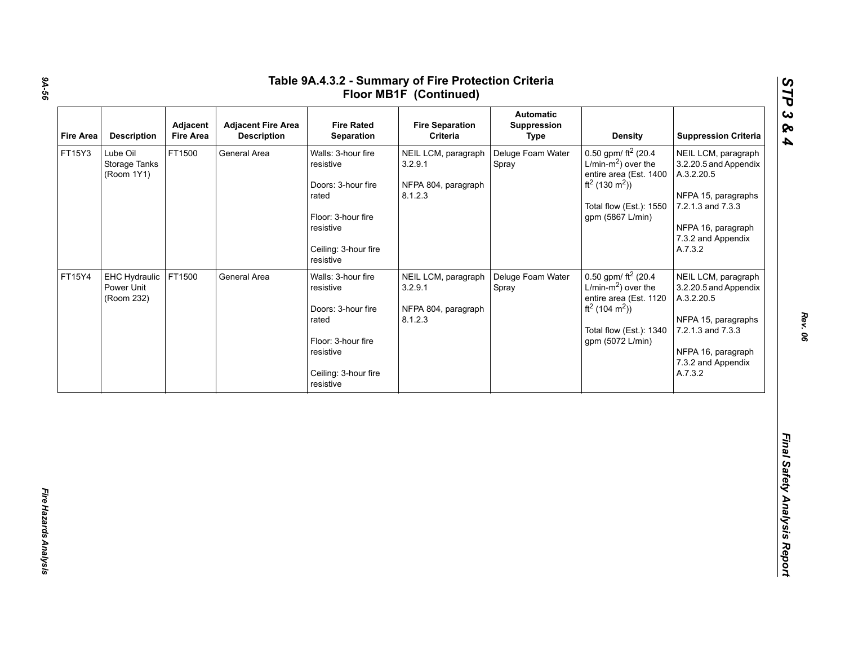| <b>Fire Area</b> | <b>Description</b>                        | Adjacent<br><b>Fire Area</b> | <b>Adjacent Fire Area</b><br><b>Description</b> | <b>Fire Rated</b><br>Separation                                                                                                        | <b>Fire Separation</b><br>Criteria                               | <b>Automatic</b><br>Suppression<br><b>Type</b> | <b>Density</b>                                                                                                                                                               | <b>Suppression Criteria</b>                                                                                                                                   |
|------------------|-------------------------------------------|------------------------------|-------------------------------------------------|----------------------------------------------------------------------------------------------------------------------------------------|------------------------------------------------------------------|------------------------------------------------|------------------------------------------------------------------------------------------------------------------------------------------------------------------------------|---------------------------------------------------------------------------------------------------------------------------------------------------------------|
| FT15Y3           | Lube Oil<br>Storage Tanks<br>(Room 1Y1)   | FT1500                       | General Area                                    | Walls: 3-hour fire<br>resistive<br>Doors: 3-hour fire<br>rated<br>Floor: 3-hour fire<br>resistive<br>Ceiling: 3-hour fire<br>resistive | NEIL LCM, paragraph<br>3.2.9.1<br>NFPA 804, paragraph<br>8.1.2.3 | Deluge Foam Water<br>Spray                     | 0.50 gpm/ $ft^2$ (20.4<br>L/min-m <sup>2</sup> ) over the<br>entire area (Est. 1400<br>ft <sup>2</sup> (130 m <sup>2</sup> ))<br>Total flow (Est.): 1550<br>gpm (5867 L/min) | NEIL LCM, paragraph<br>3.2.20.5 and Appendix<br>A.3.2.20.5<br>NFPA 15, paragraphs<br>7.2.1.3 and 7.3.3<br>NFPA 16, paragraph<br>7.3.2 and Appendix<br>A.7.3.2 |
| FT15Y4           | EHC Hydraulic<br>Power Unit<br>(Room 232) | FT1500                       | General Area                                    | Walls: 3-hour fire<br>resistive<br>Doors: 3-hour fire<br>rated<br>Floor: 3-hour fire<br>resistive<br>Ceiling: 3-hour fire<br>resistive | NEIL LCM, paragraph<br>3.2.9.1<br>NFPA 804, paragraph<br>8.1.2.3 | Deluge Foam Water<br>Spray                     | 0.50 gpm/ $ft^2$ (20.4<br>L/min- $m2$ ) over the<br>entire area (Est. 1120<br>ft <sup>2</sup> (104 m <sup>2</sup> ))<br>Total flow (Est.): 1340<br>gpm (5072 L/min)          | NEIL LCM, paragraph<br>3.2.20.5 and Appendix<br>A.3.2.20.5<br>NFPA 15, paragraphs<br>7.2.1.3 and 7.3.3<br>NFPA 16, paragraph<br>7.3.2 and Appendix<br>A.7.3.2 |

*Rev. 06*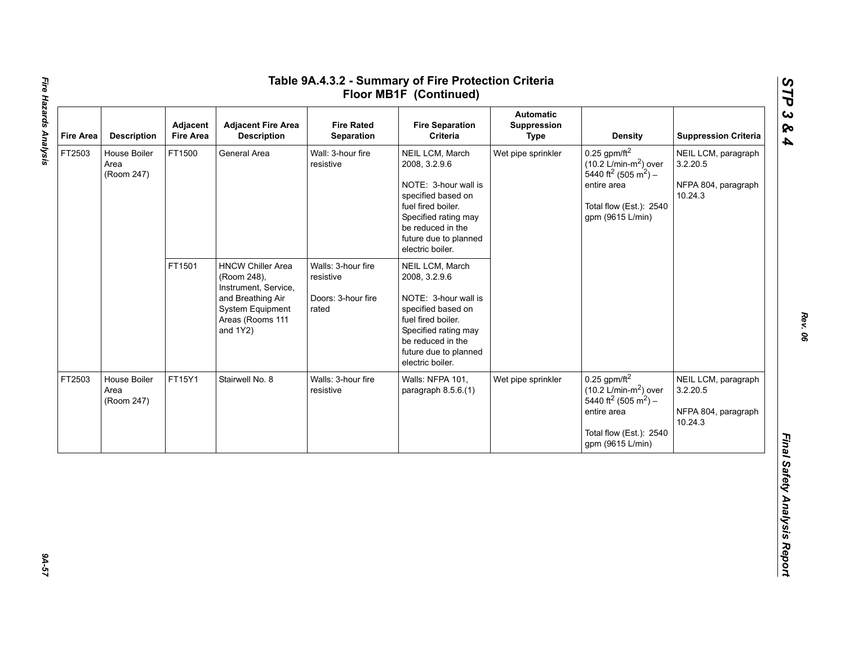| <b>Fire Area</b> | <b>Description</b>                 | Adjacent<br><b>Fire Area</b> | <b>Adjacent Fire Area</b><br><b>Description</b>                                                                                             | <b>Fire Rated</b><br>Separation                                | <b>Fire Separation</b><br>Criteria                                                                                                                                                             | <b>Automatic</b><br>Suppression<br><b>Type</b> | <b>Density</b>                                                                                                                                                              | <b>Suppression Criteria</b>                                       |
|------------------|------------------------------------|------------------------------|---------------------------------------------------------------------------------------------------------------------------------------------|----------------------------------------------------------------|------------------------------------------------------------------------------------------------------------------------------------------------------------------------------------------------|------------------------------------------------|-----------------------------------------------------------------------------------------------------------------------------------------------------------------------------|-------------------------------------------------------------------|
| FT2503           | House Boiler<br>Area<br>(Room 247) | FT1500                       | General Area                                                                                                                                | Wall: 3-hour fire<br>resistive                                 | NEIL LCM, March<br>2008, 3.2.9.6<br>NOTE: 3-hour wall is<br>specified based on<br>fuel fired boiler.<br>Specified rating may<br>be reduced in the<br>future due to planned<br>electric boiler. | Wet pipe sprinkler                             | $0.25$ gpm/ft <sup>2</sup><br>$(10.2 \text{ L/min-m}^2)$ over<br>5440 ft <sup>2</sup> (505 m <sup>2</sup> ) –<br>entire area<br>Total flow (Est.): 2540<br>gpm (9615 L/min) | NEIL LCM, paragraph<br>3.2.20.5<br>NFPA 804, paragraph<br>10.24.3 |
|                  |                                    | FT1501                       | <b>HNCW Chiller Area</b><br>(Room 248),<br>Instrument, Service,<br>and Breathing Air<br>System Equipment<br>Areas (Rooms 111<br>and $1Y2$ ) | Walls: 3-hour fire<br>resistive<br>Doors: 3-hour fire<br>rated | NEIL LCM, March<br>2008, 3.2.9.6<br>NOTE: 3-hour wall is<br>specified based on<br>fuel fired boiler.<br>Specified rating may<br>be reduced in the<br>future due to planned<br>electric boiler. |                                                |                                                                                                                                                                             |                                                                   |
| FT2503           | House Boiler<br>Area<br>(Room 247) | FT15Y1                       | Stairwell No. 8                                                                                                                             | Walls: 3-hour fire<br>resistive                                | Walls: NFPA 101,<br>paragraph $8.5.6(1)$                                                                                                                                                       | Wet pipe sprinkler                             | $0.25$ gpm/ft <sup>2</sup><br>$(10.2 \text{ L/min-m}^2)$ over<br>5440 ft <sup>2</sup> (505 m <sup>2</sup> ) –<br>entire area<br>Total flow (Est.): 2540<br>gpm (9615 L/min) | NEIL LCM, paragraph<br>3.2.20.5<br>NFPA 804, paragraph<br>10.24.3 |

*STP 3 & 4*

75-A9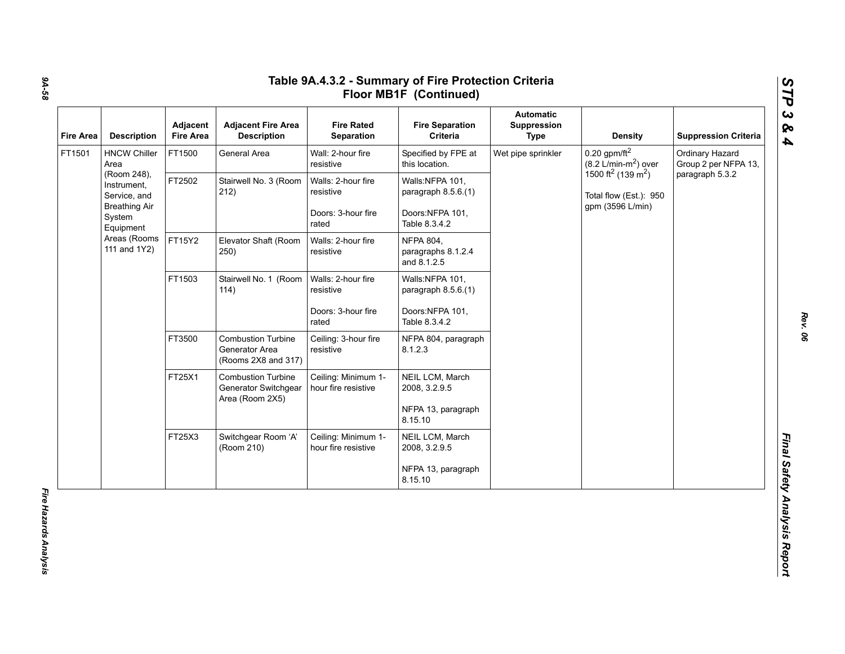| <b>Fire Area</b> | <b>Description</b>                          | Adjacent<br><b>Fire Area</b>                                                                                                                                     | <b>Adjacent Fire Area</b><br><b>Description</b>                    | <b>Fire Rated</b><br>Separation            | <b>Fire Separation</b><br>Criteria                    | <b>Automatic</b><br>Suppression<br><b>Type</b> | <b>Density</b>                                                                           | <b>Suppression Criteria</b>             |
|------------------|---------------------------------------------|------------------------------------------------------------------------------------------------------------------------------------------------------------------|--------------------------------------------------------------------|--------------------------------------------|-------------------------------------------------------|------------------------------------------------|------------------------------------------------------------------------------------------|-----------------------------------------|
| FT1501           | <b>HNCW Chiller</b><br>Area                 | FT1500                                                                                                                                                           | General Area                                                       | Wall: 2-hour fire<br>resistive             | Specified by FPE at<br>this location.                 | Wet pipe sprinkler                             | $0.20$ gpm/ft <sup>2</sup><br>$(8.2 \text{ L/min-m}^2)$ over                             | Ordinary Hazard<br>Group 2 per NFPA 13, |
|                  | (Room 248),<br>Instrument,<br>Service, and  | FT2502                                                                                                                                                           | Stairwell No. 3 (Room<br>212)                                      | Walls: 2-hour fire<br>resistive            | Walls:NFPA 101,<br>paragraph 8.5.6.(1)                |                                                | 1500 ft <sup>2</sup> (139 m <sup>2</sup> )<br>Total flow (Est.): 950<br>gpm (3596 L/min) | paragraph 5.3.2                         |
|                  | <b>Breathing Air</b><br>System<br>Equipment |                                                                                                                                                                  |                                                                    | Doors: 3-hour fire<br>rated                | Doors:NFPA 101,<br>Table 8.3.4.2                      |                                                |                                                                                          |                                         |
|                  | Areas (Rooms<br>111 and 1Y2)                | FT15Y2                                                                                                                                                           | Elevator Shaft (Room<br>250)                                       | Walls: 2-hour fire<br>resistive            | <b>NFPA 804,</b><br>paragraphs 8.1.2.4<br>and 8.1.2.5 |                                                |                                                                                          |                                         |
|                  |                                             | FT1503                                                                                                                                                           | Stairwell No. 1 (Room<br>114)                                      | Walls: 2-hour fire<br>resistive            | Walls:NFPA 101,<br>paragraph 8.5.6.(1)                |                                                |                                                                                          |                                         |
|                  |                                             |                                                                                                                                                                  |                                                                    | Doors: 3-hour fire<br>rated                | Doors:NFPA 101,<br>Table 8.3.4.2                      |                                                |                                                                                          |                                         |
|                  |                                             | FT3500                                                                                                                                                           | <b>Combustion Turbine</b><br>Generator Area<br>(Rooms 2X8 and 317) | Ceiling: 3-hour fire<br>resistive          | NFPA 804, paragraph<br>8.1.2.3                        |                                                |                                                                                          |                                         |
|                  |                                             | FT25X1<br><b>Combustion Turbine</b><br>Ceiling: Minimum 1-<br>NEIL LCM, March<br>Generator Switchgear<br>hour fire resistive<br>2008, 3.2.9.5<br>Area (Room 2X5) |                                                                    |                                            |                                                       |                                                |                                                                                          |                                         |
|                  |                                             |                                                                                                                                                                  |                                                                    |                                            | NFPA 13, paragraph<br>8.15.10                         |                                                |                                                                                          |                                         |
|                  |                                             | FT25X3                                                                                                                                                           | Switchgear Room 'A'<br>(Room 210)                                  | Ceiling: Minimum 1-<br>hour fire resistive | NEIL LCM, March<br>2008, 3.2.9.5                      |                                                |                                                                                          |                                         |
|                  |                                             |                                                                                                                                                                  |                                                                    |                                            | NFPA 13, paragraph<br>8.15.10                         |                                                |                                                                                          |                                         |

*9A-58*

Fire Hazards Analysis *Fire Hazards Analysis* 

*Rev. 06*

*STP 3 & 4*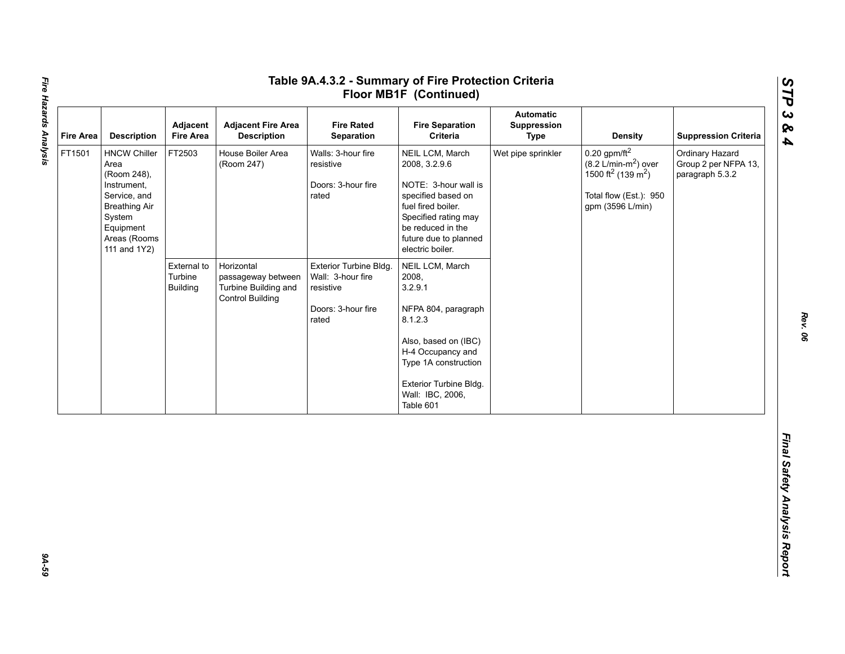| <b>Fire Area</b> | <b>Description</b>                                                                                                                                       | Adjacent<br><b>Fire Area</b>              | <b>Adjacent Fire Area</b><br><b>Description</b>                                     | <b>Fire Rated</b><br>Separation                                                         | <b>Fire Separation</b><br>Criteria                                                                                                                                                                    | <b>Automatic</b><br>Suppression<br><b>Type</b> | <b>Density</b>                                                                                                                                           | <b>Suppression Criteria</b>                                |
|------------------|----------------------------------------------------------------------------------------------------------------------------------------------------------|-------------------------------------------|-------------------------------------------------------------------------------------|-----------------------------------------------------------------------------------------|-------------------------------------------------------------------------------------------------------------------------------------------------------------------------------------------------------|------------------------------------------------|----------------------------------------------------------------------------------------------------------------------------------------------------------|------------------------------------------------------------|
| FT1501           | <b>HNCW Chiller</b><br>Area<br>(Room 248),<br>Instrument,<br>Service, and<br><b>Breathing Air</b><br>System<br>Equipment<br>Areas (Rooms<br>111 and 1Y2) | FT2503                                    | House Boiler Area<br>(Room 247)                                                     | Walls: 3-hour fire<br>resistive<br>Doors: 3-hour fire<br>rated                          | NEIL LCM, March<br>2008, 3.2.9.6<br>NOTE: 3-hour wall is<br>specified based on<br>fuel fired boiler.<br>Specified rating may<br>be reduced in the<br>future due to planned<br>electric boiler.        | Wet pipe sprinkler                             | $0.20$ gpm/ft <sup>2</sup><br>$(8.2 \text{ L/min-m}^2)$ over<br>1500 ft <sup>2</sup> (139 m <sup>2</sup> )<br>Total flow (Est.): 950<br>gpm (3596 L/min) | Ordinary Hazard<br>Group 2 per NFPA 13,<br>paragraph 5.3.2 |
|                  |                                                                                                                                                          | External to<br>Turbine<br><b>Building</b> | Horizontal<br>passageway between<br>Turbine Building and<br><b>Control Building</b> | Exterior Turbine Bldg.<br>Wall: 3-hour fire<br>resistive<br>Doors: 3-hour fire<br>rated | NEIL LCM, March<br>2008,<br>3.2.9.1<br>NFPA 804, paragraph<br>8.1.2.3<br>Also, based on (IBC)<br>H-4 Occupancy and<br>Type 1A construction<br>Exterior Turbine Bldg.<br>Wall: IBC, 2006,<br>Table 601 |                                                |                                                                                                                                                          |                                                            |
|                  |                                                                                                                                                          |                                           |                                                                                     |                                                                                         |                                                                                                                                                                                                       |                                                |                                                                                                                                                          |                                                            |

*STP 3 & 4*

94-59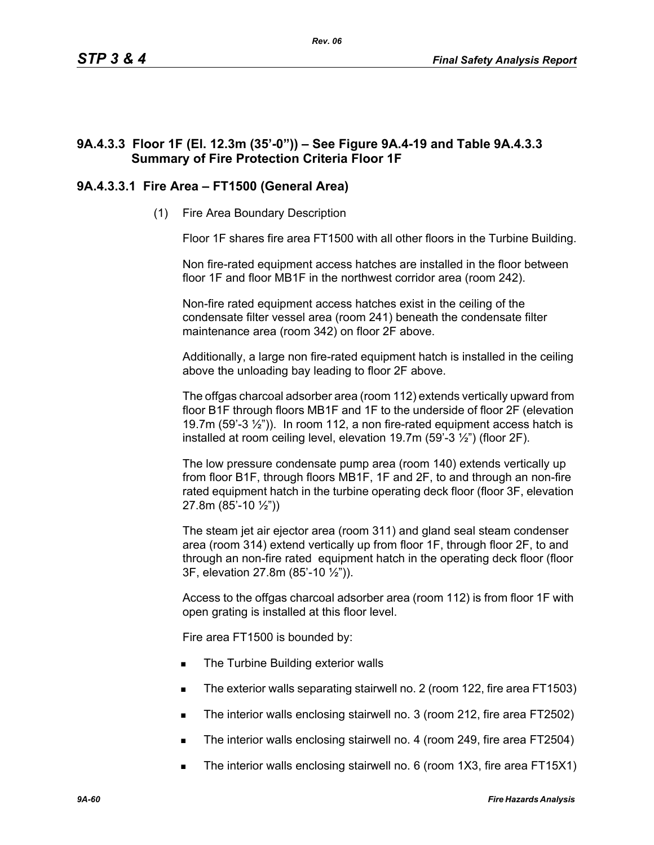# **9A.4.3.3 Floor 1F (El. 12.3m (35'-0")) – See Figure 9A.4-19 and Table 9A.4.3.3 Summary of Fire Protection Criteria Floor 1F**

# **9A.4.3.3.1 Fire Area – FT1500 (General Area)**

(1) Fire Area Boundary Description

Floor 1F shares fire area FT1500 with all other floors in the Turbine Building.

Non fire-rated equipment access hatches are installed in the floor between floor 1F and floor MB1F in the northwest corridor area (room 242).

Non-fire rated equipment access hatches exist in the ceiling of the condensate filter vessel area (room 241) beneath the condensate filter maintenance area (room 342) on floor 2F above.

Additionally, a large non fire-rated equipment hatch is installed in the ceiling above the unloading bay leading to floor 2F above.

The offgas charcoal adsorber area (room 112) extends vertically upward from floor B1F through floors MB1F and 1F to the underside of floor 2F (elevation 19.7m (59'-3  $\frac{1}{2}$ ")). In room 112, a non fire-rated equipment access hatch is installed at room ceiling level, elevation 19.7m (59'-3 ½") (floor 2F).

The low pressure condensate pump area (room 140) extends vertically up from floor B1F, through floors MB1F, 1F and 2F, to and through an non-fire rated equipment hatch in the turbine operating deck floor (floor 3F, elevation 27.8m (85'-10 ½"))

The steam jet air ejector area (room 311) and gland seal steam condenser area (room 314) extend vertically up from floor 1F, through floor 2F, to and through an non-fire rated equipment hatch in the operating deck floor (floor 3F, elevation 27.8m (85'-10 ½")).

Access to the offgas charcoal adsorber area (room 112) is from floor 1F with open grating is installed at this floor level.

Fire area FT1500 is bounded by:

- The Turbine Building exterior walls
- The exterior walls separating stairwell no. 2 (room 122, fire area FT1503)
- The interior walls enclosing stairwell no. 3 (room 212, fire area FT2502)
- The interior walls enclosing stairwell no. 4 (room 249, fire area FT2504)
- The interior walls enclosing stairwell no. 6 (room 1X3, fire area FT15X1)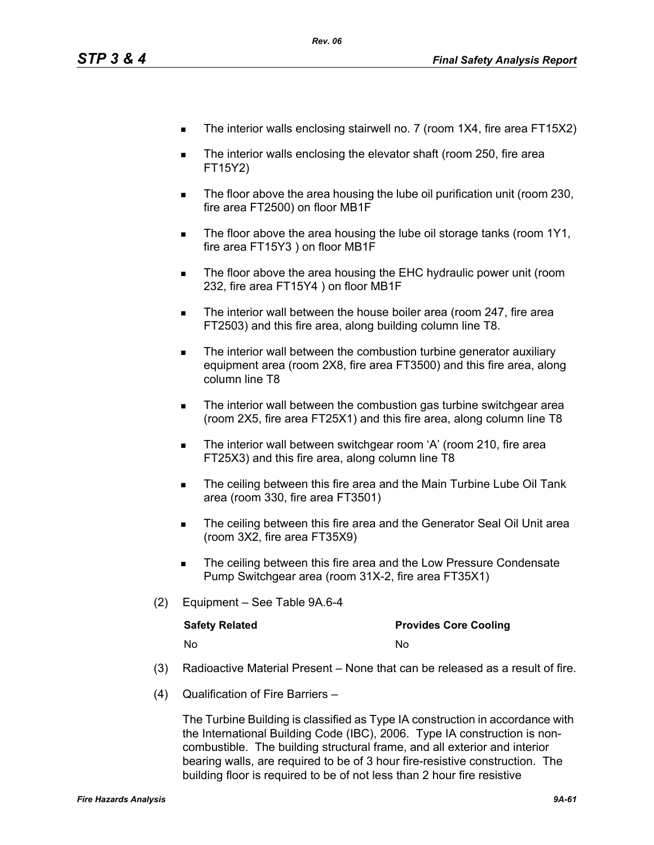- The interior walls enclosing stairwell no. 7 (room 1X4, fire area FT15X2)
- The interior walls enclosing the elevator shaft (room 250, fire area FT15Y2)
- The floor above the area housing the lube oil purification unit (room 230, fire area FT2500) on floor MB1F
- The floor above the area housing the lube oil storage tanks (room 1Y1, fire area FT15Y3 ) on floor MB1F
- **The floor above the area housing the EHC hydraulic power unit (room** 232, fire area FT15Y4 ) on floor MB1F
- The interior wall between the house boiler area (room 247, fire area FT2503) and this fire area, along building column line T8.
- The interior wall between the combustion turbine generator auxiliary equipment area (room 2X8, fire area FT3500) and this fire area, along column line T8
- The interior wall between the combustion gas turbine switchgear area (room 2X5, fire area FT25X1) and this fire area, along column line T8
- The interior wall between switchgear room 'A' (room 210, fire area FT25X3) and this fire area, along column line T8
- The ceiling between this fire area and the Main Turbine Lube Oil Tank area (room 330, fire area FT3501)
- The ceiling between this fire area and the Generator Seal Oil Unit area (room 3X2, fire area FT35X9)
- The ceiling between this fire area and the Low Pressure Condensate Pump Switchgear area (room 31X-2, fire area FT35X1)
- (2) Equipment See Table 9A.6-4

| <b>Safety Related</b> | <b>Provides Core Cooling</b> |
|-----------------------|------------------------------|
| No.                   | N٥                           |

- (3) Radioactive Material Present None that can be released as a result of fire.
- (4) Qualification of Fire Barriers –

The Turbine Building is classified as Type IA construction in accordance with the International Building Code (IBC), 2006. Type IA construction is noncombustible. The building structural frame, and all exterior and interior bearing walls, are required to be of 3 hour fire-resistive construction. The building floor is required to be of not less than 2 hour fire resistive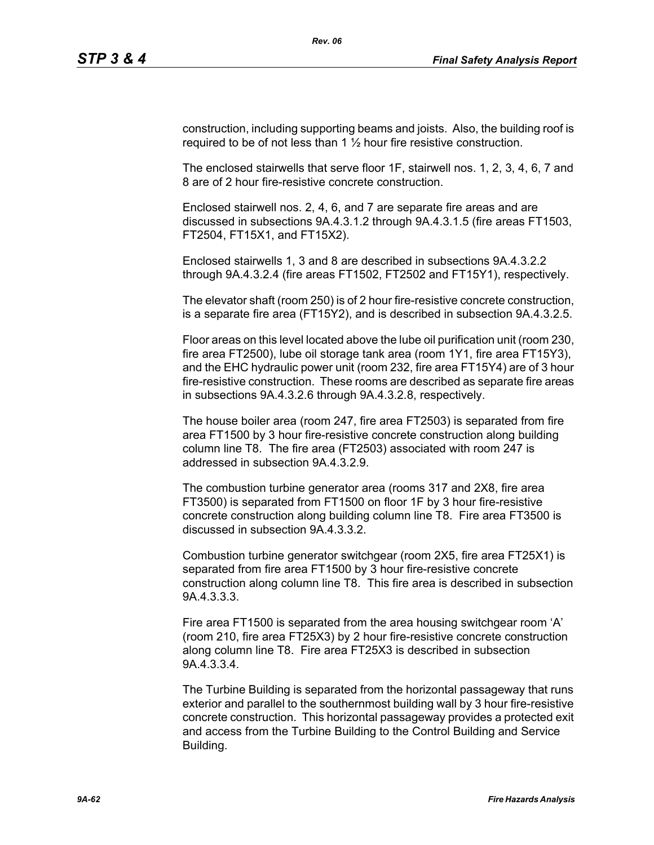construction, including supporting beams and joists. Also, the building roof is required to be of not less than  $1\frac{1}{2}$  hour fire resistive construction.

The enclosed stairwells that serve floor 1F, stairwell nos. 1, 2, 3, 4, 6, 7 and 8 are of 2 hour fire-resistive concrete construction.

Enclosed stairwell nos. 2, 4, 6, and 7 are separate fire areas and are discussed in subsections 9A.4.3.1.2 through 9A.4.3.1.5 (fire areas FT1503, FT2504, FT15X1, and FT15X2).

Enclosed stairwells 1, 3 and 8 are described in subsections 9A.4.3.2.2 through 9A.4.3.2.4 (fire areas FT1502, FT2502 and FT15Y1), respectively.

The elevator shaft (room 250) is of 2 hour fire-resistive concrete construction, is a separate fire area (FT15Y2), and is described in subsection 9A.4.3.2.5.

Floor areas on this level located above the lube oil purification unit (room 230, fire area FT2500), lube oil storage tank area (room 1Y1, fire area FT15Y3), and the EHC hydraulic power unit (room 232, fire area FT15Y4) are of 3 hour fire-resistive construction. These rooms are described as separate fire areas in subsections 9A.4.3.2.6 through 9A.4.3.2.8, respectively.

The house boiler area (room 247, fire area FT2503) is separated from fire area FT1500 by 3 hour fire-resistive concrete construction along building column line T8. The fire area (FT2503) associated with room 247 is addressed in subsection 9A.4.3.2.9.

The combustion turbine generator area (rooms 317 and 2X8, fire area FT3500) is separated from FT1500 on floor 1F by 3 hour fire-resistive concrete construction along building column line T8. Fire area FT3500 is discussed in subsection 9A.4.3.3.2.

Combustion turbine generator switchgear (room 2X5, fire area FT25X1) is separated from fire area FT1500 by 3 hour fire-resistive concrete construction along column line T8. This fire area is described in subsection 9A.4.3.3.3.

Fire area FT1500 is separated from the area housing switchgear room 'A' (room 210, fire area FT25X3) by 2 hour fire-resistive concrete construction along column line T8. Fire area FT25X3 is described in subsection 9A.4.3.3.4.

The Turbine Building is separated from the horizontal passageway that runs exterior and parallel to the southernmost building wall by 3 hour fire-resistive concrete construction. This horizontal passageway provides a protected exit and access from the Turbine Building to the Control Building and Service Building.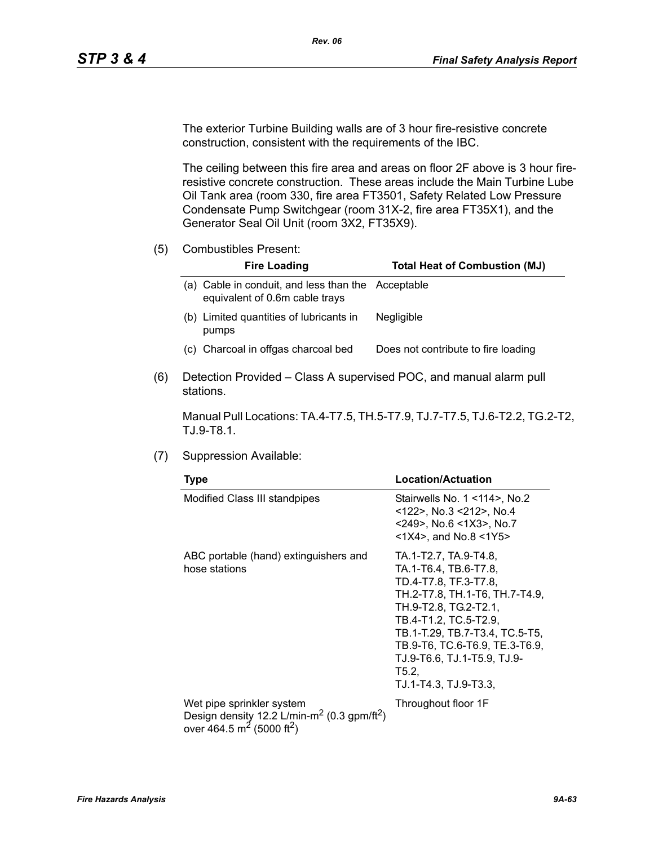The exterior Turbine Building walls are of 3 hour fire-resistive concrete construction, consistent with the requirements of the IBC.

The ceiling between this fire area and areas on floor 2F above is 3 hour fireresistive concrete construction. These areas include the Main Turbine Lube Oil Tank area (room 330, fire area FT3501, Safety Related Low Pressure Condensate Pump Switchgear (room 31X-2, fire area FT35X1), and the Generator Seal Oil Unit (room 3X2, FT35X9).

(5) Combustibles Present:

| <b>Fire Loading</b>                                                                     | <b>Total Heat of Combustion (MJ)</b> |
|-----------------------------------------------------------------------------------------|--------------------------------------|
| Cable in conduit, and less than the Acceptable<br>a).<br>equivalent of 0.6m cable trays |                                      |
| (b) Limited quantities of lubricants in<br>pumps                                        | <b>Negligible</b>                    |
| (c) Charcoal in offgas charcoal bed                                                     | Does not contribute to fire loading  |

(6) Detection Provided – Class A supervised POC, and manual alarm pull stations.

Manual Pull Locations: TA.4-T7.5, TH.5-T7.9, TJ.7-T7.5, TJ.6-T2.2, TG.2-T2, TJ.9-T8.1.

(7) Suppression Available:

| <b>Type</b>                                                                                                                                           | Location/Actuation                                                                                                                                                                                                                                                                               |  |  |
|-------------------------------------------------------------------------------------------------------------------------------------------------------|--------------------------------------------------------------------------------------------------------------------------------------------------------------------------------------------------------------------------------------------------------------------------------------------------|--|--|
| Modified Class III standpipes                                                                                                                         | Stairwells No. $1$ < 114 $>$ , No. 2<br><122>, No.3 <212>, No.4<br>$<$ 249>, No.6 $<$ 1X3>, No.7<br>$<$ 1X4>, and No.8 $<$ 1Y5>                                                                                                                                                                  |  |  |
| ABC portable (hand) extinguishers and<br>hose stations                                                                                                | TA.1-T2.7, TA.9-T4.8,<br>TA.1-T6.4, TB.6-T7.8,<br>TD.4-T7.8, TF.3-T7.8,<br>TH.2-T7.8, TH.1-T6, TH.7-T4.9,<br>TH.9-T2.8, TG.2-T2.1,<br>TB.4-T1.2, TC.5-T2.9,<br>TB.1-T.29, TB.7-T3.4, TC.5-T5,<br>TB.9-T6, TC.6-T6.9, TE.3-T6.9,<br>TJ.9-T6.6, TJ.1-T5.9, TJ.9-<br>T5.2,<br>TJ.1-T4.3, TJ.9-T3.3, |  |  |
| Wet pipe sprinkler system<br>Design density 12.2 L/min-m <sup>2</sup> (0.3 gpm/ft <sup>2</sup> )<br>over 464.5 m <sup>2</sup> (5000 ft <sup>2</sup> ) | Throughout floor 1F                                                                                                                                                                                                                                                                              |  |  |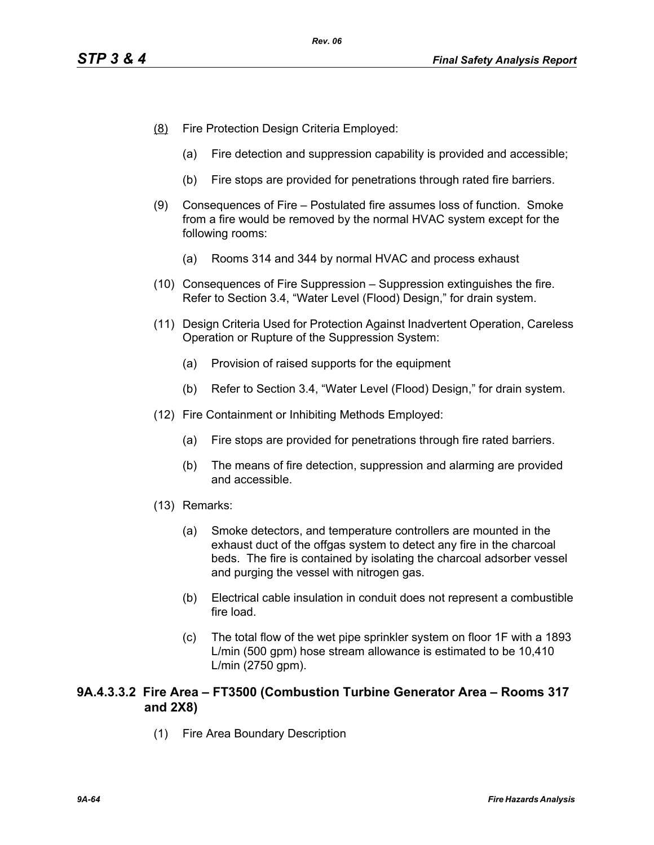- (8) Fire Protection Design Criteria Employed:
	- (a) Fire detection and suppression capability is provided and accessible;
	- (b) Fire stops are provided for penetrations through rated fire barriers.
- (9) Consequences of Fire Postulated fire assumes loss of function. Smoke from a fire would be removed by the normal HVAC system except for the following rooms:
	- (a) Rooms 314 and 344 by normal HVAC and process exhaust
- (10) Consequences of Fire Suppression Suppression extinguishes the fire. Refer to Section 3.4, "Water Level (Flood) Design," for drain system.
- (11) Design Criteria Used for Protection Against Inadvertent Operation, Careless Operation or Rupture of the Suppression System:
	- (a) Provision of raised supports for the equipment
	- (b) Refer to Section 3.4, "Water Level (Flood) Design," for drain system.
- (12) Fire Containment or Inhibiting Methods Employed:
	- (a) Fire stops are provided for penetrations through fire rated barriers.
	- (b) The means of fire detection, suppression and alarming are provided and accessible.
- (13) Remarks:
	- (a) Smoke detectors, and temperature controllers are mounted in the exhaust duct of the offgas system to detect any fire in the charcoal beds. The fire is contained by isolating the charcoal adsorber vessel and purging the vessel with nitrogen gas.
	- (b) Electrical cable insulation in conduit does not represent a combustible fire load.
	- (c) The total flow of the wet pipe sprinkler system on floor 1F with a 1893 L/min (500 gpm) hose stream allowance is estimated to be 10,410 L/min (2750 gpm).

# **9A.4.3.3.2 Fire Area – FT3500 (Combustion Turbine Generator Area – Rooms 317 and 2X8)**

(1) Fire Area Boundary Description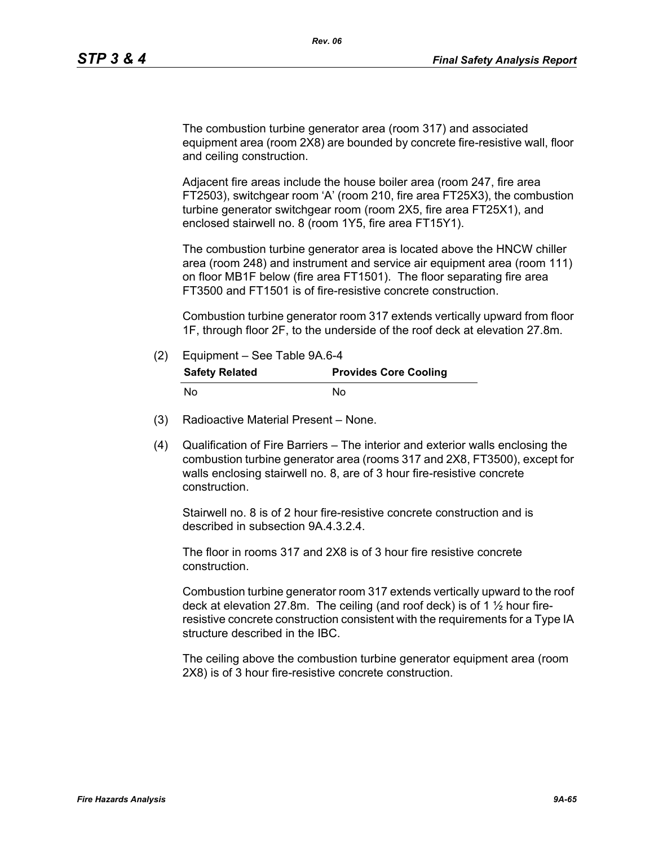The combustion turbine generator area (room 317) and associated equipment area (room 2X8) are bounded by concrete fire-resistive wall, floor and ceiling construction.

Adjacent fire areas include the house boiler area (room 247, fire area FT2503), switchgear room 'A' (room 210, fire area FT25X3), the combustion turbine generator switchgear room (room 2X5, fire area FT25X1), and enclosed stairwell no. 8 (room 1Y5, fire area FT15Y1).

The combustion turbine generator area is located above the HNCW chiller area (room 248) and instrument and service air equipment area (room 111) on floor MB1F below (fire area FT1501). The floor separating fire area FT3500 and FT1501 is of fire-resistive concrete construction.

Combustion turbine generator room 317 extends vertically upward from floor 1F, through floor 2F, to the underside of the roof deck at elevation 27.8m.

- (2) Equipment See Table 9A.6-4 **Safety Related Provides Core Cooling** No No
- (3) Radioactive Material Present None.
- (4) Qualification of Fire Barriers The interior and exterior walls enclosing the combustion turbine generator area (rooms 317 and 2X8, FT3500), except for walls enclosing stairwell no. 8, are of 3 hour fire-resistive concrete construction.

Stairwell no. 8 is of 2 hour fire-resistive concrete construction and is described in subsection 9A.4.3.2.4.

The floor in rooms 317 and 2X8 is of 3 hour fire resistive concrete construction.

Combustion turbine generator room 317 extends vertically upward to the roof deck at elevation 27.8m. The ceiling (and roof deck) is of 1 ½ hour fireresistive concrete construction consistent with the requirements for a Type IA structure described in the IBC.

The ceiling above the combustion turbine generator equipment area (room 2X8) is of 3 hour fire-resistive concrete construction.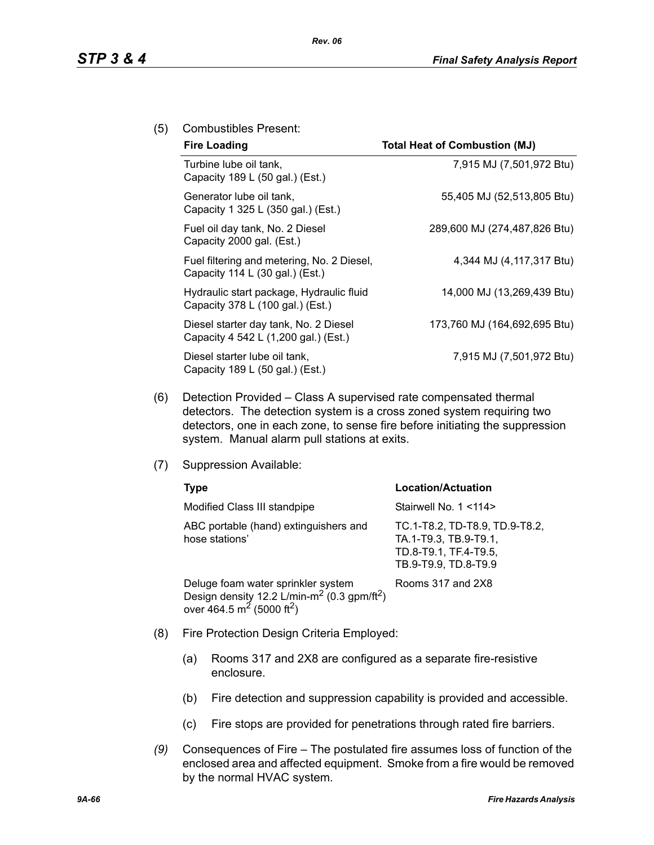## (5) Combustibles Present:

| <b>Fire Loading</b>                                                                     | <b>Total Heat of Combustion (MJ)</b> |
|-----------------------------------------------------------------------------------------|--------------------------------------|
| Turbine lube oil tank,<br>Capacity 189 L (50 gal.) (Est.)                               | 7,915 MJ (7,501,972 Btu)             |
| Generator lube oil tank,<br>Capacity 1 325 L (350 gal.) (Est.)                          | 55,405 MJ (52,513,805 Btu)           |
| Fuel oil day tank, No. 2 Diesel<br>Capacity 2000 gal. (Est.)                            | 289,600 MJ (274,487,826 Btu)         |
| Fuel filtering and metering, No. 2 Diesel,<br>Capacity 114 L $(30 \text{ gal.})$ (Est.) | 4,344 MJ (4,117,317 Btu)             |
| Hydraulic start package, Hydraulic fluid<br>Capacity 378 L (100 gal.) (Est.)            | 14,000 MJ (13,269,439 Btu)           |
| Diesel starter day tank, No. 2 Diesel<br>Capacity 4 542 L (1,200 gal.) (Est.)           | 173,760 MJ (164,692,695 Btu)         |
| Diesel starter lube oil tank,<br>Capacity 189 L (50 gal.) (Est.)                        | 7,915 MJ (7,501,972 Btu)             |

- (6) Detection Provided Class A supervised rate compensated thermal detectors. The detection system is a cross zoned system requiring two detectors, one in each zone, to sense fire before initiating the suppression system. Manual alarm pull stations at exits.
- (7) Suppression Available:

| Type                                                                                                                                                           | <b>Location/Actuation</b>                                                                                |
|----------------------------------------------------------------------------------------------------------------------------------------------------------------|----------------------------------------------------------------------------------------------------------|
| Modified Class III standpipe                                                                                                                                   | Stairwell No. 1 <114>                                                                                    |
| ABC portable (hand) extinguishers and<br>hose stations'                                                                                                        | TC.1-T8.2, TD-T8.9, TD.9-T8.2,<br>TA.1-T9.3, TB.9-T9.1,<br>TD.8-T9.1, TF.4-T9.5,<br>TB.9-T9.9, TD.8-T9.9 |
| Deluge foam water sprinkler system<br>Design density 12.2 L/min-m <sup>2</sup> (0.3 gpm/ft <sup>2</sup> )<br>over 464.5 m <sup>2</sup> (5000 ft <sup>2</sup> ) | Rooms 317 and 2X8                                                                                        |

- (8) Fire Protection Design Criteria Employed:
	- (a) Rooms 317 and 2X8 are configured as a separate fire-resistive enclosure.
	- (b) Fire detection and suppression capability is provided and accessible.
	- (c) Fire stops are provided for penetrations through rated fire barriers.
- *(9)* Consequences of Fire The postulated fire assumes loss of function of the enclosed area and affected equipment. Smoke from a fire would be removed by the normal HVAC system.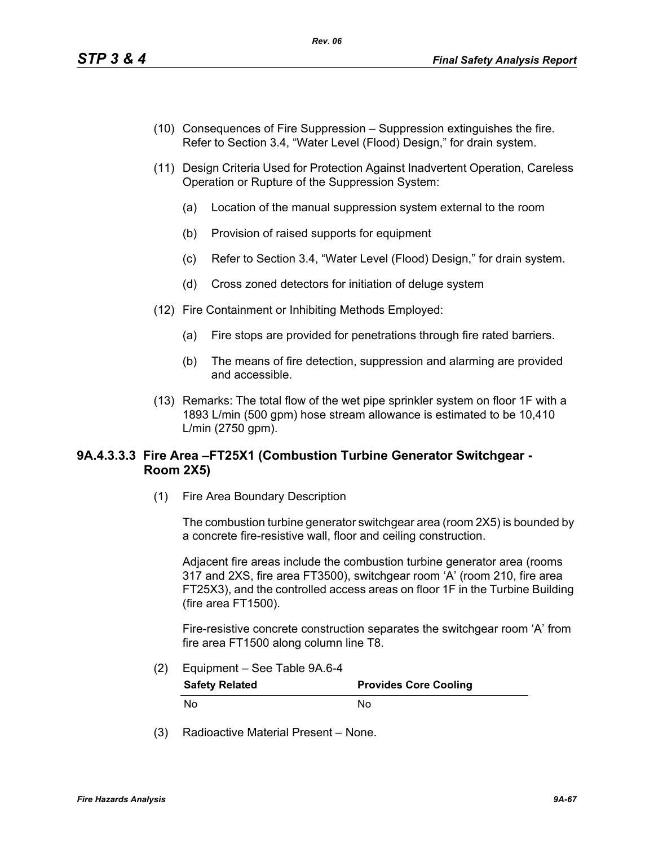- (10) Consequences of Fire Suppression Suppression extinguishes the fire. Refer to Section 3.4, "Water Level (Flood) Design," for drain system.
- (11) Design Criteria Used for Protection Against Inadvertent Operation, Careless Operation or Rupture of the Suppression System:
	- (a) Location of the manual suppression system external to the room
	- (b) Provision of raised supports for equipment
	- (c) Refer to Section 3.4, "Water Level (Flood) Design," for drain system.
	- (d) Cross zoned detectors for initiation of deluge system
- (12) Fire Containment or Inhibiting Methods Employed:
	- (a) Fire stops are provided for penetrations through fire rated barriers.
	- (b) The means of fire detection, suppression and alarming are provided and accessible.
- (13) Remarks: The total flow of the wet pipe sprinkler system on floor 1F with a 1893 L/min (500 gpm) hose stream allowance is estimated to be 10,410 L/min (2750 gpm).

# **9A.4.3.3.3 Fire Area –FT25X1 (Combustion Turbine Generator Switchgear - Room 2X5)**

(1) Fire Area Boundary Description

The combustion turbine generator switchgear area (room 2X5) is bounded by a concrete fire-resistive wall, floor and ceiling construction.

Adjacent fire areas include the combustion turbine generator area (rooms 317 and 2XS, fire area FT3500), switchgear room 'A' (room 210, fire area FT25X3), and the controlled access areas on floor 1F in the Turbine Building (fire area FT1500).

Fire-resistive concrete construction separates the switchgear room 'A' from fire area FT1500 along column line T8.

(2) Equipment – See Table 9A.6-4

| <b>Safety Related</b> | <b>Provides Core Cooling</b> |
|-----------------------|------------------------------|
| No                    | N٥                           |

(3) Radioactive Material Present – None.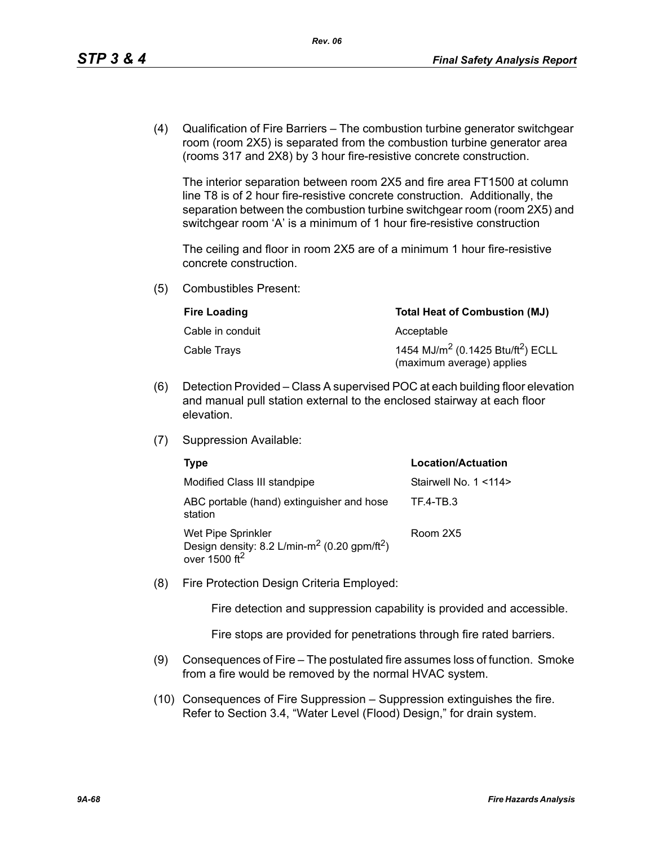(4) Qualification of Fire Barriers – The combustion turbine generator switchgear room (room 2X5) is separated from the combustion turbine generator area (rooms 317 and 2X8) by 3 hour fire-resistive concrete construction.

The interior separation between room 2X5 and fire area FT1500 at column line T8 is of 2 hour fire-resistive concrete construction. Additionally, the separation between the combustion turbine switchgear room (room 2X5) and switchgear room 'A' is a minimum of 1 hour fire-resistive construction

The ceiling and floor in room 2X5 are of a minimum 1 hour fire-resistive concrete construction.

(5) Combustibles Present:

| <b>Fire Loading</b> | <b>Total Heat of Combustion (MJ)</b>                                                   |
|---------------------|----------------------------------------------------------------------------------------|
| Cable in conduit    | Acceptable                                                                             |
| Cable Trays         | 1454 MJ/m <sup>2</sup> (0.1425 Btu/ft <sup>2</sup> ) ECLL<br>(maximum average) applies |

- (6) Detection Provided Class A supervised POC at each building floor elevation and manual pull station external to the enclosed stairway at each floor elevation.
- (7) Suppression Available:

| Type                                                                                                                   | <b>Location/Actuation</b> |
|------------------------------------------------------------------------------------------------------------------------|---------------------------|
| Modified Class III standpipe                                                                                           | Stairwell No. 1 < 114>    |
| ABC portable (hand) extinguisher and hose<br>station                                                                   | TF.4-TB.3                 |
| Wet Pipe Sprinkler<br>Design density: 8.2 L/min-m <sup>2</sup> (0.20 gpm/ft <sup>2</sup> )<br>over $1500 \text{ ft}^2$ | Room 2X5                  |

(8) Fire Protection Design Criteria Employed:

Fire detection and suppression capability is provided and accessible.

Fire stops are provided for penetrations through fire rated barriers.

- (9) Consequences of Fire The postulated fire assumes loss of function. Smoke from a fire would be removed by the normal HVAC system.
- (10) Consequences of Fire Suppression Suppression extinguishes the fire. Refer to Section 3.4, "Water Level (Flood) Design," for drain system.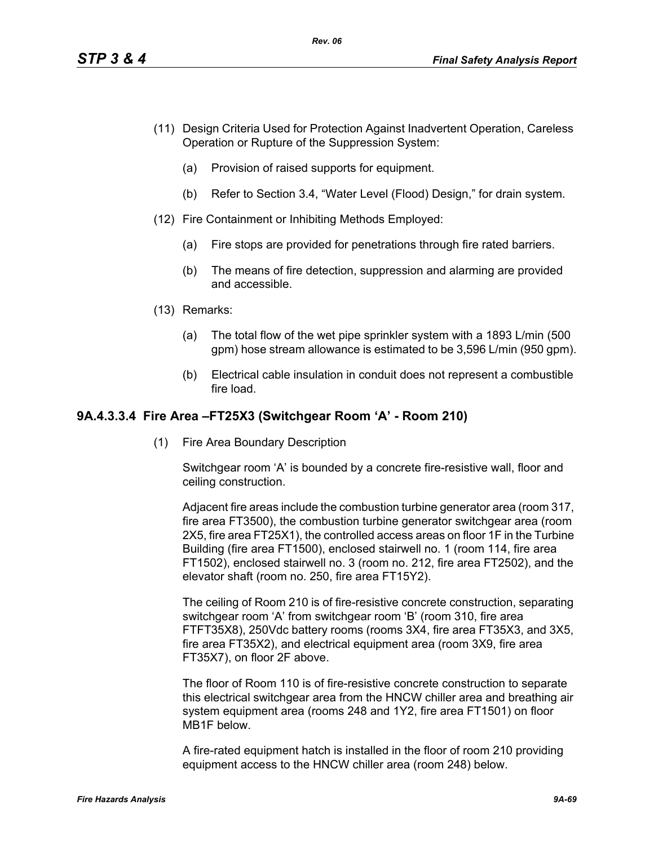- (11) Design Criteria Used for Protection Against Inadvertent Operation, Careless Operation or Rupture of the Suppression System:
	- (a) Provision of raised supports for equipment.
	- (b) Refer to Section 3.4, "Water Level (Flood) Design," for drain system.
- (12) Fire Containment or Inhibiting Methods Employed:
	- (a) Fire stops are provided for penetrations through fire rated barriers.
	- (b) The means of fire detection, suppression and alarming are provided and accessible.
- (13) Remarks:
	- (a) The total flow of the wet pipe sprinkler system with a 1893 L/min (500 gpm) hose stream allowance is estimated to be 3,596 L/min (950 gpm).
	- (b) Electrical cable insulation in conduit does not represent a combustible fire load.

# **9A.4.3.3.4 Fire Area –FT25X3 (Switchgear Room 'A' - Room 210)**

(1) Fire Area Boundary Description

Switchgear room 'A' is bounded by a concrete fire-resistive wall, floor and ceiling construction.

Adjacent fire areas include the combustion turbine generator area (room 317, fire area FT3500), the combustion turbine generator switchgear area (room 2X5, fire area FT25X1), the controlled access areas on floor 1F in the Turbine Building (fire area FT1500), enclosed stairwell no. 1 (room 114, fire area FT1502), enclosed stairwell no. 3 (room no. 212, fire area FT2502), and the elevator shaft (room no. 250, fire area FT15Y2).

The ceiling of Room 210 is of fire-resistive concrete construction, separating switchgear room 'A' from switchgear room 'B' (room 310, fire area FTFT35X8), 250Vdc battery rooms (rooms 3X4, fire area FT35X3, and 3X5, fire area FT35X2), and electrical equipment area (room 3X9, fire area FT35X7), on floor 2F above.

The floor of Room 110 is of fire-resistive concrete construction to separate this electrical switchgear area from the HNCW chiller area and breathing air system equipment area (rooms 248 and 1Y2, fire area FT1501) on floor MB1F below.

A fire-rated equipment hatch is installed in the floor of room 210 providing equipment access to the HNCW chiller area (room 248) below.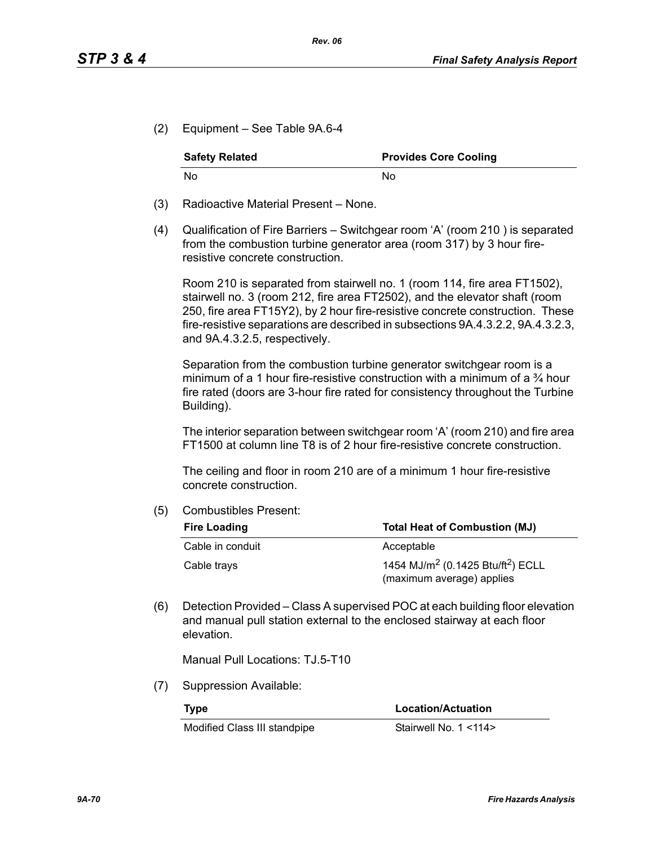(2) Equipment – See Table 9A.6-4

| <b>Safety Related</b> | <b>Provides Core Cooling</b> |
|-----------------------|------------------------------|
| No.                   | N٥                           |

- (3) Radioactive Material Present None.
- (4) Qualification of Fire Barriers Switchgear room 'A' (room 210 ) is separated from the combustion turbine generator area (room 317) by 3 hour fireresistive concrete construction.

Room 210 is separated from stairwell no. 1 (room 114, fire area FT1502), stairwell no. 3 (room 212, fire area FT2502), and the elevator shaft (room 250, fire area FT15Y2), by 2 hour fire-resistive concrete construction. These fire-resistive separations are described in subsections 9A.4.3.2.2, 9A.4.3.2.3, and 9A.4.3.2.5, respectively.

Separation from the combustion turbine generator switchgear room is a minimum of a 1 hour fire-resistive construction with a minimum of a  $\frac{3}{4}$  hour fire rated (doors are 3-hour fire rated for consistency throughout the Turbine Building).

The interior separation between switchgear room 'A' (room 210) and fire area FT1500 at column line T8 is of 2 hour fire-resistive concrete construction.

The ceiling and floor in room 210 are of a minimum 1 hour fire-resistive concrete construction.

(5) Combustibles Present:

| <b>Fire Loading</b> | <b>Total Heat of Combustion (MJ)</b>                                                   |
|---------------------|----------------------------------------------------------------------------------------|
| Cable in conduit    | Acceptable                                                                             |
| Cable trays         | 1454 MJ/m <sup>2</sup> (0.1425 Btu/ft <sup>2</sup> ) ECLL<br>(maximum average) applies |

(6) Detection Provided – Class A supervised POC at each building floor elevation and manual pull station external to the enclosed stairway at each floor elevation.

Manual Pull Locations: TJ.5-T10

(7) Suppression Available:

Modified Class III standpipe Stairwell No. 1 <114>

**Type Location/Actuation**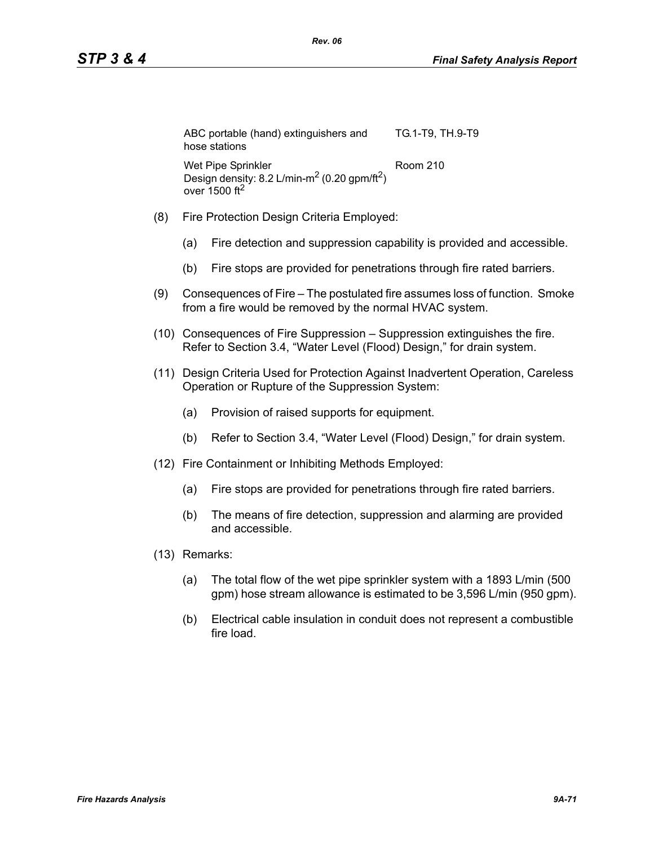| ABC portable (hand) extinguishers and<br>hose stations                                     | TG.1-T9, TH.9-T9 |
|--------------------------------------------------------------------------------------------|------------------|
| Wet Pipe Sprinkler<br>Design density: 8.2 L/min-m <sup>2</sup> (0.20 gpm/ft <sup>2</sup> ) | Room 210         |
| over 1500 $ft2$                                                                            |                  |

- (8) Fire Protection Design Criteria Employed:
	- (a) Fire detection and suppression capability is provided and accessible.
	- (b) Fire stops are provided for penetrations through fire rated barriers.
- (9) Consequences of Fire The postulated fire assumes loss of function. Smoke from a fire would be removed by the normal HVAC system.
- (10) Consequences of Fire Suppression Suppression extinguishes the fire. Refer to Section 3.4, "Water Level (Flood) Design," for drain system.
- (11) Design Criteria Used for Protection Against Inadvertent Operation, Careless Operation or Rupture of the Suppression System:
	- (a) Provision of raised supports for equipment.
	- (b) Refer to Section 3.4, "Water Level (Flood) Design," for drain system.
- (12) Fire Containment or Inhibiting Methods Employed:
	- (a) Fire stops are provided for penetrations through fire rated barriers.
	- (b) The means of fire detection, suppression and alarming are provided and accessible.
- (13) Remarks:
	- (a) The total flow of the wet pipe sprinkler system with a 1893 L/min (500 gpm) hose stream allowance is estimated to be 3,596 L/min (950 gpm).
	- (b) Electrical cable insulation in conduit does not represent a combustible fire load.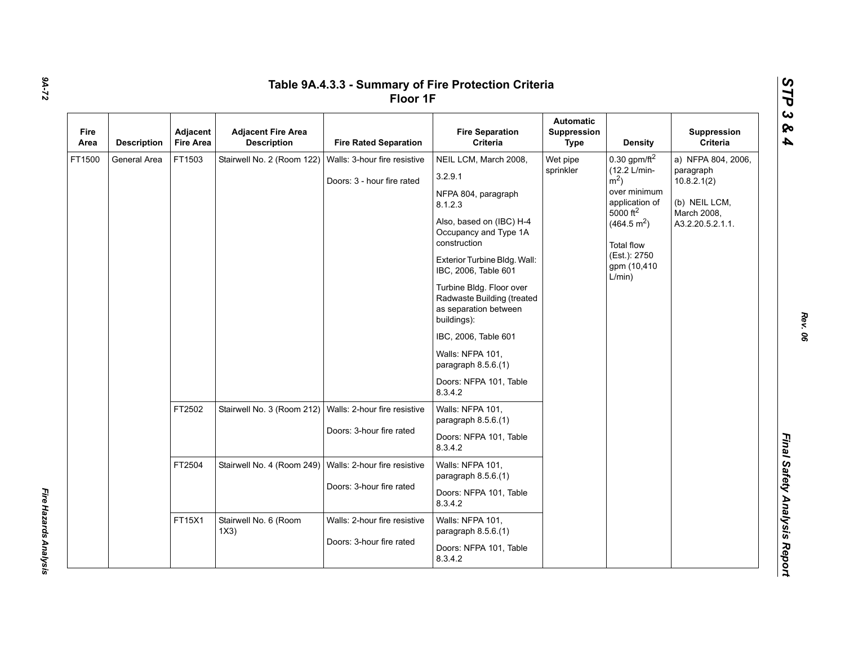| Fire<br>Area | <b>Description</b> | Adjacent<br><b>Fire Area</b> | <b>Adjacent Fire Area</b><br><b>Description</b>           | <b>Fire Rated Separation</b>                               | <b>Fire Separation</b><br>Criteria                                                                                                                                                                                                                                                                                                                                                                        | <b>Automatic</b><br>Suppression<br><b>Type</b> | <b>Density</b>                                                                                                                                                                                           | Suppression<br>Criteria                                                                            |  |  |  |  |  |  |  |
|--------------|--------------------|------------------------------|-----------------------------------------------------------|------------------------------------------------------------|-----------------------------------------------------------------------------------------------------------------------------------------------------------------------------------------------------------------------------------------------------------------------------------------------------------------------------------------------------------------------------------------------------------|------------------------------------------------|----------------------------------------------------------------------------------------------------------------------------------------------------------------------------------------------------------|----------------------------------------------------------------------------------------------------|--|--|--|--|--|--|--|
| FT1500       | General Area       | FT1503                       | Stairwell No. 2 (Room 122)                                | Walls: 3-hour fire resistive<br>Doors: 3 - hour fire rated | NEIL LCM, March 2008,<br>3.2.9.1<br>NFPA 804, paragraph<br>8.1.2.3<br>Also, based on (IBC) H-4<br>Occupancy and Type 1A<br>construction<br>Exterior Turbine Bldg. Wall:<br>IBC, 2006, Table 601<br>Turbine Bldg. Floor over<br>Radwaste Building (treated<br>as separation between<br>buildings):<br>IBC, 2006, Table 601<br>Walls: NFPA 101,<br>paragraph 8.5.6.(1)<br>Doors: NFPA 101, Table<br>8.3.4.2 | Wet pipe<br>sprinkler                          | 0.30 gpm/ft $^2$<br>(12.2 L/min-<br>$\rm \dot{m}^2$ )<br>over minimum<br>application of<br>5000 ft <sup>2</sup><br>(464.5 m <sup>2</sup> )<br><b>Total flow</b><br>(Est.): 2750<br>gpm (10,410<br>L/min) | a) NFPA 804, 2006,<br>paragraph<br>10.8.2.1(2)<br>(b) NEIL LCM,<br>March 2008,<br>A3.2.20.5.2.1.1. |  |  |  |  |  |  |  |
|              |                    | FT2502                       | Stairwell No. 3 (Room 212)                                | Walls: 2-hour fire resistive<br>Doors: 3-hour fire rated   | Walls: NFPA 101,<br>paragraph 8.5.6.(1)<br>Doors: NFPA 101, Table<br>8.3.4.2                                                                                                                                                                                                                                                                                                                              |                                                |                                                                                                                                                                                                          |                                                                                                    |  |  |  |  |  |  |  |
|              |                    | FT2504                       | Stairwell No. 4 (Room 249)   Walls: 2-hour fire resistive | Doors: 3-hour fire rated                                   | Walls: NFPA 101,<br>paragraph 8.5.6.(1)<br>Doors: NFPA 101, Table<br>8.3.4.2                                                                                                                                                                                                                                                                                                                              |                                                |                                                                                                                                                                                                          |                                                                                                    |  |  |  |  |  |  |  |
|              |                    | FT15X1                       | Stairwell No. 6 (Room<br>1X3)                             | Walls: 2-hour fire resistive<br>Doors: 3-hour fire rated   | Walls: NFPA 101,<br>paragraph $8.5.6(1)$<br>Doors: NFPA 101, Table<br>8.3.4.2                                                                                                                                                                                                                                                                                                                             |                                                |                                                                                                                                                                                                          |                                                                                                    |  |  |  |  |  |  |  |

*9A-72*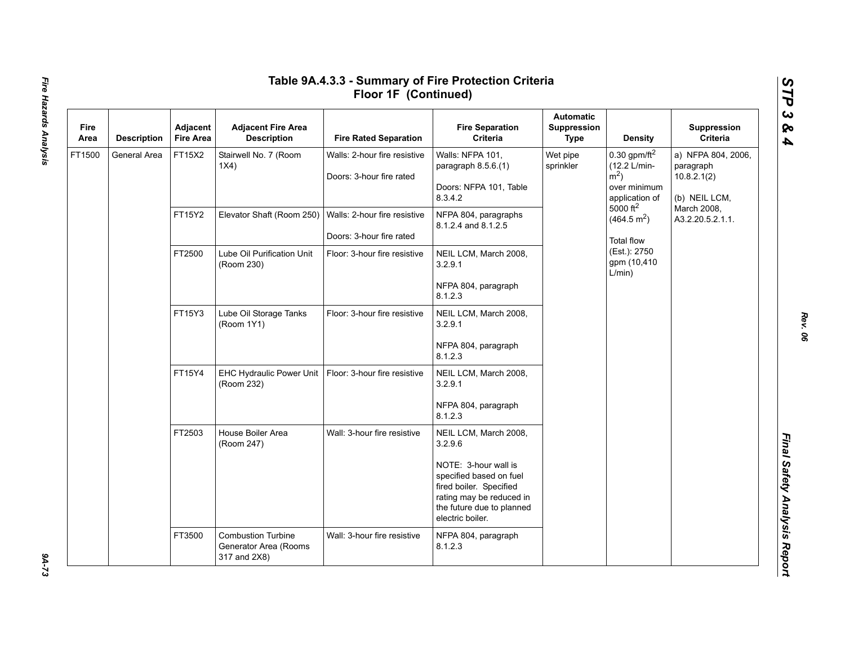| Fire<br>Area | <b>Description</b> | Adjacent<br><b>Fire Area</b> | <b>Adjacent Fire Area</b><br><b>Description</b>                    | <b>Fire Rated Separation</b>                             | <b>Fire Separation</b><br>Criteria                                                                                                                      | <b>Automatic</b><br>Suppression<br><b>Type</b> | <b>Density</b>                                                                                                  | Suppression<br>Criteria                                         |
|--------------|--------------------|------------------------------|--------------------------------------------------------------------|----------------------------------------------------------|---------------------------------------------------------------------------------------------------------------------------------------------------------|------------------------------------------------|-----------------------------------------------------------------------------------------------------------------|-----------------------------------------------------------------|
| FT1500       | General Area       | FT15X2                       | Stairwell No. 7 (Room<br>1X4)                                      | Walls: 2-hour fire resistive<br>Doors: 3-hour fire rated | Walls: NFPA 101,<br>paragraph 8.5.6.(1)<br>Doors: NFPA 101, Table<br>8.3.4.2                                                                            | Wet pipe<br>sprinkler                          | 0.30 gpm/ft $^2$<br>(12.2 L/min-<br>$m2$ )<br>over minimum<br>application of                                    | a) NFPA 804, 2006,<br>paragraph<br>10.8.2.1(2)<br>(b) NEIL LCM, |
|              |                    | FT15Y2                       | Elevator Shaft (Room 250)                                          | Walls: 2-hour fire resistive<br>Doors: 3-hour fire rated | NFPA 804, paragraphs<br>8.1.2.4 and 8.1.2.5                                                                                                             |                                                | $5000$ ft <sup>2</sup><br>(464.5 m <sup>2</sup> )<br><b>Total flow</b><br>(Est.): 2750<br>gpm (10,410<br>L/min) | March 2008,<br>A3.2.20.5.2.1.1.                                 |
|              |                    | FT2500                       | Lube Oil Purification Unit<br>(Room 230)                           | Floor: 3-hour fire resistive                             | NEIL LCM, March 2008,<br>3.2.9.1                                                                                                                        |                                                |                                                                                                                 |                                                                 |
|              |                    |                              |                                                                    |                                                          | NFPA 804, paragraph<br>8.1.2.3                                                                                                                          |                                                |                                                                                                                 |                                                                 |
|              |                    | FT15Y3                       | Lube Oil Storage Tanks<br>(Room 1Y1)                               | Floor: 3-hour fire resistive                             | NEIL LCM, March 2008,<br>3.2.9.1                                                                                                                        |                                                |                                                                                                                 |                                                                 |
|              |                    |                              |                                                                    |                                                          | NFPA 804, paragraph<br>8.1.2.3                                                                                                                          |                                                |                                                                                                                 |                                                                 |
|              |                    | FT15Y4                       | EHC Hydraulic Power Unit<br>(Room 232)                             | Floor: 3-hour fire resistive                             | NEIL LCM, March 2008,<br>3.2.9.1                                                                                                                        |                                                |                                                                                                                 |                                                                 |
|              |                    |                              |                                                                    |                                                          | NFPA 804, paragraph<br>8.1.2.3                                                                                                                          |                                                |                                                                                                                 |                                                                 |
|              |                    | FT2503                       | House Boiler Area<br>(Room 247)                                    | Wall: 3-hour fire resistive                              | NEIL LCM, March 2008,<br>3.2.9.6                                                                                                                        |                                                |                                                                                                                 |                                                                 |
|              |                    |                              |                                                                    |                                                          | NOTE: 3-hour wall is<br>specified based on fuel<br>fired boiler. Specified<br>rating may be reduced in<br>the future due to planned<br>electric boiler. |                                                |                                                                                                                 |                                                                 |
|              |                    | FT3500                       | <b>Combustion Turbine</b><br>Generator Area (Rooms<br>317 and 2X8) | Wall: 3-hour fire resistive                              | NFPA 804, paragraph<br>8.1.2.3                                                                                                                          |                                                |                                                                                                                 |                                                                 |

*Rev. 06*

*STP 3 & 4*

 $9A-73$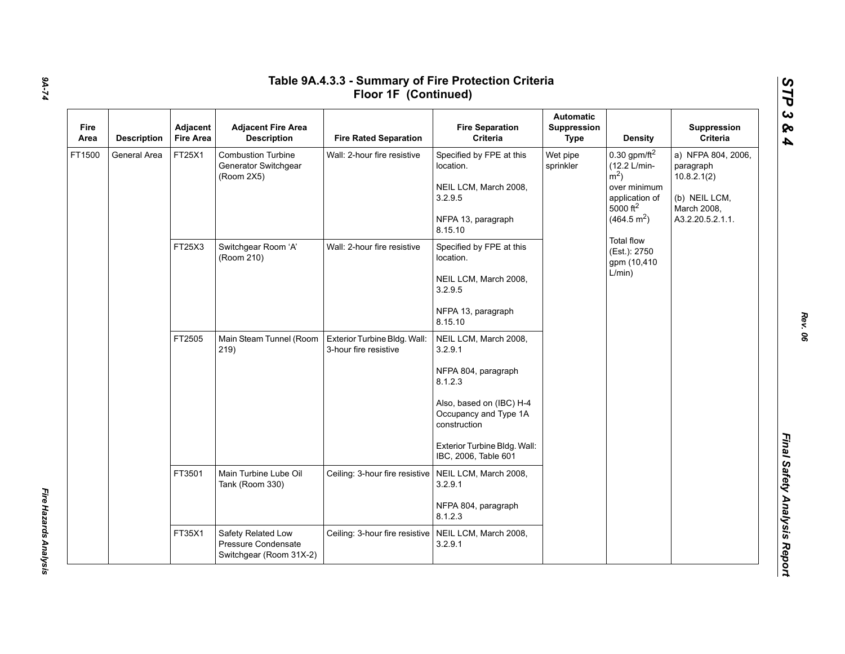| Fire<br>Area | <b>Description</b> | Adjacent<br><b>Fire Area</b> | <b>Adjacent Fire Area</b><br><b>Description</b>                 | <b>Fire Rated Separation</b>                          | <b>Fire Separation</b><br>Criteria                                                                                                                                                              | <b>Automatic</b><br>Suppression<br><b>Type</b> | <b>Density</b>                                                                                                                               | Suppression<br>Criteria                                                                            |
|--------------|--------------------|------------------------------|-----------------------------------------------------------------|-------------------------------------------------------|-------------------------------------------------------------------------------------------------------------------------------------------------------------------------------------------------|------------------------------------------------|----------------------------------------------------------------------------------------------------------------------------------------------|----------------------------------------------------------------------------------------------------|
| FT1500       | General Area       | FT25X1                       | <b>Combustion Turbine</b><br>Generator Switchgear<br>(Room 2X5) | Wall: 2-hour fire resistive                           | Specified by FPE at this<br>location.<br>NEIL LCM, March 2008,<br>3.2.9.5<br>NFPA 13, paragraph<br>8.15.10                                                                                      | Wet pipe<br>sprinkler                          | 0.30 gpm/ft $^2$<br>(12.2 L/min-<br>$\rm \dot{m}^2$ )<br>over minimum<br>application of<br>$5000$ ft <sup>2</sup><br>(464.5 m <sup>2</sup> ) | a) NFPA 804, 2006,<br>paragraph<br>10.8.2.1(2)<br>(b) NEIL LCM,<br>March 2008,<br>A3.2.20.5.2.1.1. |
|              |                    | FT25X3                       | Switchgear Room 'A'<br>(Room 210)                               | Wall: 2-hour fire resistive                           | Specified by FPE at this<br>location.<br>NEIL LCM, March 2008,<br>3.2.9.5<br>NFPA 13, paragraph<br>8.15.10                                                                                      |                                                | <b>Total flow</b><br>(Est.): 2750<br>gpm (10,410<br>L/min)                                                                                   |                                                                                                    |
|              |                    | FT2505                       | Main Steam Tunnel (Room<br>219)                                 | Exterior Turbine Bldg. Wall:<br>3-hour fire resistive | NEIL LCM, March 2008,<br>3.2.9.1<br>NFPA 804, paragraph<br>8.1.2.3<br>Also, based on (IBC) H-4<br>Occupancy and Type 1A<br>construction<br>Exterior Turbine Bldg. Wall:<br>IBC, 2006, Table 601 |                                                |                                                                                                                                              |                                                                                                    |
|              |                    | FT3501                       | Main Turbine Lube Oil<br>Tank (Room 330)                        | Ceiling: 3-hour fire resistive                        | NEIL LCM, March 2008,<br>3.2.9.1<br>NFPA 804, paragraph<br>8.1.2.3                                                                                                                              |                                                |                                                                                                                                              |                                                                                                    |
|              |                    | FT35X1<br>Safety Related Low | Pressure Condensate<br>Switchgear (Room 31X-2)                  | Ceiling: 3-hour fire resistive                        | NEIL LCM, March 2008,<br>3.2.9.1                                                                                                                                                                |                                                |                                                                                                                                              |                                                                                                    |

*Fire Hazards Analysis* 

Fire Hazards Analysis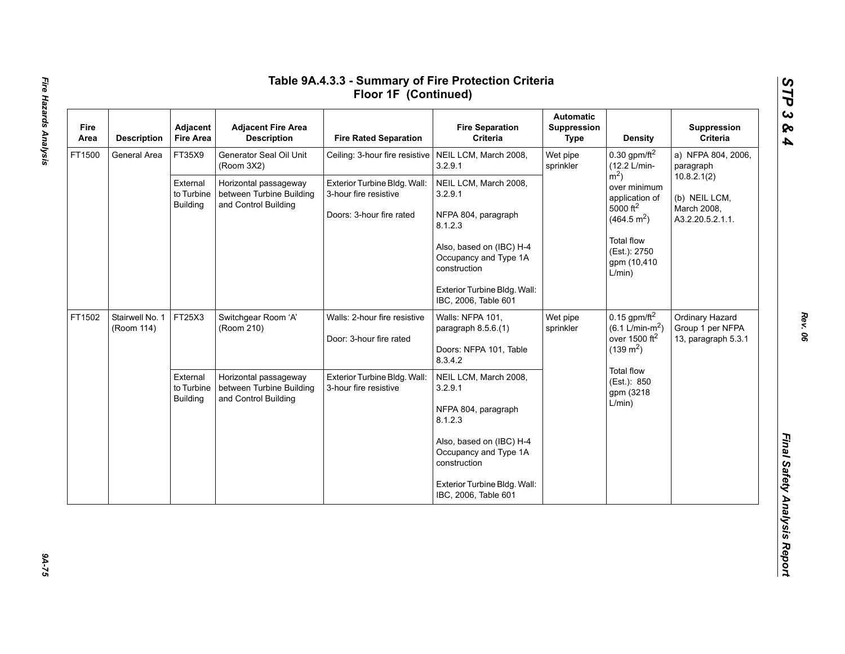| Fire<br>Area | <b>Description</b>            | Adjacent<br><b>Fire Area</b>              | <b>Adjacent Fire Area</b><br><b>Description</b>   | <b>Fire Rated Separation</b>                            | <b>Fire Separation</b><br>Criteria                                | <b>Automatic</b><br>Suppression<br>Type | <b>Density</b>                                                             | Suppression<br>Criteria                                         |
|--------------|-------------------------------|-------------------------------------------|---------------------------------------------------|---------------------------------------------------------|-------------------------------------------------------------------|-----------------------------------------|----------------------------------------------------------------------------|-----------------------------------------------------------------|
| FT1500       | General Area                  | FT35X9                                    | Generator Seal Oil Unit<br>(Room 3X2)             | Ceiling: 3-hour fire resistive   NEIL LCM, March 2008,  | 3.2.9.1                                                           | Wet pipe<br>sprinkler                   | 0.30 gpm/ft $^2$<br>(12.2 L/min-                                           | a) NFPA 804, 2006,<br>paragraph                                 |
|              |                               | External<br>to Turbine<br><b>Building</b> | Horizontal passageway<br>between Turbine Building | Exterior Turbine Bldg. Wall:<br>3-hour fire resistive   | NEIL LCM, March 2008,<br>3.2.9.1                                  |                                         | $m2$ )<br>over minimum<br>application of                                   | 10.8.2.1(2)<br>(b) NEIL LCM,<br>March 2008,<br>A3.2.20.5.2.1.1. |
|              |                               |                                           | and Control Building                              | Doors: 3-hour fire rated                                | NFPA 804, paragraph<br>8.1.2.3                                    |                                         | 5000 $ft^2$<br>(464.5 m <sup>2</sup> )                                     |                                                                 |
|              |                               |                                           |                                                   |                                                         | Also, based on (IBC) H-4<br>Occupancy and Type 1A<br>construction |                                         | <b>Total flow</b><br>(Est.): 2750<br>gpm (10,410<br>L/min)                 |                                                                 |
|              |                               |                                           |                                                   |                                                         | Exterior Turbine Bldg. Wall:<br>IBC, 2006, Table 601              |                                         |                                                                            |                                                                 |
| FT1502       | Stairwell No. 1<br>(Room 114) | FT25X3                                    | Switchgear Room 'A'<br>(Room 210)                 | Walls: 2-hour fire resistive<br>Door: 3-hour fire rated | Walls: NFPA 101,<br>paragraph 8.5.6.(1)                           | Wet pipe<br>sprinkler                   | 0.15 gpm/ft $^2$<br>$(6.1 \text{ L/min-m}^2)$<br>over 1500 ft <sup>2</sup> | Ordinary Hazard<br>Group 1 per NFPA                             |
|              |                               |                                           |                                                   |                                                         | Doors: NFPA 101, Table<br>8.3.4.2                                 |                                         | $(139 \text{ m}^2)$                                                        | 13, paragraph 5.3.1                                             |
|              |                               | External<br>to Turbine                    | Horizontal passageway<br>between Turbine Building | Exterior Turbine Bldg. Wall:<br>3-hour fire resistive   | NEIL LCM, March 2008,<br>3.2.9.1                                  |                                         | Total flow<br>(Est.): 850<br>gpm (3218                                     |                                                                 |
|              |                               | <b>Building</b>                           | and Control Building                              |                                                         | NFPA 804, paragraph<br>8.1.2.3                                    |                                         | L/min)                                                                     |                                                                 |
|              |                               |                                           |                                                   |                                                         | Also, based on (IBC) H-4<br>Occupancy and Type 1A<br>construction |                                         |                                                                            |                                                                 |
|              |                               |                                           |                                                   |                                                         | Exterior Turbine Bldg. Wall:<br>IBC, 2006, Table 601              |                                         |                                                                            |                                                                 |

 $94 - 75$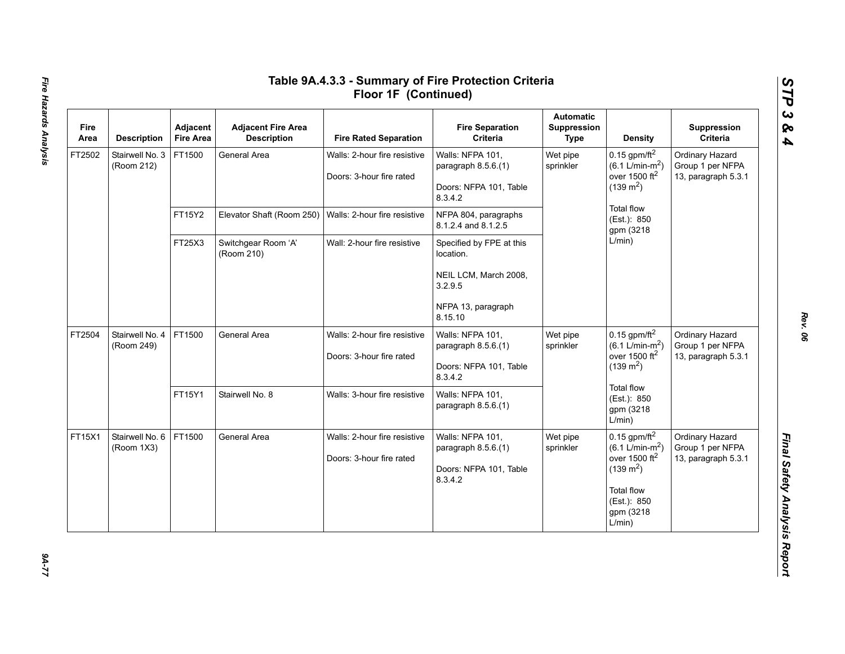| Fire<br>Area | <b>Description</b>            | Adjacent<br><b>Fire Area</b> | <b>Adjacent Fire Area</b><br><b>Description</b> | <b>Fire Rated Separation</b>                             | <b>Fire Separation</b><br>Criteria                                           | <b>Automatic</b><br><b>Suppression</b><br><b>Type</b> | <b>Density</b>                                                                                                                                                | Suppression<br>Criteria                                    |
|--------------|-------------------------------|------------------------------|-------------------------------------------------|----------------------------------------------------------|------------------------------------------------------------------------------|-------------------------------------------------------|---------------------------------------------------------------------------------------------------------------------------------------------------------------|------------------------------------------------------------|
| FT2502       | Stairwell No. 3<br>(Room 212) | FT1500                       | General Area                                    | Walls: 2-hour fire resistive<br>Doors: 3-hour fire rated | Walls: NFPA 101,<br>paragraph 8.5.6.(1)<br>Doors: NFPA 101, Table<br>8.3.4.2 | Wet pipe<br>sprinkler                                 | 0.15 gpm/ft $^2$<br>$(6.1 \text{ L/min-m}^2)$<br>over 1500 ft <sup>2</sup><br>$(139 \text{ m}^2)$                                                             | Ordinary Hazard<br>Group 1 per NFPA<br>13, paragraph 5.3.1 |
|              |                               | FT15Y2                       | Elevator Shaft (Room 250)                       | Walls: 2-hour fire resistive                             | NFPA 804, paragraphs<br>8.1.2.4 and 8.1.2.5                                  |                                                       | <b>Total flow</b><br>(Est.): 850<br>gpm (3218                                                                                                                 |                                                            |
|              |                               | FT25X3                       | Switchgear Room 'A'<br>(Room 210)               | Wall: 2-hour fire resistive                              | Specified by FPE at this<br>location.                                        |                                                       | L/min)                                                                                                                                                        |                                                            |
|              |                               |                              |                                                 |                                                          | NEIL LCM, March 2008,<br>3.2.9.5                                             |                                                       |                                                                                                                                                               |                                                            |
|              |                               |                              |                                                 |                                                          | NFPA 13, paragraph<br>8.15.10                                                |                                                       |                                                                                                                                                               |                                                            |
| FT2504       | Stairwell No. 4<br>(Room 249) | FT1500                       | General Area                                    | Walls: 2-hour fire resistive<br>Doors: 3-hour fire rated | Walls: NFPA 101,<br>paragraph 8.5.6.(1)<br>Doors: NFPA 101, Table<br>8.3.4.2 | Wet pipe<br>sprinkler                                 | 0.15 gpm/ft $^2$<br>$(6.1 \text{ L/min-m}^2)$<br>over 1500 ft <sup>2</sup><br>$(139 \text{ m}^2)$                                                             | Ordinary Hazard<br>Group 1 per NFPA<br>13, paragraph 5.3.1 |
|              |                               | FT15Y1                       | Stairwell No. 8                                 | Walls: 3-hour fire resistive                             | Walls: NFPA 101,<br>paragraph 8.5.6.(1)                                      |                                                       | <b>Total flow</b><br>(Est.): 850<br>gpm (3218<br>L/min)                                                                                                       |                                                            |
| FT15X1       | Stairwell No. 6<br>(Room 1X3) | FT1500                       | General Area                                    | Walls: 2-hour fire resistive<br>Doors: 3-hour fire rated | Walls: NFPA 101,<br>paragraph 8.5.6.(1)<br>Doors: NFPA 101, Table<br>8.3.4.2 | Wet pipe<br>sprinkler                                 | $0.15$ gpm/ft <sup>2</sup><br>$(6.1 \text{ L/min-m}^2)$<br>over 1500 $ft2$<br>$(139 \text{ m}^2)$<br><b>Total flow</b><br>(Est.): 850<br>gpm (3218)<br>L/min) | Ordinary Hazard<br>Group 1 per NFPA<br>13, paragraph 5.3.1 |

# Fire Hazards Analysis *Fire Hazards Analysis 9A-77*

*Rev. 06*

*STP 3 & 4*

 $27 - 77$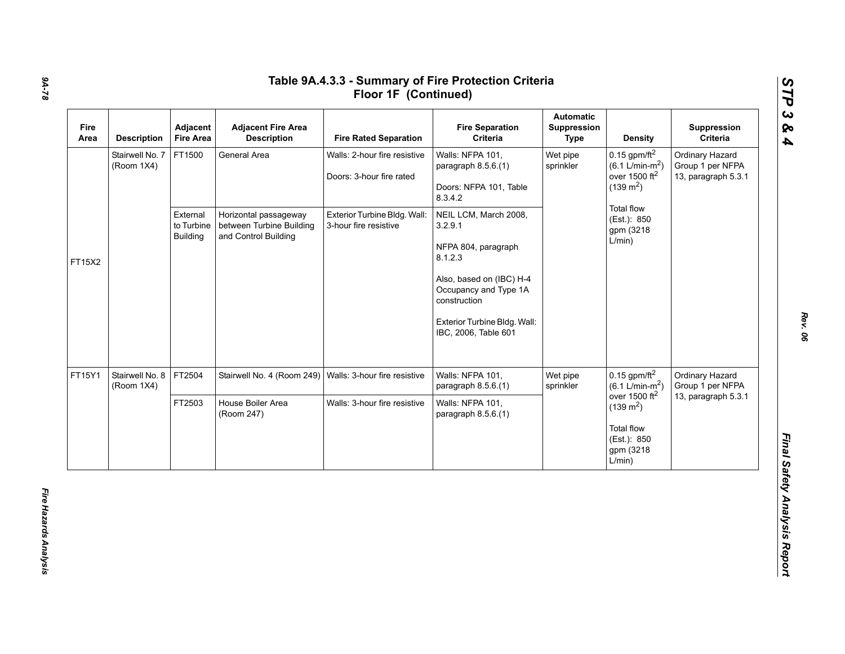| Fire<br>Area | <b>Description</b>            | Adjacent<br><b>Fire Area</b>              | <b>Adjacent Fire Area</b><br><b>Description</b>                           | <b>Fire Rated Separation</b>                             | <b>Fire Separation</b><br>Criteria                                           | <b>Automatic</b><br>Suppression<br>Type | <b>Density</b>                                                                                    | Suppression<br>Criteria                                    |
|--------------|-------------------------------|-------------------------------------------|---------------------------------------------------------------------------|----------------------------------------------------------|------------------------------------------------------------------------------|-----------------------------------------|---------------------------------------------------------------------------------------------------|------------------------------------------------------------|
|              | Stairwell No. 7<br>(Room 1X4) | FT1500                                    | General Area                                                              | Walls: 2-hour fire resistive<br>Doors: 3-hour fire rated | Walls: NFPA 101,<br>paragraph 8.5.6.(1)<br>Doors: NFPA 101, Table<br>8.3.4.2 | Wet pipe<br>sprinkler                   | 0.15 gpm/ft $^2$<br>$(6.1 \text{ L/min-m}^2)$<br>over 1500 $ft2$<br>$(139 \text{ m}^2)$           | Ordinary Hazard<br>Group 1 per NFPA<br>13, paragraph 5.3.1 |
| FT15X2       |                               | External<br>to Turbine<br><b>Building</b> | Horizontal passageway<br>between Turbine Building<br>and Control Building | Exterior Turbine Bldg. Wall:<br>3-hour fire resistive    | NEIL LCM, March 2008,<br>3.2.9.1<br>NFPA 804, paragraph<br>8.1.2.3           |                                         | Total flow<br>(Est.): 850<br>gpm (3218)<br>L/min)                                                 |                                                            |
|              |                               |                                           |                                                                           |                                                          | Also, based on (IBC) H-4<br>Occupancy and Type 1A<br>construction            |                                         |                                                                                                   |                                                            |
|              |                               |                                           |                                                                           |                                                          | Exterior Turbine Bldg. Wall:<br>IBC, 2006, Table 601                         |                                         |                                                                                                   |                                                            |
| FT15Y1       | Stairwell No. 8<br>(Room 1X4) | FT2504                                    | Stairwell No. 4 (Room 249)                                                | Walls: 3-hour fire resistive                             | Walls: NFPA 101,<br>paragraph 8.5.6.(1)                                      | Wet pipe<br>sprinkler                   | $0.15$ gpm/ft <sup>2</sup><br>$(6.1 \text{ L/min-m}^2)$                                           | Ordinary Hazard<br>Group 1 per NFPA                        |
|              |                               | FT2503                                    | House Boiler Area<br>(Room 247)                                           | Walls: 3-hour fire resistive                             | Walls: NFPA 101,<br>paragraph 8.5.6.(1)                                      |                                         | over 1500 $ft2$<br>$(139 \text{ m}^2)$<br><b>Total flow</b><br>(Est.): 850<br>gpm (3218<br>L/min) | 13, paragraph 5.3.1                                        |

*Rev. 06*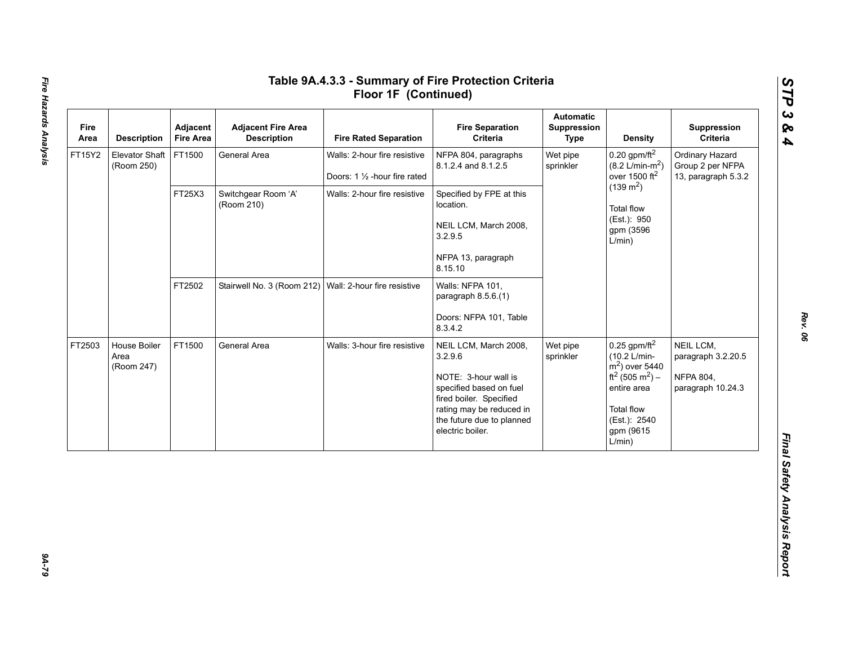| Fire<br>Area | <b>Description</b>                  | Adjacent<br><b>Fire Area</b> | <b>Adjacent Fire Area</b><br><b>Description</b>        | <b>Fire Rated Separation</b>                                   | <b>Fire Separation</b><br>Criteria                                                                                                                                                          | <b>Automatic</b><br>Suppression<br><b>Type</b> | <b>Density</b>                                                                                                                                                                       | Suppression<br>Criteria                                                  |
|--------------|-------------------------------------|------------------------------|--------------------------------------------------------|----------------------------------------------------------------|---------------------------------------------------------------------------------------------------------------------------------------------------------------------------------------------|------------------------------------------------|--------------------------------------------------------------------------------------------------------------------------------------------------------------------------------------|--------------------------------------------------------------------------|
| FT15Y2       | <b>Elevator Shaft</b><br>(Room 250) | FT1500                       | General Area                                           | Walls: 2-hour fire resistive<br>Doors: 1 1/2 - hour fire rated | NFPA 804, paragraphs<br>8.1.2.4 and 8.1.2.5                                                                                                                                                 | Wet pipe<br>sprinkler                          | $0.20$ gpm/ft <sup>2</sup><br>$(8.2 \text{ L/min-m}^2)$<br>over 1500 ft <sup>2</sup>                                                                                                 | Ordinary Hazard<br>Group 2 per NFPA<br>13, paragraph 5.3.2               |
|              |                                     | FT25X3                       | Switchgear Room 'A'<br>(Room 210)                      | Walls: 2-hour fire resistive                                   | Specified by FPE at this<br>location.<br>NEIL LCM, March 2008,<br>3.2.9.5<br>NFPA 13, paragraph<br>8.15.10                                                                                  |                                                | $(139 \text{ m}^2)$<br><b>Total flow</b><br>(Est.): 950<br>gpm (3596<br>L/min)                                                                                                       |                                                                          |
|              |                                     | FT2502                       | Stairwell No. 3 (Room 212) Wall: 2-hour fire resistive |                                                                | Walls: NFPA 101,<br>paragraph 8.5.6.(1)<br>Doors: NFPA 101, Table<br>8.3.4.2                                                                                                                |                                                |                                                                                                                                                                                      |                                                                          |
| FT2503       | House Boiler<br>Area<br>(Room 247)  | FT1500                       | General Area                                           | Walls: 3-hour fire resistive                                   | NEIL LCM, March 2008,<br>3.2.9.6<br>NOTE: 3-hour wall is<br>specified based on fuel<br>fired boiler. Specified<br>rating may be reduced in<br>the future due to planned<br>electric boiler. | Wet pipe<br>sprinkler                          | $0.25$ gpm/ft <sup>2</sup><br>(10.2 L/min-<br>$m2$ ) over 5440<br>ft <sup>2</sup> (505 m <sup>2</sup> ) –<br>entire area<br><b>Total flow</b><br>(Est.): 2540<br>gpm (9615<br>L/min) | NEIL LCM,<br>paragraph 3.2.20.5<br><b>NFPA 804,</b><br>paragraph 10.24.3 |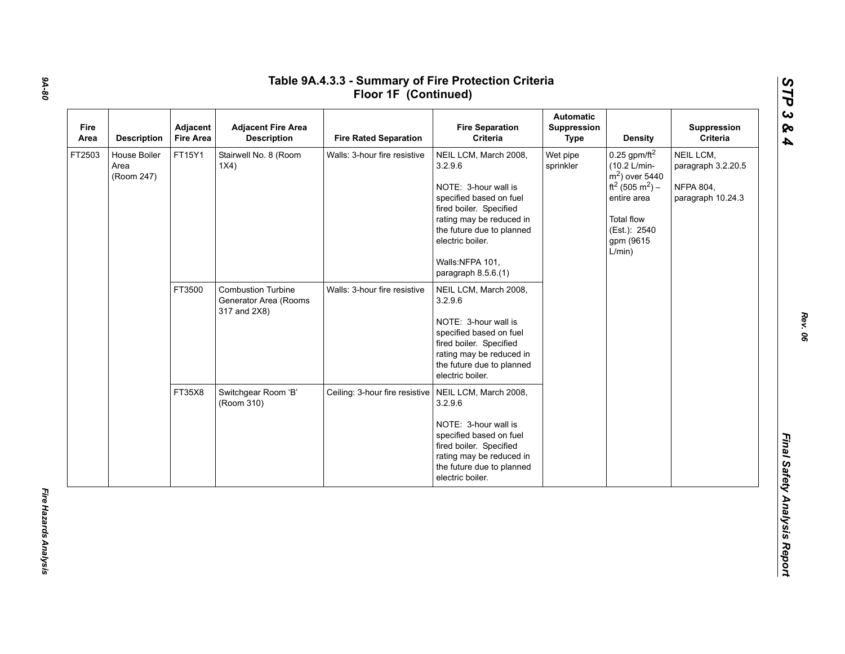| Fire<br>Area | <b>Description</b>                 | Adjacent<br><b>Fire Area</b> | <b>Adjacent Fire Area</b><br><b>Description</b>                    | <b>Fire Rated Separation</b>   | <b>Fire Separation</b><br>Criteria                                                                                                                                                                                                    | <b>Automatic</b><br>Suppression<br><b>Type</b> | <b>Density</b>                                                                                                                                                                       | Suppression<br>Criteria                                                  |
|--------------|------------------------------------|------------------------------|--------------------------------------------------------------------|--------------------------------|---------------------------------------------------------------------------------------------------------------------------------------------------------------------------------------------------------------------------------------|------------------------------------------------|--------------------------------------------------------------------------------------------------------------------------------------------------------------------------------------|--------------------------------------------------------------------------|
| FT2503       | House Boiler<br>Area<br>(Room 247) | FT15Y1                       | Stairwell No. 8 (Room<br>1X4)                                      | Walls: 3-hour fire resistive   | NEIL LCM, March 2008,<br>3.2.9.6<br>NOTE: 3-hour wall is<br>specified based on fuel<br>fired boiler. Specified<br>rating may be reduced in<br>the future due to planned<br>electric boiler.<br>Walls:NFPA 101,<br>paragraph 8.5.6.(1) | Wet pipe<br>sprinkler                          | $0.25$ gpm/ft <sup>2</sup><br>(10.2 L/min-<br>$m2$ ) over 5440<br>ft <sup>2</sup> (505 m <sup>2</sup> ) –<br>entire area<br><b>Total flow</b><br>(Est.): 2540<br>gpm (9615<br>L/min) | NEIL LCM,<br>paragraph 3.2.20.5<br><b>NFPA 804,</b><br>paragraph 10.24.3 |
|              |                                    | FT3500                       | <b>Combustion Turbine</b><br>Generator Area (Rooms<br>317 and 2X8) | Walls: 3-hour fire resistive   | NEIL LCM, March 2008,<br>3.2.9.6<br>NOTE: 3-hour wall is<br>specified based on fuel<br>fired boiler. Specified<br>rating may be reduced in<br>the future due to planned<br>electric boiler.                                           |                                                |                                                                                                                                                                                      |                                                                          |
|              |                                    | FT35X8                       | Switchgear Room 'B'<br>(Room 310)                                  | Ceiling: 3-hour fire resistive | NEIL LCM, March 2008,<br>3.2.9.6<br>NOTE: 3-hour wall is<br>specified based on fuel<br>fired boiler. Specified<br>rating may be reduced in<br>the future due to planned<br>electric boiler.                                           |                                                |                                                                                                                                                                                      |                                                                          |

*Rev. 06*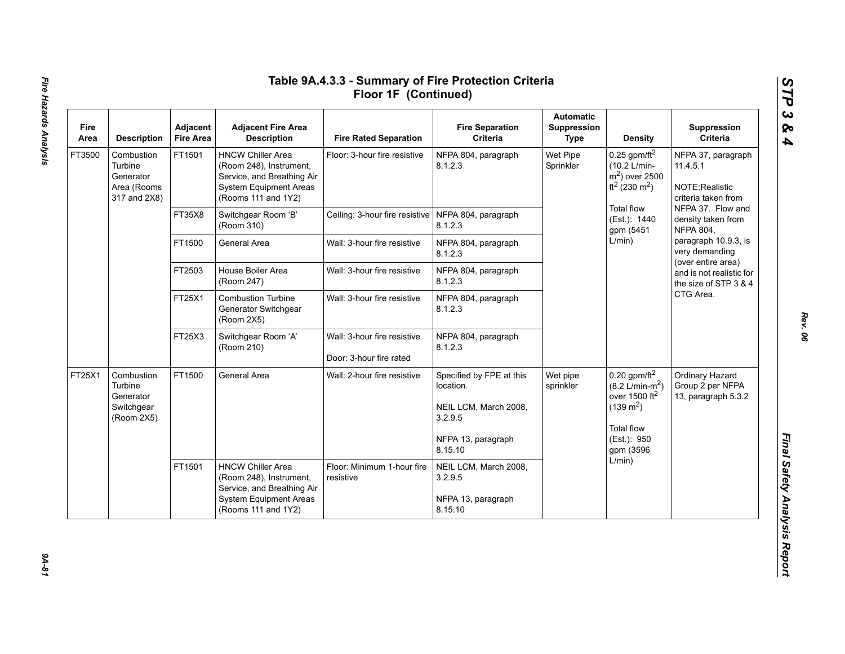| Fire<br>Area | <b>Description</b>                                                | Adjacent<br><b>Fire Area</b> | <b>Adjacent Fire Area</b><br><b>Description</b>                                                                                           | <b>Fire Rated Separation</b>                           | <b>Fire Separation</b><br>Criteria                                                                         | <b>Automatic</b><br>Suppression<br>Type | <b>Density</b>                                                                                                                                        | Suppression<br>Criteria                                                                                                                                                                                                                                     |
|--------------|-------------------------------------------------------------------|------------------------------|-------------------------------------------------------------------------------------------------------------------------------------------|--------------------------------------------------------|------------------------------------------------------------------------------------------------------------|-----------------------------------------|-------------------------------------------------------------------------------------------------------------------------------------------------------|-------------------------------------------------------------------------------------------------------------------------------------------------------------------------------------------------------------------------------------------------------------|
| FT3500       | Combustion<br>Turbine<br>Generator<br>Area (Rooms<br>317 and 2X8) | FT1501                       | <b>HNCW Chiller Area</b><br>(Room 248), Instrument,<br>Service, and Breathing Air<br><b>System Equipment Areas</b><br>(Rooms 111 and 1Y2) | Floor: 3-hour fire resistive                           | NFPA 804, paragraph<br>8.1.2.3                                                                             | Wet Pipe<br>Sprinkler                   | 0.25 gpm/ft <sup>2</sup><br>(10.2 L/min-<br>$m2$ ) over 2500<br>$ft^2(230 \text{ m}^2)$                                                               | NFPA 37, paragraph<br>11.4.5.1<br>NOTE:Realistic<br>criteria taken from                                                                                                                                                                                     |
|              |                                                                   | FT35X8                       | Switchgear Room 'B'<br>(Room 310)                                                                                                         | Ceiling: 3-hour fire resistive   NFPA 804, paragraph   | 8.1.2.3                                                                                                    |                                         | <b>Total flow</b><br>(Est.): 1440<br>gpm (5451                                                                                                        | NFPA 37. Flow and<br>density taken from<br><b>NFPA 804,</b><br>paragraph 10.9.3, is<br>very demanding<br>(over entire area)<br>and is not realistic for<br>the size of STP 3 & 4<br>CTG Area.<br>Ordinary Hazard<br>Group 2 per NFPA<br>13, paragraph 5.3.2 |
|              |                                                                   | FT1500                       | General Area                                                                                                                              | Wall: 3-hour fire resistive                            | NFPA 804, paragraph<br>8.1.2.3                                                                             |                                         | L/min)                                                                                                                                                |                                                                                                                                                                                                                                                             |
|              |                                                                   | FT2503                       | House Boiler Area<br>(Room 247)                                                                                                           | Wall: 3-hour fire resistive                            | NFPA 804, paragraph<br>8.1.2.3                                                                             |                                         |                                                                                                                                                       |                                                                                                                                                                                                                                                             |
|              |                                                                   | FT25X1                       | <b>Combustion Turbine</b><br>Generator Switchgear<br>(Room 2X5)                                                                           | Wall: 3-hour fire resistive                            | NFPA 804, paragraph<br>8.1.2.3                                                                             |                                         |                                                                                                                                                       |                                                                                                                                                                                                                                                             |
|              |                                                                   | FT25X3                       | Switchgear Room 'A'<br>(Room 210)                                                                                                         | Wall: 3-hour fire resistive<br>Door: 3-hour fire rated | NFPA 804, paragraph<br>8.1.2.3                                                                             |                                         |                                                                                                                                                       |                                                                                                                                                                                                                                                             |
| FT25X1       | Combustion<br>Turbine<br>Generator<br>Switchgear<br>(Room 2X5)    | FT1500                       | General Area                                                                                                                              | Wall: 2-hour fire resistive                            | Specified by FPE at this<br>location.<br>NEIL LCM, March 2008,<br>3.2.9.5<br>NFPA 13, paragraph<br>8.15.10 | Wet pipe<br>sprinkler                   | $0.20$ gpm/ft <sup>2</sup><br>$(8.2 \text{ L/min-m}^2)$<br>over 1500 ft <sup>2</sup><br>$(139 \text{ m}^2)$<br>Total flow<br>(Est.): 950<br>gpm (3596 |                                                                                                                                                                                                                                                             |
|              |                                                                   | FT1501                       | <b>HNCW Chiller Area</b><br>(Room 248), Instrument,<br>Service, and Breathing Air<br><b>System Equipment Areas</b><br>(Rooms 111 and 1Y2) | Floor: Minimum 1-hour fire<br>resistive                | NEIL LCM, March 2008,<br>3.2.9.5<br>NFPA 13, paragraph<br>8.15.10                                          |                                         | L/min)                                                                                                                                                |                                                                                                                                                                                                                                                             |

94-81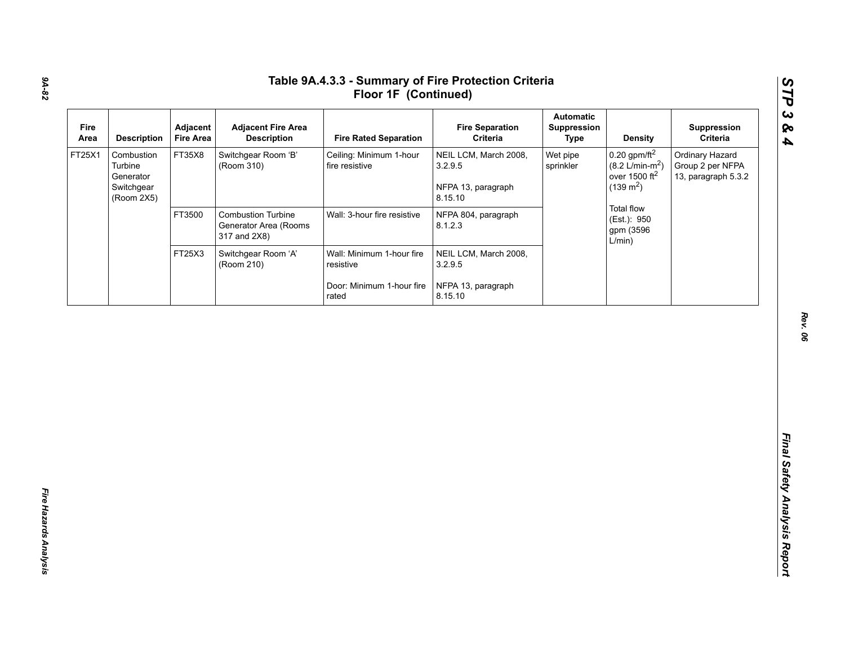| Fire<br>Area | <b>Description</b>                                             | Adjacent<br><b>Fire Area</b> | <b>Adjacent Fire Area</b><br><b>Description</b>                    | <b>Fire Rated Separation</b>              | <b>Fire Separation</b><br>Criteria                                | <b>Automatic</b><br>Suppression<br><b>Type</b> | <b>Density</b>                                                                                    | Suppression<br>Criteria                                    |
|--------------|----------------------------------------------------------------|------------------------------|--------------------------------------------------------------------|-------------------------------------------|-------------------------------------------------------------------|------------------------------------------------|---------------------------------------------------------------------------------------------------|------------------------------------------------------------|
| FT25X1       | Combustion<br>Turbine<br>Generator<br>Switchgear<br>(Room 2X5) | FT35X8                       | Switchgear Room 'B'<br>(Room 310)                                  | Ceiling: Minimum 1-hour<br>fire resistive | NEIL LCM, March 2008,<br>3.2.9.5<br>NFPA 13, paragraph<br>8.15.10 | Wet pipe<br>sprinkler                          | $0.20$ gpm/ft <sup>2</sup><br>$(8.2 \text{ L/min-m}^2)$<br>over 1500 $ft2$<br>$(139 \text{ m}^2)$ | Ordinary Hazard<br>Group 2 per NFPA<br>13, paragraph 5.3.2 |
|              |                                                                | FT3500                       | <b>Combustion Turbine</b><br>Generator Area (Rooms<br>317 and 2X8) | Wall: 3-hour fire resistive               | NFPA 804, paragraph<br>8.1.2.3                                    |                                                | <b>Total flow</b><br>(Est.): 950<br>gpm (3596<br>L/min)                                           |                                                            |
|              |                                                                | FT25X3                       | Switchgear Room 'A'<br>(Room 210)                                  | Wall: Minimum 1-hour fire<br>resistive    | NEIL LCM, March 2008,<br>3.2.9.5                                  |                                                |                                                                                                   |                                                            |
|              |                                                                |                              |                                                                    | Door: Minimum 1-hour fire<br>rated        | NFPA 13, paragraph<br>8.15.10                                     |                                                |                                                                                                   |                                                            |
|              |                                                                |                              |                                                                    |                                           |                                                                   |                                                |                                                                                                   |                                                            |
|              |                                                                |                              |                                                                    |                                           |                                                                   |                                                |                                                                                                   |                                                            |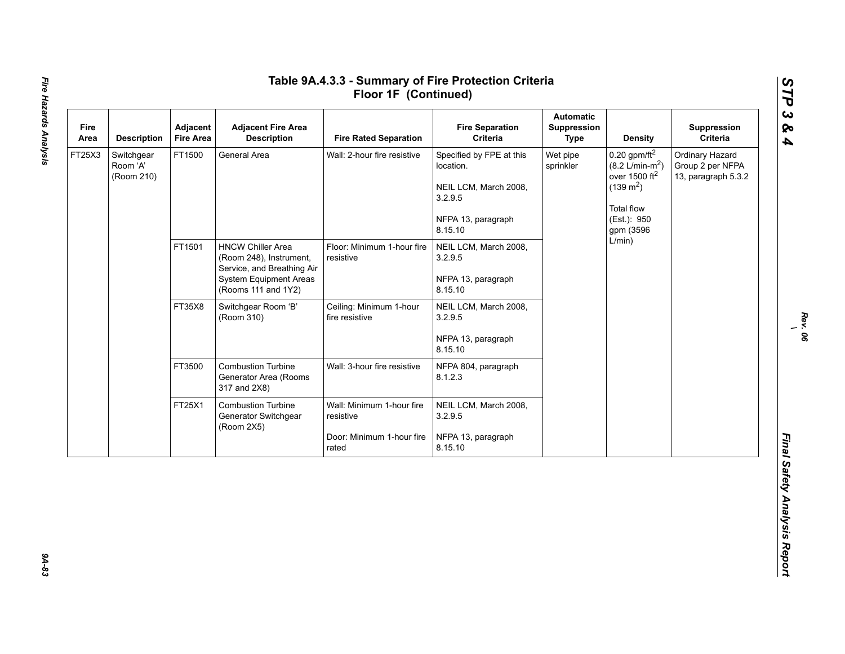| Fire<br>Area | <b>Description</b>                   | Adjacent<br><b>Fire Area</b> | <b>Adjacent Fire Area</b><br><b>Description</b>                                                                                           | <b>Fire Rated Separation</b>                                                 | <b>Fire Separation</b><br>Criteria                                                                         | <b>Automatic</b><br>Suppression<br><b>Type</b> | <b>Density</b>                                                                                                                              | Suppression<br>Criteria                                    |        |  |  |
|--------------|--------------------------------------|------------------------------|-------------------------------------------------------------------------------------------------------------------------------------------|------------------------------------------------------------------------------|------------------------------------------------------------------------------------------------------------|------------------------------------------------|---------------------------------------------------------------------------------------------------------------------------------------------|------------------------------------------------------------|--------|--|--|
| FT25X3       | Switchgear<br>Room 'A'<br>(Room 210) | FT1500                       | General Area                                                                                                                              | Wall: 2-hour fire resistive                                                  | Specified by FPE at this<br>location.<br>NEIL LCM, March 2008,<br>3.2.9.5<br>NFPA 13, paragraph<br>8.15.10 | Wet pipe<br>sprinkler                          | $0.20$ gpm/ft <sup>2</sup><br>$(8.2 \text{ L/min-m}^2)$<br>over 1500 $ft2$<br>$(139 \text{ m}^2)$<br>Total flow<br>(Est.): 950<br>gpm (3596 | Ordinary Hazard<br>Group 2 per NFPA<br>13, paragraph 5.3.2 |        |  |  |
|              |                                      | FT1501                       | <b>HNCW Chiller Area</b><br>(Room 248), Instrument,<br>Service, and Breathing Air<br><b>System Equipment Areas</b><br>(Rooms 111 and 1Y2) | Floor: Minimum 1-hour fire<br>resistive                                      | NEIL LCM, March 2008,<br>3.2.9.5<br>NFPA 13, paragraph<br>8.15.10                                          |                                                |                                                                                                                                             |                                                            | L/min) |  |  |
|              |                                      | FT35X8                       | Switchgear Room 'B'<br>(Room 310)                                                                                                         | Ceiling: Minimum 1-hour<br>fire resistive                                    | NEIL LCM, March 2008,<br>3.2.9.5<br>NFPA 13, paragraph<br>8.15.10                                          |                                                |                                                                                                                                             |                                                            |        |  |  |
|              |                                      | FT3500                       | <b>Combustion Turbine</b><br>Generator Area (Rooms<br>317 and 2X8)                                                                        | Wall: 3-hour fire resistive                                                  | NFPA 804, paragraph<br>8.1.2.3                                                                             |                                                |                                                                                                                                             |                                                            |        |  |  |
|              |                                      | FT25X1                       | <b>Combustion Turbine</b><br>Generator Switchgear<br>(Room 2X5)                                                                           | Wall: Minimum 1-hour fire<br>resistive<br>Door: Minimum 1-hour fire<br>rated | NEIL LCM, March 2008,<br>3.2.9.5<br>NFPA 13, paragraph<br>8.15.10                                          |                                                |                                                                                                                                             |                                                            |        |  |  |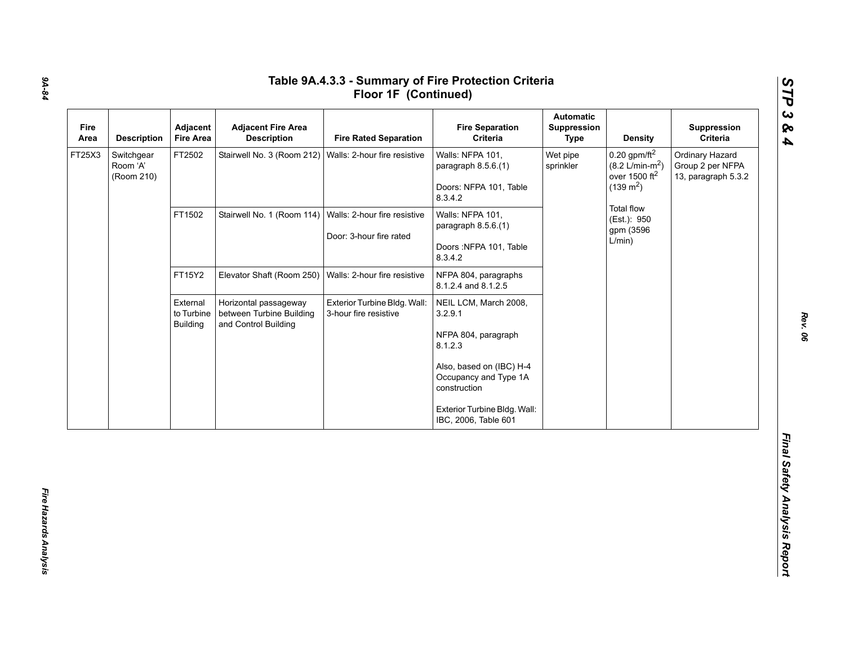| Fire<br>Area | <b>Description</b>                   | Adjacent<br><b>Fire Area</b>              | <b>Adjacent Fire Area</b><br><b>Description</b>                           | <b>Fire Rated Separation</b>                            | <b>Fire Separation</b><br>Criteria                                                                                                                                                              | <b>Automatic</b><br>Suppression<br><b>Type</b> | <b>Density</b>                                                                                    | Suppression<br>Criteria                                    |
|--------------|--------------------------------------|-------------------------------------------|---------------------------------------------------------------------------|---------------------------------------------------------|-------------------------------------------------------------------------------------------------------------------------------------------------------------------------------------------------|------------------------------------------------|---------------------------------------------------------------------------------------------------|------------------------------------------------------------|
| FT25X3       | Switchgear<br>Room 'A'<br>(Room 210) | FT2502                                    | Stairwell No. 3 (Room 212)                                                | Walls: 2-hour fire resistive                            | Walls: NFPA 101,<br>paragraph 8.5.6.(1)<br>Doors: NFPA 101, Table<br>8.3.4.2                                                                                                                    | Wet pipe<br>sprinkler                          | $0.20$ gpm/ft <sup>2</sup><br>$(8.2 \text{ L/min-m}^2)$<br>over 1500 $ft2$<br>$(139 \text{ m}^2)$ | Ordinary Hazard<br>Group 2 per NFPA<br>13, paragraph 5.3.2 |
|              |                                      | FT1502                                    | Stairwell No. 1 (Room 114)                                                | Walls: 2-hour fire resistive<br>Door: 3-hour fire rated | Walls: NFPA 101,<br>paragraph 8.5.6.(1)<br>Doors: NFPA 101, Table<br>8.3.4.2                                                                                                                    |                                                | Total flow<br>(Est.): 950<br>gpm (3596<br>L/min)                                                  |                                                            |
|              |                                      | FT15Y2                                    | Elevator Shaft (Room 250)                                                 | Walls: 2-hour fire resistive                            | NFPA 804, paragraphs<br>8.1.2.4 and 8.1.2.5                                                                                                                                                     |                                                |                                                                                                   |                                                            |
|              |                                      | External<br>to Turbine<br><b>Building</b> | Horizontal passageway<br>between Turbine Building<br>and Control Building | Exterior Turbine Bldg. Wall:<br>3-hour fire resistive   | NEIL LCM, March 2008,<br>3.2.9.1<br>NFPA 804, paragraph<br>8.1.2.3<br>Also, based on (IBC) H-4<br>Occupancy and Type 1A<br>construction<br>Exterior Turbine Bldg. Wall:<br>IBC, 2006, Table 601 |                                                |                                                                                                   |                                                            |

# *9A-84*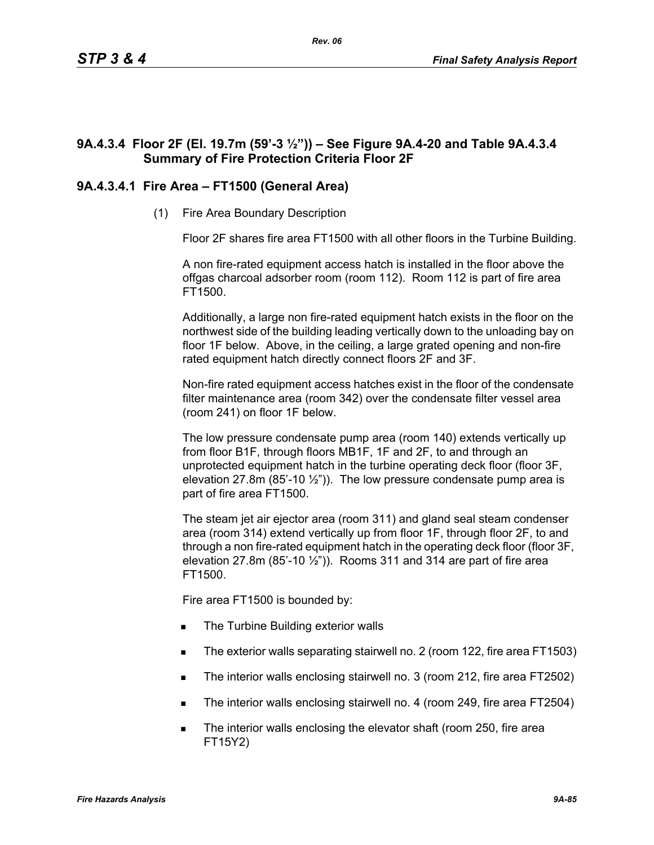# **9A.4.3.4 Floor 2F (El. 19.7m (59'-3 ½")) – See Figure 9A.4-20 and Table 9A.4.3.4 Summary of Fire Protection Criteria Floor 2F**

# **9A.4.3.4.1 Fire Area – FT1500 (General Area)**

(1) Fire Area Boundary Description

Floor 2F shares fire area FT1500 with all other floors in the Turbine Building.

A non fire-rated equipment access hatch is installed in the floor above the offgas charcoal adsorber room (room 112). Room 112 is part of fire area FT1500.

Additionally, a large non fire-rated equipment hatch exists in the floor on the northwest side of the building leading vertically down to the unloading bay on floor 1F below. Above, in the ceiling, a large grated opening and non-fire rated equipment hatch directly connect floors 2F and 3F.

Non-fire rated equipment access hatches exist in the floor of the condensate filter maintenance area (room 342) over the condensate filter vessel area (room 241) on floor 1F below.

The low pressure condensate pump area (room 140) extends vertically up from floor B1F, through floors MB1F, 1F and 2F, to and through an unprotected equipment hatch in the turbine operating deck floor (floor 3F, elevation 27.8m (85'-10  $\frac{1}{2}$ ")). The low pressure condensate pump area is part of fire area FT1500.

The steam jet air ejector area (room 311) and gland seal steam condenser area (room 314) extend vertically up from floor 1F, through floor 2F, to and through a non fire-rated equipment hatch in the operating deck floor (floor 3F, elevation 27.8m (85'-10  $\frac{1}{2}$ ")). Rooms 311 and 314 are part of fire area FT1500.

Fire area FT1500 is bounded by:

- The Turbine Building exterior walls
- The exterior walls separating stairwell no. 2 (room 122, fire area FT1503)
- The interior walls enclosing stairwell no. 3 (room 212, fire area FT2502)
- The interior walls enclosing stairwell no. 4 (room 249, fire area FT2504)
- The interior walls enclosing the elevator shaft (room 250, fire area FT15Y2)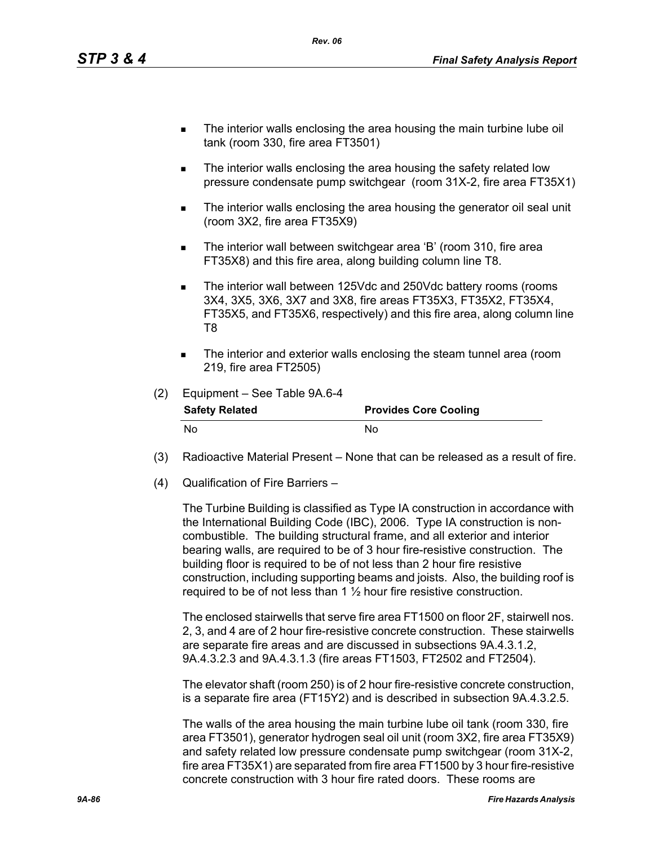- The interior walls enclosing the area housing the main turbine lube oil tank (room 330, fire area FT3501)
- The interior walls enclosing the area housing the safety related low pressure condensate pump switchgear (room 31X-2, fire area FT35X1)
- **The interior walls enclosing the area housing the generator oil seal unit** (room 3X2, fire area FT35X9)
- The interior wall between switchgear area 'B' (room 310, fire area FT35X8) and this fire area, along building column line T8.
- The interior wall between 125Vdc and 250Vdc battery rooms (rooms 3X4, 3X5, 3X6, 3X7 and 3X8, fire areas FT35X3, FT35X2, FT35X4, FT35X5, and FT35X6, respectively) and this fire area, along column line T8
- The interior and exterior walls enclosing the steam tunnel area (room 219, fire area FT2505)

| (2) | Equipment - See Table 9A.6-4 |                              |
|-----|------------------------------|------------------------------|
|     | <b>Safety Related</b>        | <b>Provides Core Cooling</b> |
|     | N٥                           | N٥                           |

- (3) Radioactive Material Present None that can be released as a result of fire.
- (4) Qualification of Fire Barriers –

The Turbine Building is classified as Type IA construction in accordance with the International Building Code (IBC), 2006. Type IA construction is noncombustible. The building structural frame, and all exterior and interior bearing walls, are required to be of 3 hour fire-resistive construction. The building floor is required to be of not less than 2 hour fire resistive construction, including supporting beams and joists. Also, the building roof is required to be of not less than 1 ½ hour fire resistive construction.

The enclosed stairwells that serve fire area FT1500 on floor 2F, stairwell nos. 2, 3, and 4 are of 2 hour fire-resistive concrete construction. These stairwells are separate fire areas and are discussed in subsections 9A.4.3.1.2, 9A.4.3.2.3 and 9A.4.3.1.3 (fire areas FT1503, FT2502 and FT2504).

The elevator shaft (room 250) is of 2 hour fire-resistive concrete construction, is a separate fire area (FT15Y2) and is described in subsection 9A.4.3.2.5.

The walls of the area housing the main turbine lube oil tank (room 330, fire area FT3501), generator hydrogen seal oil unit (room 3X2, fire area FT35X9) and safety related low pressure condensate pump switchgear (room 31X-2, fire area FT35X1) are separated from fire area FT1500 by 3 hour fire-resistive concrete construction with 3 hour fire rated doors. These rooms are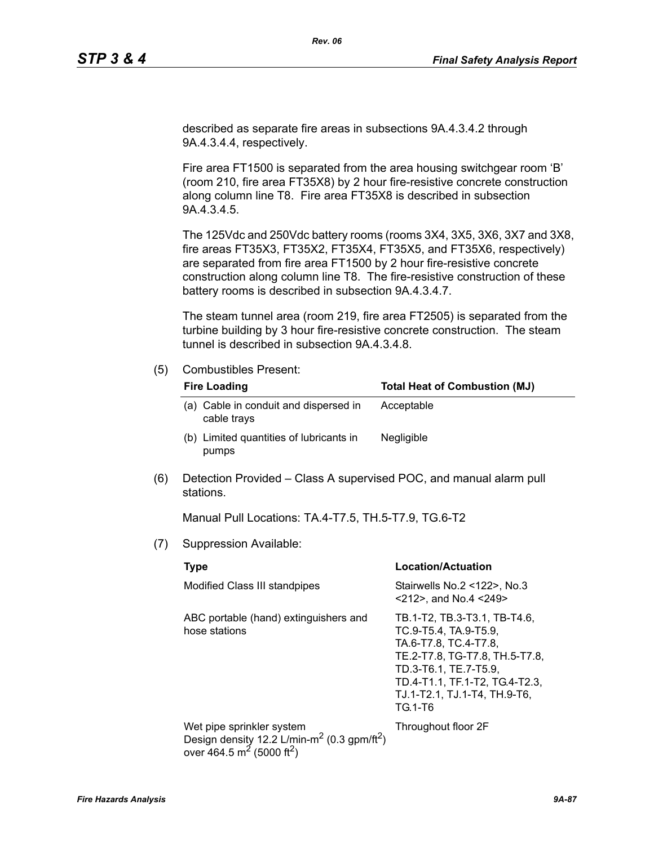described as separate fire areas in subsections 9A.4.3.4.2 through 9A.4.3.4.4, respectively.

Fire area FT1500 is separated from the area housing switchgear room 'B' (room 210, fire area FT35X8) by 2 hour fire-resistive concrete construction along column line T8. Fire area FT35X8 is described in subsection 9A.4.3.4.5.

The 125Vdc and 250Vdc battery rooms (rooms 3X4, 3X5, 3X6, 3X7 and 3X8, fire areas FT35X3, FT35X2, FT35X4, FT35X5, and FT35X6, respectively) are separated from fire area FT1500 by 2 hour fire-resistive concrete construction along column line T8. The fire-resistive construction of these battery rooms is described in subsection 9A.4.3.4.7.

The steam tunnel area (room 219, fire area FT2505) is separated from the turbine building by 3 hour fire-resistive concrete construction. The steam tunnel is described in subsection 9A.4.3.4.8.

### (5) Combustibles Present:

| <b>Fire Loading</b>                                  | <b>Total Heat of Combustion (MJ)</b> |
|------------------------------------------------------|--------------------------------------|
| (a) Cable in conduit and dispersed in<br>cable trays | Acceptable                           |
| (b) Limited quantities of lubricants in<br>pumps     | <b>Negligible</b>                    |

(6) Detection Provided – Class A supervised POC, and manual alarm pull stations.

Manual Pull Locations: TA.4-T7.5, TH.5-T7.9, TG.6-T2

(7) Suppression Available:

| <b>Type</b>                                                                                                                                           | Location/Actuation                                                                                                                                                                                                     |
|-------------------------------------------------------------------------------------------------------------------------------------------------------|------------------------------------------------------------------------------------------------------------------------------------------------------------------------------------------------------------------------|
| Modified Class III standpipes                                                                                                                         | Stairwells No.2 <122>, No.3<br>$<$ 212>, and No.4 $<$ 249>                                                                                                                                                             |
| ABC portable (hand) extinguishers and<br>hose stations                                                                                                | TB.1-T2, TB.3-T3.1, TB-T4.6,<br>TC.9-T5.4, TA.9-T5.9,<br>TA.6-T7.8, TC.4-T7.8,<br>TE.2-T7.8, TG-T7.8, TH.5-T7.8,<br>TD.3-T6.1. TE.7-T5.9.<br>TD.4-T1.1, TF.1-T2, TG.4-T2.3,<br>TJ.1-T2.1, TJ.1-T4, TH.9-T6,<br>TG.1-T6 |
| Wet pipe sprinkler system<br>Design density 12.2 L/min-m <sup>2</sup> (0.3 gpm/ft <sup>2</sup> )<br>over 464.5 m <sup>2</sup> (5000 ft <sup>2</sup> ) | Throughout floor 2F                                                                                                                                                                                                    |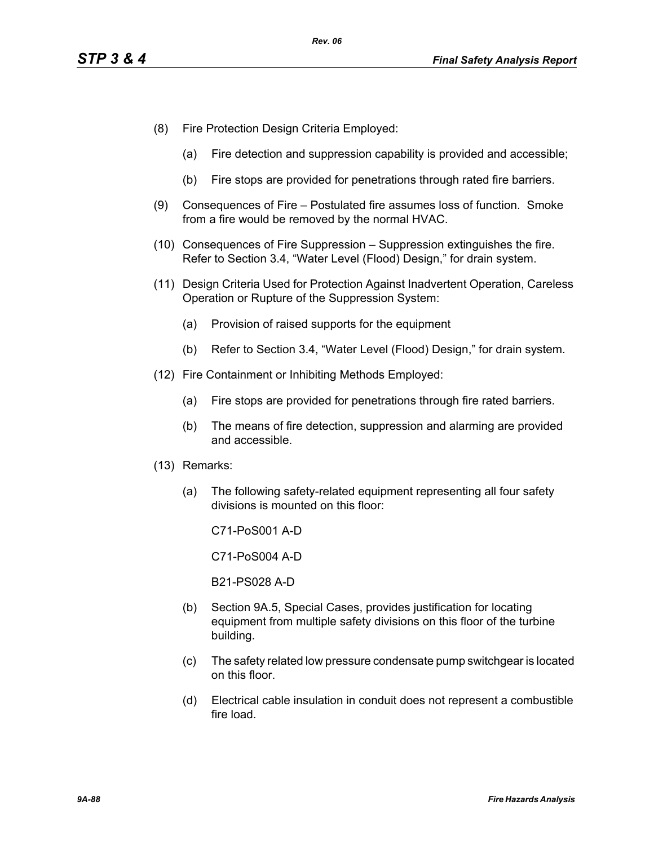- (8) Fire Protection Design Criteria Employed:
	- (a) Fire detection and suppression capability is provided and accessible;
	- (b) Fire stops are provided for penetrations through rated fire barriers.
- (9) Consequences of Fire Postulated fire assumes loss of function. Smoke from a fire would be removed by the normal HVAC.
- (10) Consequences of Fire Suppression Suppression extinguishes the fire. Refer to Section 3.4, "Water Level (Flood) Design," for drain system.
- (11) Design Criteria Used for Protection Against Inadvertent Operation, Careless Operation or Rupture of the Suppression System:
	- (a) Provision of raised supports for the equipment
	- (b) Refer to Section 3.4, "Water Level (Flood) Design," for drain system.
- (12) Fire Containment or Inhibiting Methods Employed:
	- (a) Fire stops are provided for penetrations through fire rated barriers.
	- (b) The means of fire detection, suppression and alarming are provided and accessible.
- (13) Remarks:
	- (a) The following safety-related equipment representing all four safety divisions is mounted on this floor:

C71-PoS001 A-D

C71-PoS004 A-D

B21-PS028 A-D

- (b) Section 9A.5, Special Cases, provides justification for locating equipment from multiple safety divisions on this floor of the turbine building.
- (c) The safety related low pressure condensate pump switchgear is located on this floor.
- (d) Electrical cable insulation in conduit does not represent a combustible fire load.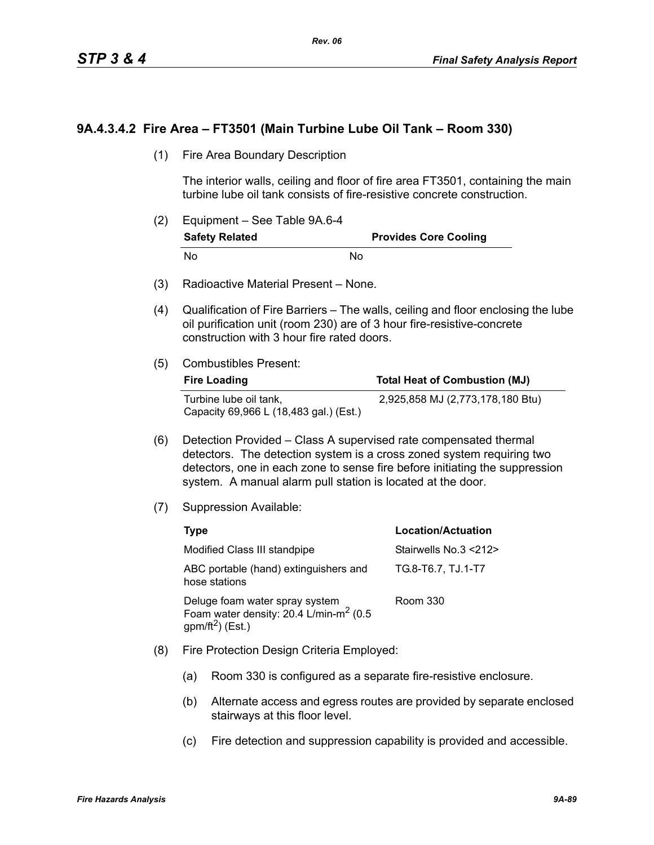# **9A.4.3.4.2 Fire Area – FT3501 (Main Turbine Lube Oil Tank – Room 330)**

(1) Fire Area Boundary Description

The interior walls, ceiling and floor of fire area FT3501, containing the main turbine lube oil tank consists of fire-resistive concrete construction.

- (2) Equipment See Table 9A.6-4 **Safety Related Provides Core Cooling** No No
- (3) Radioactive Material Present None.
- (4) Qualification of Fire Barriers The walls, ceiling and floor enclosing the lube oil purification unit (room 230) are of 3 hour fire-resistive-concrete construction with 3 hour fire rated doors.
- (5) Combustibles Present:

| <b>Fire Loading</b>                                              | <b>Total Heat of Combustion (MJ)</b> |
|------------------------------------------------------------------|--------------------------------------|
| Turbine lube oil tank,<br>Capacity 69,966 L (18,483 gal.) (Est.) | 2,925,858 MJ (2,773,178,180 Btu)     |

- (6) Detection Provided Class A supervised rate compensated thermal detectors. The detection system is a cross zoned system requiring two detectors, one in each zone to sense fire before initiating the suppression system. A manual alarm pull station is located at the door.
- (7) Suppression Available:

| Type                                                                                                        | <b>Location/Actuation</b> |
|-------------------------------------------------------------------------------------------------------------|---------------------------|
| Modified Class III standpipe                                                                                | Stairwells No.3 <212>     |
| ABC portable (hand) extinguishers and<br>hose stations                                                      | TG.8-T6.7, TJ.1-T7        |
| Deluge foam water spray system<br>Foam water density: 20.4 L/min-m <sup>2</sup> (0.5<br>$gpm/ft^2$ ) (Est.) | Room 330                  |

- (8) Fire Protection Design Criteria Employed:
	- (a) Room 330 is configured as a separate fire-resistive enclosure.
	- (b) Alternate access and egress routes are provided by separate enclosed stairways at this floor level.
	- (c) Fire detection and suppression capability is provided and accessible.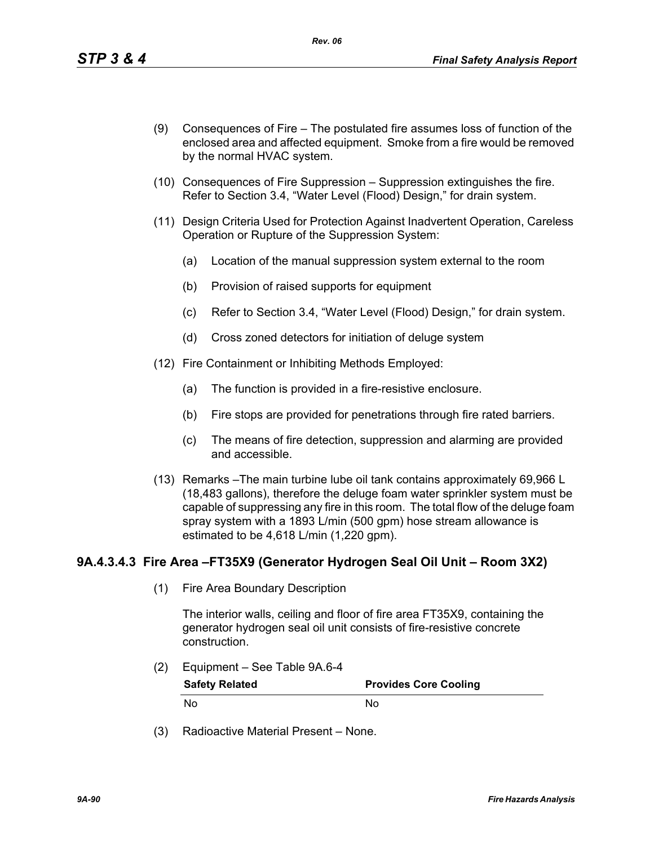- (9) Consequences of Fire The postulated fire assumes loss of function of the enclosed area and affected equipment. Smoke from a fire would be removed by the normal HVAC system.
- (10) Consequences of Fire Suppression Suppression extinguishes the fire. Refer to Section 3.4, "Water Level (Flood) Design," for drain system.
- (11) Design Criteria Used for Protection Against Inadvertent Operation, Careless Operation or Rupture of the Suppression System:
	- (a) Location of the manual suppression system external to the room
	- (b) Provision of raised supports for equipment
	- (c) Refer to Section 3.4, "Water Level (Flood) Design," for drain system.
	- (d) Cross zoned detectors for initiation of deluge system
- (12) Fire Containment or Inhibiting Methods Employed:
	- (a) The function is provided in a fire-resistive enclosure.
	- (b) Fire stops are provided for penetrations through fire rated barriers.
	- (c) The means of fire detection, suppression and alarming are provided and accessible.
- (13) Remarks –The main turbine lube oil tank contains approximately 69,966 L (18,483 gallons), therefore the deluge foam water sprinkler system must be capable of suppressing any fire in this room. The total flow of the deluge foam spray system with a 1893 L/min (500 gpm) hose stream allowance is estimated to be 4,618 L/min (1,220 gpm).

# **9A.4.3.4.3 Fire Area –FT35X9 (Generator Hydrogen Seal Oil Unit – Room 3X2)**

(1) Fire Area Boundary Description

The interior walls, ceiling and floor of fire area FT35X9, containing the generator hydrogen seal oil unit consists of fire-resistive concrete construction.

- (2) Equipment See Table 9A.6-4 **Safety Related Provides Core Cooling** No No
- (3) Radioactive Material Present None.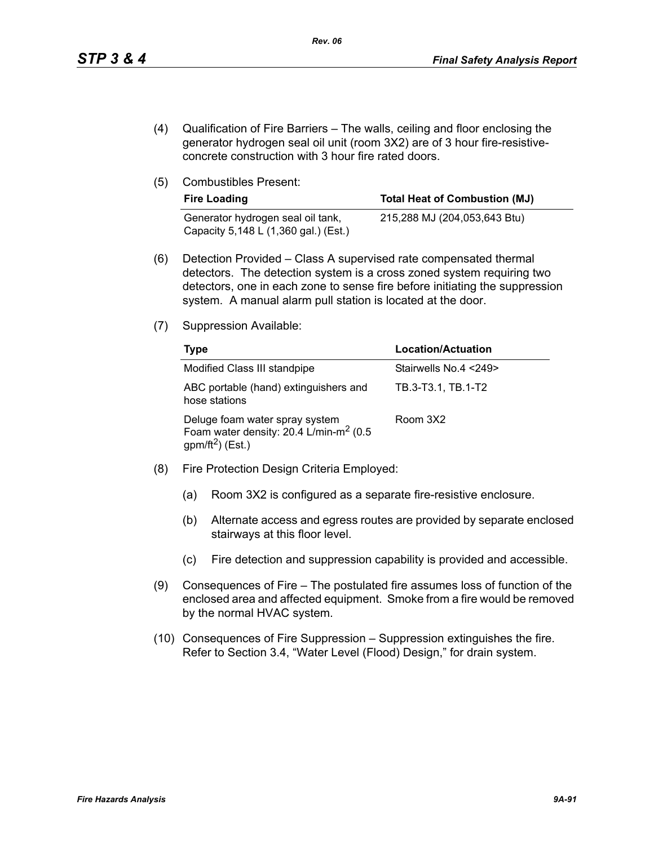- (4) Qualification of Fire Barriers The walls, ceiling and floor enclosing the generator hydrogen seal oil unit (room 3X2) are of 3 hour fire-resistiveconcrete construction with 3 hour fire rated doors.
- (5) Combustibles Present:

| <b>Fire Loading</b>                                                       | <b>Total Heat of Combustion (MJ)</b> |
|---------------------------------------------------------------------------|--------------------------------------|
| Generator hydrogen seal oil tank,<br>Capacity 5,148 L (1,360 gal.) (Est.) | 215,288 MJ (204,053,643 Btu)         |

- (6) Detection Provided Class A supervised rate compensated thermal detectors. The detection system is a cross zoned system requiring two detectors, one in each zone to sense fire before initiating the suppression system. A manual alarm pull station is located at the door.
- (7) Suppression Available:

| Type                                                                                                                 | <b>Location/Actuation</b> |
|----------------------------------------------------------------------------------------------------------------------|---------------------------|
| Modified Class III standpipe                                                                                         | Stairwells No.4 <249>     |
| ABC portable (hand) extinguishers and<br>hose stations                                                               | TB.3-T3.1, TB.1-T2        |
| Deluge foam water spray system<br>Foam water density: 20.4 L/min-m <sup>2</sup> (0.5<br>gpm/ft <sup>2</sup> ) (Est.) | Room 3X2                  |

- (8) Fire Protection Design Criteria Employed:
	- (a) Room 3X2 is configured as a separate fire-resistive enclosure.
	- (b) Alternate access and egress routes are provided by separate enclosed stairways at this floor level.
	- (c) Fire detection and suppression capability is provided and accessible.
- (9) Consequences of Fire The postulated fire assumes loss of function of the enclosed area and affected equipment. Smoke from a fire would be removed by the normal HVAC system.
- (10) Consequences of Fire Suppression Suppression extinguishes the fire. Refer to Section 3.4, "Water Level (Flood) Design," for drain system.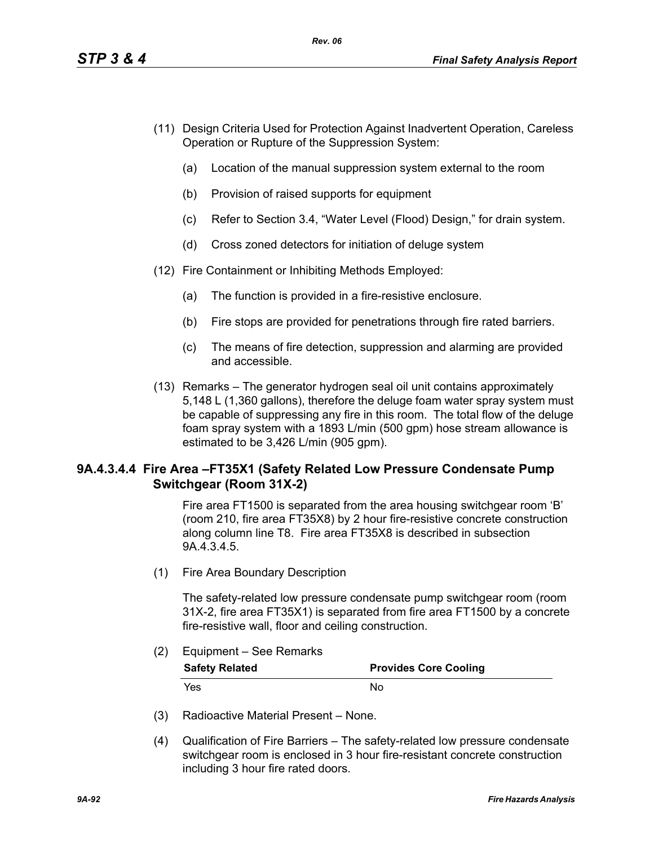- (11) Design Criteria Used for Protection Against Inadvertent Operation, Careless Operation or Rupture of the Suppression System:
	- (a) Location of the manual suppression system external to the room
	- (b) Provision of raised supports for equipment
	- (c) Refer to Section 3.4, "Water Level (Flood) Design," for drain system.
	- (d) Cross zoned detectors for initiation of deluge system
- (12) Fire Containment or Inhibiting Methods Employed:
	- (a) The function is provided in a fire-resistive enclosure.
	- (b) Fire stops are provided for penetrations through fire rated barriers.
	- (c) The means of fire detection, suppression and alarming are provided and accessible.
- (13) Remarks The generator hydrogen seal oil unit contains approximately 5,148 L (1,360 gallons), therefore the deluge foam water spray system must be capable of suppressing any fire in this room. The total flow of the deluge foam spray system with a 1893 L/min (500 gpm) hose stream allowance is estimated to be 3,426 L/min (905 gpm).

# **9A.4.3.4.4 Fire Area –FT35X1 (Safety Related Low Pressure Condensate Pump Switchgear (Room 31X-2)**

Fire area FT1500 is separated from the area housing switchgear room 'B' (room 210, fire area FT35X8) by 2 hour fire-resistive concrete construction along column line T8. Fire area FT35X8 is described in subsection 9A.4.3.4.5.

(1) Fire Area Boundary Description

The safety-related low pressure condensate pump switchgear room (room 31X-2, fire area FT35X1) is separated from fire area FT1500 by a concrete fire-resistive wall, floor and ceiling construction.

## (2) Equipment – See Remarks

| <b>Safety Related</b> | <b>Provides Core Cooling</b> |
|-----------------------|------------------------------|
| Yes.                  | Nο                           |

- (3) Radioactive Material Present None.
- (4) Qualification of Fire Barriers The safety-related low pressure condensate switchgear room is enclosed in 3 hour fire-resistant concrete construction including 3 hour fire rated doors.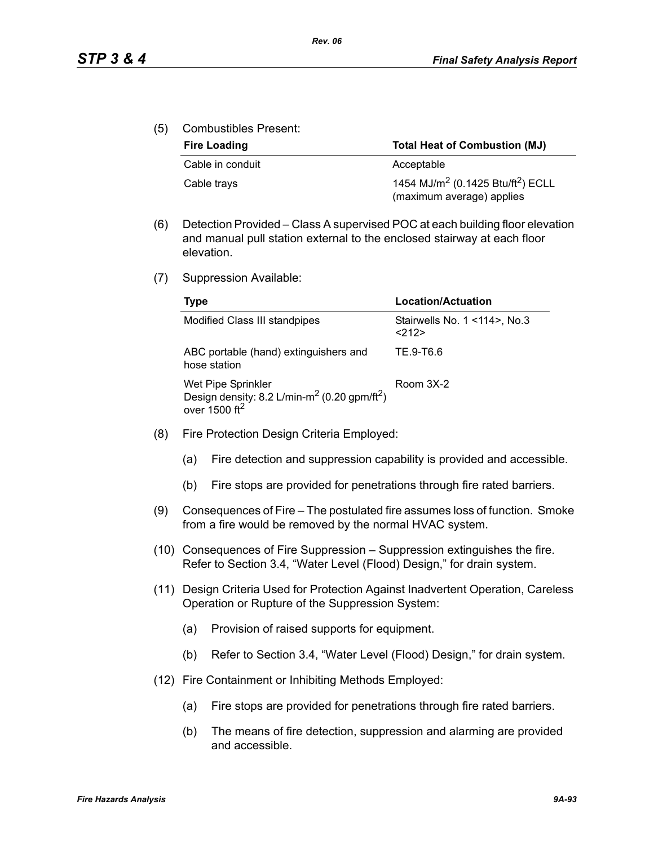(5) Combustibles Present:

| <b>Fire Loading</b> | <b>Total Heat of Combustion (MJ)</b>                                                   |
|---------------------|----------------------------------------------------------------------------------------|
| Cable in conduit    | Acceptable                                                                             |
| Cable trays         | 1454 MJ/m <sup>2</sup> (0.1425 Btu/ft <sup>2</sup> ) ECLL<br>(maximum average) applies |

- (6) Detection Provided Class A supervised POC at each building floor elevation and manual pull station external to the enclosed stairway at each floor elevation.
- (7) Suppression Available:

| Type                                                                                                                    | Location/Actuation                          |
|-------------------------------------------------------------------------------------------------------------------------|---------------------------------------------|
| Modified Class III standpipes                                                                                           | Stairwells No. 1 < 114 >, No. 3<br>$<$ 212> |
| ABC portable (hand) extinguishers and<br>hose station                                                                   | TE 9-T6.6                                   |
| Wet Pipe Sprinkler<br>Design density: 8.2 L/min-m <sup>2</sup> (0.20 gpm/ft <sup>2</sup> )<br>over 1500 ft <sup>2</sup> | Room 3X-2                                   |

- (8) Fire Protection Design Criteria Employed:
	- (a) Fire detection and suppression capability is provided and accessible.
	- (b) Fire stops are provided for penetrations through fire rated barriers.
- (9) Consequences of Fire The postulated fire assumes loss of function. Smoke from a fire would be removed by the normal HVAC system.
- (10) Consequences of Fire Suppression Suppression extinguishes the fire. Refer to Section 3.4, "Water Level (Flood) Design," for drain system.
- (11) Design Criteria Used for Protection Against Inadvertent Operation, Careless Operation or Rupture of the Suppression System:
	- (a) Provision of raised supports for equipment.
	- (b) Refer to Section 3.4, "Water Level (Flood) Design," for drain system.
- (12) Fire Containment or Inhibiting Methods Employed:
	- (a) Fire stops are provided for penetrations through fire rated barriers.
	- (b) The means of fire detection, suppression and alarming are provided and accessible.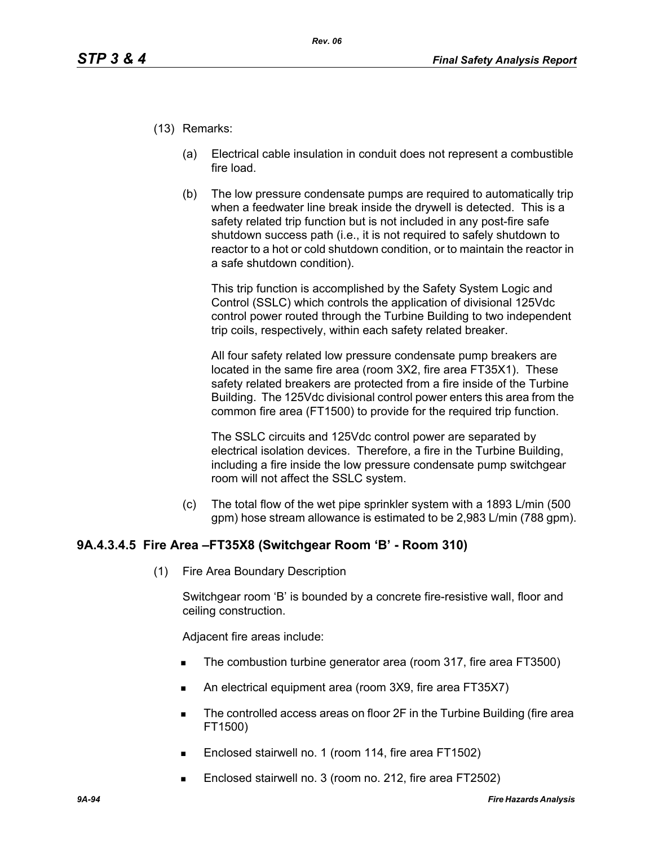- (13) Remarks:
	- (a) Electrical cable insulation in conduit does not represent a combustible fire load.
	- (b) The low pressure condensate pumps are required to automatically trip when a feedwater line break inside the drywell is detected. This is a safety related trip function but is not included in any post-fire safe shutdown success path (i.e., it is not required to safely shutdown to reactor to a hot or cold shutdown condition, or to maintain the reactor in a safe shutdown condition).

This trip function is accomplished by the Safety System Logic and Control (SSLC) which controls the application of divisional 125Vdc control power routed through the Turbine Building to two independent trip coils, respectively, within each safety related breaker.

All four safety related low pressure condensate pump breakers are located in the same fire area (room 3X2, fire area FT35X1). These safety related breakers are protected from a fire inside of the Turbine Building. The 125Vdc divisional control power enters this area from the common fire area (FT1500) to provide for the required trip function.

The SSLC circuits and 125Vdc control power are separated by electrical isolation devices. Therefore, a fire in the Turbine Building, including a fire inside the low pressure condensate pump switchgear room will not affect the SSLC system.

(c) The total flow of the wet pipe sprinkler system with a 1893 L/min (500 gpm) hose stream allowance is estimated to be 2,983 L/min (788 gpm).

# **9A.4.3.4.5 Fire Area –FT35X8 (Switchgear Room 'B' - Room 310)**

(1) Fire Area Boundary Description

Switchgear room 'B' is bounded by a concrete fire-resistive wall, floor and ceiling construction.

Adjacent fire areas include:

- The combustion turbine generator area (room 317, fire area FT3500)
- An electrical equipment area (room 3X9, fire area FT35X7)
- The controlled access areas on floor 2F in the Turbine Building (fire area FT1500)
- Enclosed stairwell no. 1 (room 114, fire area FT1502)
- Enclosed stairwell no. 3 (room no. 212, fire area FT2502)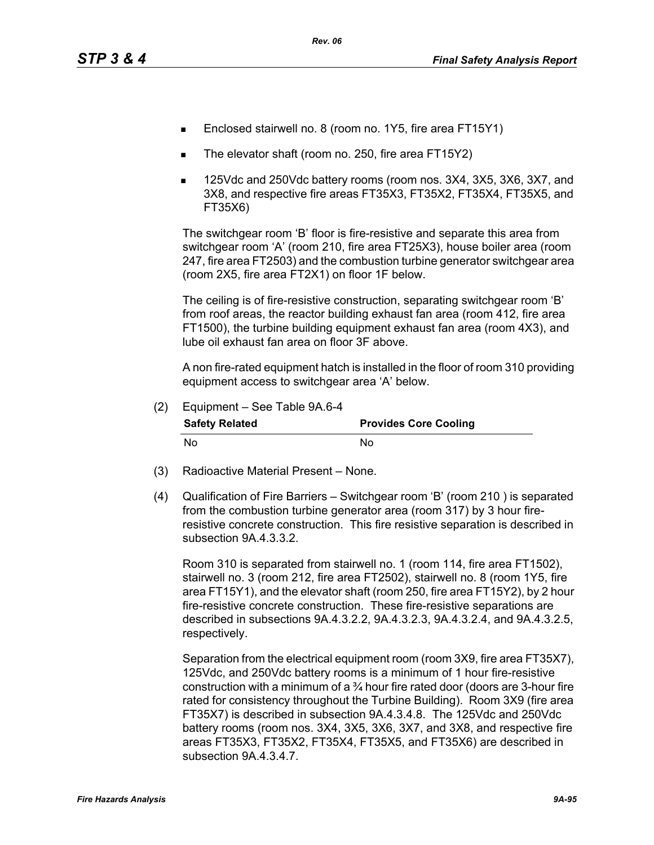- Enclosed stairwell no. 8 (room no. 1Y5, fire area FT15Y1)
- The elevator shaft (room no. 250, fire area FT15Y2)
- 125Vdc and 250Vdc battery rooms (room nos. 3X4, 3X5, 3X6, 3X7, and 3X8, and respective fire areas FT35X3, FT35X2, FT35X4, FT35X5, and FT35X6)

The switchgear room 'B' floor is fire-resistive and separate this area from switchgear room 'A' (room 210, fire area FT25X3), house boiler area (room 247, fire area FT2503) and the combustion turbine generator switchgear area (room 2X5, fire area FT2X1) on floor 1F below.

The ceiling is of fire-resistive construction, separating switchgear room 'B' from roof areas, the reactor building exhaust fan area (room 412, fire area FT1500), the turbine building equipment exhaust fan area (room 4X3), and lube oil exhaust fan area on floor 3F above.

A non fire-rated equipment hatch is installed in the floor of room 310 providing equipment access to switchgear area 'A' below.

| (2) | Equipment - See Table 9A.6-4 |                              |
|-----|------------------------------|------------------------------|
|     | <b>Safety Related</b>        | <b>Provides Core Cooling</b> |
|     | N٥                           | N٥                           |

- (3) Radioactive Material Present None.
- (4) Qualification of Fire Barriers Switchgear room 'B' (room 210 ) is separated from the combustion turbine generator area (room 317) by 3 hour fireresistive concrete construction. This fire resistive separation is described in subsection 9A.4.3.3.2.

Room 310 is separated from stairwell no. 1 (room 114, fire area FT1502), stairwell no. 3 (room 212, fire area FT2502), stairwell no. 8 (room 1Y5, fire area FT15Y1), and the elevator shaft (room 250, fire area FT15Y2), by 2 hour fire-resistive concrete construction. These fire-resistive separations are described in subsections 9A.4.3.2.2, 9A.4.3.2.3, 9A.4.3.2.4, and 9A.4.3.2.5, respectively.

Separation from the electrical equipment room (room 3X9, fire area FT35X7), 125Vdc, and 250Vdc battery rooms is a minimum of 1 hour fire-resistive construction with a minimum of a  $\frac{3}{4}$  hour fire rated door (doors are 3-hour fire rated for consistency throughout the Turbine Building). Room 3X9 (fire area FT35X7) is described in subsection 9A.4.3.4.8. The 125Vdc and 250Vdc battery rooms (room nos. 3X4, 3X5, 3X6, 3X7, and 3X8, and respective fire areas FT35X3, FT35X2, FT35X4, FT35X5, and FT35X6) are described in subsection 9A.4.3.4.7.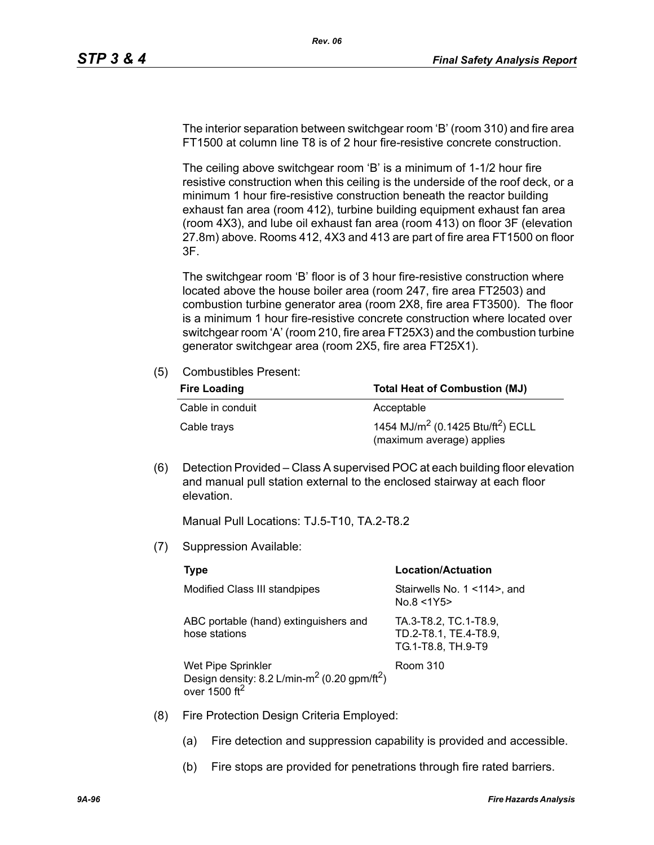The interior separation between switchgear room 'B' (room 310) and fire area FT1500 at column line T8 is of 2 hour fire-resistive concrete construction.

The ceiling above switchgear room 'B' is a minimum of 1-1/2 hour fire resistive construction when this ceiling is the underside of the roof deck, or a minimum 1 hour fire-resistive construction beneath the reactor building exhaust fan area (room 412), turbine building equipment exhaust fan area (room 4X3), and lube oil exhaust fan area (room 413) on floor 3F (elevation 27.8m) above. Rooms 412, 4X3 and 413 are part of fire area FT1500 on floor 3F.

The switchgear room 'B' floor is of 3 hour fire-resistive construction where located above the house boiler area (room 247, fire area FT2503) and combustion turbine generator area (room 2X8, fire area FT3500). The floor is a minimum 1 hour fire-resistive concrete construction where located over switchgear room 'A' (room 210, fire area FT25X3) and the combustion turbine generator switchgear area (room 2X5, fire area FT25X1).

(5) Combustibles Present:

| <b>Fire Loading</b> | <b>Total Heat of Combustion (MJ)</b>                                                   |
|---------------------|----------------------------------------------------------------------------------------|
| Cable in conduit    | Acceptable                                                                             |
| Cable trays         | 1454 MJ/m <sup>2</sup> (0.1425 Btu/ft <sup>2</sup> ) ECLL<br>(maximum average) applies |

(6) Detection Provided – Class A supervised POC at each building floor elevation and manual pull station external to the enclosed stairway at each floor elevation.

Manual Pull Locations: TJ.5-T10, TA.2-T8.2

(7) Suppression Available:

|     | Type                                                                                                                      | Location/Actuation                                                   |
|-----|---------------------------------------------------------------------------------------------------------------------------|----------------------------------------------------------------------|
|     | Modified Class III standpipes                                                                                             | Stairwells No. 1 < 14 >, and<br>No.8 < 1Y5                           |
|     | ABC portable (hand) extinguishers and<br>hose stations                                                                    | TA.3-T8.2, TC.1-T8.9,<br>TD.2-T8.1, TE.4-T8.9,<br>TG.1-T8.8, TH.9-T9 |
|     | Wet Pipe Sprinkler<br>Design density: 8.2 L/min-m <sup>2</sup> (0.20 gpm/ft <sup>2</sup> )<br>over $1500$ ft <sup>2</sup> | Room 310                                                             |
| (8) | Fire Protection Design Criteria Employed:                                                                                 |                                                                      |

- (a) Fire detection and suppression capability is provided and accessible.
- (b) Fire stops are provided for penetrations through fire rated barriers.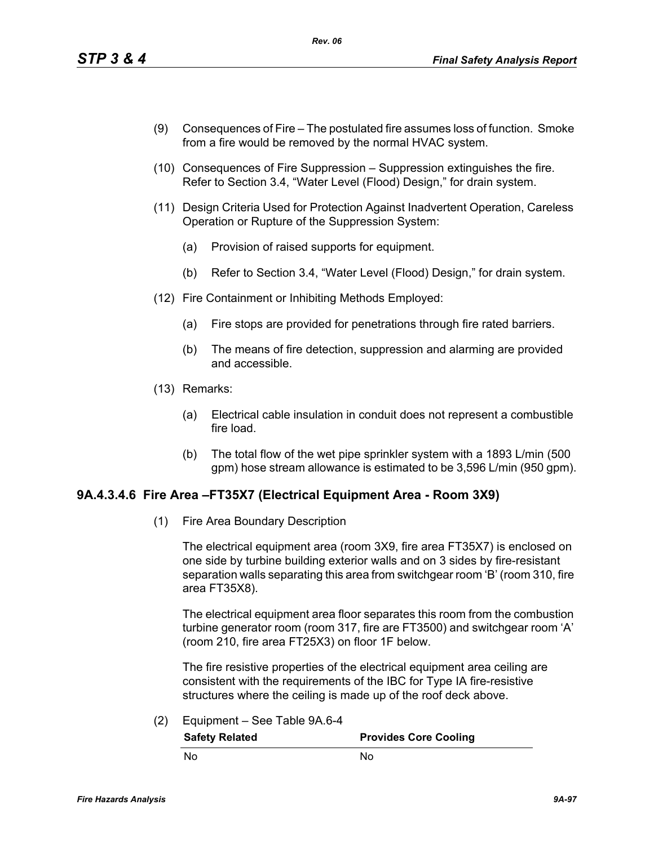- (9) Consequences of Fire The postulated fire assumes loss of function. Smoke from a fire would be removed by the normal HVAC system.
- (10) Consequences of Fire Suppression Suppression extinguishes the fire. Refer to Section 3.4, "Water Level (Flood) Design," for drain system.
- (11) Design Criteria Used for Protection Against Inadvertent Operation, Careless Operation or Rupture of the Suppression System:
	- (a) Provision of raised supports for equipment.
	- (b) Refer to Section 3.4, "Water Level (Flood) Design," for drain system.
- (12) Fire Containment or Inhibiting Methods Employed:
	- (a) Fire stops are provided for penetrations through fire rated barriers.
	- (b) The means of fire detection, suppression and alarming are provided and accessible.
- (13) Remarks:
	- (a) Electrical cable insulation in conduit does not represent a combustible fire load.
	- (b) The total flow of the wet pipe sprinkler system with a 1893 L/min (500 gpm) hose stream allowance is estimated to be 3,596 L/min (950 gpm).

## **9A.4.3.4.6 Fire Area –FT35X7 (Electrical Equipment Area - Room 3X9)**

(1) Fire Area Boundary Description

The electrical equipment area (room 3X9, fire area FT35X7) is enclosed on one side by turbine building exterior walls and on 3 sides by fire-resistant separation walls separating this area from switchgear room 'B' (room 310, fire area FT35X8).

The electrical equipment area floor separates this room from the combustion turbine generator room (room 317, fire are FT3500) and switchgear room 'A' (room 210, fire area FT25X3) on floor 1F below.

The fire resistive properties of the electrical equipment area ceiling are consistent with the requirements of the IBC for Type IA fire-resistive structures where the ceiling is made up of the roof deck above.

(2) Equipment – See Table 9A.6-4

**Safety Related Provides Core Cooling** No No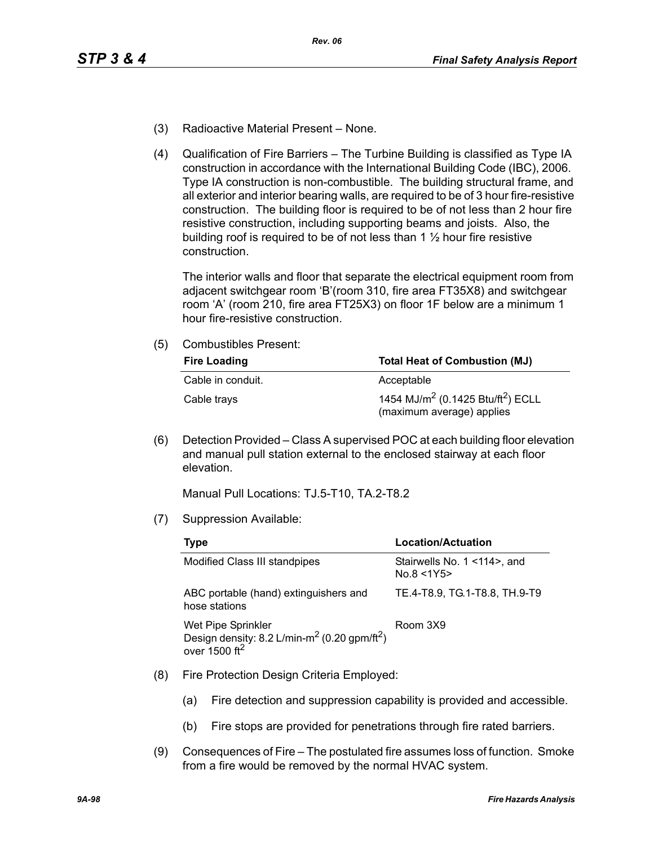- (3) Radioactive Material Present None.
- (4) Qualification of Fire Barriers The Turbine Building is classified as Type IA construction in accordance with the International Building Code (IBC), 2006. Type IA construction is non-combustible. The building structural frame, and all exterior and interior bearing walls, are required to be of 3 hour fire-resistive construction. The building floor is required to be of not less than 2 hour fire resistive construction, including supporting beams and joists. Also, the building roof is required to be of not less than  $1\frac{1}{2}$  hour fire resistive construction.

The interior walls and floor that separate the electrical equipment room from adjacent switchgear room 'B'(room 310, fire area FT35X8) and switchgear room 'A' (room 210, fire area FT25X3) on floor 1F below are a minimum 1 hour fire-resistive construction.

(5) Combustibles Present:

| <b>Fire Loading</b> | <b>Total Heat of Combustion (MJ)</b>                                                   |  |  |
|---------------------|----------------------------------------------------------------------------------------|--|--|
| Cable in conduit.   | Acceptable                                                                             |  |  |
| Cable trays         | 1454 MJ/m <sup>2</sup> (0.1425 Btu/ft <sup>2</sup> ) ECLL<br>(maximum average) applies |  |  |

(6) Detection Provided – Class A supervised POC at each building floor elevation and manual pull station external to the enclosed stairway at each floor elevation.

Manual Pull Locations: TJ.5-T10, TA.2-T8.2

(7) Suppression Available:

| Type                                                                                                                    | Location/Actuation                        |  |  |
|-------------------------------------------------------------------------------------------------------------------------|-------------------------------------------|--|--|
| Modified Class III standpipes                                                                                           | Stairwells No. 1 <114>, and<br>No.8 < 1Y5 |  |  |
| ABC portable (hand) extinguishers and<br>hose stations                                                                  | TE.4-T8.9, TG.1-T8.8, TH.9-T9             |  |  |
| Wet Pipe Sprinkler<br>Design density: 8.2 L/min-m <sup>2</sup> (0.20 gpm/ft <sup>2</sup> )<br>over 1500 ft <sup>2</sup> | Room 3X9                                  |  |  |

- (8) Fire Protection Design Criteria Employed:
	- (a) Fire detection and suppression capability is provided and accessible.
	- (b) Fire stops are provided for penetrations through fire rated barriers.
- (9) Consequences of Fire The postulated fire assumes loss of function. Smoke from a fire would be removed by the normal HVAC system.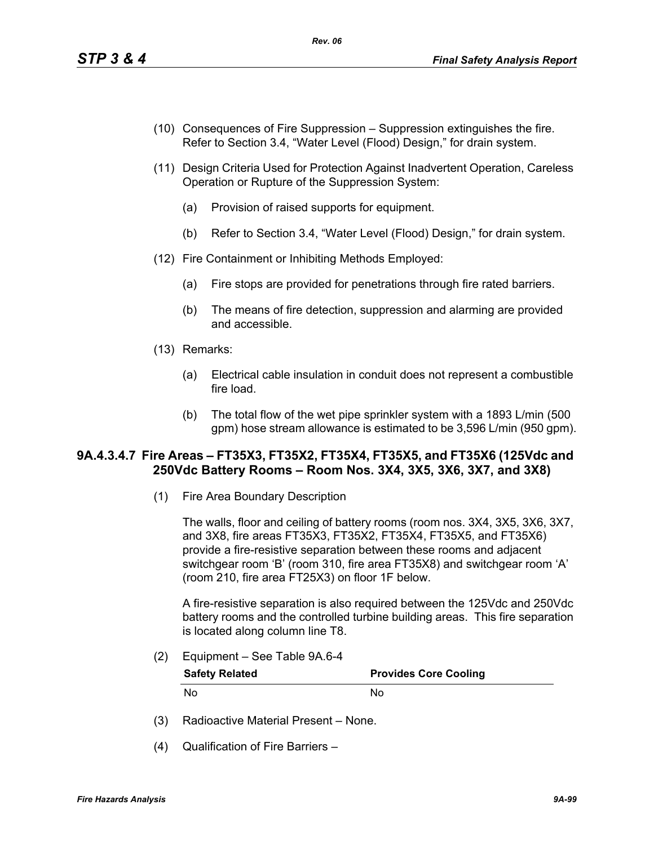- (10) Consequences of Fire Suppression Suppression extinguishes the fire. Refer to Section 3.4, "Water Level (Flood) Design," for drain system.
- (11) Design Criteria Used for Protection Against Inadvertent Operation, Careless Operation or Rupture of the Suppression System:
	- (a) Provision of raised supports for equipment.
	- (b) Refer to Section 3.4, "Water Level (Flood) Design," for drain system.
- (12) Fire Containment or Inhibiting Methods Employed:
	- (a) Fire stops are provided for penetrations through fire rated barriers.
	- (b) The means of fire detection, suppression and alarming are provided and accessible.
- (13) Remarks:
	- (a) Electrical cable insulation in conduit does not represent a combustible fire load.
	- (b) The total flow of the wet pipe sprinkler system with a 1893 L/min (500 gpm) hose stream allowance is estimated to be 3,596 L/min (950 gpm).

## **9A.4.3.4.7 Fire Areas – FT35X3, FT35X2, FT35X4, FT35X5, and FT35X6 (125Vdc and 250Vdc Battery Rooms – Room Nos. 3X4, 3X5, 3X6, 3X7, and 3X8)**

(1) Fire Area Boundary Description

The walls, floor and ceiling of battery rooms (room nos. 3X4, 3X5, 3X6, 3X7, and 3X8, fire areas FT35X3, FT35X2, FT35X4, FT35X5, and FT35X6) provide a fire-resistive separation between these rooms and adjacent switchgear room 'B' (room 310, fire area FT35X8) and switchgear room 'A' (room 210, fire area FT25X3) on floor 1F below.

A fire-resistive separation is also required between the 125Vdc and 250Vdc battery rooms and the controlled turbine building areas. This fire separation is located along column line T8.

(2) Equipment – See Table 9A.6-4

| <b>Safety Related</b> | <b>Provides Core Cooling</b> |
|-----------------------|------------------------------|
| No                    | Nο                           |

- (3) Radioactive Material Present None.
- (4) Qualification of Fire Barriers –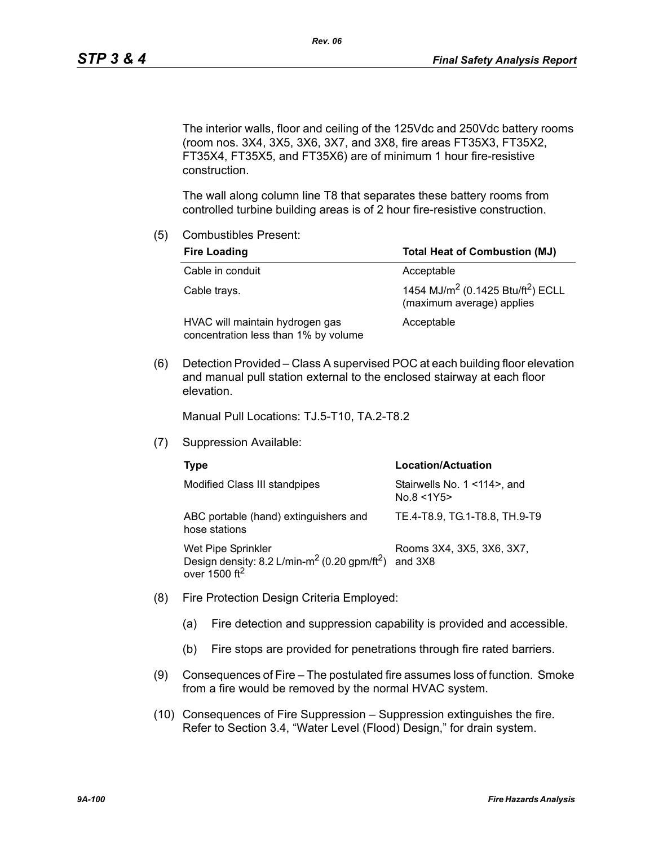The interior walls, floor and ceiling of the 125Vdc and 250Vdc battery rooms (room nos. 3X4, 3X5, 3X6, 3X7, and 3X8, fire areas FT35X3, FT35X2, FT35X4, FT35X5, and FT35X6) are of minimum 1 hour fire-resistive construction.

The wall along column line T8 that separates these battery rooms from controlled turbine building areas is of 2 hour fire-resistive construction.

(5) Combustibles Present:

| <b>Fire Loading</b>                                                     | <b>Total Heat of Combustion (MJ)</b>                                                   |  |  |
|-------------------------------------------------------------------------|----------------------------------------------------------------------------------------|--|--|
| Cable in conduit                                                        | Acceptable                                                                             |  |  |
| Cable trays.                                                            | 1454 MJ/m <sup>2</sup> (0.1425 Btu/ft <sup>2</sup> ) ECLL<br>(maximum average) applies |  |  |
| HVAC will maintain hydrogen gas<br>concentration less than 1% by volume | Acceptable                                                                             |  |  |

(6) Detection Provided – Class A supervised POC at each building floor elevation and manual pull station external to the enclosed stairway at each floor elevation.

Manual Pull Locations: TJ.5-T10, TA.2-T8.2

(7) Suppression Available:

| Type                                                                                                                    | Location/Actuation                        |  |  |
|-------------------------------------------------------------------------------------------------------------------------|-------------------------------------------|--|--|
| Modified Class III standpipes                                                                                           | Stairwells No. 1 <114>, and<br>No.8 < 1Y5 |  |  |
| ABC portable (hand) extinguishers and<br>hose stations                                                                  | TE.4-T8.9, TG.1-T8.8, TH.9-T9             |  |  |
| Wet Pipe Sprinkler<br>Design density: 8.2 L/min-m <sup>2</sup> (0.20 gpm/ft <sup>2</sup> )<br>over 1500 ft <sup>2</sup> | Rooms 3X4, 3X5, 3X6, 3X7,<br>and 3X8      |  |  |

- (8) Fire Protection Design Criteria Employed:
	- (a) Fire detection and suppression capability is provided and accessible.
	- (b) Fire stops are provided for penetrations through fire rated barriers.
- (9) Consequences of Fire The postulated fire assumes loss of function. Smoke from a fire would be removed by the normal HVAC system.
- (10) Consequences of Fire Suppression Suppression extinguishes the fire. Refer to Section 3.4, "Water Level (Flood) Design," for drain system.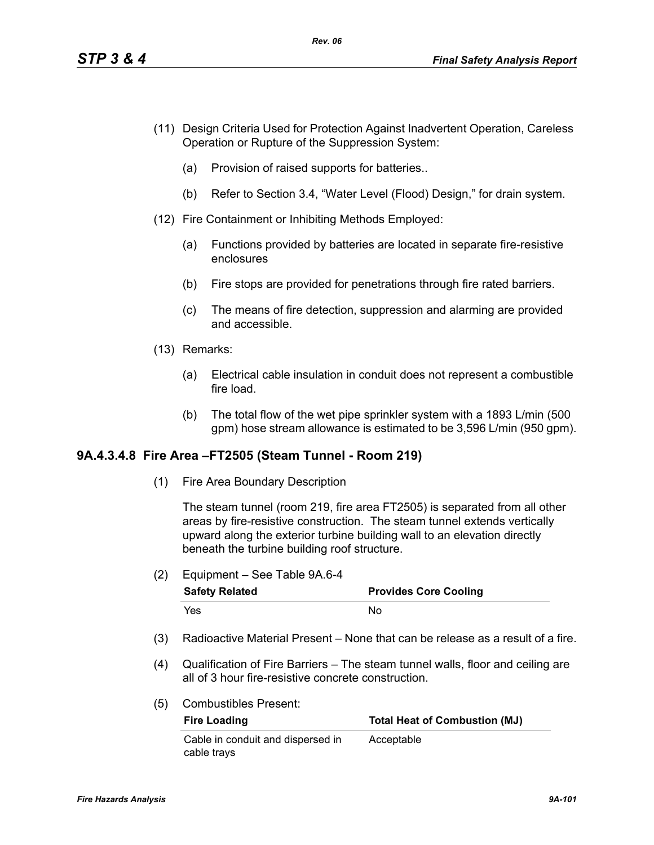- (11) Design Criteria Used for Protection Against Inadvertent Operation, Careless Operation or Rupture of the Suppression System:
	- (a) Provision of raised supports for batteries..
	- (b) Refer to Section 3.4, "Water Level (Flood) Design," for drain system.
- (12) Fire Containment or Inhibiting Methods Employed:
	- (a) Functions provided by batteries are located in separate fire-resistive enclosures
	- (b) Fire stops are provided for penetrations through fire rated barriers.
	- (c) The means of fire detection, suppression and alarming are provided and accessible.
- (13) Remarks:
	- (a) Electrical cable insulation in conduit does not represent a combustible fire load.
	- (b) The total flow of the wet pipe sprinkler system with a 1893 L/min (500 gpm) hose stream allowance is estimated to be 3,596 L/min (950 gpm).

## **9A.4.3.4.8 Fire Area –FT2505 (Steam Tunnel - Room 219)**

(1) Fire Area Boundary Description

The steam tunnel (room 219, fire area FT2505) is separated from all other areas by fire-resistive construction. The steam tunnel extends vertically upward along the exterior turbine building wall to an elevation directly beneath the turbine building roof structure.

(2) Equipment – See Table 9A.6-4

| <b>Safety Related</b> | <b>Provides Core Cooling</b> |  |  |
|-----------------------|------------------------------|--|--|
| Yes                   | Nο                           |  |  |

- (3) Radioactive Material Present None that can be release as a result of a fire.
- (4) Qualification of Fire Barriers The steam tunnel walls, floor and ceiling are all of 3 hour fire-resistive concrete construction.
- (5) Combustibles Present:

| <b>Fire Loading</b>               | <b>Total Heat of Combustion (MJ)</b> |  |  |
|-----------------------------------|--------------------------------------|--|--|
| Cable in conduit and dispersed in | Acceptable                           |  |  |
| cable trays                       |                                      |  |  |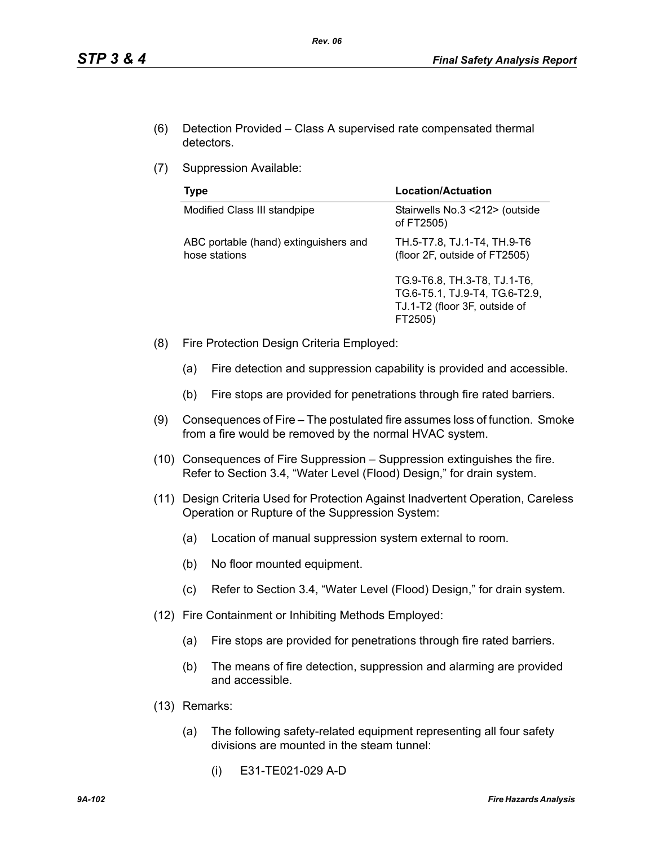- (6) Detection Provided Class A supervised rate compensated thermal detectors.
- (7) Suppression Available:

| Type                                                   | <b>Location/Actuation</b>                                                                                  |
|--------------------------------------------------------|------------------------------------------------------------------------------------------------------------|
| Modified Class III standpipe                           | Stairwells No.3 <212> (outside<br>of FT2505)                                                               |
| ABC portable (hand) extinguishers and<br>hose stations | TH.5-T7.8, TJ.1-T4, TH.9-T6<br>(floor 2F, outside of FT2505)                                               |
|                                                        | TG.9-T6.8, TH.3-T8, TJ.1-T6,<br>TG.6-T5.1, TJ.9-T4, TG.6-T2.9,<br>TJ.1-T2 (floor 3F, outside of<br>FT2505) |

- (8) Fire Protection Design Criteria Employed:
	- (a) Fire detection and suppression capability is provided and accessible.
	- (b) Fire stops are provided for penetrations through fire rated barriers.
- (9) Consequences of Fire The postulated fire assumes loss of function. Smoke from a fire would be removed by the normal HVAC system.
- (10) Consequences of Fire Suppression Suppression extinguishes the fire. Refer to Section 3.4, "Water Level (Flood) Design," for drain system.
- (11) Design Criteria Used for Protection Against Inadvertent Operation, Careless Operation or Rupture of the Suppression System:
	- (a) Location of manual suppression system external to room.
	- (b) No floor mounted equipment.
	- (c) Refer to Section 3.4, "Water Level (Flood) Design," for drain system.
- (12) Fire Containment or Inhibiting Methods Employed:
	- (a) Fire stops are provided for penetrations through fire rated barriers.
	- (b) The means of fire detection, suppression and alarming are provided and accessible.
- (13) Remarks:
	- (a) The following safety-related equipment representing all four safety divisions are mounted in the steam tunnel:
		- (i) E31-TE021-029 A-D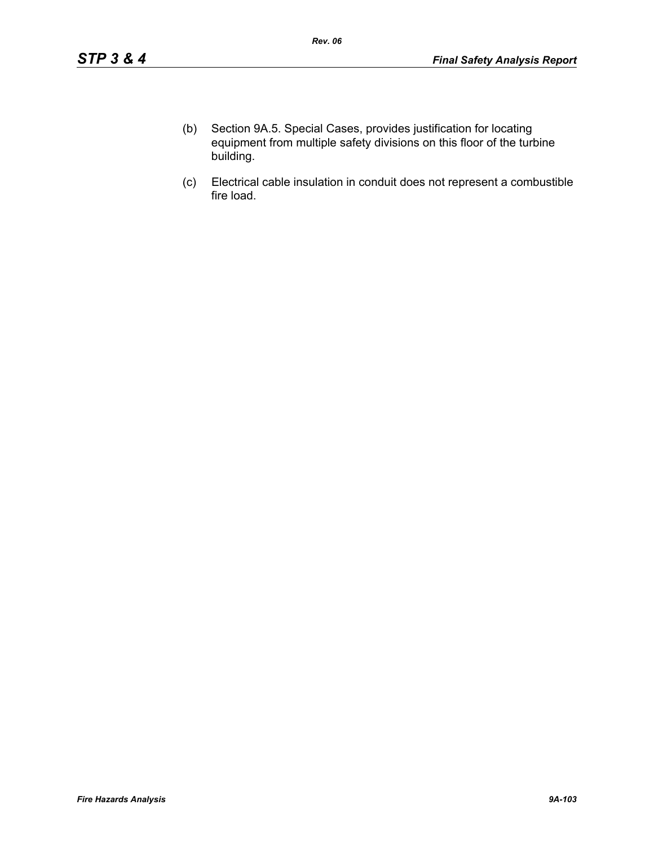- (b) Section 9A.5. Special Cases, provides justification for locating equipment from multiple safety divisions on this floor of the turbine building.
- (c) Electrical cable insulation in conduit does not represent a combustible fire load.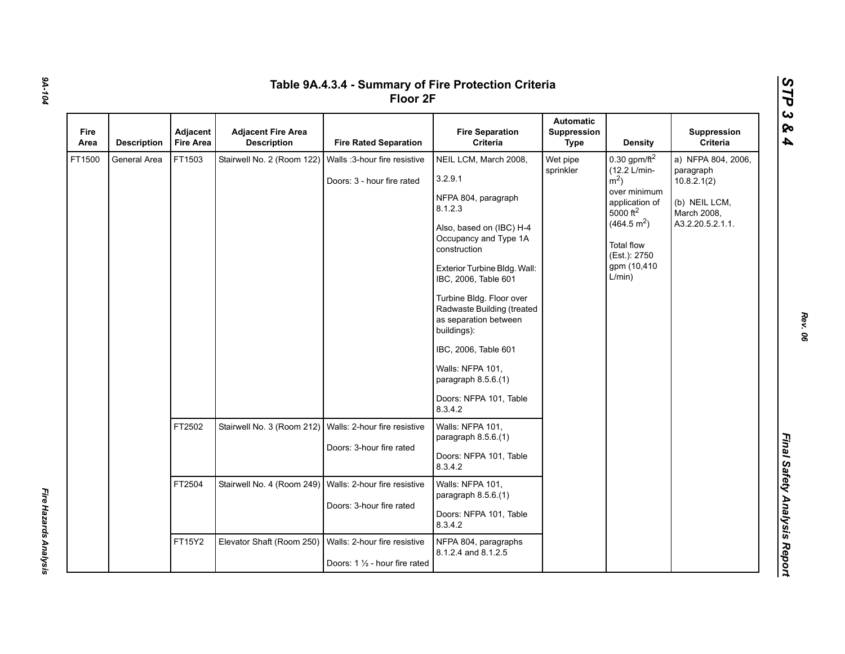| Fire<br>Area | <b>Description</b> | Adjacent<br><b>Fire Area</b> | <b>Adjacent Fire Area</b><br><b>Description</b>           | <b>Fire Rated Separation</b>                                   | <b>Fire Separation</b><br>Criteria                                                                                                                                                                                                                                                                                                                                                                        | <b>Automatic</b><br>Suppression<br><b>Type</b> | <b>Density</b>                                                                                                                                                                                           | Suppression<br>Criteria                                                                            |
|--------------|--------------------|------------------------------|-----------------------------------------------------------|----------------------------------------------------------------|-----------------------------------------------------------------------------------------------------------------------------------------------------------------------------------------------------------------------------------------------------------------------------------------------------------------------------------------------------------------------------------------------------------|------------------------------------------------|----------------------------------------------------------------------------------------------------------------------------------------------------------------------------------------------------------|----------------------------------------------------------------------------------------------------|
| FT1500       | General Area       | FT1503                       | Stairwell No. 2 (Room 122)                                | Walls :3-hour fire resistive<br>Doors: 3 - hour fire rated     | NEIL LCM, March 2008,<br>3.2.9.1<br>NFPA 804, paragraph<br>8.1.2.3<br>Also, based on (IBC) H-4<br>Occupancy and Type 1A<br>construction<br>Exterior Turbine Bldg. Wall:<br>IBC, 2006, Table 601<br>Turbine Bldg. Floor over<br>Radwaste Building (treated<br>as separation between<br>buildings):<br>IBC, 2006, Table 601<br>Walls: NFPA 101,<br>paragraph 8.5.6.(1)<br>Doors: NFPA 101, Table<br>8.3.4.2 | Wet pipe<br>sprinkler                          | 0.30 gpm/ft $^2$<br>(12.2 L/min-<br>$\rm \dot{m}^2$ )<br>over minimum<br>application of<br>5000 ft <sup>2</sup><br>(464.5 m <sup>2</sup> )<br><b>Total flow</b><br>(Est.): 2750<br>gpm (10,410<br>L/min) | a) NFPA 804, 2006,<br>paragraph<br>10.8.2.1(2)<br>(b) NEIL LCM,<br>March 2008,<br>A3.2.20.5.2.1.1. |
|              |                    | FT2502                       | Stairwell No. 3 (Room 212)                                | Walls: 2-hour fire resistive<br>Doors: 3-hour fire rated       | Walls: NFPA 101,<br>paragraph 8.5.6.(1)<br>Doors: NFPA 101, Table<br>8.3.4.2                                                                                                                                                                                                                                                                                                                              |                                                |                                                                                                                                                                                                          |                                                                                                    |
|              |                    | FT2504                       | Stairwell No. 4 (Room 249)   Walls: 2-hour fire resistive | Doors: 3-hour fire rated                                       | Walls: NFPA 101,<br>paragraph $8.5.6(1)$<br>Doors: NFPA 101, Table<br>8.3.4.2                                                                                                                                                                                                                                                                                                                             |                                                |                                                                                                                                                                                                          |                                                                                                    |
|              |                    | FT15Y2                       | Elevator Shaft (Room 250)                                 | Walls: 2-hour fire resistive<br>Doors: 1 1/2 - hour fire rated | NFPA 804, paragraphs<br>8.1.2.4 and 8.1.2.5                                                                                                                                                                                                                                                                                                                                                               |                                                |                                                                                                                                                                                                          |                                                                                                    |

*Fire Hazards Analysis* 

Fire Hazards Analysis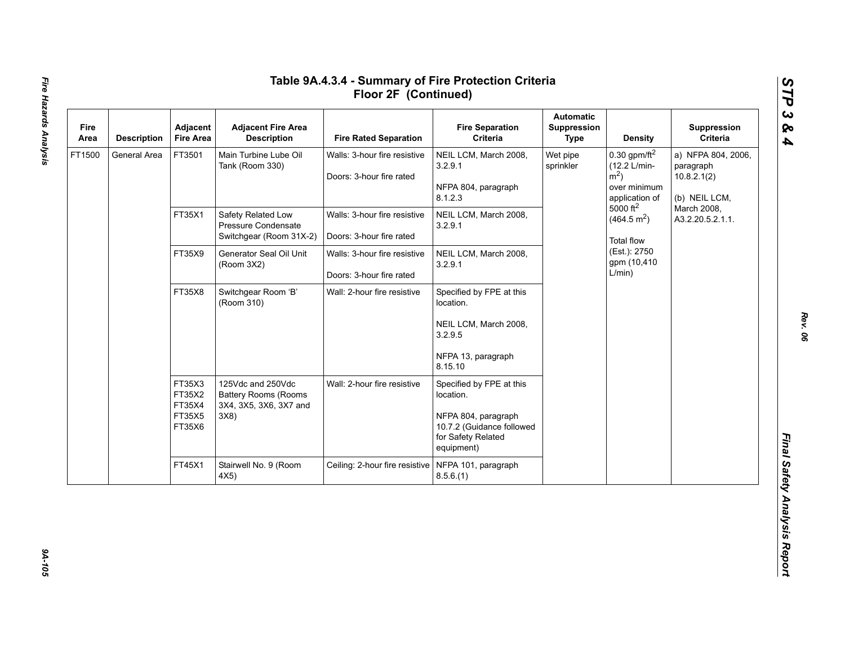| Fire<br>Area | <b>Description</b> | Adjacent<br><b>Fire Area</b>                   | <b>Adjacent Fire Area</b><br><b>Description</b>                                   | <b>Fire Rated Separation</b>                             | <b>Fire Separation</b><br>Criteria                                                                                            | <b>Automatic</b><br>Suppression<br>Type                                                                                                                                                                                         | <b>Density</b>                                                  | Suppression<br>Criteria         |
|--------------|--------------------|------------------------------------------------|-----------------------------------------------------------------------------------|----------------------------------------------------------|-------------------------------------------------------------------------------------------------------------------------------|---------------------------------------------------------------------------------------------------------------------------------------------------------------------------------------------------------------------------------|-----------------------------------------------------------------|---------------------------------|
| FT1500       | General Area       | FT3501                                         | Main Turbine Lube Oil<br>Tank (Room 330)                                          | Walls: 3-hour fire resistive<br>Doors: 3-hour fire rated | NEIL LCM, March 2008,<br>3.2.9.1<br>NFPA 804, paragraph<br>8.1.2.3                                                            | $0.30$ gpm/ft <sup>2</sup><br>Wet pipe<br>(12.2 L/min-<br>sprinkler<br>$m2$ )<br>over minimum<br>application of<br>$5000 \text{ ft}^2$<br>(464.5 m <sup>2</sup> )<br><b>Total flow</b><br>(Est.): 2750<br>gpm (10,410<br>L/min) | a) NFPA 804, 2006,<br>paragraph<br>10.8.2.1(2)<br>(b) NEIL LCM, |                                 |
|              |                    | FT35X1                                         | Safety Related Low<br>Pressure Condensate<br>Switchgear (Room 31X-2)              | Walls: 3-hour fire resistive<br>Doors: 3-hour fire rated | NEIL LCM, March 2008,<br>3.2.9.1                                                                                              |                                                                                                                                                                                                                                 |                                                                 | March 2008,<br>A3.2.20.5.2.1.1. |
|              |                    | FT35X9                                         | Generator Seal Oil Unit<br>(Room 3X2)                                             | Walls: 3-hour fire resistive<br>Doors: 3-hour fire rated | NEIL LCM, March 2008,<br>3.2.9.1                                                                                              |                                                                                                                                                                                                                                 |                                                                 |                                 |
|              |                    | FT35X8                                         | Switchgear Room 'B'<br>(Room 310)                                                 | Wall: 2-hour fire resistive                              | Specified by FPE at this<br>location.<br>NEIL LCM, March 2008,<br>3.2.9.5<br>NFPA 13, paragraph<br>8.15.10                    |                                                                                                                                                                                                                                 |                                                                 |                                 |
|              |                    | FT35X3<br>FT35X2<br>FT35X4<br>FT35X5<br>FT35X6 | 125Vdc and 250Vdc<br><b>Battery Rooms (Rooms</b><br>3X4, 3X5, 3X6, 3X7 and<br>3X8 | Wall: 2-hour fire resistive                              | Specified by FPE at this<br>location.<br>NFPA 804, paragraph<br>10.7.2 (Guidance followed<br>for Safety Related<br>equipment) |                                                                                                                                                                                                                                 |                                                                 |                                 |
|              |                    | FT45X1                                         | Stairwell No. 9 (Room<br>4X5)                                                     | Ceiling: 2-hour fire resistive                           | NFPA 101, paragraph<br>8.5.6(1)                                                                                               |                                                                                                                                                                                                                                 |                                                                 |                                 |

94-105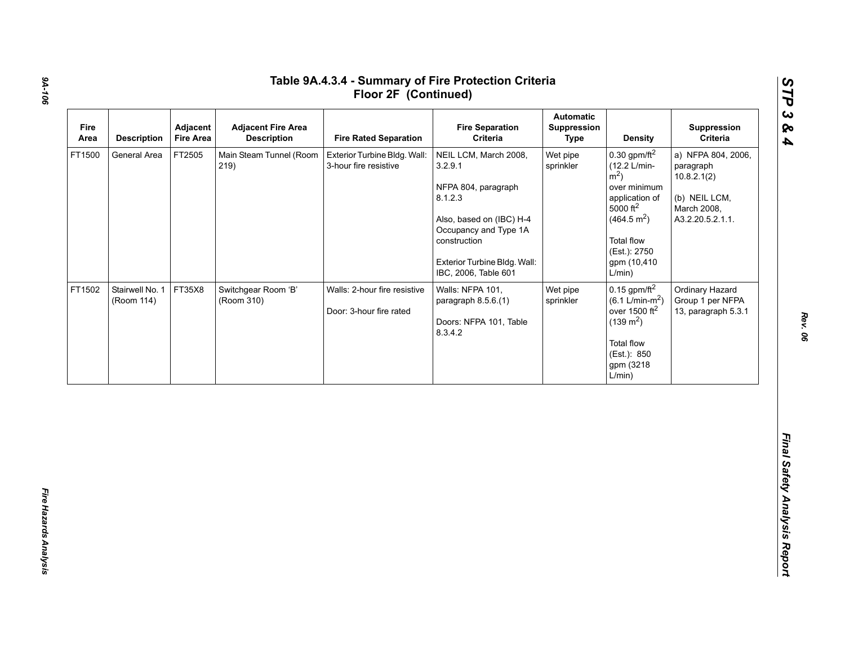| Fire<br>Area | <b>Description</b>            | Adjacent<br><b>Fire Area</b> | <b>Adjacent Fire Area</b><br><b>Description</b> | <b>Fire Rated Separation</b>                            | <b>Fire Separation</b><br>Criteria                                                                                                                                                              | <b>Automatic</b><br><b>Suppression</b><br><b>Type</b> | <b>Density</b>                                                                                                                                                                                                        | Suppression<br>Criteria                                                                            |
|--------------|-------------------------------|------------------------------|-------------------------------------------------|---------------------------------------------------------|-------------------------------------------------------------------------------------------------------------------------------------------------------------------------------------------------|-------------------------------------------------------|-----------------------------------------------------------------------------------------------------------------------------------------------------------------------------------------------------------------------|----------------------------------------------------------------------------------------------------|
| FT1500       | General Area                  | FT2505                       | Main Steam Tunnel (Room<br>219)                 | Exterior Turbine Bldg. Wall:<br>3-hour fire resistive   | NEIL LCM, March 2008,<br>3.2.9.1<br>NFPA 804, paragraph<br>8.1.2.3<br>Also, based on (IBC) H-4<br>Occupancy and Type 1A<br>construction<br>Exterior Turbine Bldg. Wall:<br>IBC, 2006, Table 601 | Wet pipe<br>sprinkler                                 | $0.30$ gpm/ft <sup>2</sup><br>(12.2 L/min-<br>$\rm \dot{m}^2$ )<br>over minimum<br>application of<br>$5000$ ft <sup>2</sup><br>(464.5 m <sup>2</sup> )<br><b>Total flow</b><br>(Est.): 2750<br>gpm (10,410)<br>L/min) | a) NFPA 804, 2006,<br>paragraph<br>10.8.2.1(2)<br>(b) NEIL LCM,<br>March 2008,<br>A3.2.20.5.2.1.1. |
| FT1502       | Stairwell No. 1<br>(Room 114) | FT35X8                       | Switchgear Room 'B'<br>(Room 310)               | Walls: 2-hour fire resistive<br>Door: 3-hour fire rated | Walls: NFPA 101,<br>paragraph 8.5.6.(1)<br>Doors: NFPA 101, Table<br>8.3.4.2                                                                                                                    | Wet pipe<br>sprinkler                                 | $0.15$ gpm/ft <sup>2</sup><br>$(6.1 \text{ L/min-m}^2)$<br>over 1500 ft <sup>2</sup><br>$(139 \text{ m}^2)$<br>Total flow<br>(Est.): 850<br>gpm (3218<br>L/min)                                                       | Ordinary Hazard<br>Group 1 per NFPA<br>13, paragraph 5.3.1                                         |

*Rev. 06*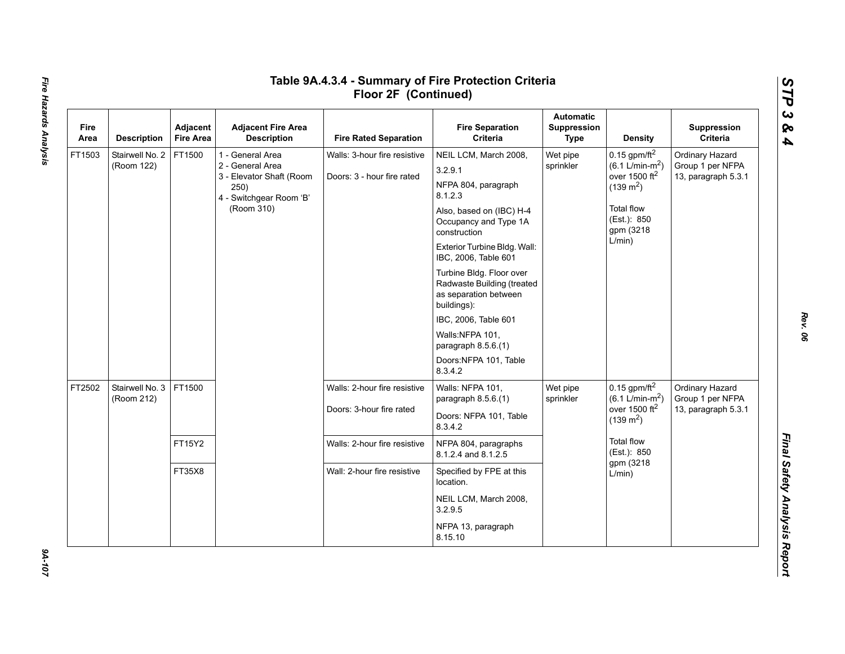| Fire<br>Area | <b>Description</b>            | Adjacent<br><b>Fire Area</b> | <b>Adjacent Fire Area</b><br><b>Description</b>                                                                   | <b>Fire Rated Separation</b>                               | <b>Fire Separation</b><br>Criteria                                                                                                                                                                                                                                                                                                                                                                   | <b>Automatic</b><br>Suppression<br>Type | Density                                                                                                                                                      | Suppression<br>Criteria                                    |
|--------------|-------------------------------|------------------------------|-------------------------------------------------------------------------------------------------------------------|------------------------------------------------------------|------------------------------------------------------------------------------------------------------------------------------------------------------------------------------------------------------------------------------------------------------------------------------------------------------------------------------------------------------------------------------------------------------|-----------------------------------------|--------------------------------------------------------------------------------------------------------------------------------------------------------------|------------------------------------------------------------|
| FT1503       | Stairwell No. 2<br>(Room 122) | FT1500                       | 1 - General Area<br>2 - General Area<br>3 - Elevator Shaft (Room<br>250)<br>4 - Switchgear Room 'B'<br>(Room 310) | Walls: 3-hour fire resistive<br>Doors: 3 - hour fire rated | NEIL LCM, March 2008,<br>3.2.9.1<br>NFPA 804, paragraph<br>8.1.2.3<br>Also, based on (IBC) H-4<br>Occupancy and Type 1A<br>construction<br>Exterior Turbine Bldg. Wall:<br>IBC, 2006, Table 601<br>Turbine Bldg. Floor over<br>Radwaste Building (treated<br>as separation between<br>buildings):<br>IBC, 2006, Table 601<br>Walls:NFPA 101,<br>paragraph 8.5.6.(1)<br>Doors:NFPA 101, Table<br>8342 | Wet pipe<br>sprinkler                   | 0.15 gpm/ft $^2$<br>$(6.1 \text{ L/min-m}^2)$<br>over 1500 ft <sup>2</sup><br>$(139 \text{ m}^2)$<br><b>Total flow</b><br>(Est.): 850<br>gpm (3218<br>L/min) | Ordinary Hazard<br>Group 1 per NFPA<br>13, paragraph 5.3.1 |
| FT2502       | Stairwell No. 3<br>(Room 212) | FT1500                       |                                                                                                                   | Walls: 2-hour fire resistive<br>Doors: 3-hour fire rated   | Walls: NFPA 101,<br>paragraph 8.5.6.(1)<br>Doors: NFPA 101, Table<br>8.3.4.2                                                                                                                                                                                                                                                                                                                         | Wet pipe<br>sprinkler                   | 0.15 gpm/ft $^2$<br>$(6.1 \text{ L/min-m}^2)$<br>over 1500 $ft2$<br>$(139 \text{ m}^2)$<br><b>Total flow</b><br>(Est.): 850<br>gpm (3218<br>L/min)           | Ordinary Hazard<br>Group 1 per NFPA<br>13, paragraph 5.3.1 |
|              |                               | FT15Y2                       |                                                                                                                   | Walls: 2-hour fire resistive                               | NFPA 804, paragraphs<br>8.1.2.4 and 8.1.2.5                                                                                                                                                                                                                                                                                                                                                          |                                         |                                                                                                                                                              |                                                            |
|              |                               | FT35X8                       |                                                                                                                   | Wall: 2-hour fire resistive                                | Specified by FPE at this<br>location.<br>NEIL LCM, March 2008,<br>3.2.9.5                                                                                                                                                                                                                                                                                                                            |                                         |                                                                                                                                                              |                                                            |
|              |                               |                              |                                                                                                                   |                                                            | NFPA 13, paragraph<br>8.15.10                                                                                                                                                                                                                                                                                                                                                                        |                                         |                                                                                                                                                              |                                                            |

# Fire Hazards Analysis *Fire Hazards Analysis 9A-107*

 $201 - 107$ 

*Rev. 06*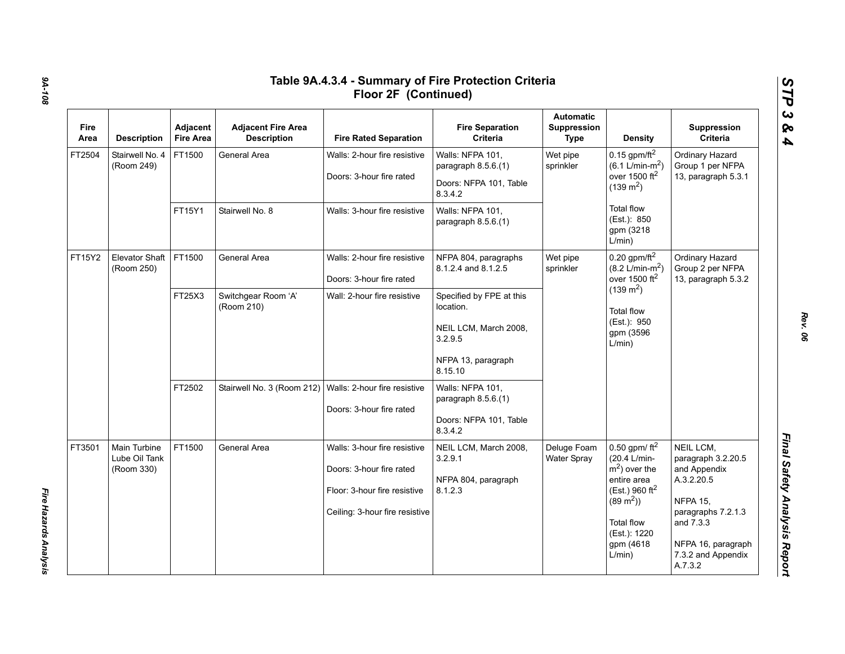| <b>Fire</b><br>Area | <b>Description</b>                                 | Adjacent<br><b>Fire Area</b> | <b>Adjacent Fire Area</b><br><b>Description</b>         | <b>Fire Rated Separation</b>                                                                                               | <b>Fire Separation</b><br>Criteria                                                                         | <b>Automatic</b><br>Suppression<br>Type | <b>Density</b>                                                                                                                                                            | Suppression<br>Criteria                                                                                                                                                    |
|---------------------|----------------------------------------------------|------------------------------|---------------------------------------------------------|----------------------------------------------------------------------------------------------------------------------------|------------------------------------------------------------------------------------------------------------|-----------------------------------------|---------------------------------------------------------------------------------------------------------------------------------------------------------------------------|----------------------------------------------------------------------------------------------------------------------------------------------------------------------------|
| FT2504              | Stairwell No. 4<br>(Room 249)                      | FT1500                       | General Area                                            | Walls: 2-hour fire resistive<br>Doors: 3-hour fire rated                                                                   | Walls: NFPA 101,<br>paragraph 8.5.6.(1)<br>Doors: NFPA 101, Table<br>8.3.4.2                               | Wet pipe<br>sprinkler                   | 0.15 gpm/ft $^2$<br>$(6.1 L/min-m2)$<br>over 1500 $ft2$<br>$(139 \text{ m}^2)$                                                                                            | Ordinary Hazard<br>Group 1 per NFPA<br>13, paragraph 5.3.1                                                                                                                 |
|                     |                                                    | FT15Y1                       | Stairwell No. 8                                         | Walls: 3-hour fire resistive                                                                                               | Walls: NFPA 101,<br>paragraph $8.5.6(1)$                                                                   |                                         | <b>Total flow</b><br>(Est.): 850<br>gpm (3218<br>L/min)                                                                                                                   |                                                                                                                                                                            |
| FT15Y2              | <b>Elevator Shaft</b><br>(Room 250)                | FT1500                       | General Area                                            | Walls: 2-hour fire resistive<br>Doors: 3-hour fire rated                                                                   | NFPA 804, paragraphs<br>8.1.2.4 and 8.1.2.5                                                                | Wet pipe<br>sprinkler                   | $0.20$ gpm/ft <sup>2</sup><br>$(8.2 \text{ L/min-m}^2)$<br>over 1500 $ft2$<br>$(139 \text{ m}^2)$<br><b>Total flow</b><br>(Est.): 950<br>gpm (3596<br>L/min)              | Ordinary Hazard<br>Group 2 per NFPA<br>13, paragraph 5.3.2                                                                                                                 |
|                     |                                                    | FT25X3                       | Switchgear Room 'A'<br>(Room 210)                       | Wall: 2-hour fire resistive                                                                                                | Specified by FPE at this<br>location.<br>NEIL LCM, March 2008,<br>3.2.9.5<br>NFPA 13, paragraph<br>8.15.10 |                                         |                                                                                                                                                                           |                                                                                                                                                                            |
|                     |                                                    | FT2502                       | Stairwell No. 3 (Room 212) Walls: 2-hour fire resistive | Doors: 3-hour fire rated                                                                                                   | Walls: NFPA 101,<br>paragraph 8.5.6.(1)<br>Doors: NFPA 101, Table<br>8.3.4.2                               |                                         |                                                                                                                                                                           |                                                                                                                                                                            |
| FT3501              | <b>Main Turbine</b><br>Lube Oil Tank<br>(Room 330) | FT1500                       | General Area                                            | Walls: 3-hour fire resistive<br>Doors: 3-hour fire rated<br>Floor: 3-hour fire resistive<br>Ceiling: 3-hour fire resistive | NEIL LCM, March 2008,<br>3.2.9.1<br>NFPA 804, paragraph<br>8.1.2.3                                         | Deluge Foam<br>Water Spray              | 0.50 gpm/ $ft^2$<br>(20.4 L/min-<br>$m2$ ) over the<br>entire area<br>(Est.) 960 $ft^2$<br>$(89 \text{ m}^2)$<br><b>Total flow</b><br>(Est.): 1220<br>gpm (4618<br>L/min) | NEIL LCM,<br>paragraph 3.2.20.5<br>and Appendix<br>A.3.2.20.5<br><b>NFPA 15,</b><br>paragraphs 7.2.1.3<br>and 7.3.3<br>NFPA 16, paragraph<br>7.3.2 and Appendix<br>A.7.3.2 |

*9A-108*

*Fire Hazards Analysis* 

Fire Hazards Analysis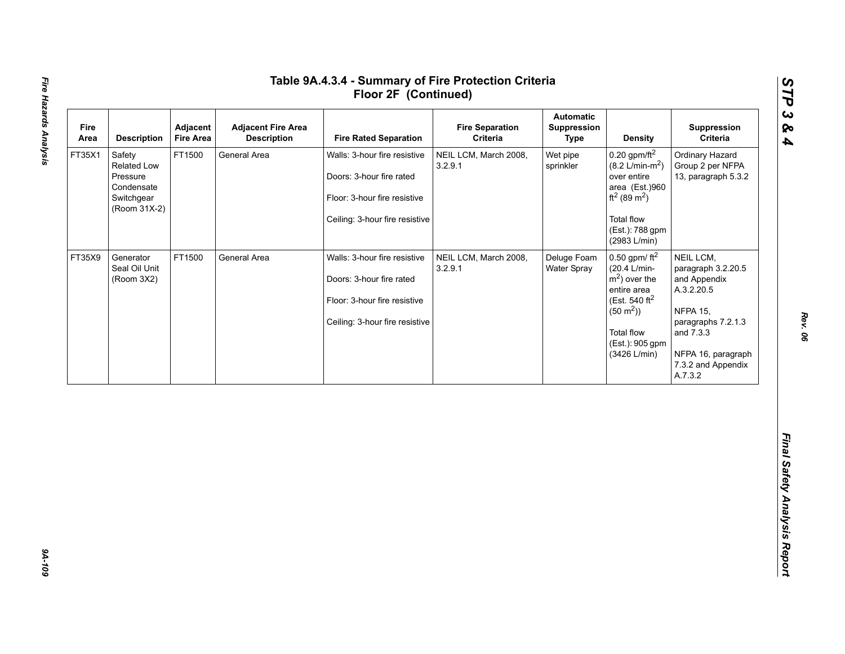| Area   | <b>Description</b>                                                            | Adjacent<br><b>Fire Area</b> | <b>Adjacent Fire Area</b><br><b>Description</b> | <b>Fire Rated Separation</b>                                                                                               | <b>Fire Separation</b><br>Criteria | <b>Automatic</b><br>Suppression<br><b>Type</b> | <b>Density</b>                                                                                                                                                                           | Suppression<br>Criteria                                                                                                                                                    |
|--------|-------------------------------------------------------------------------------|------------------------------|-------------------------------------------------|----------------------------------------------------------------------------------------------------------------------------|------------------------------------|------------------------------------------------|------------------------------------------------------------------------------------------------------------------------------------------------------------------------------------------|----------------------------------------------------------------------------------------------------------------------------------------------------------------------------|
| FT35X1 | Safety<br>Related Low<br>Pressure<br>Condensate<br>Switchgear<br>(Room 31X-2) | FT1500                       | General Area                                    | Walls: 3-hour fire resistive<br>Doors: 3-hour fire rated<br>Floor: 3-hour fire resistive<br>Ceiling: 3-hour fire resistive | NEIL LCM, March 2008,<br>3.2.9.1   | Wet pipe<br>sprinkler                          | $0.20$ gpm/ft <sup>2</sup><br>$(8.2 \text{ L/min-m}^2)$<br>over entire<br>area (Est.)960<br>ft <sup>2</sup> (89 m <sup>2</sup> )<br><b>Total flow</b><br>(Est.): 788 gpm<br>(2983 L/min) | Ordinary Hazard<br>Group 2 per NFPA<br>13, paragraph 5.3.2                                                                                                                 |
| FT35X9 | Generator<br>Seal Oil Unit<br>(Room 3X2)                                      | FT1500                       | General Area                                    | Walls: 3-hour fire resistive<br>Doors: 3-hour fire rated<br>Floor: 3-hour fire resistive<br>Ceiling: 3-hour fire resistive | NEIL LCM, March 2008,<br>3.2.9.1   | Deluge Foam<br>Water Spray                     | 0.50 gpm/ $ft^2$<br>(20.4 L/min-<br>$m2$ ) over the<br>entire area<br>(Est. 540 ft <sup>2</sup><br>$(50 \text{ m}^2)$<br><b>Total flow</b><br>(Est.): 905 gpm<br>(3426 L/min)            | NEIL LCM,<br>paragraph 3.2.20.5<br>and Appendix<br>A.3.2.20.5<br><b>NFPA 15,</b><br>paragraphs 7.2.1.3<br>and 7.3.3<br>NFPA 16, paragraph<br>7.3.2 and Appendix<br>A.7.3.2 |

*STP 3 & 4*

**9A-109**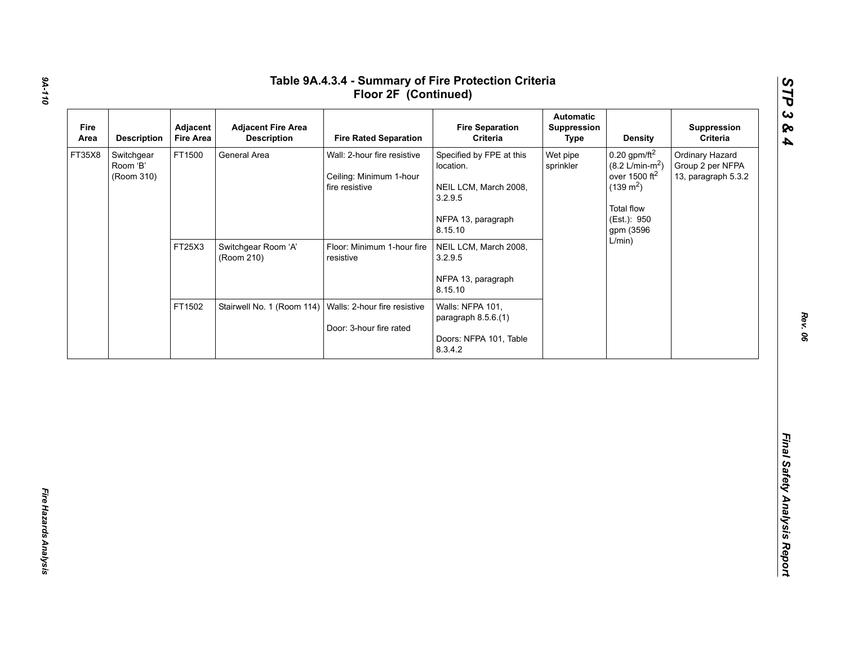| FT35X8 | <b>Description</b>                   | Adjacent<br><b>Fire Area</b> | <b>Adjacent Fire Area</b><br><b>Description</b>           | <b>Fire Rated Separation</b>                                             | <b>Fire Separation</b><br>Criteria                                                                         | Automatic<br>Suppression<br><b>Type</b> | <b>Density</b>                                                                                                                                     | Suppression<br>Criteria                                    |
|--------|--------------------------------------|------------------------------|-----------------------------------------------------------|--------------------------------------------------------------------------|------------------------------------------------------------------------------------------------------------|-----------------------------------------|----------------------------------------------------------------------------------------------------------------------------------------------------|------------------------------------------------------------|
|        | Switchgear<br>Room 'B'<br>(Room 310) | FT1500                       | General Area                                              | Wall: 2-hour fire resistive<br>Ceiling: Minimum 1-hour<br>fire resistive | Specified by FPE at this<br>location.<br>NEIL LCM, March 2008,<br>3.2.9.5<br>NFPA 13, paragraph<br>8.15.10 | Wet pipe<br>sprinkler                   | $0.20$ gpm/ft <sup>2</sup><br>$(8.2 \text{ L/min-m}^2)$<br>over 1500 $ft2$<br>$(139 \text{ m}^2)$<br><b>Total flow</b><br>(Est.): 950<br>gpm (3596 | Ordinary Hazard<br>Group 2 per NFPA<br>13, paragraph 5.3.2 |
|        |                                      | FT25X3                       | Switchgear Room 'A'<br>(Room 210)                         | Floor: Minimum 1-hour fire<br>resistive                                  | NEIL LCM, March 2008,<br>3.2.9.5<br>NFPA 13, paragraph<br>8.15.10                                          |                                         | L/min)                                                                                                                                             |                                                            |
|        |                                      | FT1502                       | Stairwell No. 1 (Room 114)   Walls: 2-hour fire resistive | Door: 3-hour fire rated                                                  | Walls: NFPA 101,<br>paragraph 8.5.6.(1)<br>Doors: NFPA 101, Table<br>8.3.4.2                               |                                         |                                                                                                                                                    |                                                            |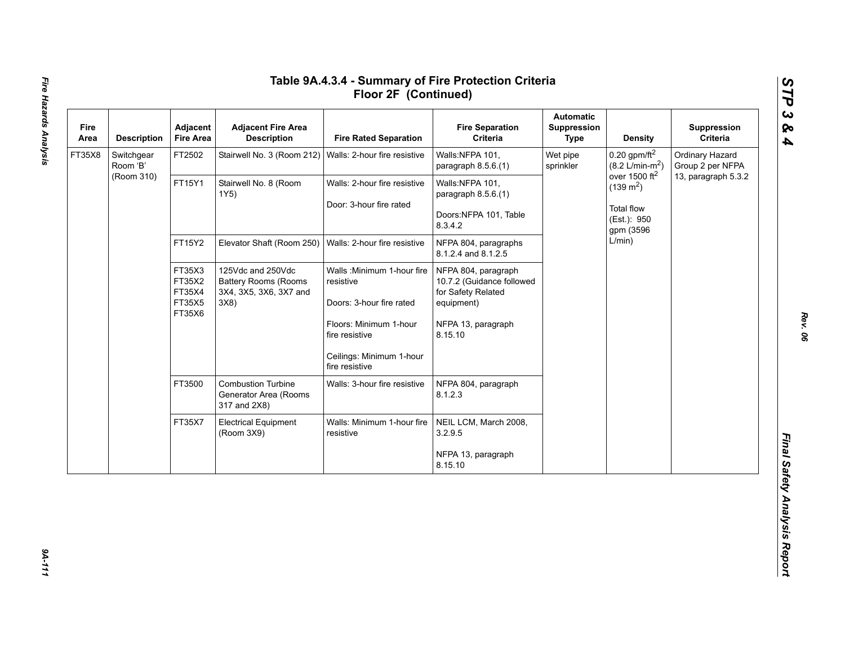| Fire<br>Area | <b>Description</b>     | Adjacent<br><b>Fire Area</b> | <b>Adjacent Fire Area</b><br><b>Description</b>                                    | <b>Fire Rated Separation</b>               | <b>Fire Separation</b><br>Criteria                                     | <b>Automatic</b><br><b>Suppression</b><br><b>Type</b> | <b>Density</b>                                          | Suppression<br>Criteria             |
|--------------|------------------------|------------------------------|------------------------------------------------------------------------------------|--------------------------------------------|------------------------------------------------------------------------|-------------------------------------------------------|---------------------------------------------------------|-------------------------------------|
| FT35X8       | Switchgear<br>Room 'B' | FT2502                       | Stairwell No. 3 (Room 212)                                                         | Walls: 2-hour fire resistive               | Walls:NFPA 101,<br>paragraph 8.5.6.(1)                                 | Wet pipe<br>sprinkler                                 | $0.20$ gpm/ft <sup>2</sup><br>$(8.2 \text{ L/min-m}^2)$ | Ordinary Hazard<br>Group 2 per NFPA |
|              | (Room 310)             | FT15Y1                       | Stairwell No. 8 (Room<br>1Y5)                                                      | Walls: 2-hour fire resistive               | Walls:NFPA 101,<br>paragraph 8.5.6.(1)                                 |                                                       | over 1500 ft <sup>2</sup><br>$(139 \text{ m}^2)$        | 13, paragraph 5.3.2                 |
|              |                        |                              |                                                                                    | Door: 3-hour fire rated                    | Doors:NFPA 101, Table<br>8.3.4.2                                       |                                                       | <b>Total flow</b><br>(Est.): 950<br>gpm (3596<br>L/min) |                                     |
|              |                        | FT15Y2<br>FT35X3<br>FT35X2   | Elevator Shaft (Room 250)                                                          | Walls: 2-hour fire resistive               | NFPA 804, paragraphs<br>8.1.2.4 and 8.1.2.5                            |                                                       |                                                         |                                     |
|              | FT35X4<br>FT35X6       |                              | 125Vdc and 250Vdc<br><b>Battery Rooms (Rooms</b><br>3X4, 3X5, 3X6, 3X7 and<br>3X8) | Walls: Minimum 1-hour fire<br>resistive    | NFPA 804, paragraph<br>10.7.2 (Guidance followed<br>for Safety Related |                                                       |                                                         |                                     |
|              |                        | FT35X5                       |                                                                                    | Doors: 3-hour fire rated                   | equipment)                                                             |                                                       |                                                         |                                     |
|              |                        |                              |                                                                                    | Floors: Minimum 1-hour<br>fire resistive   | NFPA 13, paragraph<br>8.15.10                                          |                                                       |                                                         |                                     |
|              |                        |                              |                                                                                    | Ceilings: Minimum 1-hour<br>fire resistive |                                                                        |                                                       |                                                         |                                     |
|              |                        | FT3500                       | <b>Combustion Turbine</b><br>Generator Area (Rooms<br>317 and 2X8)                 | Walls: 3-hour fire resistive               | NFPA 804, paragraph<br>8.1.2.3                                         |                                                       |                                                         |                                     |
|              |                        | FT35X7                       | <b>Electrical Equipment</b><br>(Room 3X9)                                          | Walls: Minimum 1-hour fire<br>resistive    | NEIL LCM, March 2008,<br>3.2.9.5                                       |                                                       |                                                         |                                     |
|              |                        |                              |                                                                                    |                                            | NFPA 13, paragraph<br>8.15.10                                          |                                                       |                                                         |                                     |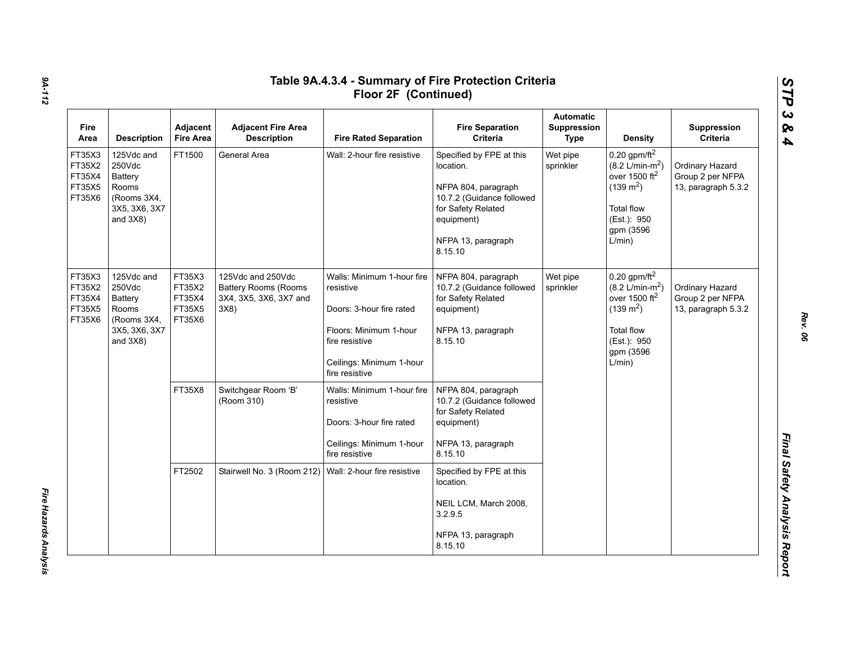| <b>Fire</b><br>Area                            | <b>Description</b>                                                                             | Adjacent<br><b>Fire Area</b>                   | <b>Adjacent Fire Area</b><br><b>Description</b>                                   | <b>Fire Rated Separation</b>                                                                                                                                  | <b>Fire Separation</b><br>Criteria                                                                                                                             | <b>Automatic</b><br>Suppression<br><b>Type</b> | <b>Density</b>                                                                                                                                                         | Suppression<br>Criteria                                    |
|------------------------------------------------|------------------------------------------------------------------------------------------------|------------------------------------------------|-----------------------------------------------------------------------------------|---------------------------------------------------------------------------------------------------------------------------------------------------------------|----------------------------------------------------------------------------------------------------------------------------------------------------------------|------------------------------------------------|------------------------------------------------------------------------------------------------------------------------------------------------------------------------|------------------------------------------------------------|
| FT35X3<br>FT35X2<br>FT35X4<br>FT35X5<br>FT35X6 | 125Vdc and<br>250Vdc<br>Battery<br><b>Rooms</b><br>(Rooms 3X4,<br>3X5, 3X6, 3X7<br>and $3X8$ ) | FT1500                                         | General Area                                                                      | Wall: 2-hour fire resistive                                                                                                                                   | Specified by FPE at this<br>location.<br>NFPA 804, paragraph<br>10.7.2 (Guidance followed<br>for Safety Related<br>equipment)<br>NFPA 13, paragraph<br>8.15.10 | Wet pipe<br>sprinkler                          | $0.20$ gpm/ft <sup>2</sup><br>$(8.2 \text{ L/min-m}^2)$<br>over 1500 ft <sup>2</sup><br>$(139 \text{ m}^2)$<br><b>Total flow</b><br>(Est.): 950<br>gpm (3596<br>L/min) | Ordinary Hazard<br>Group 2 per NFPA<br>13, paragraph 5.3.2 |
| FT35X3<br>FT35X2<br>FT35X4<br>FT35X5<br>FT35X6 | 125Vdc and<br>250Vdc<br>Battery<br>Rooms<br>(Rooms 3X4,<br>3X5, 3X6, 3X7<br>and $3X8$ )        | FT35X3<br>FT35X2<br>FT35X4<br>FT35X5<br>FT35X6 | 125Vdc and 250Vdc<br><b>Battery Rooms (Rooms</b><br>3X4, 3X5, 3X6, 3X7 and<br>3X8 | Walls: Minimum 1-hour fire<br>resistive<br>Doors: 3-hour fire rated<br>Floors: Minimum 1-hour<br>fire resistive<br>Ceilings: Minimum 1-hour<br>fire resistive | NFPA 804, paragraph<br>10.7.2 (Guidance followed<br>for Safety Related<br>equipment)<br>NFPA 13, paragraph<br>8.15.10                                          | Wet pipe<br>sprinkler                          | $0.20$ gpm/ft <sup>2</sup><br>$(8.2 \text{ L/min-m}^2)$<br>over 1500 $ft2$<br>$(139 \text{ m}^2)$<br><b>Total flow</b><br>(Est.): 950<br>gpm (3596<br>L/min)           | Ordinary Hazard<br>Group 2 per NFPA<br>13, paragraph 5.3.2 |
|                                                |                                                                                                | FT35X8                                         | Switchgear Room 'B'<br>(Room 310)                                                 | Walls: Minimum 1-hour fire<br>resistive<br>Doors: 3-hour fire rated<br>Ceilings: Minimum 1-hour<br>fire resistive                                             | NFPA 804, paragraph<br>10.7.2 (Guidance followed<br>for Safety Related<br>equipment)<br>NFPA 13, paragraph<br>8.15.10                                          |                                                |                                                                                                                                                                        |                                                            |
|                                                |                                                                                                | FT2502                                         | Stairwell No. 3 (Room 212)                                                        | Wall: 2-hour fire resistive                                                                                                                                   | Specified by FPE at this<br>location.<br>NEIL LCM, March 2008,<br>3.2.9.5<br>NFPA 13, paragraph<br>8.15.10                                                     |                                                |                                                                                                                                                                        |                                                            |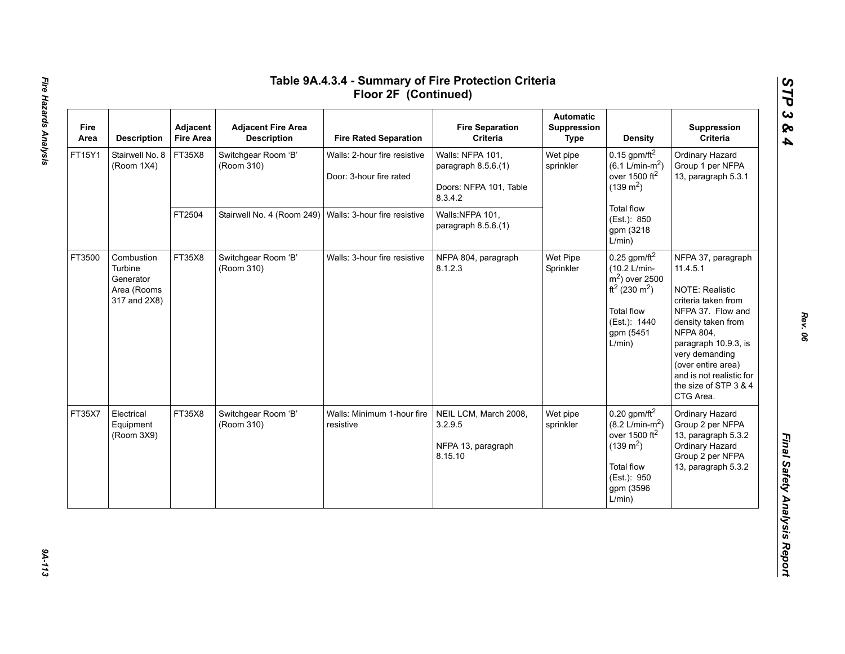| Fire<br>Area | <b>Description</b>                                                | Adjacent<br><b>Fire Area</b> | <b>Adjacent Fire Area</b><br><b>Description</b> | <b>Fire Rated Separation</b>                            | <b>Fire Separation</b><br>Criteria                                           | <b>Automatic</b><br>Suppression<br>Type | Density                                                                                                                                                         | Suppression<br>Criteria                                                                                                                                                                                                                                                          |
|--------------|-------------------------------------------------------------------|------------------------------|-------------------------------------------------|---------------------------------------------------------|------------------------------------------------------------------------------|-----------------------------------------|-----------------------------------------------------------------------------------------------------------------------------------------------------------------|----------------------------------------------------------------------------------------------------------------------------------------------------------------------------------------------------------------------------------------------------------------------------------|
| FT15Y1       | Stairwell No. 8<br>(Room 1X4)                                     | FT35X8                       | Switchgear Room 'B'<br>(Room 310)               | Walls: 2-hour fire resistive<br>Door: 3-hour fire rated | Walls: NFPA 101,<br>paragraph 8.5.6.(1)<br>Doors: NFPA 101, Table<br>8.3.4.2 | Wet pipe<br>sprinkler                   | 0.15 gpm/ft $^2$<br>$(6.1 \text{ L/min-m}^2)$<br>over 1500 $ft2$<br>$(139 \text{ m}^2)$                                                                         | Ordinary Hazard<br>Group 1 per NFPA<br>13, paragraph 5.3.1                                                                                                                                                                                                                       |
|              |                                                                   | FT2504                       | Stairwell No. 4 (Room 249)                      | Walls: 3-hour fire resistive                            | Walls:NFPA 101,<br>paragraph 8.5.6.(1)                                       |                                         | Total flow<br>(Est.): 850<br>gpm (3218<br>L/min)                                                                                                                |                                                                                                                                                                                                                                                                                  |
| FT3500       | Combustion<br>Turbine<br>Generator<br>Area (Rooms<br>317 and 2X8) | FT35X8                       | Switchgear Room 'B'<br>(Room 310)               | Walls: 3-hour fire resistive                            | NFPA 804, paragraph<br>8.1.2.3                                               | Wet Pipe<br>Sprinkler                   | $0.25$ gpm/ft <sup>2</sup><br>(10.2 L/min-<br>$m2$ ) over 2500<br>ft <sup>2</sup> (230 m <sup>2</sup> )<br>Total flow<br>(Est.): 1440<br>gpm (5451<br>L/min)    | NFPA 37, paragraph<br>11.4.5.1<br><b>NOTE: Realistic</b><br>criteria taken from<br>NFPA 37. Flow and<br>density taken from<br><b>NFPA 804,</b><br>paragraph 10.9.3, is<br>very demanding<br>(over entire area)<br>and is not realistic for<br>the size of STP 3 & 4<br>CTG Area. |
| FT35X7       | Electrical<br>Equipment<br>(Room 3X9)                             | FT35X8                       | Switchgear Room 'B'<br>(Room 310)               | Walls: Minimum 1-hour fire<br>resistive                 | NEIL LCM, March 2008,<br>3.2.9.5<br>NFPA 13, paragraph<br>8.15.10            | Wet pipe<br>sprinkler                   | $0.20$ gpm/ft <sup>2</sup><br>$(8.2 \text{ L/min-m}^2)$<br>over 1500 ft <sup>2</sup><br>$(139 \text{ m}^2)$<br>Total flow<br>(Est.): 950<br>gpm (3596<br>L/min) | Ordinary Hazard<br>Group 2 per NFPA<br>13, paragraph 5.3.2<br>Ordinary Hazard<br>Group 2 per NFPA<br>13, paragraph 5.3.2                                                                                                                                                         |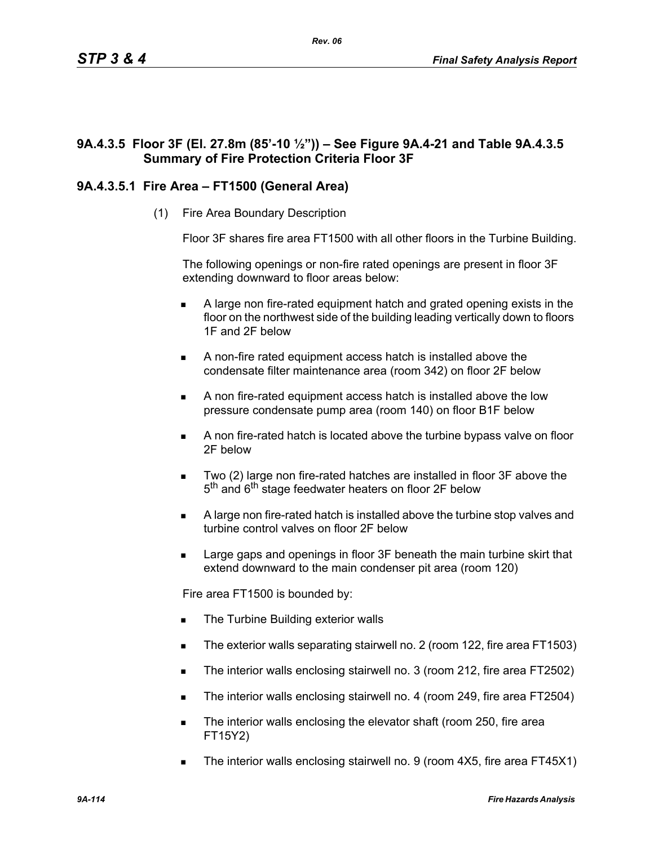# **9A.4.3.5 Floor 3F (El. 27.8m (85'-10 ½")) – See Figure 9A.4-21 and Table 9A.4.3.5 Summary of Fire Protection Criteria Floor 3F**

# **9A.4.3.5.1 Fire Area – FT1500 (General Area)**

(1) Fire Area Boundary Description

Floor 3F shares fire area FT1500 with all other floors in the Turbine Building.

The following openings or non-fire rated openings are present in floor 3F extending downward to floor areas below:

- A large non fire-rated equipment hatch and grated opening exists in the floor on the northwest side of the building leading vertically down to floors 1F and 2F below
- A non-fire rated equipment access hatch is installed above the condensate filter maintenance area (room 342) on floor 2F below
- A non fire-rated equipment access hatch is installed above the low pressure condensate pump area (room 140) on floor B1F below
- A non fire-rated hatch is located above the turbine bypass valve on floor 2F below
- Two (2) large non fire-rated hatches are installed in floor 3F above the 5<sup>th</sup> and 6<sup>th</sup> stage feedwater heaters on floor 2F below
- A large non fire-rated hatch is installed above the turbine stop valves and turbine control valves on floor 2F below
- Large gaps and openings in floor 3F beneath the main turbine skirt that extend downward to the main condenser pit area (room 120)

Fire area FT1500 is bounded by:

- The Turbine Building exterior walls
- The exterior walls separating stairwell no. 2 (room 122, fire area FT1503)
- The interior walls enclosing stairwell no. 3 (room 212, fire area FT2502)
- The interior walls enclosing stairwell no. 4 (room 249, fire area FT2504)
- The interior walls enclosing the elevator shaft (room 250, fire area FT15Y2)
- The interior walls enclosing stairwell no. 9 (room 4X5, fire area FT45X1)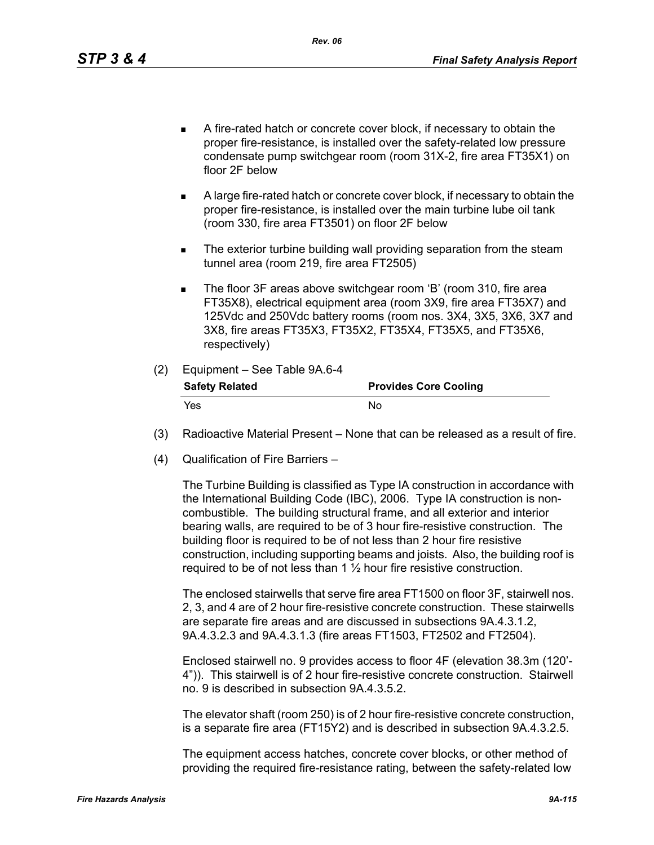- A fire-rated hatch or concrete cover block, if necessary to obtain the proper fire-resistance, is installed over the safety-related low pressure condensate pump switchgear room (room 31X-2, fire area FT35X1) on floor 2F below
- A large fire-rated hatch or concrete cover block, if necessary to obtain the proper fire-resistance, is installed over the main turbine lube oil tank (room 330, fire area FT3501) on floor 2F below
- **The exterior turbine building wall providing separation from the steam** tunnel area (room 219, fire area FT2505)
- The floor 3F areas above switchgear room 'B' (room 310, fire area FT35X8), electrical equipment area (room 3X9, fire area FT35X7) and 125Vdc and 250Vdc battery rooms (room nos. 3X4, 3X5, 3X6, 3X7 and 3X8, fire areas FT35X3, FT35X2, FT35X4, FT35X5, and FT35X6, respectively)

## (2) Equipment – See Table 9A.6-4

| <b>Safety Related</b> | <b>Provides Core Cooling</b> |
|-----------------------|------------------------------|
| Yes.                  | No.                          |

- (3) Radioactive Material Present None that can be released as a result of fire.
- (4) Qualification of Fire Barriers –

The Turbine Building is classified as Type IA construction in accordance with the International Building Code (IBC), 2006. Type IA construction is noncombustible. The building structural frame, and all exterior and interior bearing walls, are required to be of 3 hour fire-resistive construction. The building floor is required to be of not less than 2 hour fire resistive construction, including supporting beams and joists. Also, the building roof is required to be of not less than 1 ½ hour fire resistive construction.

The enclosed stairwells that serve fire area FT1500 on floor 3F, stairwell nos. 2, 3, and 4 are of 2 hour fire-resistive concrete construction. These stairwells are separate fire areas and are discussed in subsections 9A.4.3.1.2, 9A.4.3.2.3 and 9A.4.3.1.3 (fire areas FT1503, FT2502 and FT2504).

Enclosed stairwell no. 9 provides access to floor 4F (elevation 38.3m (120'- 4")). This stairwell is of 2 hour fire-resistive concrete construction. Stairwell no. 9 is described in subsection 9A.4.3.5.2.

The elevator shaft (room 250) is of 2 hour fire-resistive concrete construction, is a separate fire area (FT15Y2) and is described in subsection 9A.4.3.2.5.

The equipment access hatches, concrete cover blocks, or other method of providing the required fire-resistance rating, between the safety-related low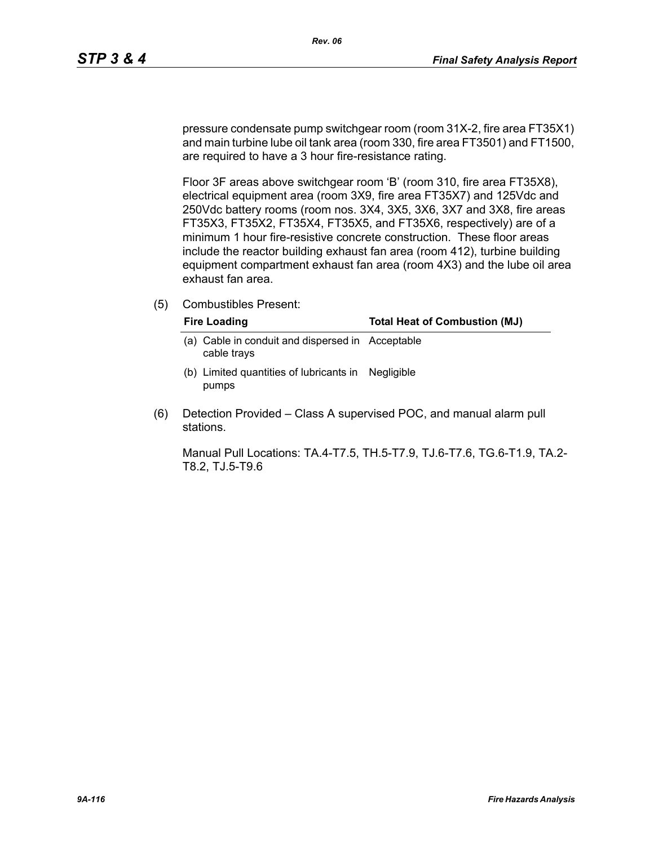pressure condensate pump switchgear room (room 31X-2, fire area FT35X1) and main turbine lube oil tank area (room 330, fire area FT3501) and FT1500, are required to have a 3 hour fire-resistance rating.

Floor 3F areas above switchgear room 'B' (room 310, fire area FT35X8), electrical equipment area (room 3X9, fire area FT35X7) and 125Vdc and 250Vdc battery rooms (room nos. 3X4, 3X5, 3X6, 3X7 and 3X8, fire areas FT35X3, FT35X2, FT35X4, FT35X5, and FT35X6, respectively) are of a minimum 1 hour fire-resistive concrete construction. These floor areas include the reactor building exhaust fan area (room 412), turbine building equipment compartment exhaust fan area (room 4X3) and the lube oil area exhaust fan area.

(5) Combustibles Present:

| <b>Fire Loading</b>                                             | <b>Total Heat of Combustion (MJ)</b> |
|-----------------------------------------------------------------|--------------------------------------|
| (a) Cable in conduit and dispersed in Acceptable<br>cable trays |                                      |
| (b) Limited quantities of lubricants in Negligible<br>pumps     |                                      |

(6) Detection Provided – Class A supervised POC, and manual alarm pull stations.

Manual Pull Locations: TA.4-T7.5, TH.5-T7.9, TJ.6-T7.6, TG.6-T1.9, TA.2- T8.2, TJ.5-T9.6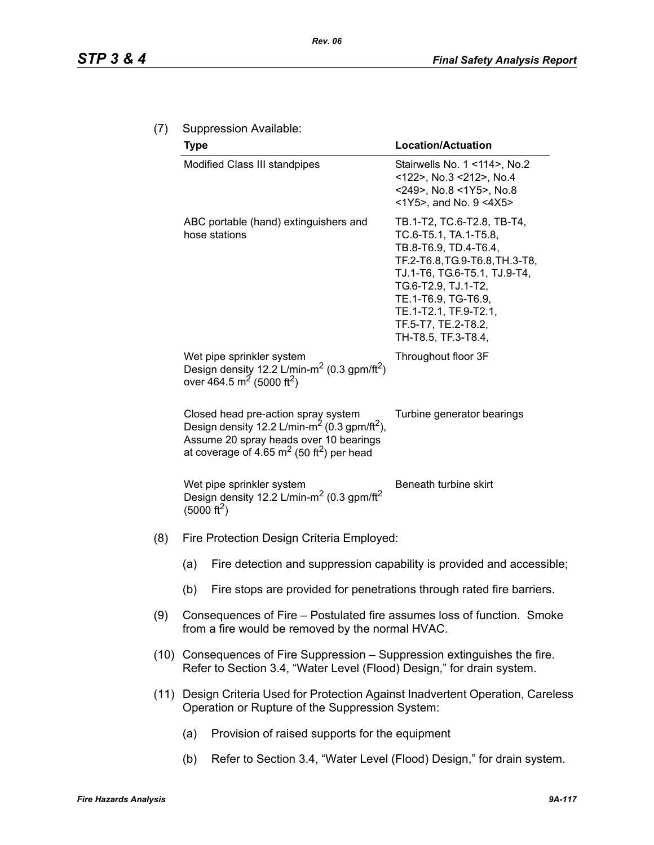|     | <b>Type</b>                                                                                                                                                                                                      | <b>Location/Actuation</b>                                                                                                                                                                                                                                           |  |  |  |
|-----|------------------------------------------------------------------------------------------------------------------------------------------------------------------------------------------------------------------|---------------------------------------------------------------------------------------------------------------------------------------------------------------------------------------------------------------------------------------------------------------------|--|--|--|
|     | Modified Class III standpipes                                                                                                                                                                                    | Stairwells No. 1 <114>, No.2<br><122>, No.3 <212>, No.4<br><249>, No.8 <1Y5>, No.8<br><1Y5>, and No. 9 <4X5>                                                                                                                                                        |  |  |  |
|     | ABC portable (hand) extinguishers and<br>hose stations                                                                                                                                                           | TB.1-T2, TC.6-T2.8, TB-T4,<br>TC.6-T5.1, TA.1-T5.8,<br>TB.8-T6.9, TD.4-T6.4,<br>TF.2-T6.8, TG.9-T6.8, TH.3-T8,<br>TJ.1-T6, TG.6-T5.1, TJ.9-T4,<br>TG.6-T2.9, TJ.1-T2,<br>TE.1-T6.9, TG-T6.9,<br>TE.1-T2.1, TF.9-T2.1,<br>TF.5-T7, TE.2-T8.2,<br>TH-T8.5, TF.3-T8.4, |  |  |  |
|     | Wet pipe sprinkler system<br>Design density 12.2 L/min-m <sup>2</sup> (0.3 gpm/ft <sup>2</sup> )<br>over 464.5 m <sup>2</sup> (5000 ft <sup>2</sup> )                                                            | Throughout floor 3F                                                                                                                                                                                                                                                 |  |  |  |
|     | Closed head pre-action spray system<br>Design density 12.2 L/min-m <sup>2</sup> (0.3 gpm/ft <sup>2</sup> ),<br>Assume 20 spray heads over 10 bearings<br>at coverage of 4.65 $m2$ (50 ft <sup>2</sup> ) per head | Turbine generator bearings                                                                                                                                                                                                                                          |  |  |  |
|     | Wet pipe sprinkler system<br>Design density 12.2 L/min-m <sup>2</sup> (0.3 gpm/ft <sup>2</sup> )<br>(5000 ft <sup>2</sup> )                                                                                      | Beneath turbine skirt                                                                                                                                                                                                                                               |  |  |  |
| (8) | Fire Protection Design Criteria Employed:                                                                                                                                                                        |                                                                                                                                                                                                                                                                     |  |  |  |
|     | (a)                                                                                                                                                                                                              | Fire detection and suppression capability is provided and accessible;                                                                                                                                                                                               |  |  |  |
|     | Fire stops are provided for penetrations through rated fire barriers.<br>(b)                                                                                                                                     |                                                                                                                                                                                                                                                                     |  |  |  |
| (9) | Consequences of Fire – Postulated fire assumes loss of function. Smoke<br>from a fire would be removed by the normal HVAC.                                                                                       |                                                                                                                                                                                                                                                                     |  |  |  |
|     | (10) Consequences of Fire Suppression – Suppression extinguishes the fire.<br>Refer to Section 3.4, "Water Level (Flood) Design," for drain system.                                                              |                                                                                                                                                                                                                                                                     |  |  |  |
|     | (11) Design Criteria Used for Protection Against Inadvertent Operation, Careless<br>Operation or Rupture of the Suppression System:                                                                              |                                                                                                                                                                                                                                                                     |  |  |  |
|     | Provision of raised supports for the equipment<br>(a)                                                                                                                                                            |                                                                                                                                                                                                                                                                     |  |  |  |

(b) Refer to Section 3.4, "Water Level (Flood) Design," for drain system.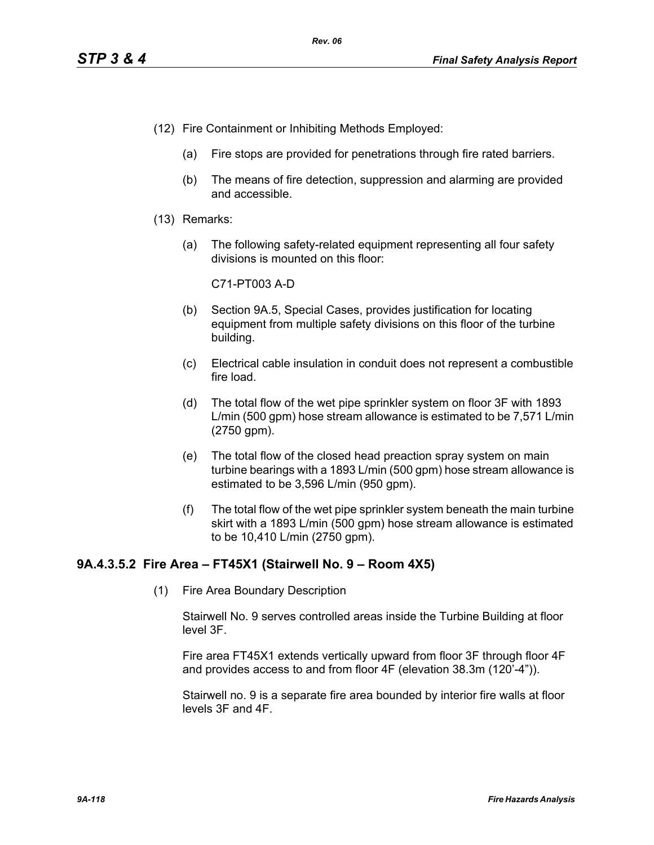- (12) Fire Containment or Inhibiting Methods Employed:
	- (a) Fire stops are provided for penetrations through fire rated barriers.
	- (b) The means of fire detection, suppression and alarming are provided and accessible.
- (13) Remarks:
	- (a) The following safety-related equipment representing all four safety divisions is mounted on this floor:

C71-PT003 A-D

- (b) Section 9A.5, Special Cases, provides justification for locating equipment from multiple safety divisions on this floor of the turbine building.
- (c) Electrical cable insulation in conduit does not represent a combustible fire load.
- (d) The total flow of the wet pipe sprinkler system on floor 3F with 1893 L/min (500 gpm) hose stream allowance is estimated to be 7,571 L/min (2750 gpm).
- (e) The total flow of the closed head preaction spray system on main turbine bearings with a 1893 L/min (500 gpm) hose stream allowance is estimated to be 3,596 L/min (950 gpm).
- (f) The total flow of the wet pipe sprinkler system beneath the main turbine skirt with a 1893 L/min (500 gpm) hose stream allowance is estimated to be 10,410 L/min (2750 gpm).

# **9A.4.3.5.2 Fire Area – FT45X1 (Stairwell No. 9 – Room 4X5)**

(1) Fire Area Boundary Description

Stairwell No. 9 serves controlled areas inside the Turbine Building at floor level 3F.

Fire area FT45X1 extends vertically upward from floor 3F through floor 4F and provides access to and from floor 4F (elevation 38.3m (120'-4")).

Stairwell no. 9 is a separate fire area bounded by interior fire walls at floor levels 3F and 4F.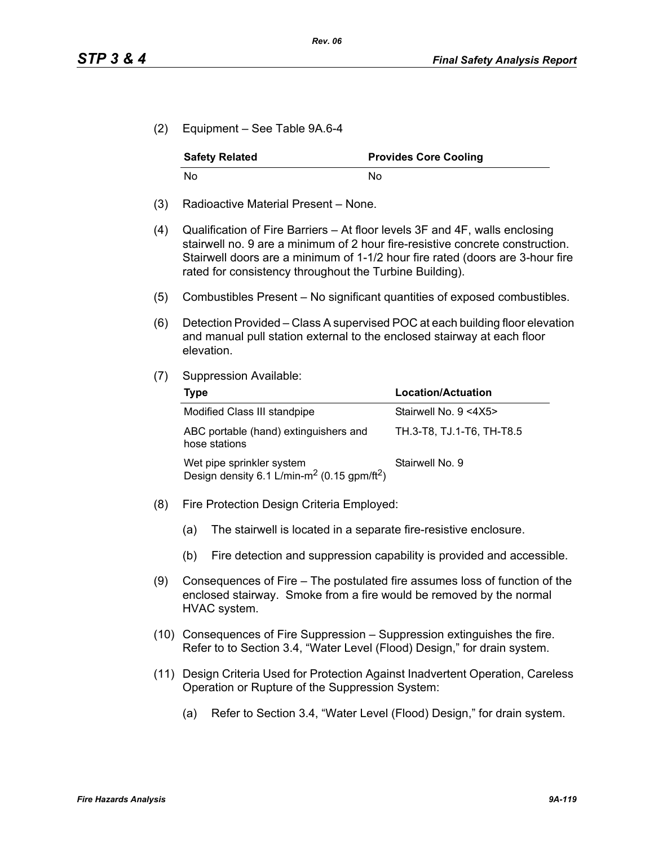(2) Equipment – See Table 9A.6-4

| <b>Safety Related</b> | <b>Provides Core Cooling</b> |
|-----------------------|------------------------------|
| No                    | Nο                           |

- (3) Radioactive Material Present None.
- (4) Qualification of Fire Barriers At floor levels 3F and 4F, walls enclosing stairwell no. 9 are a minimum of 2 hour fire-resistive concrete construction. Stairwell doors are a minimum of 1-1/2 hour fire rated (doors are 3-hour fire rated for consistency throughout the Turbine Building).
- (5) Combustibles Present No significant quantities of exposed combustibles.
- (6) Detection Provided Class A supervised POC at each building floor elevation and manual pull station external to the enclosed stairway at each floor elevation.
- (7) Suppression Available:

| Type                                                                                             | <b>Location/Actuation</b> |
|--------------------------------------------------------------------------------------------------|---------------------------|
| Modified Class III standpipe                                                                     | Stairwell No. 9 <4X5>     |
| ABC portable (hand) extinguishers and<br>hose stations                                           | TH.3-T8, TJ.1-T6, TH-T8.5 |
| Wet pipe sprinkler system<br>Design density 6.1 L/min-m <sup>2</sup> (0.15 gpm/ft <sup>2</sup> ) | Stairwell No. 9           |

- (8) Fire Protection Design Criteria Employed:
	- (a) The stairwell is located in a separate fire-resistive enclosure.
	- (b) Fire detection and suppression capability is provided and accessible.
- (9) Consequences of Fire The postulated fire assumes loss of function of the enclosed stairway. Smoke from a fire would be removed by the normal HVAC system.
- (10) Consequences of Fire Suppression Suppression extinguishes the fire. Refer to to Section 3.4, "Water Level (Flood) Design," for drain system.
- (11) Design Criteria Used for Protection Against Inadvertent Operation, Careless Operation or Rupture of the Suppression System:
	- (a) Refer to Section 3.4, "Water Level (Flood) Design," for drain system.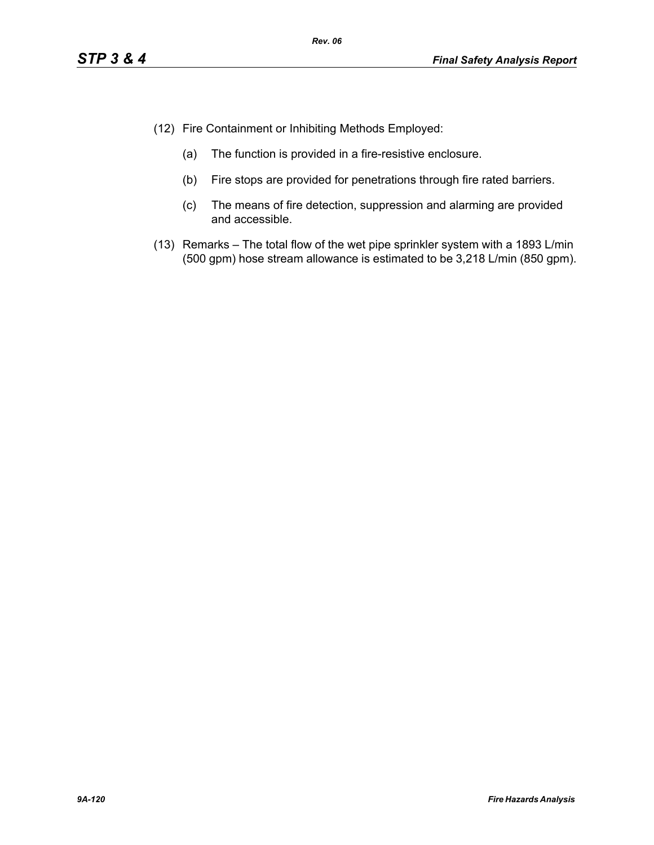- (12) Fire Containment or Inhibiting Methods Employed:
	- (a) The function is provided in a fire-resistive enclosure.
	- (b) Fire stops are provided for penetrations through fire rated barriers.
	- (c) The means of fire detection, suppression and alarming are provided and accessible.
- (13) Remarks The total flow of the wet pipe sprinkler system with a 1893 L/min (500 gpm) hose stream allowance is estimated to be 3,218 L/min (850 gpm).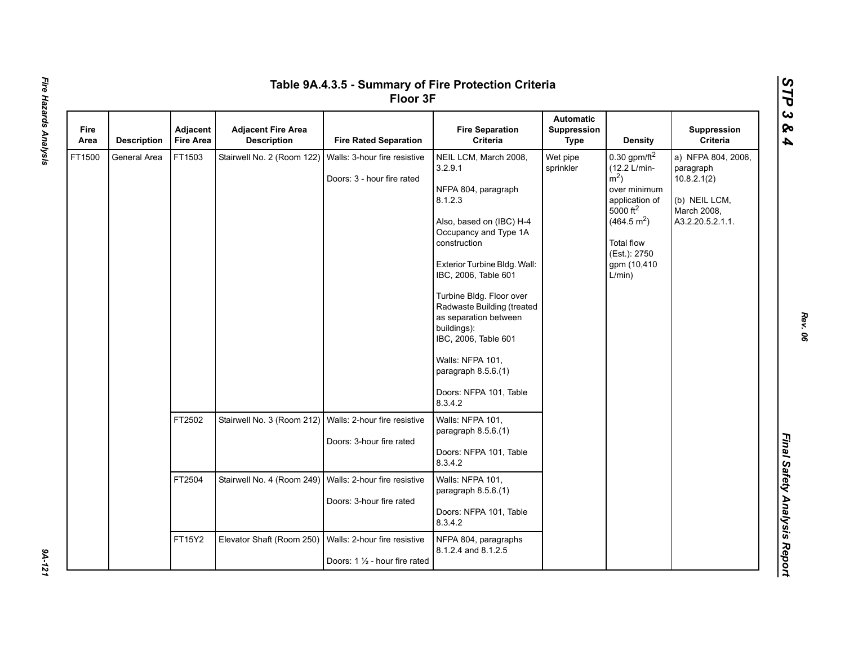|              | Table 9A.4.3.5 - Summary of Fire Protection Criteria<br>Floor 3F |                              |                                                 |                                                                |                                                                                                                                                                                                                                                                                                                                                                                                           |                                                       |                                                                                                                                                                                                      |                                                                                                    |  |  |
|--------------|------------------------------------------------------------------|------------------------------|-------------------------------------------------|----------------------------------------------------------------|-----------------------------------------------------------------------------------------------------------------------------------------------------------------------------------------------------------------------------------------------------------------------------------------------------------------------------------------------------------------------------------------------------------|-------------------------------------------------------|------------------------------------------------------------------------------------------------------------------------------------------------------------------------------------------------------|----------------------------------------------------------------------------------------------------|--|--|
| Fire<br>Area | <b>Description</b>                                               | Adjacent<br><b>Fire Area</b> | <b>Adjacent Fire Area</b><br><b>Description</b> | <b>Fire Rated Separation</b>                                   | <b>Fire Separation</b><br>Criteria                                                                                                                                                                                                                                                                                                                                                                        | <b>Automatic</b><br><b>Suppression</b><br><b>Type</b> | <b>Density</b>                                                                                                                                                                                       | Suppression<br><b>Criteria</b>                                                                     |  |  |
| FT1500       | General Area                                                     | FT1503                       | Stairwell No. 2 (Room 122)                      | Walls: 3-hour fire resistive<br>Doors: 3 - hour fire rated     | NEIL LCM, March 2008,<br>3.2.9.1<br>NFPA 804, paragraph<br>8.1.2.3<br>Also, based on (IBC) H-4<br>Occupancy and Type 1A<br>construction<br>Exterior Turbine Bldg. Wall:<br>IBC, 2006, Table 601<br>Turbine Bldg. Floor over<br>Radwaste Building (treated<br>as separation between<br>buildings):<br>IBC, 2006, Table 601<br>Walls: NFPA 101,<br>paragraph 8.5.6.(1)<br>Doors: NFPA 101, Table<br>8.3.4.2 | Wet pipe<br>sprinkler                                 | 0.30 gpm/ft $^2$<br>(12.2 L/min-<br>$\rm \dot{m}^2$ )<br>over minimum<br>application of<br>$5000$ ft <sup>2</sup><br>(464.5 m <sup>2</sup> )<br>Total flow<br>(Est.): 2750<br>gpm (10,410)<br>L/min) | a) NFPA 804, 2006,<br>paragraph<br>10.8.2.1(2)<br>(b) NEIL LCM,<br>March 2008,<br>A3.2.20.5.2.1.1. |  |  |
|              |                                                                  | FT2502                       | Stairwell No. 3 (Room 212)                      | Walls: 2-hour fire resistive<br>Doors: 3-hour fire rated       | Walls: NFPA 101,<br>paragraph 8.5.6.(1)<br>Doors: NFPA 101, Table<br>8.3.4.2                                                                                                                                                                                                                                                                                                                              |                                                       |                                                                                                                                                                                                      |                                                                                                    |  |  |
|              |                                                                  | FT2504                       | Stairwell No. 4 (Room 249)                      | Walls: 2-hour fire resistive<br>Doors: 3-hour fire rated       | Walls: NFPA 101,<br>paragraph 8.5.6.(1)<br>Doors: NFPA 101, Table<br>8.3.4.2                                                                                                                                                                                                                                                                                                                              |                                                       |                                                                                                                                                                                                      |                                                                                                    |  |  |
|              |                                                                  | FT15Y2                       | Elevator Shaft (Room 250)                       | Walls: 2-hour fire resistive<br>Doors: 1 1/2 - hour fire rated | NFPA 804, paragraphs<br>8.1.2.4 and 8.1.2.5                                                                                                                                                                                                                                                                                                                                                               |                                                       |                                                                                                                                                                                                      |                                                                                                    |  |  |

9A-121

*Rev. 06*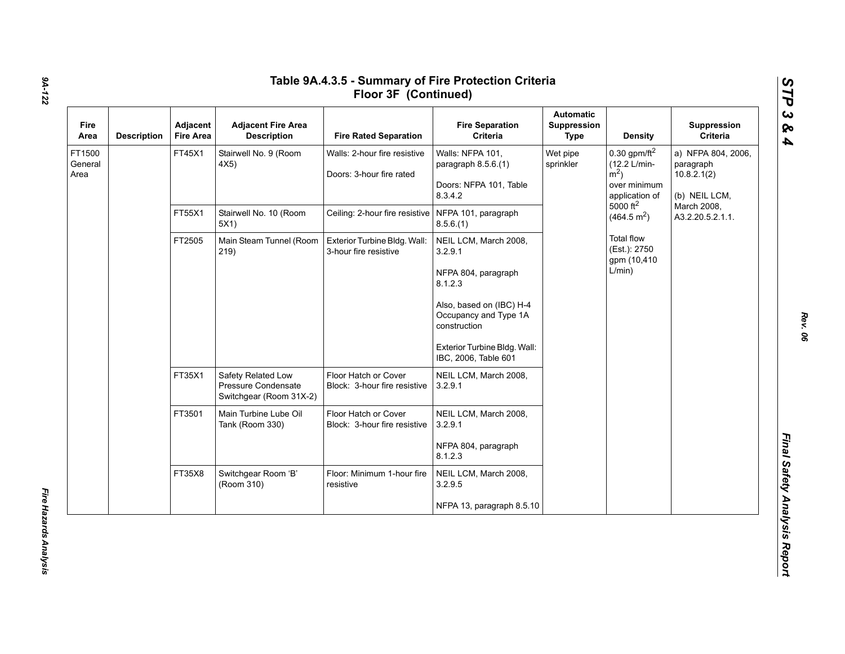| Fire<br>Area              | <b>Description</b> | Adjacent<br><b>Fire Area</b>   | <b>Adjacent Fire Area</b><br><b>Description</b>                      | <b>Fire Rated Separation</b>                             | <b>Fire Separation</b><br>Criteria                                                                                                                                                              | Automatic<br>Suppression<br><b>Type</b>                                                                                                           | <b>Density</b>                                              | Suppression<br>Criteria                                         |
|---------------------------|--------------------|--------------------------------|----------------------------------------------------------------------|----------------------------------------------------------|-------------------------------------------------------------------------------------------------------------------------------------------------------------------------------------------------|---------------------------------------------------------------------------------------------------------------------------------------------------|-------------------------------------------------------------|-----------------------------------------------------------------|
| FT1500<br>General<br>Area |                    | FT45X1                         | Stairwell No. 9 (Room<br>4X5)                                        | Walls: 2-hour fire resistive<br>Doors: 3-hour fire rated | Walls: NFPA 101,<br>paragraph 8.5.6.(1)<br>Doors: NFPA 101, Table<br>8.3.4.2                                                                                                                    | Wet pipe<br>(12.2 L/min-<br>sprinkler<br>$\rm \dot{m}^2$ )<br>over minimum<br>application of<br>$5000$ ft <sup>2</sup><br>(464.5 m <sup>2</sup> ) | 0.30 gpm/ft $^2$                                            | a) NFPA 804, 2006,<br>paragraph<br>10.8.2.1(2)<br>(b) NEIL LCM, |
|                           | FT55X1             | Stairwell No. 10 (Room<br>5X1) | Ceiling: 2-hour fire resistive   NFPA 101, paragraph                 | 8.5.6(1)                                                 |                                                                                                                                                                                                 |                                                                                                                                                   | March 2008,<br>A3.2.20.5.2.1.1.                             |                                                                 |
|                           |                    | FT2505                         | Main Steam Tunnel (Room<br>219)                                      | Exterior Turbine Bldg. Wall:<br>3-hour fire resistive    | NEIL LCM, March 2008,<br>3.2.9.1<br>NFPA 804, paragraph<br>8.1.2.3<br>Also, based on (IBC) H-4<br>Occupancy and Type 1A<br>construction<br>Exterior Turbine Bldg. Wall:<br>IBC, 2006, Table 601 |                                                                                                                                                   | <b>Total flow</b><br>(Est.): 2750<br>gpm (10,410)<br>L/min) |                                                                 |
|                           |                    | FT35X1                         | Safety Related Low<br>Pressure Condensate<br>Switchgear (Room 31X-2) | Floor Hatch or Cover<br>Block: 3-hour fire resistive     | NEIL LCM, March 2008,<br>3.2.9.1                                                                                                                                                                |                                                                                                                                                   |                                                             |                                                                 |
|                           |                    | FT3501                         | Main Turbine Lube Oil<br>Tank (Room 330)                             | Floor Hatch or Cover<br>Block: 3-hour fire resistive     | NEIL LCM, March 2008,<br>3.2.9.1<br>NFPA 804, paragraph<br>8.1.2.3                                                                                                                              |                                                                                                                                                   |                                                             |                                                                 |
|                           |                    | FT35X8                         | Switchgear Room 'B'<br>(Room 310)                                    | Floor: Minimum 1-hour fire<br>resistive                  | NEIL LCM, March 2008,<br>3.2.9.5                                                                                                                                                                |                                                                                                                                                   |                                                             |                                                                 |
|                           |                    |                                |                                                                      |                                                          | NFPA 13, paragraph 8.5.10                                                                                                                                                                       |                                                                                                                                                   |                                                             |                                                                 |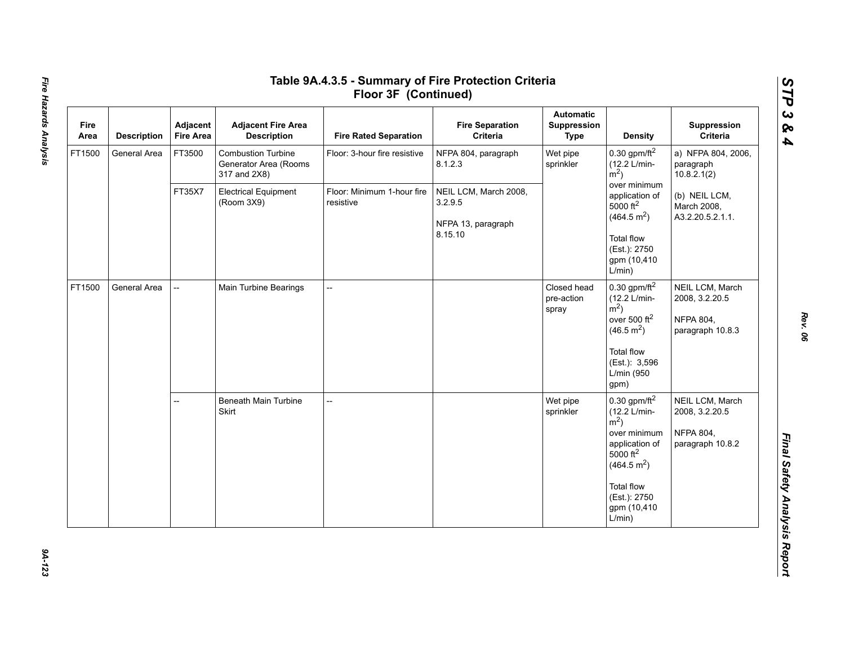| Fire<br>Area | <b>Description</b> | Adjacent<br><b>Fire Area</b>                        | <b>Adjacent Fire Area</b><br><b>Description</b>                    | <b>Fire Rated Separation</b>                | <b>Fire Separation</b><br>Criteria | <b>Automatic</b><br>Suppression<br><b>Type</b>                                      | <b>Density</b>                                                                                                                                                                                        | Suppression<br>Criteria                                                   |
|--------------|--------------------|-----------------------------------------------------|--------------------------------------------------------------------|---------------------------------------------|------------------------------------|-------------------------------------------------------------------------------------|-------------------------------------------------------------------------------------------------------------------------------------------------------------------------------------------------------|---------------------------------------------------------------------------|
| FT1500       | General Area       | FT3500                                              | <b>Combustion Turbine</b><br>Generator Area (Rooms<br>317 and 2X8) | Floor: 3-hour fire resistive                | NFPA 804, paragraph<br>8.1.2.3     | Wet pipe<br>sprinkler                                                               | 0.30 gpm/ft $^2$<br>(12.2 L/min-<br>$\rm \dot{m}^2$ )                                                                                                                                                 | a) NFPA 804, 2006,<br>paragraph<br>10.8.2.1(2)                            |
|              |                    | FT35X7<br><b>Electrical Equipment</b><br>(Room 3X9) | Floor: Minimum 1-hour fire<br>resistive<br>3.2.9.5                 | NEIL LCM, March 2008,<br>NFPA 13, paragraph |                                    | over minimum<br>application of<br>$5000$ ft <sup>2</sup><br>(464.5 m <sup>2</sup> ) | (b) NEIL LCM,<br>March 2008,<br>A3.2.20.5.2.1.1.                                                                                                                                                      |                                                                           |
|              |                    |                                                     |                                                                    |                                             | 8.15.10                            |                                                                                     | <b>Total flow</b><br>(Est.): 2750<br>gpm (10,410)<br>L/min)                                                                                                                                           |                                                                           |
| FT1500       | General Area       | --                                                  | Main Turbine Bearings                                              | $\overline{a}$                              |                                    | Closed head<br>pre-action<br>spray                                                  | $0.30$ gpm/ft <sup>2</sup><br>(12.2 L/min-<br>$\rm \dot{m}^2$ )<br>over 500 $ft^2$<br>(46.5 m <sup>2</sup> )<br><b>Total flow</b><br>(Est.): 3,596<br>L/min (950<br>gpm)                              | NEIL LCM, March<br>2008, 3.2.20.5<br><b>NFPA 804,</b><br>paragraph 10.8.3 |
|              |                    | --                                                  | <b>Beneath Main Turbine</b><br>Skirt                               | --                                          |                                    | Wet pipe<br>sprinkler                                                               | $0.30$ gpm/ft $^2$<br>(12.2 L/min-<br>$\rm \dot{m}^2$ )<br>over minimum<br>application of<br>$5000$ ft <sup>2</sup><br>(464.5 m <sup>2</sup> )<br>Total flow<br>(Est.): 2750<br>gpm (10,410<br>L/min) | NEIL LCM, March<br>2008, 3.2.20.5<br><b>NFPA 804,</b><br>paragraph 10.8.2 |

# Fire Hazards Analysis *Fire Hazards Analysis 9A-123*

*STP 3 & 4*

94-123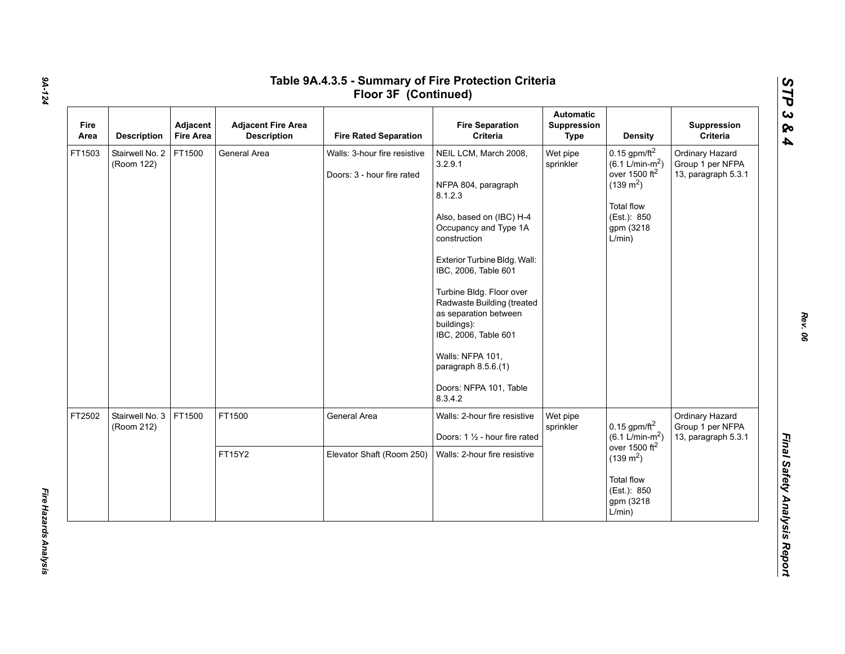| Fire<br>Area | <b>Description</b>            | Adjacent<br><b>Fire Area</b> | <b>Adjacent Fire Area</b><br><b>Description</b> | <b>Fire Rated Separation</b>                               | <b>Fire Separation</b><br>Criteria                                                                                                                                                                                                                                                                                                                                                                        | <b>Automatic</b><br>Suppression<br><b>Type</b> | <b>Density</b>                                                                                                                                        | Suppression<br>Criteria                                    |
|--------------|-------------------------------|------------------------------|-------------------------------------------------|------------------------------------------------------------|-----------------------------------------------------------------------------------------------------------------------------------------------------------------------------------------------------------------------------------------------------------------------------------------------------------------------------------------------------------------------------------------------------------|------------------------------------------------|-------------------------------------------------------------------------------------------------------------------------------------------------------|------------------------------------------------------------|
| FT1503       | Stairwell No. 2<br>(Room 122) | FT1500                       | General Area                                    | Walls: 3-hour fire resistive<br>Doors: 3 - hour fire rated | NEIL LCM, March 2008,<br>3.2.9.1<br>NFPA 804, paragraph<br>8.1.2.3<br>Also, based on (IBC) H-4<br>Occupancy and Type 1A<br>construction<br>Exterior Turbine Bldg. Wall:<br>IBC, 2006, Table 601<br>Turbine Bldg. Floor over<br>Radwaste Building (treated<br>as separation between<br>buildings):<br>IBC, 2006, Table 601<br>Walls: NFPA 101,<br>paragraph 8.5.6.(1)<br>Doors: NFPA 101, Table<br>8.3.4.2 | Wet pipe<br>sprinkler                          | $0.15$ gpm/ft <sup>2</sup><br>$(6.1 \text{ L/min-m}^2)$<br>over 1500 $ft2$<br>$(139 \text{ m}^2)$<br>Total flow<br>(Est.): 850<br>gpm (3218<br>L/min) | Ordinary Hazard<br>Group 1 per NFPA<br>13, paragraph 5.3.1 |
| FT2502       | Stairwell No. 3<br>(Room 212) | FT1500                       | FT1500                                          | General Area                                               | Walls: 2-hour fire resistive<br>Doors: 1 1/2 - hour fire rated                                                                                                                                                                                                                                                                                                                                            | Wet pipe<br>sprinkler                          | 0.15 gpm/ft $^2$<br>$(6.1 L/min-m2)$<br>over 1500 $ft2$                                                                                               | Ordinary Hazard<br>Group 1 per NFPA<br>13, paragraph 5.3.1 |
|              |                               |                              | FT15Y2                                          | Elevator Shaft (Room 250)                                  | Walls: 2-hour fire resistive                                                                                                                                                                                                                                                                                                                                                                              |                                                | $(139 \text{ m}^2)$<br><b>Total flow</b><br>(Est.): 850<br>gpm (3218)<br>L/min)                                                                       |                                                            |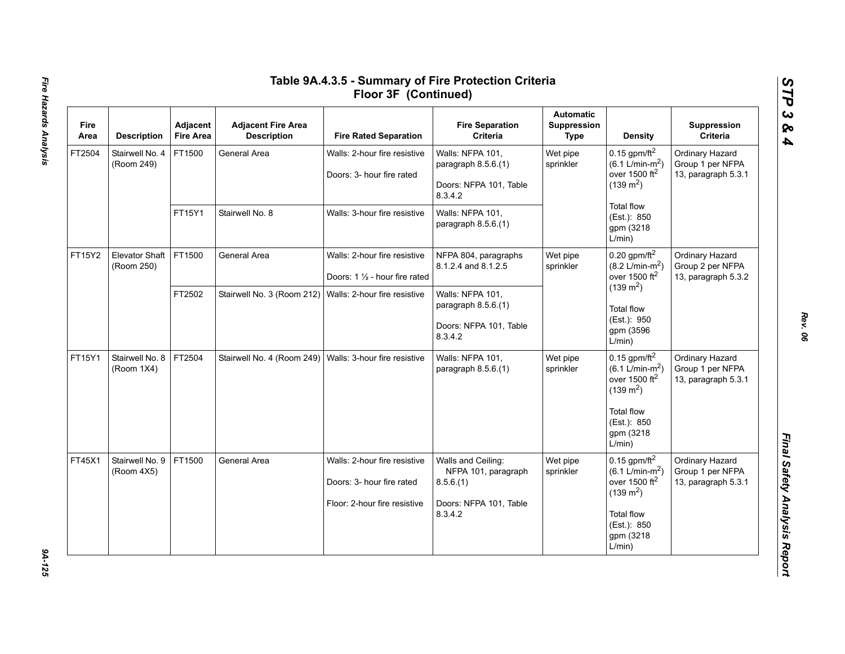| Fire<br>Area | <b>Description</b>                  | Adjacent<br><b>Fire Area</b>                                        | <b>Adjacent Fire Area</b><br><b>Description</b>           | <b>Fire Rated Separation</b>                                                              | <b>Fire Separation</b><br>Criteria                                                         | <b>Automatic</b><br>Suppression<br><b>Type</b>                                 | Density                                                                                                                                                                     | Suppression<br>Criteria                                    |
|--------------|-------------------------------------|---------------------------------------------------------------------|-----------------------------------------------------------|-------------------------------------------------------------------------------------------|--------------------------------------------------------------------------------------------|--------------------------------------------------------------------------------|-----------------------------------------------------------------------------------------------------------------------------------------------------------------------------|------------------------------------------------------------|
| FT2504       | Stairwell No. 4<br>(Room 249)       | FT1500                                                              | General Area                                              | Walls: 2-hour fire resistive<br>Doors: 3- hour fire rated                                 | Walls: NFPA 101,<br>paragraph 8.5.6.(1)<br>Doors: NFPA 101, Table<br>8.3.4.2               | Wet pipe<br>sprinkler                                                          | $0.15$ gpm/ft <sup>2</sup><br>$(6.1 \text{ L/min-m}^2)$<br>over 1500 $ft2$<br>$(139 \text{ m}^2)$                                                                           | Ordinary Hazard<br>Group 1 per NFPA<br>13, paragraph 5.3.1 |
|              |                                     | FT15Y1                                                              | Stairwell No. 8                                           | Walls: 3-hour fire resistive                                                              | Walls: NFPA 101,<br>paragraph 8.5.6.(1)                                                    |                                                                                | <b>Total flow</b><br>(Est.): 850<br>gpm (3218<br>L/min)                                                                                                                     |                                                            |
| FT15Y2       | <b>Elevator Shaft</b><br>(Room 250) | FT1500                                                              | General Area                                              | Walls: 2-hour fire resistive<br>Doors: $1\frac{1}{2}$ - hour fire rated                   | NFPA 804, paragraphs<br>8.1.2.4 and 8.1.2.5                                                | Wet pipe<br>sprinkler                                                          | $0.20$ gpm/ft <sup>2</sup><br>$(8.2 \text{ L/min-m}^2)$<br>over 1500 $ft2$                                                                                                  | Ordinary Hazard<br>Group 2 per NFPA<br>13, paragraph 5.3.2 |
|              |                                     | FT2502<br>Stairwell No. 3 (Room 212)   Walls: 2-hour fire resistive |                                                           | Walls: NFPA 101,<br>paragraph 8.5.6.(1)<br>Doors: NFPA 101, Table<br>8.3.4.2              |                                                                                            | $(139 \text{ m}^2)$<br><b>Total flow</b><br>(Est.): 950<br>gpm (3596<br>L/min) |                                                                                                                                                                             |                                                            |
| FT15Y1       | Stairwell No. 8<br>(Room 1X4)       | FT2504                                                              | Stairwell No. 4 (Room 249)   Walls: 3-hour fire resistive |                                                                                           | Walls: NFPA 101,<br>paragraph 8.5.6.(1)                                                    | Wet pipe<br>sprinkler                                                          | $0.15$ gpm/ft $^2$<br>$(6.1 \text{ L/min-m}^2)$<br>over 1500 $ft2$<br>$(139 \text{ m}^2)$<br><b>Total flow</b><br>(Est.): 850<br>gpm (3218<br>L/min)                        | Ordinary Hazard<br>Group 1 per NFPA<br>13, paragraph 5.3.1 |
| FT45X1       | Stairwell No. 9<br>(Room 4X5)       | FT1500                                                              | General Area                                              | Walls: 2-hour fire resistive<br>Doors: 3- hour fire rated<br>Floor: 2-hour fire resistive | Walls and Ceiling:<br>NFPA 101, paragraph<br>8.5.6(1)<br>Doors: NFPA 101, Table<br>8.3.4.2 | Wet pipe<br>sprinkler                                                          | $0.15$ gpm/ft <sup>2</sup><br>$(6.1 \text{ L/min-m}^2)$<br>over 1500 $\,$ ft <sup>2</sup><br>$(139 \text{ m}^2)$<br><b>Total flow</b><br>(Est.): 850<br>gpm (3218<br>L/min) | Ordinary Hazard<br>Group 1 per NFPA<br>13, paragraph 5.3.1 |

*STP 3 & 4*

9A-125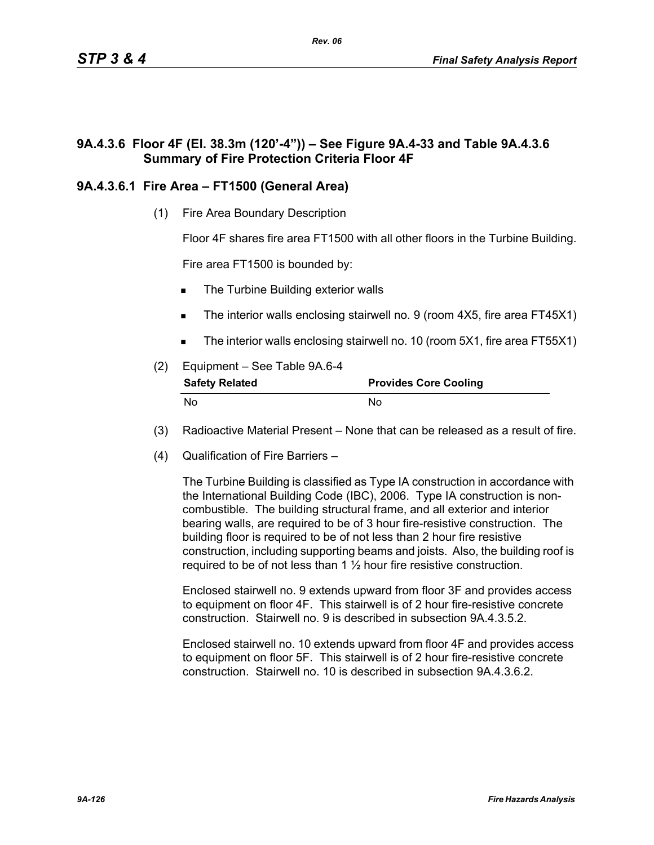# **9A.4.3.6 Floor 4F (El. 38.3m (120'-4")) – See Figure 9A.4-33 and Table 9A.4.3.6 Summary of Fire Protection Criteria Floor 4F**

# **9A.4.3.6.1 Fire Area – FT1500 (General Area)**

(1) Fire Area Boundary Description

Floor 4F shares fire area FT1500 with all other floors in the Turbine Building.

Fire area FT1500 is bounded by:

- The Turbine Building exterior walls
- The interior walls enclosing stairwell no. 9 (room 4X5, fire area FT45X1)
- The interior walls enclosing stairwell no. 10 (room 5X1, fire area FT55X1)
- (2) Equipment See Table 9A.6-4 **Safety Related Provides Core Cooling** No No
- (3) Radioactive Material Present None that can be released as a result of fire.
- (4) Qualification of Fire Barriers –

The Turbine Building is classified as Type IA construction in accordance with the International Building Code (IBC), 2006. Type IA construction is noncombustible. The building structural frame, and all exterior and interior bearing walls, are required to be of 3 hour fire-resistive construction. The building floor is required to be of not less than 2 hour fire resistive construction, including supporting beams and joists. Also, the building roof is required to be of not less than  $1\frac{1}{2}$  hour fire resistive construction.

Enclosed stairwell no. 9 extends upward from floor 3F and provides access to equipment on floor 4F. This stairwell is of 2 hour fire-resistive concrete construction. Stairwell no. 9 is described in subsection 9A.4.3.5.2.

Enclosed stairwell no. 10 extends upward from floor 4F and provides access to equipment on floor 5F. This stairwell is of 2 hour fire-resistive concrete construction. Stairwell no. 10 is described in subsection 9A.4.3.6.2.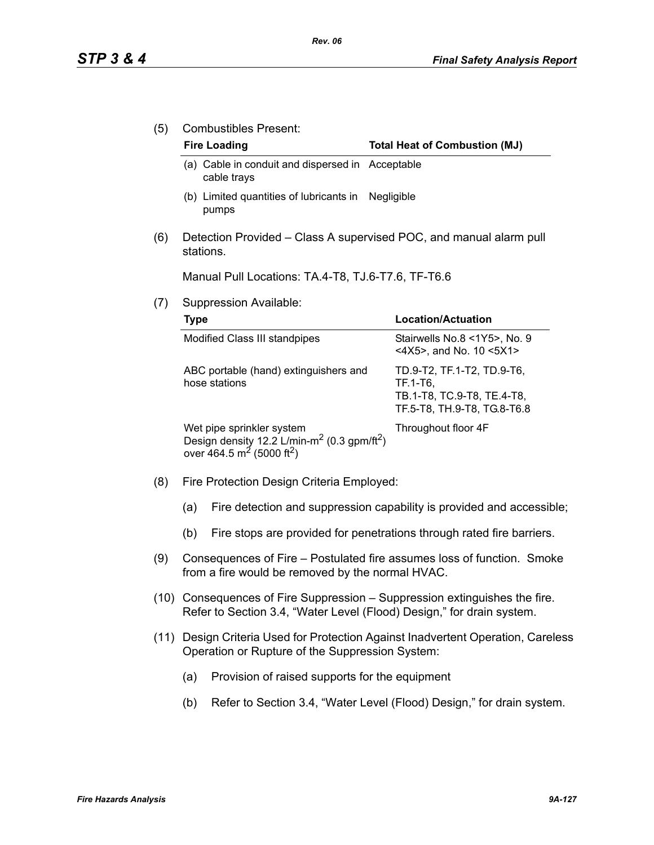(5) Combustibles Present:

### Fire Loading **Fire Loading Fire Loading Fire Loading Fire Loading Fig. 2 Total Heat of Combustion (MJ)**

- (a) Cable in conduit and dispersed in Acceptable cable trays
- (b) Limited quantities of lubricants in Negligible pumps
- (6) Detection Provided Class A supervised POC, and manual alarm pull stations.

Manual Pull Locations: TA.4-T8, TJ.6-T7.6, TF-T6.6

(7) Suppression Available:

| Type                                                                                                                                                  | Location/Actuation                                                                                  |
|-------------------------------------------------------------------------------------------------------------------------------------------------------|-----------------------------------------------------------------------------------------------------|
| Modified Class III standpipes                                                                                                                         | Stairwells No.8 <1Y5>, No. 9<br><4X5>, and No. 10 <5X1>                                             |
| ABC portable (hand) extinguishers and<br>hose stations                                                                                                | TD.9-T2, TF.1-T2, TD.9-T6,<br>TF.1-T6,<br>TB.1-T8, TC.9-T8, TE.4-T8,<br>TF.5-T8, TH.9-T8, TG.8-T6.8 |
| Wet pipe sprinkler system<br>Design density 12.2 L/min-m <sup>2</sup> (0.3 gpm/ft <sup>2</sup> )<br>over 464.5 m <sup>2</sup> (5000 ft <sup>2</sup> ) | Throughout floor 4F                                                                                 |

- (8) Fire Protection Design Criteria Employed:
	- (a) Fire detection and suppression capability is provided and accessible;
	- (b) Fire stops are provided for penetrations through rated fire barriers.
- (9) Consequences of Fire Postulated fire assumes loss of function. Smoke from a fire would be removed by the normal HVAC.
- (10) Consequences of Fire Suppression Suppression extinguishes the fire. Refer to Section 3.4, "Water Level (Flood) Design," for drain system.
- (11) Design Criteria Used for Protection Against Inadvertent Operation, Careless Operation or Rupture of the Suppression System:
	- (a) Provision of raised supports for the equipment
	- (b) Refer to Section 3.4, "Water Level (Flood) Design," for drain system.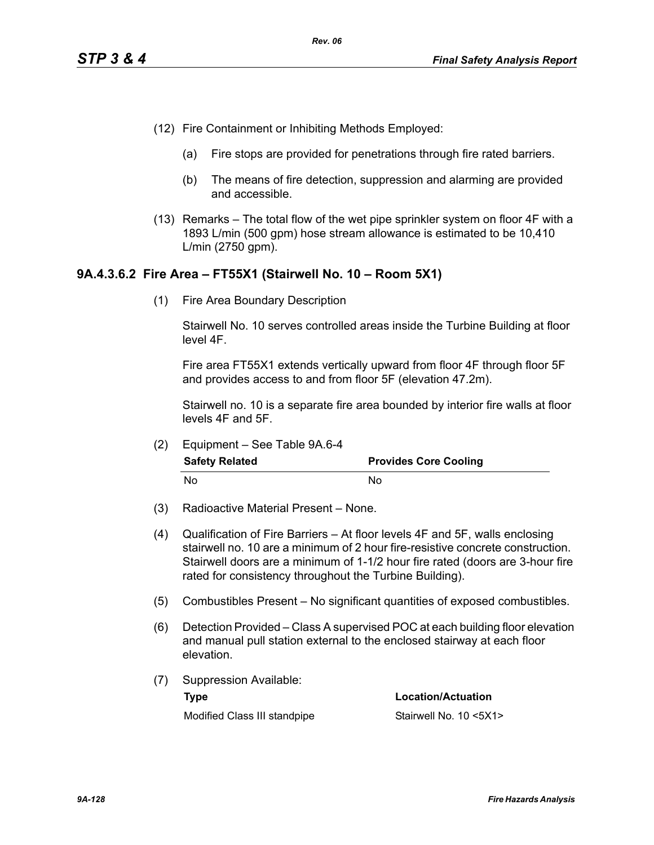- (12) Fire Containment or Inhibiting Methods Employed:
	- (a) Fire stops are provided for penetrations through fire rated barriers.
	- (b) The means of fire detection, suppression and alarming are provided and accessible.
- (13) Remarks The total flow of the wet pipe sprinkler system on floor 4F with a 1893 L/min (500 gpm) hose stream allowance is estimated to be 10,410 L/min (2750 gpm).

## **9A.4.3.6.2 Fire Area – FT55X1 (Stairwell No. 10 – Room 5X1)**

(1) Fire Area Boundary Description

Stairwell No. 10 serves controlled areas inside the Turbine Building at floor level 4F.

Fire area FT55X1 extends vertically upward from floor 4F through floor 5F and provides access to and from floor 5F (elevation 47.2m).

Stairwell no. 10 is a separate fire area bounded by interior fire walls at floor levels 4F and 5F.

(2) Equipment – See Table 9A.6-4

| <b>Safety Related</b> | <b>Provides Core Cooling</b> |
|-----------------------|------------------------------|
| No                    | No                           |

- (3) Radioactive Material Present None.
- (4) Qualification of Fire Barriers At floor levels 4F and 5F, walls enclosing stairwell no. 10 are a minimum of 2 hour fire-resistive concrete construction. Stairwell doors are a minimum of 1-1/2 hour fire rated (doors are 3-hour fire rated for consistency throughout the Turbine Building).
- (5) Combustibles Present No significant quantities of exposed combustibles.
- (6) Detection Provided Class A supervised POC at each building floor elevation and manual pull station external to the enclosed stairway at each floor elevation.
- (7) Suppression Available: **Type Location/Actuation**

Modified Class III standpipe Stairwell No. 10 <5X1>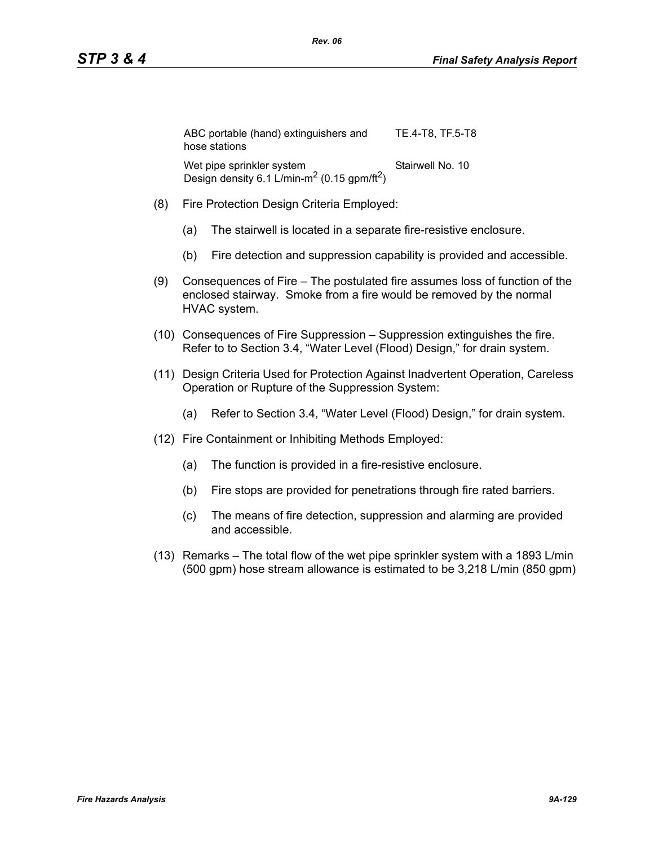| ABC portable (hand) extinguishers and<br>hose stations                                           | TE.4-T8, TF.5-T8 |
|--------------------------------------------------------------------------------------------------|------------------|
| Wet pipe sprinkler system<br>Design density 6.1 L/min-m <sup>2</sup> (0.15 gpm/ft <sup>2</sup> ) | Stairwell No. 10 |

- (8) Fire Protection Design Criteria Employed:
	- (a) The stairwell is located in a separate fire-resistive enclosure.
	- (b) Fire detection and suppression capability is provided and accessible.
- (9) Consequences of Fire The postulated fire assumes loss of function of the enclosed stairway. Smoke from a fire would be removed by the normal HVAC system.
- (10) Consequences of Fire Suppression Suppression extinguishes the fire. Refer to to Section 3.4, "Water Level (Flood) Design," for drain system.
- (11) Design Criteria Used for Protection Against Inadvertent Operation, Careless Operation or Rupture of the Suppression System:
	- (a) Refer to Section 3.4, "Water Level (Flood) Design," for drain system.
- (12) Fire Containment or Inhibiting Methods Employed:
	- (a) The function is provided in a fire-resistive enclosure.
	- (b) Fire stops are provided for penetrations through fire rated barriers.
	- (c) The means of fire detection, suppression and alarming are provided and accessible.
- (13) Remarks The total flow of the wet pipe sprinkler system with a 1893 L/min (500 gpm) hose stream allowance is estimated to be 3,218 L/min (850 gpm)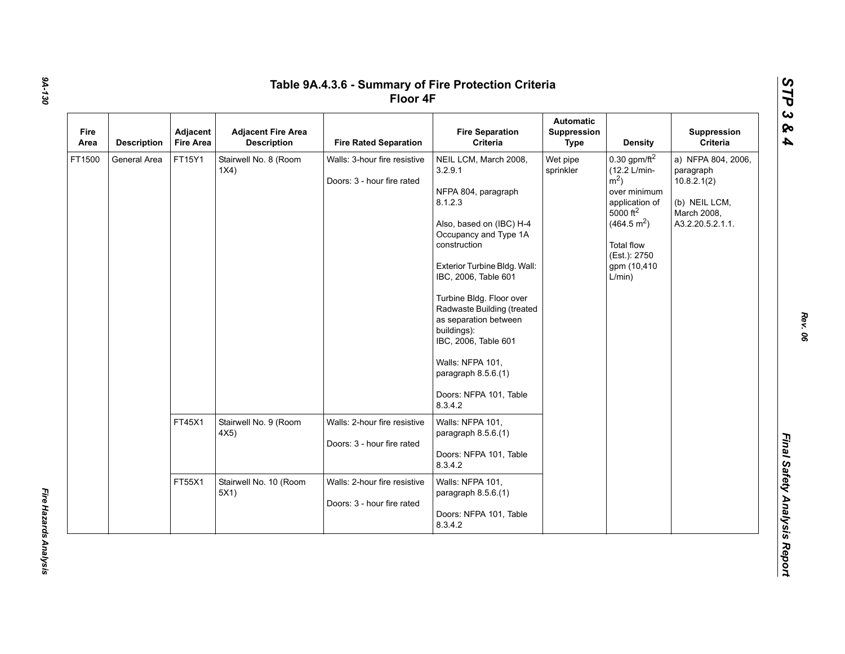| Fire<br>Area | <b>Description</b> | Adjacent<br><b>Fire Area</b> | <b>Adjacent Fire Area</b><br><b>Description</b> | <b>Fire Rated Separation</b>                               | <b>Fire Separation</b><br>Criteria                                                                                                                                                                                                                                                                                                                                                                     | <b>Automatic</b><br><b>Suppression</b><br><b>Type</b> | <b>Density</b>                                                                                                                                                                                              | Suppression<br>Criteria                                                                            |
|--------------|--------------------|------------------------------|-------------------------------------------------|------------------------------------------------------------|--------------------------------------------------------------------------------------------------------------------------------------------------------------------------------------------------------------------------------------------------------------------------------------------------------------------------------------------------------------------------------------------------------|-------------------------------------------------------|-------------------------------------------------------------------------------------------------------------------------------------------------------------------------------------------------------------|----------------------------------------------------------------------------------------------------|
| FT1500       | General Area       | FT15Y1                       | Stairwell No. 8 (Room<br>1X4)                   | Walls: 3-hour fire resistive<br>Doors: 3 - hour fire rated | NEIL LCM, March 2008,<br>3.2.9.1<br>NFPA 804, paragraph<br>8.1.2.3<br>Also, based on (IBC) H-4<br>Occupancy and Type 1A<br>construction<br>Exterior Turbine Bldg. Wall:<br>IBC, 2006, Table 601<br>Turbine Bldg. Floor over<br>Radwaste Building (treated<br>as separation between<br>buildings):<br>IBC, 2006, Table 601<br>Walls: NFPA 101,<br>paragraph 8.5.6.(1)<br>Doors: NFPA 101, Table<br>8342 | Wet pipe<br>sprinkler                                 | $0.30$ gpm/ft <sup>2</sup><br>(12.2 L/min-<br>$\rm \dot{m}^2$ )<br>over minimum<br>application of<br>5000 ft <sup>2</sup><br>(464.5 m <sup>2</sup> )<br>Total flow<br>(Est.): 2750<br>gpm (10,410<br>L/min) | a) NFPA 804, 2006,<br>paragraph<br>10.8.2.1(2)<br>(b) NEIL LCM,<br>March 2008,<br>A3.2.20.5.2.1.1. |
|              |                    | FT45X1                       | Stairwell No. 9 (Room<br>4X5)                   | Walls: 2-hour fire resistive<br>Doors: 3 - hour fire rated | Walls: NFPA 101,<br>paragraph 8.5.6.(1)<br>Doors: NFPA 101, Table<br>8.3.4.2                                                                                                                                                                                                                                                                                                                           |                                                       |                                                                                                                                                                                                             |                                                                                                    |
|              |                    | FT55X1                       | Stairwell No. 10 (Room<br>5X1)                  | Walls: 2-hour fire resistive<br>Doors: 3 - hour fire rated | Walls: NFPA 101,<br>paragraph $8.5.6(1)$<br>Doors: NFPA 101, Table<br>8.3.4.2                                                                                                                                                                                                                                                                                                                          |                                                       |                                                                                                                                                                                                             |                                                                                                    |

*Fire Hazards Analysis* 

Fire Hazards Analysis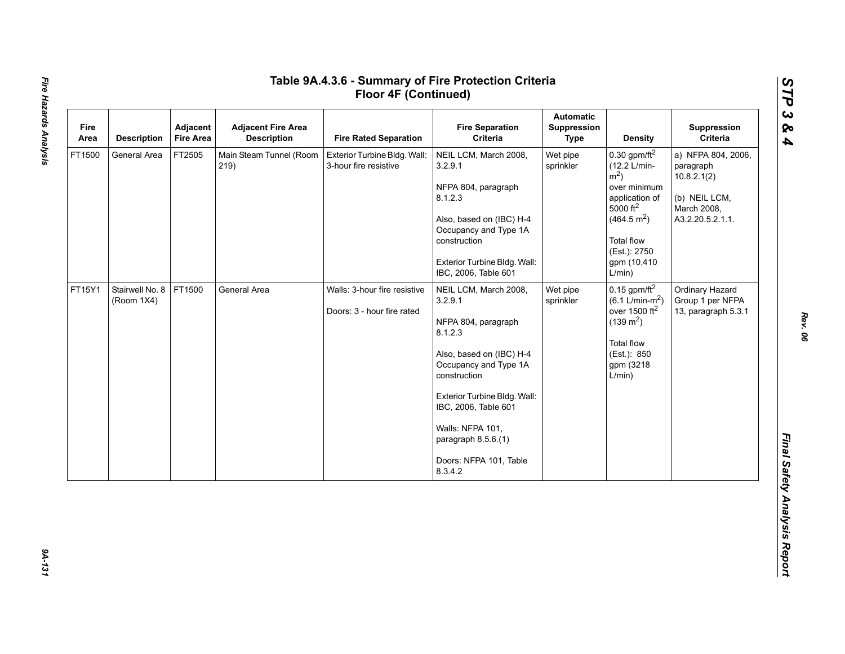| Fire<br>Area | <b>Description</b>            | Adjacent<br><b>Fire Area</b> | <b>Adjacent Fire Area</b><br><b>Description</b> | <b>Fire Rated Separation</b>                               | <b>Fire Separation</b><br>Criteria                                                                                                                                                                                                                                              | <b>Automatic</b><br>Suppression<br><b>Type</b> | <b>Density</b>                                                                                                                                                                               | Suppression<br>Criteria                                                                            |
|--------------|-------------------------------|------------------------------|-------------------------------------------------|------------------------------------------------------------|---------------------------------------------------------------------------------------------------------------------------------------------------------------------------------------------------------------------------------------------------------------------------------|------------------------------------------------|----------------------------------------------------------------------------------------------------------------------------------------------------------------------------------------------|----------------------------------------------------------------------------------------------------|
| FT1500       | General Area                  | FT2505                       | Main Steam Tunnel (Room<br>219)                 | Exterior Turbine Bldg. Wall:<br>3-hour fire resistive      | NEIL LCM, March 2008,<br>3.2.9.1<br>NFPA 804, paragraph<br>8.1.2.3<br>Also, based on (IBC) H-4<br>Occupancy and Type 1A<br>construction<br>Exterior Turbine Bldg. Wall:<br>IBC, 2006, Table 601                                                                                 | Wet pipe<br>sprinkler                          | 0.30 gpm/ft $^2$<br>(12.2 L/min-<br>$m2$ )<br>over minimum<br>application of<br>$5000 \text{ ft}^2$<br>(464.5 m <sup>2</sup> )<br><b>Total flow</b><br>(Est.): 2750<br>gpm (10,410<br>L/min) | a) NFPA 804, 2006,<br>paragraph<br>10.8.2.1(2)<br>(b) NEIL LCM,<br>March 2008,<br>A3.2.20.5.2.1.1. |
| FT15Y1       | Stairwell No. 8<br>(Room 1X4) | FT1500                       | General Area                                    | Walls: 3-hour fire resistive<br>Doors: 3 - hour fire rated | NEIL LCM, March 2008,<br>3.2.9.1<br>NFPA 804, paragraph<br>8.1.2.3<br>Also, based on (IBC) H-4<br>Occupancy and Type 1A<br>construction<br>Exterior Turbine Bldg. Wall:<br>IBC, 2006, Table 601<br>Walls: NFPA 101,<br>paragraph 8.5.6.(1)<br>Doors: NFPA 101, Table<br>8.3.4.2 | Wet pipe<br>sprinkler                          | $0.15$ gpm/ft <sup>2</sup><br>$(6.1 \text{ L/min-m}^2)$<br>over 1500 $ft2$<br>$(139 \text{ m}^2)$<br><b>Total flow</b><br>(Est.): 850<br>gpm (3218<br>L/min)                                 | Ordinary Hazard<br>Group 1 per NFPA<br>13, paragraph 5.3.1                                         |

*STP 3 & 4*

9A-131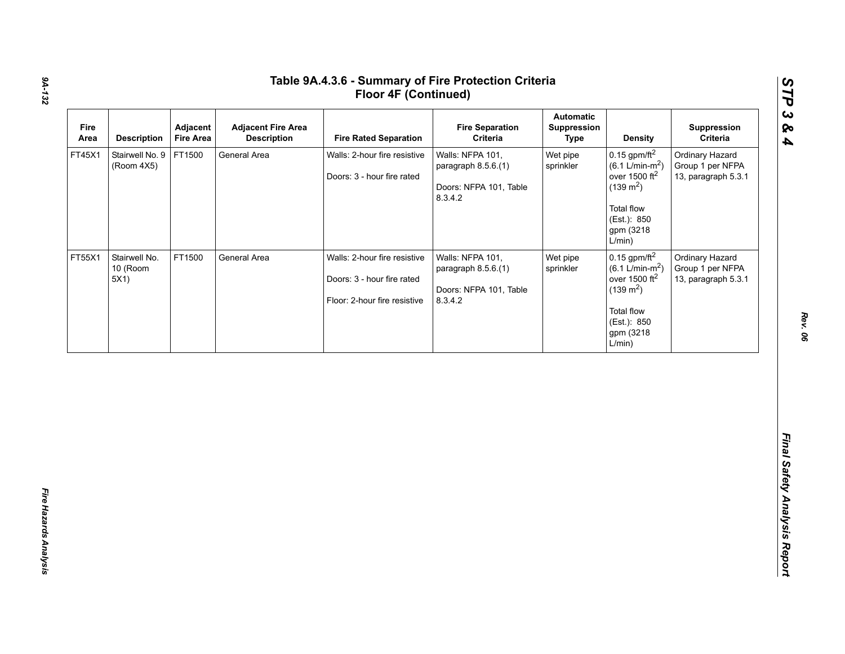|        | <b>Description</b>               | Adjacent<br><b>Fire Area</b> | <b>Adjacent Fire Area</b><br><b>Description</b> | <b>Fire Rated Separation</b>                                                               | <b>Fire Separation</b><br>Criteria                                           | <b>Automatic</b><br>Suppression<br><b>Type</b> | <b>Density</b>                                                                                                                                     | Suppression<br>Criteria                                    |
|--------|----------------------------------|------------------------------|-------------------------------------------------|--------------------------------------------------------------------------------------------|------------------------------------------------------------------------------|------------------------------------------------|----------------------------------------------------------------------------------------------------------------------------------------------------|------------------------------------------------------------|
| FT45X1 | Stairwell No. 9<br>(Room 4X5)    | FT1500                       | General Area                                    | Walls: 2-hour fire resistive<br>Doors: 3 - hour fire rated                                 | Walls: NFPA 101,<br>paragraph 8.5.6.(1)<br>Doors: NFPA 101, Table<br>8.3.4.2 | Wet pipe<br>sprinkler                          | 0.15 gpm/ft $^2$<br>$(6.1 \text{ L/min-m}^2)$<br>over 1500 $ft2$<br>$(139 \text{ m}^2)$<br><b>Total flow</b><br>(Est.): 850<br>gpm (3218<br>L/min) | Ordinary Hazard<br>Group 1 per NFPA<br>13, paragraph 5.3.1 |
| FT55X1 | Stairwell No.<br>10 (Room<br>5X1 | FT1500                       | General Area                                    | Walls: 2-hour fire resistive<br>Doors: 3 - hour fire rated<br>Floor: 2-hour fire resistive | Walls: NFPA 101,<br>paragraph 8.5.6.(1)<br>Doors: NFPA 101, Table<br>8342    | Wet pipe<br>sprinkler                          | $0.15$ gpm/ft $^2$<br>$(6.1 \text{ L/min-m}^2)$<br>over 1500 $ft2$<br>$(139 \text{ m}^2)$<br>Total flow<br>(Est.): 850<br>gpm (3218<br>L/min)      | Ordinary Hazard<br>Group 1 per NFPA<br>13, paragraph 5.3.1 |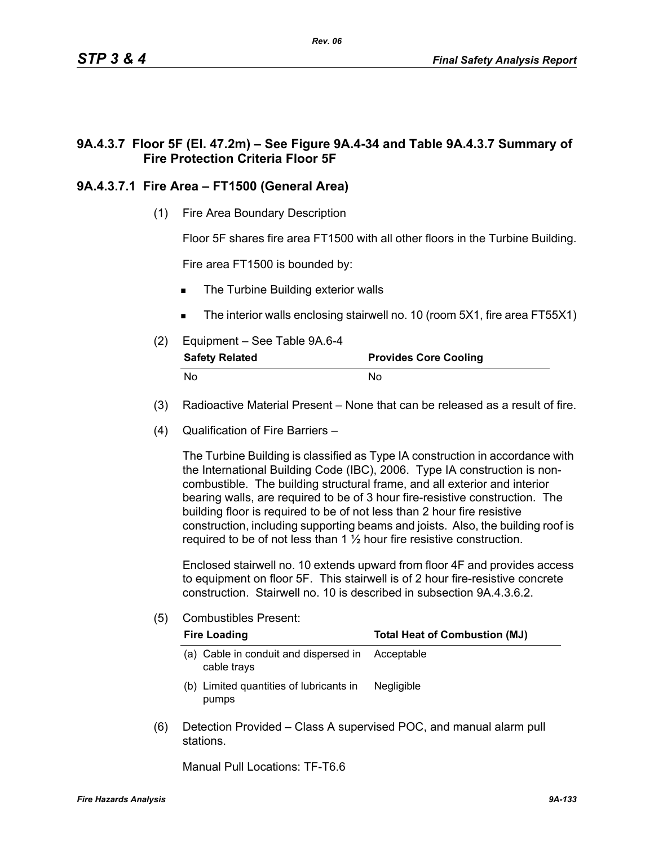# **9A.4.3.7 Floor 5F (El. 47.2m) – See Figure 9A.4-34 and Table 9A.4.3.7 Summary of Fire Protection Criteria Floor 5F**

# **9A.4.3.7.1 Fire Area – FT1500 (General Area)**

(1) Fire Area Boundary Description

Floor 5F shares fire area FT1500 with all other floors in the Turbine Building.

Fire area FT1500 is bounded by:

- The Turbine Building exterior walls
- The interior walls enclosing stairwell no. 10 (room 5X1, fire area FT55X1)
- (2) Equipment See Table 9A.6-4

| <b>Safety Related</b> | <b>Provides Core Cooling</b> |
|-----------------------|------------------------------|
| No                    | No.                          |

- (3) Radioactive Material Present None that can be released as a result of fire.
- (4) Qualification of Fire Barriers –

The Turbine Building is classified as Type IA construction in accordance with the International Building Code (IBC), 2006. Type IA construction is noncombustible. The building structural frame, and all exterior and interior bearing walls, are required to be of 3 hour fire-resistive construction. The building floor is required to be of not less than 2 hour fire resistive construction, including supporting beams and joists. Also, the building roof is required to be of not less than  $1\frac{1}{2}$  hour fire resistive construction.

Enclosed stairwell no. 10 extends upward from floor 4F and provides access to equipment on floor 5F. This stairwell is of 2 hour fire-resistive concrete construction. Stairwell no. 10 is described in subsection 9A.4.3.6.2.

(5) Combustibles Present:

|     | <b>Fire Loading</b>                                  | <b>Total Heat of Combustion (MJ)</b>                               |
|-----|------------------------------------------------------|--------------------------------------------------------------------|
|     | (a) Cable in conduit and dispersed in<br>cable trays | Acceptable                                                         |
|     | (b) Limited quantities of lubricants in<br>pumps     | <b>Negligible</b>                                                  |
| (6) | stations.                                            | Detection Provided – Class A supervised POC, and manual alarm pull |

Manual Pull Locations: TF-T6.6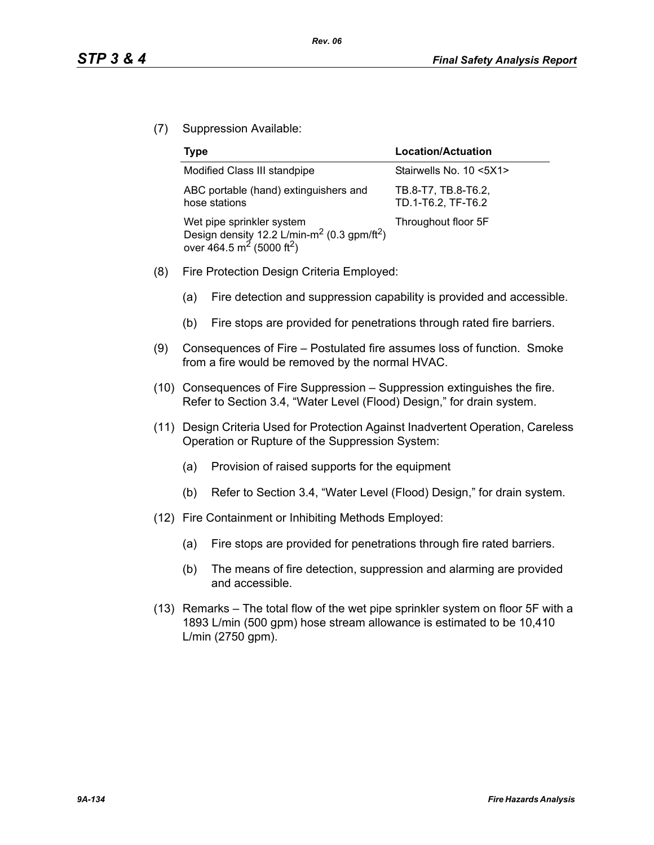(7) Suppression Available:

| <b>Type</b>                                                                                                                                           | Location/Actuation                        |
|-------------------------------------------------------------------------------------------------------------------------------------------------------|-------------------------------------------|
| Modified Class III standpipe                                                                                                                          | Stairwells No. 10 <5X1>                   |
| ABC portable (hand) extinguishers and<br>hose stations                                                                                                | TB.8-T7, TB.8-T6.2,<br>TD.1-T6.2, TF-T6.2 |
| Wet pipe sprinkler system<br>Design density 12.2 L/min-m <sup>2</sup> (0.3 gpm/ft <sup>2</sup> )<br>over 464.5 m <sup>2</sup> (5000 ft <sup>2</sup> ) | Throughout floor 5F                       |

- (8) Fire Protection Design Criteria Employed:
	- (a) Fire detection and suppression capability is provided and accessible.
	- (b) Fire stops are provided for penetrations through rated fire barriers.
- (9) Consequences of Fire Postulated fire assumes loss of function. Smoke from a fire would be removed by the normal HVAC.
- (10) Consequences of Fire Suppression Suppression extinguishes the fire. Refer to Section 3.4, "Water Level (Flood) Design," for drain system.
- (11) Design Criteria Used for Protection Against Inadvertent Operation, Careless Operation or Rupture of the Suppression System:
	- (a) Provision of raised supports for the equipment
	- (b) Refer to Section 3.4, "Water Level (Flood) Design," for drain system.
- (12) Fire Containment or Inhibiting Methods Employed:
	- (a) Fire stops are provided for penetrations through fire rated barriers.
	- (b) The means of fire detection, suppression and alarming are provided and accessible.
- (13) Remarks The total flow of the wet pipe sprinkler system on floor 5F with a 1893 L/min (500 gpm) hose stream allowance is estimated to be 10,410 L/min (2750 gpm).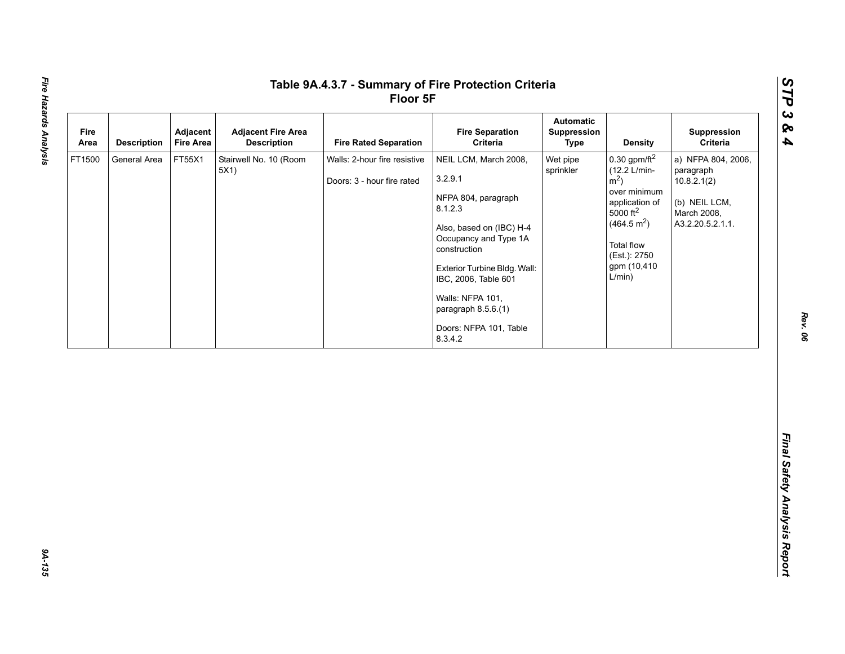| Fire<br>Area | Adjacent<br><b>Description</b><br><b>Fire Area</b> | <b>Adjacent Fire Area</b><br><b>Description</b> | <b>Fire Rated Separation</b>                               | <b>Fire Separation</b><br>Criteria                                                                                                                                                                                                                                              | <b>Automatic</b><br>Suppression<br><b>Type</b> | <b>Density</b>                                                                                                                                                                                            | Suppression<br>Criteria                                                                            |
|--------------|----------------------------------------------------|-------------------------------------------------|------------------------------------------------------------|---------------------------------------------------------------------------------------------------------------------------------------------------------------------------------------------------------------------------------------------------------------------------------|------------------------------------------------|-----------------------------------------------------------------------------------------------------------------------------------------------------------------------------------------------------------|----------------------------------------------------------------------------------------------------|
| FT1500       | FT55X1<br>General Area                             | Stairwell No. 10 (Room<br>5X1)                  | Walls: 2-hour fire resistive<br>Doors: 3 - hour fire rated | NEIL LCM, March 2008,<br>3.2.9.1<br>NFPA 804, paragraph<br>8.1.2.3<br>Also, based on (IBC) H-4<br>Occupancy and Type 1A<br>construction<br>Exterior Turbine Bldg. Wall:<br>IBC, 2006, Table 601<br>Walls: NFPA 101,<br>paragraph 8.5.6.(1)<br>Doors: NFPA 101, Table<br>8.3.4.2 | Wet pipe<br>sprinkler                          | $0.30$ gpm/ft <sup>2</sup><br>(12.2 L/min-<br>$\rm \dot{m}^2$ )<br>over minimum<br>application of<br>5000 $ft^2$<br>(464.5 m <sup>2</sup> )<br><b>Total flow</b><br>(Est.): 2750<br>gpm (10,410<br>L/min) | a) NFPA 804, 2006,<br>paragraph<br>10.8.2.1(2)<br>(b) NEIL LCM,<br>March 2008,<br>A3.2.20.5.2.1.1. |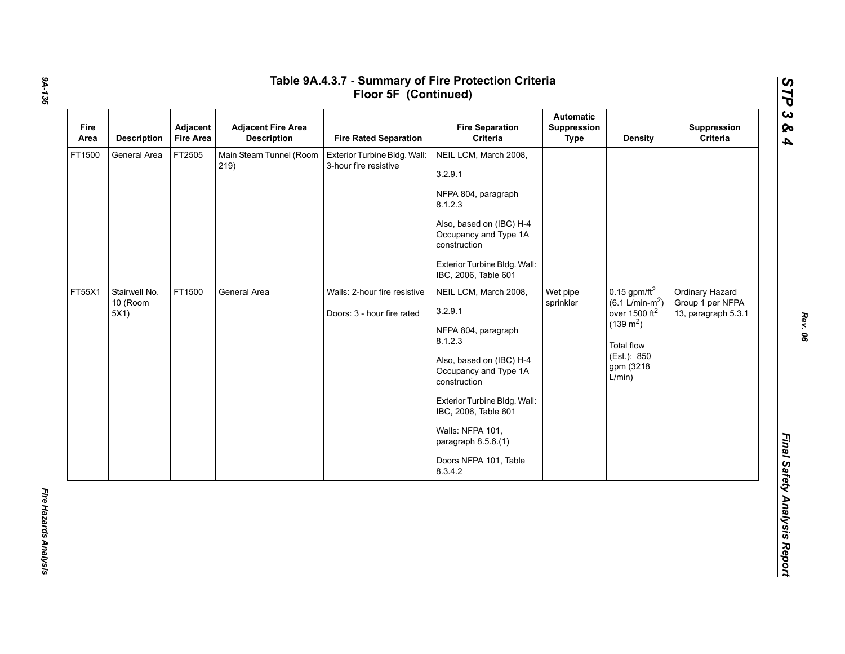| Fire<br>Area | <b>Description</b>                | Adjacent<br><b>Fire Area</b> | <b>Adjacent Fire Area</b><br><b>Description</b> | <b>Fire Rated Separation</b>                               | <b>Fire Separation</b><br>Criteria                                                                                                                                                                                                                                                                     | Automatic<br>Suppression<br><b>Type</b> | <b>Density</b>                                                                                                                               | Suppression<br>Criteria                                    |
|--------------|-----------------------------------|------------------------------|-------------------------------------------------|------------------------------------------------------------|--------------------------------------------------------------------------------------------------------------------------------------------------------------------------------------------------------------------------------------------------------------------------------------------------------|-----------------------------------------|----------------------------------------------------------------------------------------------------------------------------------------------|------------------------------------------------------------|
| FT1500       | General Area                      | FT2505                       | Main Steam Tunnel (Room<br>219)                 | Exterior Turbine Bldg. Wall:<br>3-hour fire resistive      | NEIL LCM, March 2008,<br>3.2.9.1<br>NFPA 804, paragraph<br>8.1.2.3<br>Also, based on (IBC) H-4<br>Occupancy and Type 1A<br>construction<br>Exterior Turbine Bldg. Wall:                                                                                                                                |                                         |                                                                                                                                              |                                                            |
| FT55X1       | Stairwell No.<br>10 (Room<br>5X1) | FT1500                       | General Area                                    | Walls: 2-hour fire resistive<br>Doors: 3 - hour fire rated | IBC, 2006, Table 601<br>NEIL LCM, March 2008,<br>3.2.9.1<br>NFPA 804, paragraph<br>8.1.2.3<br>Also, based on (IBC) H-4<br>Occupancy and Type 1A<br>construction<br>Exterior Turbine Bldg. Wall:<br>IBC, 2006, Table 601<br>Walls: NFPA 101,<br>paragraph 8.5.6.(1)<br>Doors NFPA 101, Table<br>8.3.4.2 | Wet pipe<br>sprinkler                   | $0.15$ gpm/ft <sup>2</sup><br>$(6.1 L/min-m2)$<br>over 1500 $ft2$<br>$(139 \text{ m}^2)$<br>Total flow<br>(Est.): 850<br>gpm (3218<br>L/min) | Ordinary Hazard<br>Group 1 per NFPA<br>13, paragraph 5.3.1 |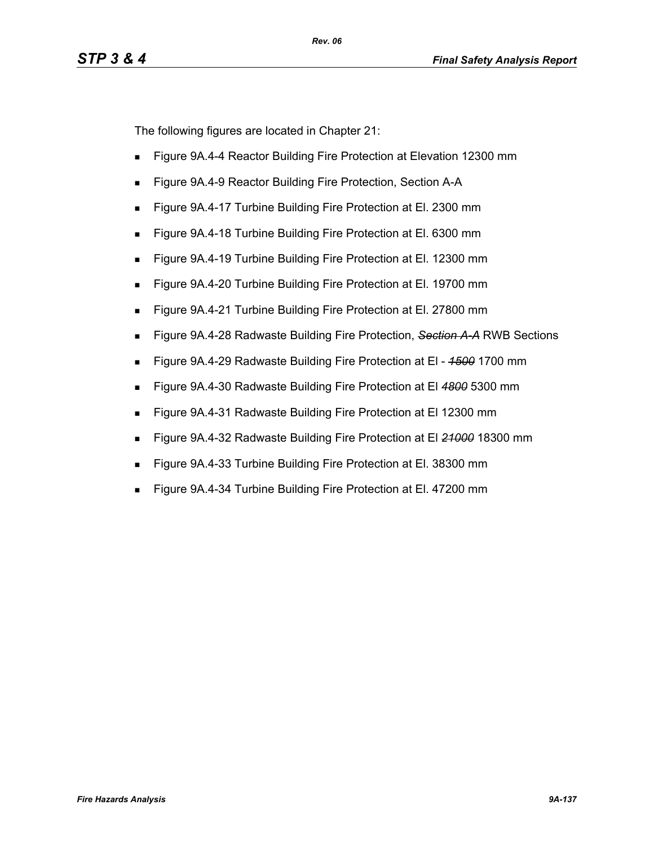The following figures are located in Chapter 21:

- **Figure 9A.4-4 Reactor Building Fire Protection at Elevation 12300 mm**
- **Figure 9A.4-9 Reactor Building Fire Protection, Section A-A**
- Figure 9A.4-17 Turbine Building Fire Protection at El. 2300 mm
- Figure 9A.4-18 Turbine Building Fire Protection at El. 6300 mm
- Figure 9A.4-19 Turbine Building Fire Protection at El. 12300 mm
- Figure 9A.4-20 Turbine Building Fire Protection at El. 19700 mm
- Figure 9A.4-21 Turbine Building Fire Protection at El. 27800 mm
- Figure 9A.4-28 Radwaste Building Fire Protection, *Section A-A* RWB Sections
- Figure 9A.4-29 Radwaste Building Fire Protection at El *1500* 1700 mm
- Figure 9A.4-30 Radwaste Building Fire Protection at El *4800* 5300 mm
- **Figure 9A.4-31 Radwaste Building Fire Protection at El 12300 mm**
- Figure 9A.4-32 Radwaste Building Fire Protection at El *21000* 18300 mm
- Figure 9A.4-33 Turbine Building Fire Protection at El. 38300 mm
- Figure 9A.4-34 Turbine Building Fire Protection at El. 47200 mm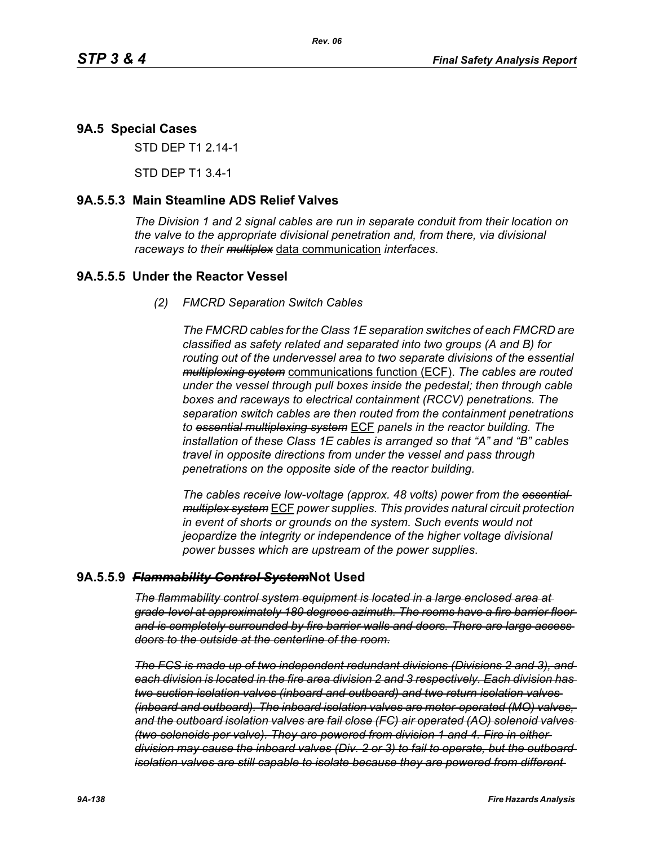## **9A.5 Special Cases**

STD DEP T1 2.14-1

STD DEP T1 3.4-1

## **9A.5.5.3 Main Steamline ADS Relief Valves**

*The Division 1 and 2 signal cables are run in separate conduit from their location on the valve to the appropriate divisional penetration and, from there, via divisional raceways to their multiplex* data communication *interfaces*.

## **9A.5.5.5 Under the Reactor Vessel**

*(2) FMCRD Separation Switch Cables*

*The FMCRD cables for the Class 1E separation switches of each FMCRD are classified as safety related and separated into two groups (A and B) for routing out of the undervessel area to two separate divisions of the essential multiplexing system* communications function (ECF). *The cables are routed under the vessel through pull boxes inside the pedestal; then through cable boxes and raceways to electrical containment (RCCV) penetrations. The separation switch cables are then routed from the containment penetrations to essential multiplexing system* ECF *panels in the reactor building. The installation of these Class 1E cables is arranged so that "A" and "B" cables travel in opposite directions from under the vessel and pass through penetrations on the opposite side of the reactor building.*

*The cables receive low-voltage (approx. 48 volts) power from the essential multiplex system* ECF *power supplies. This provides natural circuit protection in event of shorts or grounds on the system. Such events would not jeopardize the integrity or independence of the higher voltage divisional power busses which are upstream of the power supplies*.

## **9A.5.5.9** *Flammability Control System***Not Used**

*The flammability control system equipment is located in a large enclosed area at grade-level at approximately 180 degrees azimuth. The rooms have a fire barrier floor and is completely surrounded by fire barrier walls and doors. There are large access doors to the outside at the centerline of the room.*

*The FCS is made up of two independent redundant divisions (Divisions 2 and 3), and each division is located in the fire area division 2 and 3 respectively. Each division has two suction isolation valves (inboard and outboard) and two return isolation valves (inboard and outboard). The inboard isolation valves are motor-operated (MO) valves, and the outboard isolation valves are fail close (FC) air operated (AO) solenoid valves (two solenoids per valve). They are powered from division 1 and 4. Fire in either division may cause the inboard valves (Div. 2 or 3) to fail to operate, but the outboard isolation valves are still capable to isolate because they are powered from different*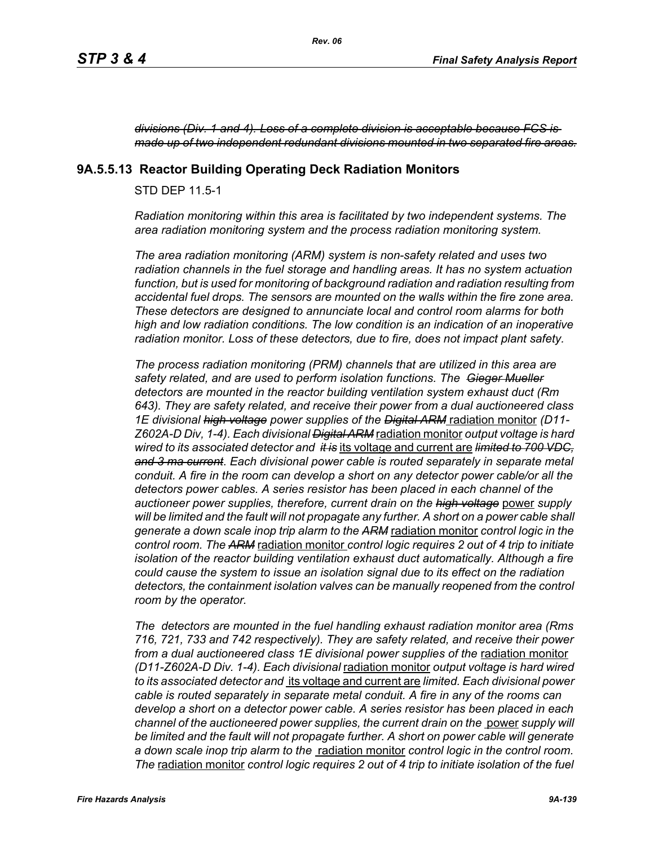*divisions (Div. 1 and 4). Loss of a complete division is acceptable because FCS is made up of two independent redundant divisions mounted in two separated fire areas.*

## **9A.5.5.13 Reactor Building Operating Deck Radiation Monitors**

STD DEP 11.5-1

*Radiation monitoring within this area is facilitated by two independent systems. The area radiation monitoring system and the process radiation monitoring system.* 

*The area radiation monitoring (ARM) system is non-safety related and uses two radiation channels in the fuel storage and handling areas. It has no system actuation function, but is used for monitoring of background radiation and radiation resulting from accidental fuel drops. The sensors are mounted on the walls within the fire zone area. These detectors are designed to annunciate local and control room alarms for both high and low radiation conditions. The low condition is an indication of an inoperative radiation monitor. Loss of these detectors, due to fire, does not impact plant safety.*

*The process radiation monitoring (PRM) channels that are utilized in this area are safety related, and are used to perform isolation functions. The Gieger Mueller detectors are mounted in the reactor building ventilation system exhaust duct (Rm 643). They are safety related, and receive their power from a dual auctioneered class 1E divisional high voltage power supplies of the Digital ARM* radiation monitor *(D11- Z602A-D Div, 1-4). Each divisional Digital ARM* radiation monitor *output voltage is hard wired to its associated detector and it is* its voltage and current are *limited to 700 VDC, and 3 ma current*. *Each divisional power cable is routed separately in separate metal conduit. A fire in the room can develop a short on any detector power cable/or all the detectors power cables. A series resistor has been placed in each channel of the auctioneer power supplies, therefore, current drain on the high voltage* power *supply*  will be limited and the fault will not propagate any further. A short on a power cable shall *generate a down scale inop trip alarm to the ARM* radiation monitor *control logic in the control room. The ARM* radiation monitor *control logic requires 2 out of 4 trip to initiate isolation of the reactor building ventilation exhaust duct automatically. Although a fire could cause the system to issue an isolation signal due to its effect on the radiation*  detectors, the containment isolation valves can be manually reopened from the control *room by the operator.*

*The detectors are mounted in the fuel handling exhaust radiation monitor area (Rms 716, 721, 733 and 742 respectively). They are safety related, and receive their power*  from a dual auctioneered class 1E divisional power supplies of the radiation monitor *(D11-Z602A-D Div. 1-4). Each divisional* radiation monitor *output voltage is hard wired to its associated detector and* its voltage and current are *limited. Each divisional power cable is routed separately in separate metal conduit. A fire in any of the rooms can develop a short on a detector power cable. A series resistor has been placed in each channel of the auctioneered power supplies, the current drain on the* power *supply will be limited and the fault will not propagate further. A short on power cable will generate a down scale inop trip alarm to the* radiation monitor *control logic in the control room. The* radiation monitor *control logic requires 2 out of 4 trip to initiate isolation of the fuel*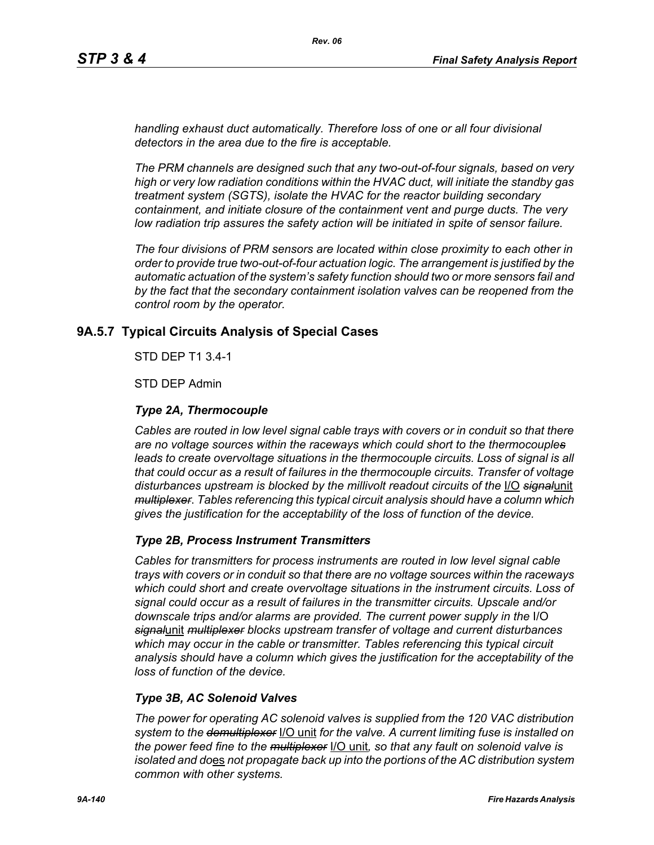*handling exhaust duct automatically. Therefore loss of one or all four divisional detectors in the area due to the fire is acceptable.*

*The PRM channels are designed such that any two-out-of-four signals, based on very high or very low radiation conditions within the HVAC duct, will initiate the standby gas treatment system (SGTS), isolate the HVAC for the reactor building secondary containment, and initiate closure of the containment vent and purge ducts. The very low radiation trip assures the safety action will be initiated in spite of sensor failure.*

*The four divisions of PRM sensors are located within close proximity to each other in order to provide true two-out-of-four actuation logic. The arrangement is justified by the automatic actuation of the system's safety function should two or more sensors fail and*  by the fact that the secondary containment isolation valves can be reopened from the *control room by the operator.*

## **9A.5.7 Typical Circuits Analysis of Special Cases**

STD DEP T1 3.4-1

STD DEP Admin

## *Type 2A, Thermocouple*

*Cables are routed in low level signal cable trays with covers or in conduit so that there are no voltage sources within the raceways which could short to the thermocouples* leads to create overvoltage situations in the thermocouple circuits. Loss of signal is all *that could occur as a result of failures in the thermocouple circuits. Transfer of voltage disturbances upstream is blocked by the millivolt readout circuits of the* I/O *signal*unit *multiplexer*. *Tables referencing this typical circuit analysis should have a column which gives the justification for the acceptability of the loss of function of the device.*

## *Type 2B, Process Instrument Transmitters*

*Cables for transmitters for process instruments are routed in low level signal cable trays with covers or in conduit so that there are no voltage sources within the raceways which could short and create overvoltage situations in the instrument circuits. Loss of signal could occur as a result of failures in the transmitter circuits. Upscale and/or downscale trips and/or alarms are provided. The current power supply in the* I/O *signal*unit *multiplexer blocks upstream transfer of voltage and current disturbances which may occur in the cable or transmitter. Tables referencing this typical circuit analysis should have a column which gives the justification for the acceptability of the loss of function of the device.*

## *Type 3B, AC Solenoid Valves*

*The power for operating AC solenoid valves is supplied from the 120 VAC distribution system to the demultiplexer* I/O unit *for the valve. A current limiting fuse is installed on the power feed fine to the multiplexer* I/O unit*, so that any fault on solenoid valve is isolated and do*es *not propagate back up into the portions of the AC distribution system common with other systems.*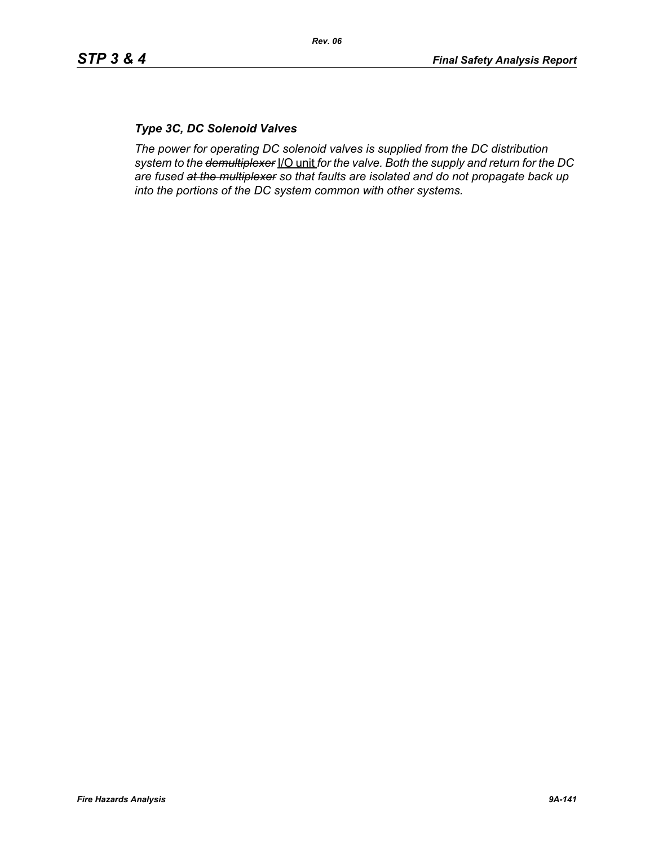# *Type 3C, DC Solenoid Valves*

*The power for operating DC solenoid valves is supplied from the DC distribution system to the demultiplexer* I/O unit *for the valve. Both the supply and return for the DC are fused at the multiplexer so that faults are isolated and do not propagate back up into the portions of the DC system common with other systems.*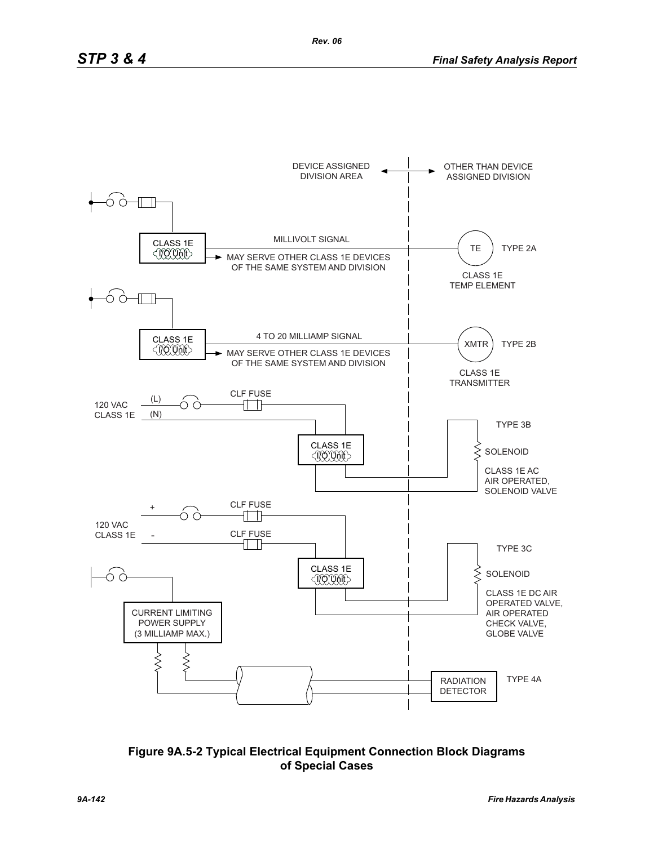

**Figure 9A.5-2 Typical Electrical Equipment Connection Block Diagrams of Special Cases**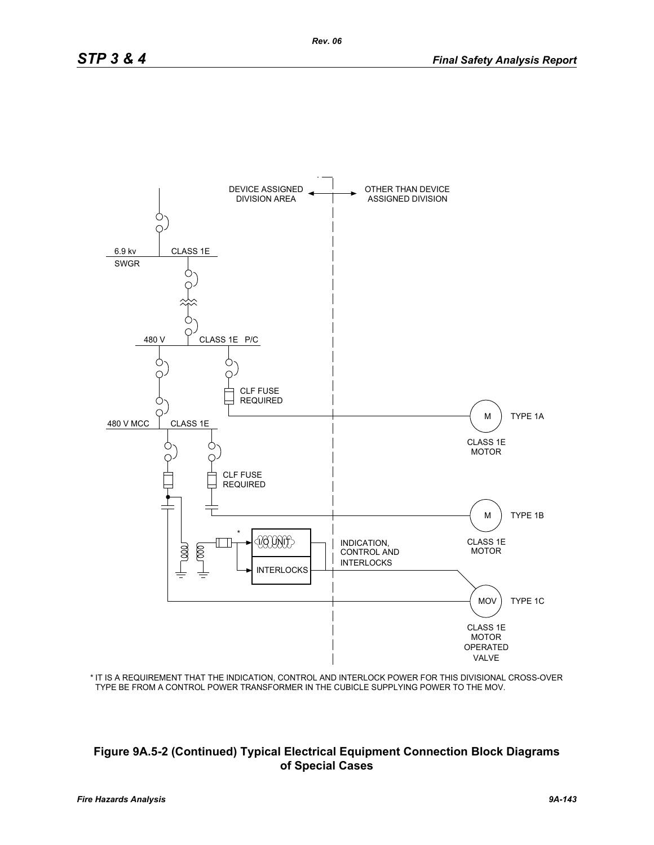

IT IS A REQUIREMENT THAT THE INDICATION, CONTROL AND INTERLOCK POWER FOR THIS DIVISIONAL CROSS-OVER \* TYPE BE FROM A CONTROL POWER TRANSFORMER IN THE CUBICLE SUPPLYING POWER TO THE MOV.

## **Figure 9A.5-2 (Continued) Typical Electrical Equipment Connection Block Diagrams of Special Cases**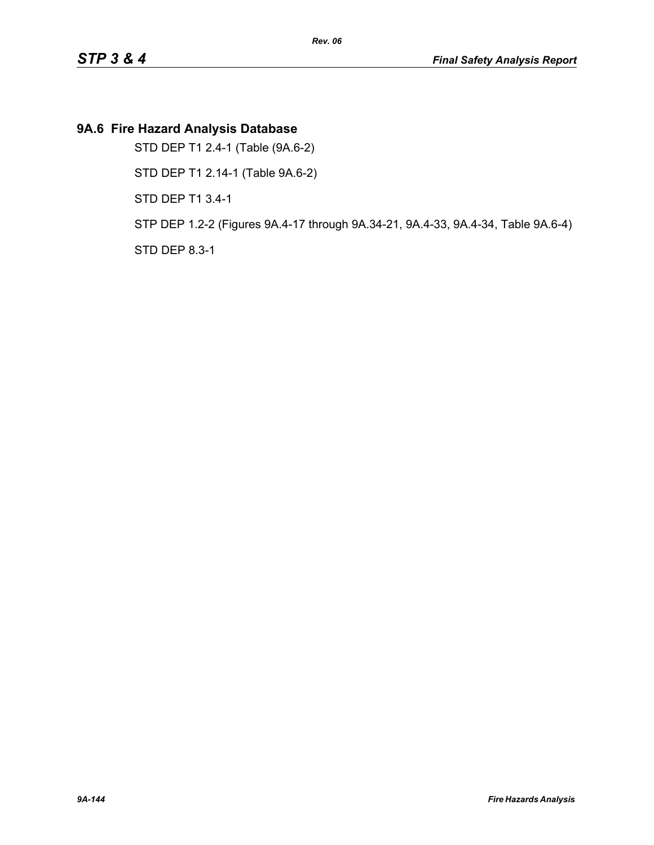# **9A.6 Fire Hazard Analysis Database**

STD DEP T1 2.4-1 (Table (9A.6-2)

STD DEP T1 2.14-1 (Table 9A.6-2)

STD DEP T1 3.4-1

STP DEP 1.2-2 (Figures 9A.4-17 through 9A.34-21, 9A.4-33, 9A.4-34, Table 9A.6-4)

STD DEP 8.3-1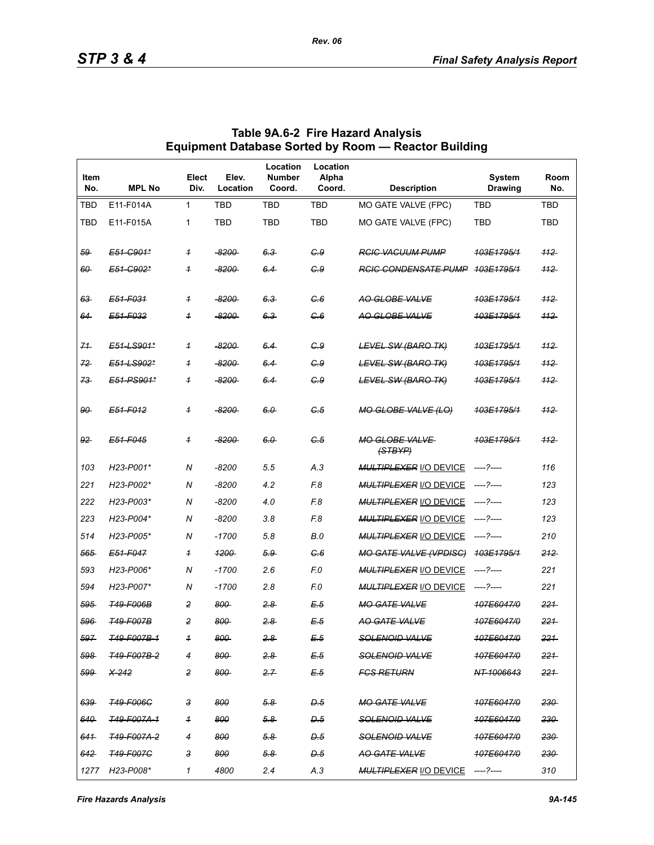| Item<br>No.    | <b>MPL No</b>          | Elect<br>Div.           | Elev.<br>Location  | Location<br><b>Number</b><br>Coord. | Location<br>Alpha<br>Coord. | <b>Description</b>               | <b>System</b><br><b>Drawing</b> | Room<br>No. |
|----------------|------------------------|-------------------------|--------------------|-------------------------------------|-----------------------------|----------------------------------|---------------------------------|-------------|
| TBD            | E11-F014A              | 1                       | TBD                | TBD                                 | <b>TBD</b>                  | MO GATE VALVE (FPC)              | <b>TBD</b>                      | <b>TBD</b>  |
| <b>TBD</b>     | E11-F015A              | 1                       | <b>TBD</b>         | <b>TBD</b>                          | <b>TBD</b>                  | MO GATE VALVE (FPC)              | <b>TBD</b>                      | <b>TBD</b>  |
| 59             | E51-C901*              | $\overline{1}$          | -8200-             | 6.3                                 | C.9                         | <b>RGIG VACUUM PUMP</b>          | 103E1795/1                      | 112         |
| 60             | E51-C902*              | $\overline{1}$          | <del>-8200 -</del> | 6.4                                 | G.9                         | <b>RGIG CONDENSATE PUMP</b>      | <del>103E1795/1</del>           | $+12$       |
| 63             | E51-F031               | $\overline{1}$          | $-8200$            | 6.3                                 | G.6                         | AO GLOBE VALVE                   | 403E1795/1                      | 112         |
| 64             | E51-F032               | $\overline{1}$          | -8200-             | 6.3                                 | C.6                         | AO GLOBE VALVE                   | 103E1795/1                      | 112         |
| 71             | E51-LS901*             | $\overline{1}$          | $-8200$            | 6.4                                 | G.9                         | <b>LEVEL SW (BARO TK)</b>        | 103E1795/1                      | $-112$      |
| 72             | E51-LS902*             | $\overline{1}$          | $-8200$            | 6.4                                 | G.9                         | <b>LEVEL SW (BARO TK)</b>        | 103E1795/1                      | 112         |
| 73             | E51-PS901*             | $\overline{1}$          | -8200-             | 6.4                                 | G.9                         | <b>LEVEL SW (BARO TK)</b>        | 103E1795/1                      | 112         |
| 90             | E51-F012               | $\overline{\mathbf{1}}$ | -8200-             | 6.0                                 | C.5                         | <b>MO GLOBE VALVE (LO)</b>       | 103E1795/1                      | 112         |
| 92             | E51-F045               | $\overline{1}$          | -8200-             | 6.0                                 | G.5                         | <b>MO GLOBE VALVE</b><br>(STBYP) | 403E1795/1                      | 112         |
| 103            | H23-P001*              | N                       | $-8200$            | 5.5                                 | A.3                         | <b>MULTIPLEXER I/O DEVICE</b>    | -----?-----                     | 116         |
| 221            | H23-P002*              | N                       | $-8200$            | 4.2                                 | F.8                         | <b>MULTIPLEXER I/O DEVICE</b>    | -----?-----                     | 123         |
| 222            | H23-P003*              | N                       | $-8200$            | 4.0                                 | F.8                         | <b>MULTIPLEXER I/O DEVICE</b>    | -----?-----                     | 123         |
| 223            | H23-P004*              | N                       | $-8200$            | 3.8                                 | F.8                         | <b>MULTIPLEXER I/O DEVICE</b>    | ----- ?-----                    | 123         |
| 514            | H23-P005*              | N                       | $-1700$            | 5.8                                 | B.0                         | <b>MULTIPLEXER I/O DEVICE</b>    | -----?-----                     | 210         |
| 565            | E51-F047               | $\overline{1}$          | 1200               | $5.9 -$                             | C.6                         | <b>MO GATE VALVE (VPDISC)</b>    | 103E1795/1                      | 212         |
| 593            | H23-P006*              | N                       | $-1700$            | 2.6                                 | F.O                         | <b>MULTIPLEXER I/O DEVICE</b>    |                                 | 221         |
| 594            | H23-P007*              | N                       | $-1700$            | 2.8                                 | F.O                         | <b>MULTIPLEXER I/O DEVICE</b>    | -----?-----                     | 221         |
| 595            | <b>T49-F006B</b>       | $\overline{c}$          | 800                | 2.8                                 | E.5                         | <b>MO GATE VALVE</b>             | 107E6047/0                      | 221         |
| 596            | <b>T49-F007B</b>       | 2                       | 800                | 28                                  | E.5                         | <b>AO GATE VALVE</b>             | 107E6047/0                      | 221         |
| 597            | <del>T49-F007B-1</del> | $\overline{1}$          | 800                | 2.8                                 | E 5                         | <b>SOLENOID VALVE</b>            | <del>107E6047/0</del>           | 221         |
| 598            | <del>T49-F007B-2</del> | $\overline{4}$          | 800                | $2.8 -$                             | E.5                         | SOLENOID VALVE                   | 107E6047/0                      | 221         |
| 599            | <del>X-242</del>       | 2                       | 800                | 2.7                                 | E.5                         | <b>FGS RETURN</b>                | NT-1006643                      | 221         |
| 639            | <del>T49-F006C</del>   | 3                       | 800                | <u>5.8</u>                          | D.5                         | <b>MO GATE VALVE</b>             | 107E6047/0                      | 230         |
| 640            | <del>749-F007A-1</del> | $\overline{1}$          | 800                | $5.8 -$                             | D.5                         | SOLENOID VALVE                   | 107E6047/0                      | 230         |
| 641            | 749-F007A-2            | 4                       | 800                | $5.8 -$                             | D.5                         | <b>SOLENOID VALVE</b>            | 107E6047/0                      | 230         |
| <del>642</del> | <b>T49-F007C</b>       | з                       | 800                | 5.8                                 | D.5                         | <del>AO GATE VALVE</del>         | <del>107E6047/0</del>           | 230         |
|                | 1277 H23-P008*         | 1                       | 4800               | 2.4                                 | A.3                         | MULTIPLEXER I/O DEVICE ----?---- |                                 | 310         |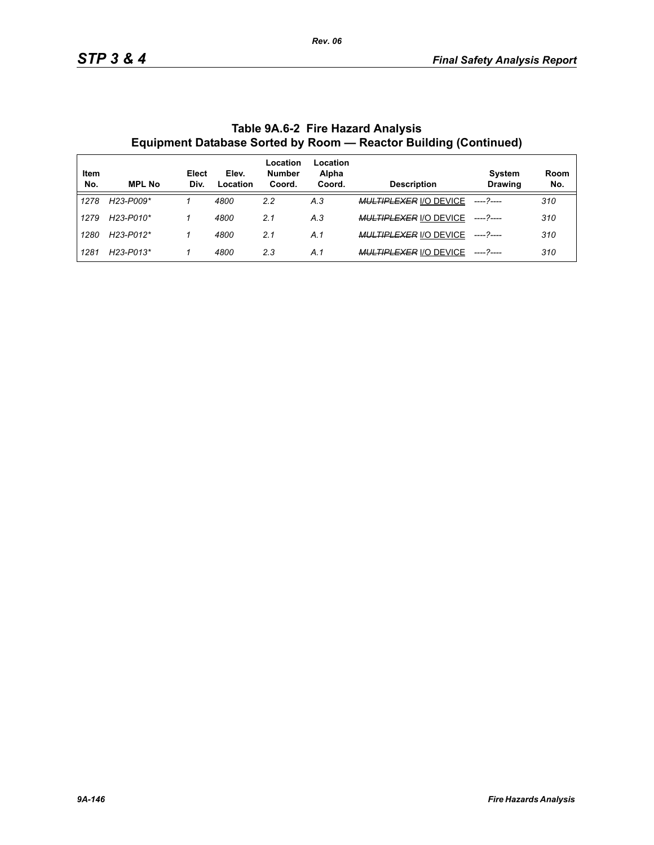|             |                                     |               |                   | Location                | Location        |                               |                                 |             |
|-------------|-------------------------------------|---------------|-------------------|-------------------------|-----------------|-------------------------------|---------------------------------|-------------|
| Item<br>No. | <b>MPL No</b>                       | Elect<br>Div. | Elev.<br>Location | <b>Number</b><br>Coord. | Alpha<br>Coord. | <b>Description</b>            | <b>System</b><br><b>Drawing</b> | Room<br>No. |
| 1278        | H23-P009*                           |               | 4800              | 2.2                     | A.3             | <b>MULTIPLEXER I/O DEVICE</b> |                                 | 310         |
| 1279        | H23-P010*                           |               | 4800              | 2.1                     | A.3             | <b>MULTIPLEXER I/O DEVICE</b> |                                 | 310         |
| 1280        | H23-P012*                           |               | 4800              | 2.1                     | A.1             | <b>MULTIPLEXER I/O DEVICE</b> |                                 | 310         |
| 1281        | H <sub>23</sub> -P <sub>013</sub> * |               | 4800              | 2.3                     | A.1             | <b>MULTIPLEXER I/O DEVICE</b> |                                 | 310         |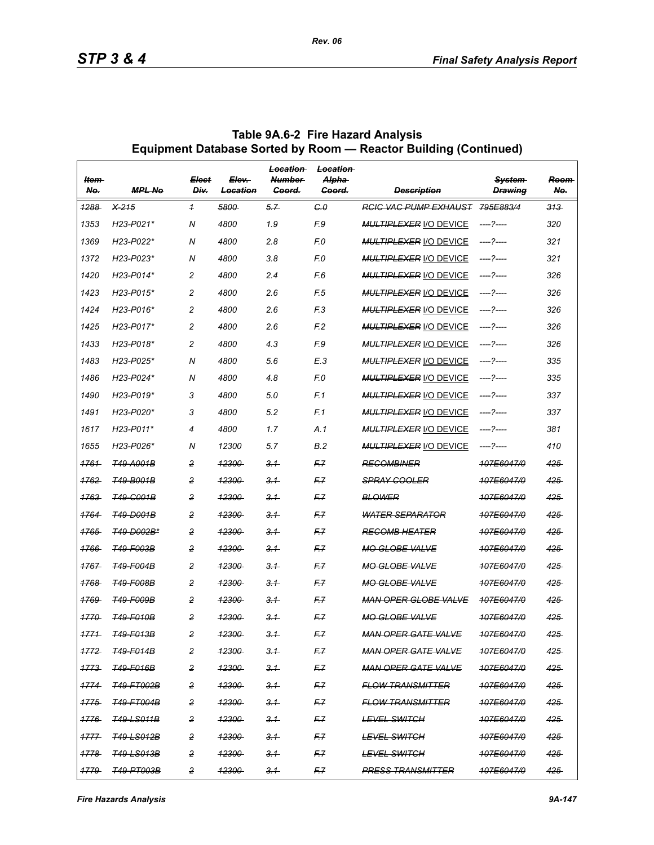| ltem-<br>No.     | <b>MPL No</b>                       | <b>Elect</b><br>Div. | Elev-<br>Location | Location<br><b>Number</b><br>Goord. | <b>Location</b><br>Alpha-<br>Goord. | <b>Description</b>            | System<br><b>Drawina</b> | <b>Reem</b><br>No. |
|------------------|-------------------------------------|----------------------|-------------------|-------------------------------------|-------------------------------------|-------------------------------|--------------------------|--------------------|
| 1288             | $X-215$                             | $\overline{1}$       | 5800              | 5.7                                 | C <sub>0</sub>                      | <b>RCIC VAC PUMP EXHAUST</b>  | 795E883/4                | $313 -$            |
| 1353             | H23-P021*                           | N                    | 4800              | 1.9                                 | F.9                                 | <b>MULTIPLEXER I/O DEVICE</b> |                          | 320                |
| 1369             | H23-P022*                           | N                    | 4800              | 2.8                                 | F.O                                 | <b>MULTIPLEXER I/O DEVICE</b> | ----- 2-----             | 321                |
| 1372             | H23-P023*                           | N                    | 4800              | 3.8                                 | F.O                                 | <b>MULTIPLEXER I/O DEVICE</b> | ----?----                | 321                |
| 1420             | H23-P014*                           | $\overline{c}$       | 4800              | 2.4                                 | F.6                                 | <b>MULTIPLEXER I/O DEVICE</b> | ----?----                | 326                |
| 1423             | H <sub>23</sub> -P <sub>015</sub> * | $\overline{c}$       | 4800              | 2.6                                 | F.5                                 | <b>MULTIPLEXER I/O DEVICE</b> |                          | 326                |
| 1424             | $H23-P016*$                         | $\overline{c}$       | 4800              | 2.6                                 | F <sub>3</sub>                      | <b>MULTIPLEXER I/O DEVICE</b> | ----?----                | 326                |
| 1425             | H23-P017*                           | $\overline{c}$       | 4800              | 2.6                                 | F <sub>2</sub>                      | <b>MULTIPLEXER I/O DEVICE</b> | ----?----                | 326                |
| 1433             | H23-P018*                           | $\overline{c}$       | 4800              | 4.3                                 | F.9                                 | <b>MULTIPLEXER I/O DEVICE</b> | ----- 2-----             | 326                |
| 1483             | H23-P025*                           | N                    | 4800              | 5.6                                 | E.3                                 | <b>MULTIPLEXER I/O DEVICE</b> | ----?----                | 335                |
| 1486             | H23-P024*                           | N                    | 4800              | 4.8                                 | F.O                                 | <b>MULTIPLEXER I/O DEVICE</b> | ----- 2-----             | 335                |
| 1490             | $H23-P019*$                         | 3                    | 4800              | 5.0                                 | F.1                                 | <b>MULTIPLEXER I/O DEVICE</b> |                          | 337                |
| 1491             | H23-P020*                           | 3                    | 4800              | 5.2                                 | F.1                                 | <b>MULTIPLEXER I/O DEVICE</b> | ----?----                | 337                |
| 1617             | H23-P011*                           | 4                    | 4800              | 1.7                                 | A.1                                 | <b>MULTIPLEXER I/O DEVICE</b> | ----?----                | 381                |
| 1655             | H23-P026*                           | N                    | 12300             | 5.7                                 | <b>B.2</b>                          | <b>MULTIPLEXER I/O DEVICE</b> |                          | 410                |
| 1761             | <b>T49-A001B</b>                    | $\overline{c}$       | <del>12300</del>  | 3.1                                 | F.Z                                 | <b>RECOMBINER</b>             | 107E6047/0               | 425                |
| 1762             | <b>T49-B001B</b>                    | 2                    | <b>12300</b>      | 3.1                                 | F7                                  | <b>SPRAY COOLER</b>           | 107E6047/0               | 425                |
| 1763             | <b>T49-G001B</b>                    | 2                    | <del>12300</del>  | 3.1                                 | F.7                                 | <b>BLOWER</b>                 | 107E6047/0               | 425                |
| 1764             | <b>T49-D001B</b>                    | $\overline{c}$       | <del>12300</del>  | 3.1                                 | F.Z                                 | <b>WATER SEPARATOR</b>        | 107E6047/0               | 425                |
| 1765             | <b>T49-D002B*</b>                   | 2                    | <b>12300</b>      | 3.1                                 | F.Z                                 | <b>RECOMB HEATER</b>          | 107E6047/0               | 425                |
| 1766             | <b>T49-F003B</b>                    | $\overline{2}$       | <del>12300</del>  | 3.1                                 | F.7                                 | <b>MO GLOBE VALVE</b>         | 107E6047/0               | 425                |
| 1767             | <b>T49-F004B</b>                    | $\overline{c}$       | <del>12300</del>  | 3.1                                 | F.Z                                 | <b>MO GLOBE VALVE</b>         | 107E6047/0               | 425                |
| 1768             | <b>T49-F008B</b>                    | $\overline{c}$       | <b>12300</b>      | 3.1                                 | F.Z                                 | <b>MO GLOBE VALVE</b>         | 107E6047/0               | 425                |
| 1769             | <b>T49-F009B</b>                    | $\overline{2}$       | <del>12300</del>  | 3.1                                 | F.7                                 | <b>MAN OPER GLOBE VALVE</b>   | <del>107E6047/0</del>    | 425                |
| 1770             | T49-F010B                           | $\overline{c}$       | <del>12300</del>  | 3.1                                 | F.Z                                 | <b>MO GLOBE VALVE</b>         | 107E6047/0               | 425                |
| 1771             | <b>T49-F013B</b>                    | 2                    | 12300             | 3.1                                 | F.Z                                 | <b>MAN OPER GATE VALVE</b>    | 107E6047/0               | 425                |
| <del>1772.</del> | <b>T49-F014B</b>                    | 2                    | <del>12300</del>  | $-3.1$                              | F.7                                 | MAN OPER GATE VALVE           | 107E6047/0               | 425                |
| 1773             | <b>T49-F016B</b>                    | 2                    | <u> 12300-</u>    | 3.1                                 | F7                                  | <b>MAN OPER GATE VALVE</b>    | 107E6047/0               | 425.               |
| 1774             | <b>T49-FT002B</b>                   | 2                    | 12300             | 3.1                                 | F7                                  | <b>FLOW TRANSMITTER</b>       | 107F6047/0               | 425                |
| 1775             | <b>T49-FT004B</b>                   | 2                    | <del>12300</del>  | $-3.1$                              | F.7                                 | <b>FLOW TRANSMITTER</b>       | 107E6047/0               | 425                |
| 1776             | <del>T49-LS011B</del>               | 2                    | <u> 12300-</u>    | 3.1                                 | F7                                  | <del>LEVEL SWITCH</del>       | 107E6047/0               | 425                |
| 1777             | <b>T49-LS012B</b>                   | 2                    | 12300             | 3.1                                 | F7                                  | <b>LEVEL SWITCH</b>           | 107E6047/0               | 425                |
| 1778             | <b>T49-LS013B</b>                   | 2                    | <del>12300</del>  | $-3.1$                              | F.7                                 | <b>LEVEL SWITCH</b>           | <del>107E6047/0</del>    | $425 -$            |
| 1779             | <b>T49-PT003B</b>                   | 2                    | 12300             | 3.1                                 | F.Z                                 | <b>PRESS TRANSMITTER</b>      | 107E6047/0               | $425 -$            |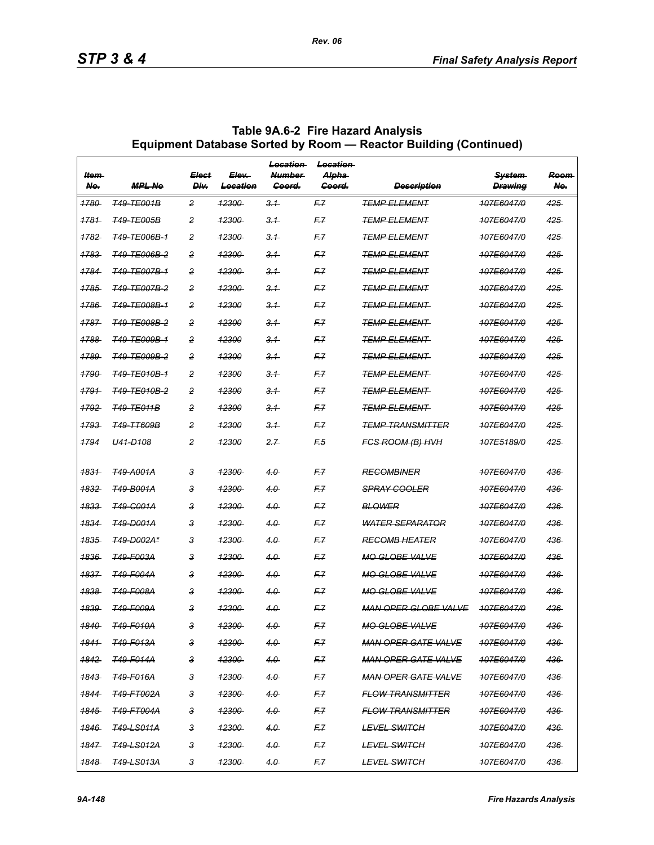| ltem-<br>Ne.     | <b>MPL No</b>           | Elect<br><b>Div</b> | Elev-<br>Location | Location<br><b>Number</b><br>Goord. | Location<br><del>Alpha</del><br>Goord. | <b>Description</b>          | <b>System</b><br><b>Drawing</b> | Room<br>Ne. |
|------------------|-------------------------|---------------------|-------------------|-------------------------------------|----------------------------------------|-----------------------------|---------------------------------|-------------|
| 1780             | <b>T49-TE001B</b>       | 2                   | 42300             | 3.1                                 | F.Z                                    | <b>TEMP ELEMENT</b>         | 107E6047/0                      | 425         |
| 1781             | <b>T49-TE005B</b>       | 2                   | <u> 12300-</u>    | 3.1                                 | F7                                     | <b>TEMP ELEMENT</b>         | 107E6047/0                      | 425         |
| <u> 1782 </u>    | <del>T49-TE006B-1</del> | 2                   | <del>12300</del>  | 3.1                                 | F.7                                    | <del>TEMP ELEMENT</del>     | <del>107E6047/0</del>           | 425         |
| 1783             | <b>T49-TE006B-2</b>     | 2                   | <del>12300</del>  | 3.1                                 | F.7                                    | <b>TEMP ELEMENT</b>         | 107E6047/0                      | 425         |
| 1784             | <del>T49-TE007B-1</del> | 2                   | <u> 12300-</u>    | 3.1                                 | F.Z                                    | <b>TEMP ELEMENT</b>         | 107E6047/0                      | 425         |
| 1785             | <del>T49-TE007B-2</del> | 2                   | 12300             | 3.1                                 | F.7                                    | <del>TEMP ELEMENT</del>     | <del>107E6047/0</del>           | $425 -$     |
| 1786             | <b>T49-TE008B-1</b>     | 2                   | 12300             | 3.1                                 | F.7                                    | <b>TEMP ELEMENT</b>         | 107E6047/0                      | 425         |
| 1787             | <del>T49-TE008B-2</del> | 2                   | 12300             | 3.1                                 | F.Z                                    | <b>TEMP ELEMENT</b>         | 107E6047/0                      | 425         |
| 1788             | <del>T49-TE009B-1</del> | 2                   | 42300             | 3.1                                 | F.7                                    | <del>TEMP ELEMENT-</del>    | <del>107E6047/0</del>           | $425 -$     |
| 1789             | <b>T49-TE009B-2</b>     | 2                   | 12300             | 3.1                                 | F7                                     | <b>TEMP ELEMENT</b>         | 107E6047/0                      | 425         |
| 1790             | <del>T49-TE010B-1</del> | 2                   | 12300             | 3.1                                 | F.Z                                    | <b>TEMP ELEMENT</b>         | 107E6047/0                      | 425         |
| 1791             | <del>T49-TE010B-2</del> | 2                   | 12300             | 3.1                                 | F.Z                                    | TEMP ELEMENT                | 107E6047/0                      | 425         |
| 1792             | <b>T49-TE011B</b>       | 2                   | 12300             | 3.1                                 | F7                                     | <b>TEMP ELEMENT</b>         | 107E6047/0                      | 425         |
| 1793             | <del>T49-TT609B</del>   | 2                   | 12300             | 3.1                                 | F.Z                                    | <b>TEMP TRANSMITTER</b>     | 107E6047/0                      | 425         |
| 1794             | U41-D108                | 2                   | 12300             | 2.7                                 | F <sub>5</sub>                         | FCS ROOM (B) HVH            | 107E5189/0                      | 425         |
| 1831             | <b>T49-A001A</b>        | 3                   | <del>12300</del>  | 4.0                                 | F.Z                                    | <b>REGOMBINER</b>           | 107E6047/0                      | 436         |
| 1832             | <del>149-B001A</del>    | 3                   | <u> 12300-</u>    | 4.0                                 | F.Z                                    | <b>SPRAY COOLER</b>         | 107E6047/0                      | 436         |
| 1833             | <del>749-C001A</del>    | 3                   | 12300             | 4.0                                 | F.Z                                    | <b>BLOWER</b>               | 107E6047/0                      | 436         |
| 1834             | <del>T49-D001A</del>    | 3                   | <del>12300</del>  | 4.0                                 | F7                                     | <b>WATER SEPARATOR</b>      | 107E6047/0                      | 436         |
| 1835             | <del>T49-D002A*</del>   | 3                   | <u> 12300-</u>    | 4.0                                 | F.Z                                    | <b>RECOMB HEATER</b>        | 107E6047/0                      | 436         |
| 1836             | <b>T49-F003A</b>        | 3                   | <b>12300</b>      | 4.0                                 | F.Z                                    | <b>MO GLOBE VALVE</b>       | 107E6047/0                      | 436         |
| 1837             | <b>T49-F004A</b>        | 3                   | <del>12300</del>  | 4.0                                 | F7                                     | <b>MO GLOBE VALVE</b>       | 107E6047/0                      | 436         |
| 1838             | <del>T49-F008A</del>    | 3                   | <u> 12300-</u>    | 4.0                                 | F.Z                                    | <b>MO GLOBE VALVE</b>       | 107E6047/0                      | 436         |
| 1839             | T49-F009A               | 3                   | <b>12300</b>      | 4.0                                 | F.Z                                    | <b>MAN OPER GLOBE VALVE</b> | 107F6047/0                      | 436         |
| <u> 1840 </u>    | <b>T49-F010A</b>        | 3                   | <del>12300</del>  | 4.0                                 | F.7                                    | <b>MO GLOBE VALVE</b>       | <b>407E6047/0</b>               | 436         |
| 1841             | <b>T49-F013A</b>        | 3                   | 12300             | 4.0                                 | F7                                     | <b>MAN OPER GATE VALVE</b>  | 107E6047/0                      | 436-        |
| <del>1842.</del> | <b>T49-F014A</b>        | з                   | <del>12300</del>  | 4.0                                 | F7                                     | <b>MAN OPER GATE VALVE</b>  | 107E6047/0                      | 436-        |
| <del>1843.</del> | <b>T49-F016A</b>        | з                   | <del>12300</del>  | 4.0                                 | F.7                                    | <b>MAN OPER GATE VALVE</b>  | 107E6047/0                      | 436         |
| 1844             | <del>T49-FT002A</del>   | 3                   | <del>12300</del>  | 4.0                                 | F7                                     | <b>FLOW TRANSMITTER</b>     | 107E6047/0                      | 436         |
| <del>1845</del>  | <del>T49-FT004A</del>   | З                   | <del>12300</del>  | 4.0                                 | F7                                     | <b>FLOW TRANSMITTER</b>     | 107E6047/0                      | 436         |
| <del>1846</del>  | <b>T49-LS011A</b>       | з                   | <del>12300</del>  | 4.0                                 | F.7                                    | <b>LEVEL SWITCH</b>         | 107E6047/0                      | 436         |
| 1847             | <b>T49-LS012A</b>       | з                   | <u> 12300-</u>    | 4.0                                 | F7                                     | <del>LEVEL SWITCH</del>     | 107E6047/0                      | 436         |
| <u> 1848 -</u>   | <del>749-LS013A</del>   | З                   | 12300             | 4.0                                 | F7                                     | <b>LEVEL SWITCH</b>         | 107E6047/0                      | 436         |

*Rev. 06*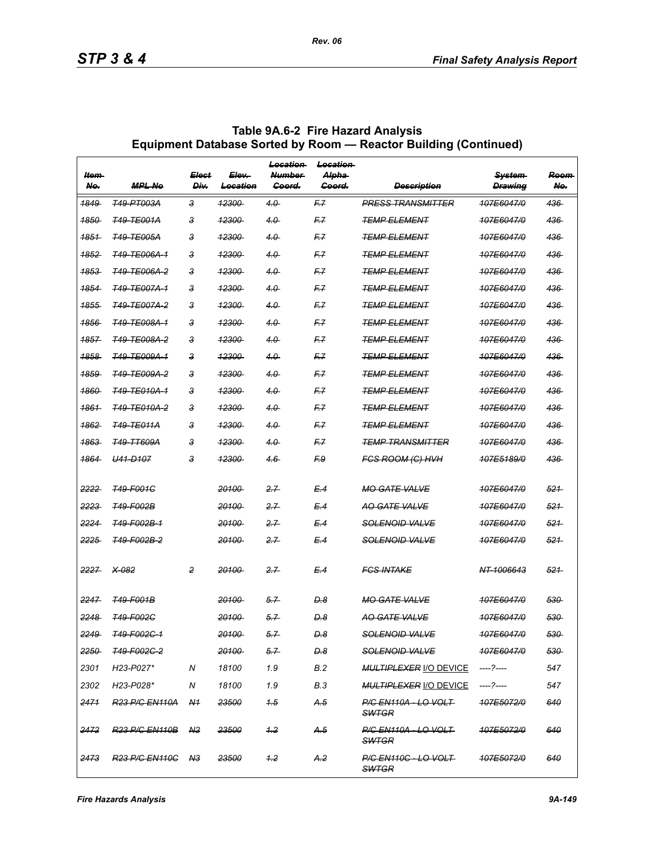| ltem-<br>No.     | <b>MPL Ne</b>                     | <b>Elect</b><br>Div. | Elev-<br>Location | <b>Location</b><br><b>Number</b><br>Goord. | <b>Location</b><br><del>Alpha</del><br><del>Goord.</del> | <b>Description</b>                                | <b>System</b><br><b>Drawing</b> | Room<br>Ne. |
|------------------|-----------------------------------|----------------------|-------------------|--------------------------------------------|----------------------------------------------------------|---------------------------------------------------|---------------------------------|-------------|
| <del>1849-</del> | T49-PT003A                        | з                    | <del>12300</del>  | $4.0 -$                                    | F.7                                                      | <b>PRESS TRANSMITTER</b>                          | <b>107E6047/0</b>               | 436         |
| 1850             | <b>T49-TE001A</b>                 | 3                    | <b>12300</b>      | 4.0                                        | F.Z                                                      | <b>TEMP ELEMENT</b>                               | 107E6047/0                      | 436         |
| 1851             | <b>T49-TE005A</b>                 | 3                    | <del>12300</del>  | $4.0 -$                                    | F.7                                                      | <b>TEMP ELEMENT</b>                               | <del>107E6047/0</del>           | 436         |
| <del>1852</del>  | <b>T49-TE006A-1</b>               | З                    | <del>12300</del>  | 4.0                                        | F.7                                                      | TEMP ELEMENT                                      | 407E6047/0                      | 436         |
| 1853             | <b>T49-TE006A-2</b>               | 3                    | <b>12300</b>      | 4.0                                        | F.Z                                                      | <b>TEMP ELEMENT</b>                               | 107E6047/0                      | 436         |
| 1854             | <b>T49-TE007A-1</b>               | з                    | <del>12300</del>  | $4.0 -$                                    | F.7                                                      | <b>TEMP ELEMENT</b>                               | <del>107E6047/0</del>           | 436         |
| 1855             | <b>T49-TE007A-2</b>               | З                    | <del>12300-</del> | 4.0                                        | F.7                                                      | <b>TEMP ELEMENT</b>                               | <del>107E6047/0</del>           | 436         |
| 1856             | <b>T49-TE008A-1</b>               | 3                    | <b>12300</b>      | 4.0                                        | F.Z                                                      | <b>TEMP ELEMENT</b>                               | 107E6047/0                      | 436         |
| 1857             | <del>T49-TE008A-2</del>           | з                    | <del>12300</del>  | $4.0 -$                                    | F.7                                                      | <b>TEMP ELEMENT</b>                               | <del>107E6047/0</del>           | 436         |
| <del>1858</del>  | <b>T49-TE009A-1</b>               | З                    | <del>12300-</del> | 4.0                                        | F.7                                                      | TEMP ELEMENT                                      | <del>107E6047/0</del>           | 436         |
| 1859             | <b>T49-TE009A-2</b>               | 3                    | 12300             | 4.0                                        | F.Z                                                      | <b>TEMP ELEMENT</b>                               | 107E6047/0                      | 436         |
| 1860             | <b>T49-TE010A-1</b>               | 3                    | <del>12300</del>  | 4.0                                        | F.Z                                                      | <b>TEMP ELEMENT</b>                               | 107E6047/0                      | 436         |
| <del>1861</del>  | <b>T49-TE010A-2</b>               | З                    | <del>12300</del>  | 4.0                                        | F.7                                                      | TEMP ELEMENT                                      | <del>107E6047/0</del>           | 436         |
| <u> 1862 </u>    | <b>T49-TE011A</b>                 | 3                    | <u> 12300 </u>    | 4.0                                        | F.Z                                                      | <b>TEMP ELEMENT</b>                               | 107E6047/0                      | 436         |
| <u> 1863 </u>    | <b>T49-TT609A</b>                 | 3                    | 12300             | $40 -$                                     | F.Z                                                      | <b>TEMP TRANSMITTER</b>                           | 107E6047/0                      | 436         |
| <del>1864</del>  | U <sub>41</sub> -D <sub>107</sub> | 3                    | <del>12300</del>  | 4.6                                        | F.9                                                      | <b>FGS ROOM (G) HVH</b>                           | <del>107E5189/0</del>           | 436         |
|                  |                                   |                      |                   |                                            |                                                          |                                                   |                                 |             |
| 2222             | <b>T49-F001C</b>                  |                      | 20100             | 2.7                                        | E.4                                                      | <b>MO GATE VALVE</b>                              | 107E6047/0                      | 521         |
| 2223             | <b>T49-F002B</b>                  |                      | 20100             | 2.7                                        | E.4                                                      | <b>AO GATE VALVE</b>                              | 107E6047/0                      | 521         |
| 2224             | T49-F002B-1                       |                      | <del>20100-</del> | 2.7                                        | E.4                                                      | <del>SOLENOID VALVE</del>                         | <del>107E6047/0</del>           | 521         |
| 2225             | T49-F002B-2                       |                      | 20100             | 2.7                                        | E.4                                                      | <del>SOLENOID VALVE</del>                         | 107E6047/0                      | 521         |
| 2227             | $X-082$                           | 2                    | 20100             | 2.7                                        | E.4                                                      | <b>FGS INTAKE</b>                                 | NT-1006643                      | 521         |
| 2247             | <b>T49-F001B</b>                  |                      | <del>20100</del>  | 5.7                                        | D.8                                                      | <b>MO GATE VALVE</b>                              | 107E6047/0                      | 530         |
| 2248             | <b>T49-F002C</b>                  |                      | <del>20100</del>  | 5.7                                        | <b>D.8</b>                                               | AO GATE VALVE                                     | 107E6047/0                      | 530         |
| 2249             | T49-F002C-1                       |                      | 20100             | 5.7                                        | D.8                                                      | <b>SOLENOID VALVE</b>                             | 407E6047/0                      | 530         |
| 2250             | T49-F002C-2                       |                      | <del>20100</del>  | 5.7                                        | <del>D.8</del>                                           | <del>SOLENOID VALVE</del>                         | <del>107E6047/0</del>           | 530         |
| 2301             | H23-P027*                         | N                    | 18100             | 1.9                                        | <b>B.2</b>                                               | MULTIPLEXER I/O DEVICE                            | ----?----                       | 547         |
| 2302             | H23-P028*                         | N                    | 18100             | 1.9                                        | B.3                                                      | MULTIPLEXER <u>I/O DEVICE</u>                     | -----?----                      | 547         |
| 2471             | <del>R23 P/C EN110A</del>         | - <del>N1</del>      | 23500             | 45                                         | A.5                                                      | <del>P/C EN110A - LO VOLT -</del><br><b>SWTGR</b> | <del>107E5072/0</del>           | 640         |
| 2472             | <b>R23 P/C EN110B</b>             | A <sup>2</sup>       | 23500             | 1.2                                        | A.5                                                      | <b>P/C EN110A - LO VOLT</b><br><b>SWTGR</b>       | 107E5072/0                      | 640         |
| 2473             | <b>R23 P/C EN110C</b>             | <b>N3</b>            | 23500             | $+2$                                       | A.2                                                      | P/G EN110G - LO VOLT<br><b>SWTGR</b>              | 407E5072/0                      | 640         |

*Rev. 06*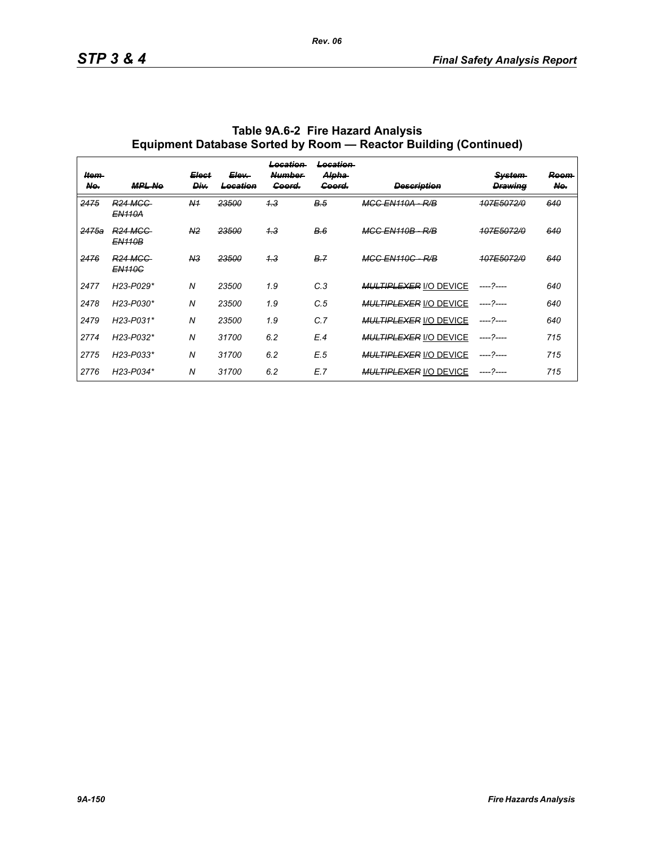| Item-<br>No. | <b>MPL No</b>                   | <b>Elect</b><br>Div. | Elev-<br>Location | <del>Location</del><br><b>Number</b><br>Goord. | Location<br>Alpha<br>Goord. | <b>Description</b>            | <b>System</b><br><b>Drawing</b> | Room<br>Ne. |
|--------------|---------------------------------|----------------------|-------------------|------------------------------------------------|-----------------------------|-------------------------------|---------------------------------|-------------|
| 2475         | <b>R24 MGG</b><br><b>EN110A</b> | N <sub>1</sub>       | 23500             | 4.3                                            | <b>B.5</b>                  | <del>MGC EN110A</del><br>R/B  | 107E5072/0                      | 640         |
| 2475a        | <b>R24 MGG</b><br><b>EN110B</b> | N <sub>2</sub>       | 23500             | 4.3                                            | B.6                         | <b>MGG EN110B-</b><br>R/B     | 107E5072/0                      | 640         |
| 2476         | <b>R24 MGC</b><br><b>EN110G</b> | N <sub>3</sub>       | 23500             | 1.3                                            | B.7                         | <b>MGC EN110C - R/B</b>       | 107E5072/0                      | 640         |
| 2477         | H23-P029*                       | $\overline{N}$       | 23500             | 1.9                                            | C.3                         | <b>MULTIPLEXER I/O DEVICE</b> | ----- 2----                     | 640         |
| 2478         | H23-P030*                       | N                    | 23500             | 1.9                                            | C.5                         | <b>MULTIPLEXER I/O DEVICE</b> | $--- 2---$                      | 640         |
| 2479         | H23-P031*                       | $\overline{N}$       | 23500             | 1.9                                            | C.7                         | <b>MULTIPLEXER I/O DEVICE</b> | ----- 2----                     | 640         |
| 2774         | H23-P032*                       | $\overline{N}$       | 31700             | 6.2                                            | E.4                         | <b>MULTIPLEXER I/O DEVICE</b> | ----- 2----                     | 715         |
| 2775         | H23-P033*                       | $\overline{N}$       | 31700             | 6.2                                            | E.5                         | <b>MULTIPLEXER I/O DEVICE</b> | $--- 2---$                      | 715         |
| 2776         | H23-P034*                       | N                    | 31700             | 6.2                                            | E.7                         | <b>MULTIPLEXER I/O DEVICE</b> | ----- 2----                     | 715         |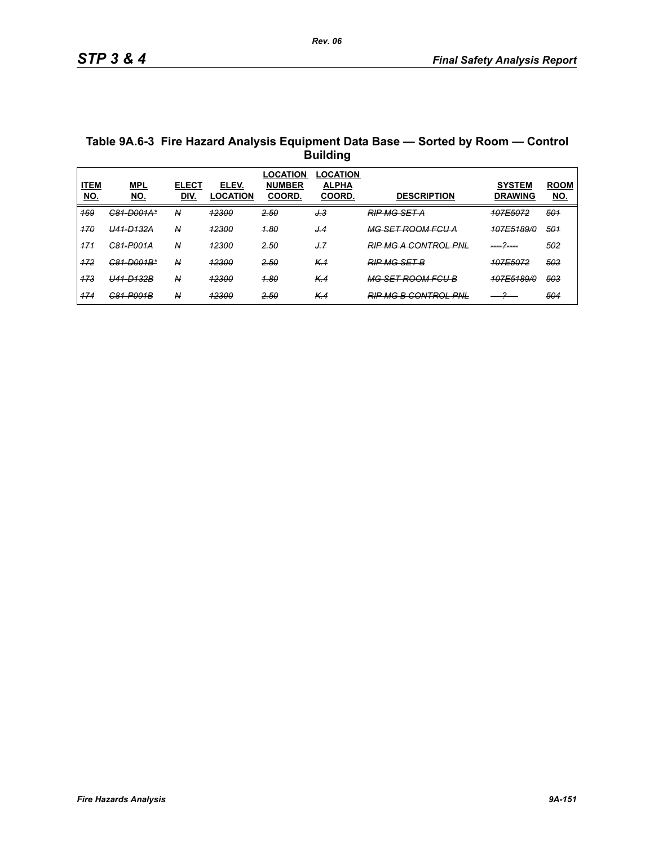| Table 9A.6-3 Fire Hazard Analysis Equipment Data Base - Sorted by Room - Control |
|----------------------------------------------------------------------------------|
| <b>Building</b>                                                                  |

| <b>ITEM</b><br><u>NO.</u> | <b>MPL</b><br>NO.         | <b>ELECT</b><br>DIV. | ELEV.<br><b>LOCATION</b> | _OCATION<br><b>NUMBER</b><br><b>COORD.</b> | LOCATION<br><b>ALPHA</b><br><b>COORD.</b> | <b>DESCRIPTION</b>                                               | <b>SYSTEM</b><br><b>DRAWING</b>     | <b>ROOM</b><br><u>NO.</u> |
|---------------------------|---------------------------|----------------------|--------------------------|--------------------------------------------|-------------------------------------------|------------------------------------------------------------------|-------------------------------------|---------------------------|
| 169                       | <del>C81-D001A*</del>     | N                    | 12300                    | 2.50                                       | J.3                                       | <b>RIP MG SET A</b>                                              | 107E5072                            | 501                       |
| 170                       | <del>U41-D132A</del>      | N                    | 12300                    | <u>1.80</u>                                | J.4                                       | <b>MG SET ROOM FGU A</b>                                         | 107E5189/0                          | 501                       |
| 171                       | <del>C81-P001A</del>      | N                    | 12300                    | 2.50                                       | J.7                                       | <b>PIP MC A CONTROL PNI</b><br><del>ni won con noc rive</del>    | $-2$                                | 502                       |
| 172                       | C81-D001B*                | N                    | <u> 12200</u><br>72300   | 2.50                                       | K <sub>1</sub>                            | <b>RIP MG SET B</b>                                              | $107E$ 5072<br><del>,,,,,,,,,</del> | 503                       |
| 173                       | <del>U41-D132B</del>      | N                    | 12300                    | <b>1.80</b>                                | K.4                                       | <b>MG SET ROOM FGU B</b>                                         | 107E5189/0                          | 503                       |
| 474                       | C81_P001B<br><del>.</del> | N                    | 12300<br>, 2000          | 2.50                                       | K.4                                       | <b>PIP MC R CONTROL PNIL</b><br><del>NF WG B GGIVINGET IVE</del> |                                     | 504                       |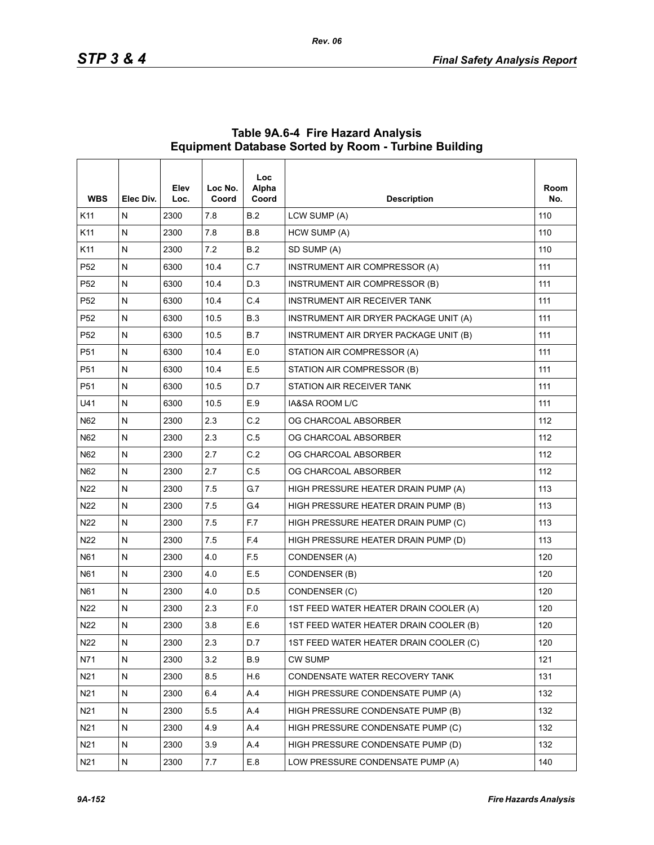| <b>WBS</b>      | Elec Div. | Elev<br>Loc. | Loc No.<br>Coord | <b>Loc</b><br>Alpha<br>Coord | <b>Description</b>                     | Room<br>No. |
|-----------------|-----------|--------------|------------------|------------------------------|----------------------------------------|-------------|
| K11             | N         | 2300         | 7.8              | B.2                          | LCW SUMP (A)                           | 110         |
| K11             | N         | 2300         | 7.8              | <b>B.8</b>                   | HCW SUMP (A)                           | 110         |
| K11             | Ν         | 2300         | 7.2              | <b>B.2</b>                   | SD SUMP (A)                            | 110         |
| P <sub>52</sub> | N         | 6300         | 10.4             | C.7                          | INSTRUMENT AIR COMPRESSOR (A)          | 111         |
| P <sub>52</sub> | N         | 6300         | 10.4             | D.3                          | INSTRUMENT AIR COMPRESSOR (B)          | 111         |
| P <sub>52</sub> | Ν         | 6300         | 10.4             | C.4                          | INSTRUMENT AIR RECEIVER TANK           | 111         |
| P <sub>52</sub> | N         | 6300         | 10.5             | <b>B.3</b>                   | INSTRUMENT AIR DRYER PACKAGE UNIT (A)  | 111         |
| P <sub>52</sub> | N         | 6300         | 10.5             | B.7                          | INSTRUMENT AIR DRYER PACKAGE UNIT (B)  | 111         |
| P51             | N         | 6300         | 10.4             | E.0                          | STATION AIR COMPRESSOR (A)             | 111         |
| P51             | N         | 6300         | 10.4             | E.5                          | STATION AIR COMPRESSOR (B)             | 111         |
| P <sub>51</sub> | N         | 6300         | 10.5             | D.7                          | STATION AIR RECEIVER TANK              | 111         |
| U41             | N         | 6300         | 10.5             | E.9                          | IA&SA ROOM L/C                         | 111         |
| N62             | N         | 2300         | 2.3              | C.2                          | OG CHARCOAL ABSORBER                   | 112         |
| N62             | N         | 2300         | 2.3              | C.5                          | OG CHARCOAL ABSORBER                   | 112         |
| N62             | N         | 2300         | 2.7              | C.2                          | OG CHARCOAL ABSORBER                   | 112         |
| N62             | N         | 2300         | 2.7              | C.5                          | OG CHARCOAL ABSORBER                   | 112         |
| N22             | N         | 2300         | 7.5              | G.7                          | HIGH PRESSURE HEATER DRAIN PUMP (A)    | 113         |
| N <sub>22</sub> | N         | 2300         | 7.5              | G <sub>4</sub>               | HIGH PRESSURE HEATER DRAIN PUMP (B)    | 113         |
| N22             | N         | 2300         | 7.5              | F.7                          | HIGH PRESSURE HEATER DRAIN PUMP (C)    | 113         |
| N22             | N         | 2300         | 7.5              | F.4                          | HIGH PRESSURE HEATER DRAIN PUMP (D)    | 113         |
| N61             | N         | 2300         | 4.0              | F <sub>5</sub>               | CONDENSER (A)                          | 120         |
| N61             | N         | 2300         | 4.0              | E.5                          | CONDENSER (B)                          | 120         |
| N61             | N         | 2300         | 4.0              | D.5                          | CONDENSER (C)                          | 120         |
| N <sub>22</sub> | N         | 2300         | 2.3              | F.O                          | 1ST FEED WATER HEATER DRAIN COOLER (A) | 120         |
| N <sub>22</sub> | N         | 2300         | 3.8              | E.6                          | 1ST FEED WATER HEATER DRAIN COOLER (B) | 120         |
| N22             | N         | 2300         | 2.3              | D.7                          | 1ST FEED WATER HEATER DRAIN COOLER (C) | 120         |
| N71             | N         | 2300         | 3.2              | <b>B.9</b>                   | <b>CW SUMP</b>                         | 121         |
| N21             | N         | 2300         | 8.5              | H.6                          | CONDENSATE WATER RECOVERY TANK         | 131         |
| N21             | N         | 2300         | 6.4              | A.4                          | HIGH PRESSURE CONDENSATE PUMP (A)      | 132         |
| N21             | N         | 2300         | 5.5              | A.4                          | HIGH PRESSURE CONDENSATE PUMP (B)      | 132         |
| N21             | N         | 2300         | 4.9              | A.4                          | HIGH PRESSURE CONDENSATE PUMP (C)      | 132         |
| N21             | N         | 2300         | 3.9              | A.4                          | HIGH PRESSURE CONDENSATE PUMP (D)      | 132         |
| N21             | N         | 2300         | 7.7              | E.8                          | LOW PRESSURE CONDENSATE PUMP (A)       | 140         |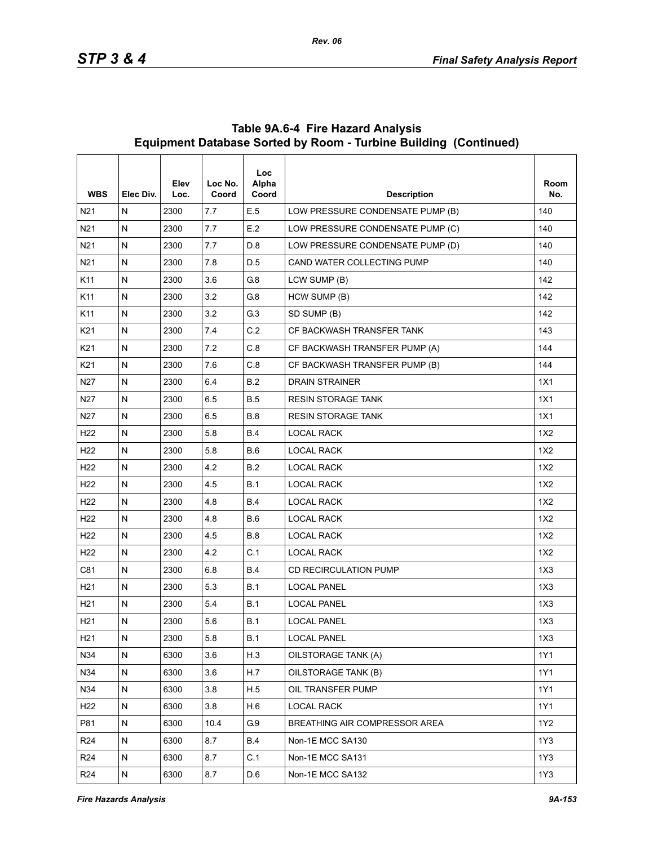| <b>WBS</b>      | Elec Div.    | Elev<br>Loc. | Loc No.<br>Coord | <b>Loc</b><br>Alpha<br>Coord | <b>Description</b>               | Room<br>No. |
|-----------------|--------------|--------------|------------------|------------------------------|----------------------------------|-------------|
| N <sub>21</sub> | N            | 2300         | 7.7              | E.5                          | LOW PRESSURE CONDENSATE PUMP (B) | 140         |
| N21             | ${\sf N}$    | 2300         | 7.7              | E.2                          | LOW PRESSURE CONDENSATE PUMP (C) | 140         |
| N21             | $\mathsf{N}$ | 2300         | 7.7              | D.8                          | LOW PRESSURE CONDENSATE PUMP (D) | 140         |
| N <sub>21</sub> | N            | 2300         | 7.8              | D.5                          | CAND WATER COLLECTING PUMP       | 140         |
| K11             | $\mathsf{N}$ | 2300         | 3.6              | G8                           | LCW SUMP (B)                     | 142         |
| K11             | N            | 2300         | 3.2              | G.8                          | HCW SUMP (B)                     | 142         |
| K11             | $\mathsf{N}$ | 2300         | 3.2              | G.3                          | SD SUMP (B)                      | 142         |
| K21             | $\mathsf{N}$ | 2300         | 7.4              | C.2                          | CF BACKWASH TRANSFER TANK        | 143         |
| K21             | N            | 2300         | 7.2              | C.8                          | CF BACKWASH TRANSFER PUMP (A)    | 144         |
| K <sub>21</sub> | $\mathsf{N}$ | 2300         | 7.6              | C.8                          | CF BACKWASH TRANSFER PUMP (B)    | 144         |
| N27             | ${\sf N}$    | 2300         | 6.4              | <b>B.2</b>                   | <b>DRAIN STRAINER</b>            | 1X1         |
| N <sub>27</sub> | N            | 2300         | 6.5              | <b>B.5</b>                   | <b>RESIN STORAGE TANK</b>        | 1X1         |
| N <sub>27</sub> | N            | 2300         | 6.5              | <b>B.8</b>                   | <b>RESIN STORAGE TANK</b>        | 1X1         |
| H <sub>22</sub> | ${\sf N}$    | 2300         | 5.8              | <b>B.4</b>                   | <b>LOCAL RACK</b>                | 1X2         |
| H <sub>22</sub> | N            | 2300         | 5.8              | <b>B.6</b>                   | <b>LOCAL RACK</b>                | 1X2         |
| H <sub>22</sub> | N            | 2300         | 4.2              | B.2                          | <b>LOCAL RACK</b>                | 1X2         |
| H <sub>22</sub> | ${\sf N}$    | 2300         | 4.5              | <b>B.1</b>                   | <b>LOCAL RACK</b>                | 1X2         |
| H <sub>22</sub> | N            | 2300         | 4.8              | <b>B.4</b>                   | <b>LOCAL RACK</b>                | 1X2         |
| H <sub>22</sub> | N            | 2300         | 4.8              | <b>B.6</b>                   | <b>LOCAL RACK</b>                | 1X2         |
| H <sub>22</sub> | ${\sf N}$    | 2300         | 4.5              | <b>B.8</b>                   | <b>LOCAL RACK</b>                | 1X2         |
| H <sub>22</sub> | N            | 2300         | 4.2              | C.1                          | <b>LOCAL RACK</b>                | 1X2         |
| C81             | N            | 2300         | 6.8              | <b>B.4</b>                   | <b>CD RECIRCULATION PUMP</b>     | 1X3         |
| H21             | ${\sf N}$    | 2300         | 5.3              | <b>B.1</b>                   | <b>LOCAL PANEL</b>               | 1X3         |
| H <sub>21</sub> | N            | 2300         | 5.4              | B.1                          | <b>LOCAL PANEL</b>               | 1X3         |
| H <sub>21</sub> | N            | 2300         | 5.6              | B.1                          | <b>LOCAL PANEL</b>               | 1X3         |
| H <sub>21</sub> | ${\sf N}$    | 2300         | 5.8              | <b>B.1</b>                   | <b>LOCAL PANEL</b>               | 1X3         |
| N34             | ${\sf N}$    | 6300         | 3.6              | H.3                          | OILSTORAGE TANK (A)              | 1Y1         |
| N34             | ${\sf N}$    | 6300         | 3.6              | H.7                          | OILSTORAGE TANK (B)              | 1Y1         |
| N34             | N            | 6300         | 3.8              | H.5                          | OIL TRANSFER PUMP                | 1Y1         |
| H <sub>22</sub> | ${\sf N}$    | 6300         | 3.8              | H.6                          | <b>LOCAL RACK</b>                | 1Y1         |
| P81             | N            | 6300         | 10.4             | G.9                          | BREATHING AIR COMPRESSOR AREA    | 1Y2         |
| R <sub>24</sub> | N            | 6300         | 8.7              | <b>B.4</b>                   | Non-1E MCC SA130                 | 1Y3         |
| R <sub>24</sub> | ${\sf N}$    | 6300         | 8.7              | C.1                          | Non-1E MCC SA131                 | 1Y3         |
| R <sub>24</sub> | N            | 6300         | 8.7              | D.6                          | Non-1E MCC SA132                 | 1Y3         |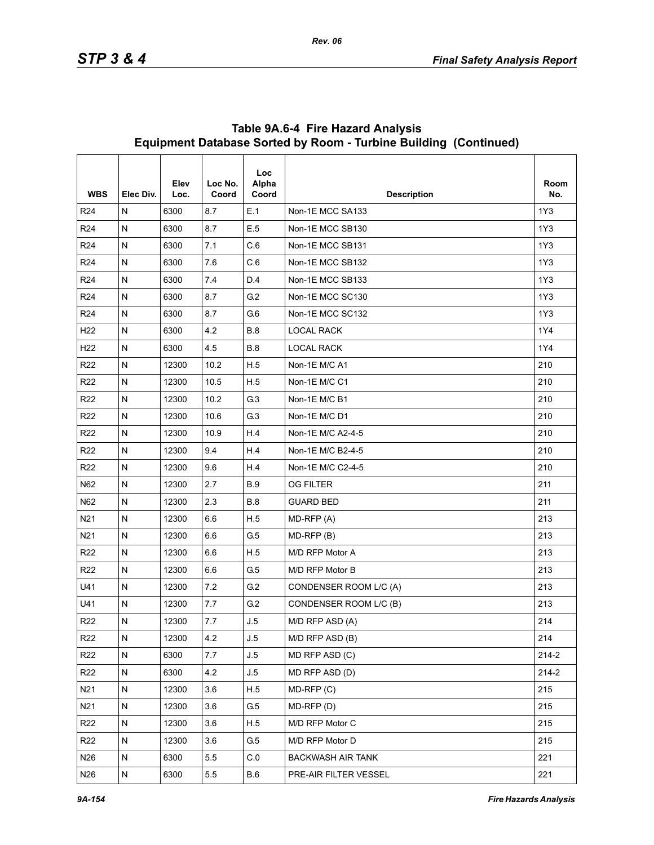| <b>WBS</b>      | Elec Div.    | Elev<br>Loc. | Loc No.<br>Coord | <b>Loc</b><br>Alpha<br>Coord | <b>Description</b>       | Room<br>No. |
|-----------------|--------------|--------------|------------------|------------------------------|--------------------------|-------------|
| R <sub>24</sub> | N            | 6300         | 8.7              | E.1                          | Non-1E MCC SA133         | 1Y3         |
| R <sub>24</sub> | N            | 6300         | 8.7              | E.5                          | Non-1E MCC SB130         | 1Y3         |
| R <sub>24</sub> | N            | 6300         | 7.1              | C.6                          | Non-1E MCC SB131         | 1Y3         |
| R <sub>24</sub> | N            | 6300         | 7.6              | C.6                          | Non-1E MCC SB132         | 1Y3         |
| R <sub>24</sub> | N            | 6300         | 74               | D.4                          | Non-1E MCC SB133         | 1Y3         |
| R <sub>24</sub> | N            | 6300         | 8.7              | G.2                          | Non-1E MCC SC130         | 1Y3         |
| R <sub>24</sub> | N            | 6300         | 8.7              | G.6                          | Non-1E MCC SC132         | 1Y3         |
| H <sub>22</sub> | N            | 6300         | 4.2              | <b>B.8</b>                   | <b>LOCAL RACK</b>        | 1Y4         |
| H <sub>22</sub> | N            | 6300         | 4.5              | <b>B.8</b>                   | <b>LOCAL RACK</b>        | 1Y4         |
| R <sub>22</sub> | N            | 12300        | 10.2             | H.5                          | Non-1E M/C A1            | 210         |
| R <sub>22</sub> | N            | 12300        | 10.5             | H.5                          | Non-1E M/C C1            | 210         |
| R <sub>22</sub> | N            | 12300        | 10.2             | G.3                          | Non-1E M/C B1            | 210         |
| R <sub>22</sub> | N            | 12300        | 10.6             | G.3                          | Non-1E M/C D1            | 210         |
| R <sub>22</sub> | N            | 12300        | 10.9             | H.4                          | Non-1E M/C A2-4-5        | 210         |
| R <sub>22</sub> | $\mathsf{N}$ | 12300        | 9.4              | H.4                          | Non-1E M/C B2-4-5        | 210         |
| R <sub>22</sub> | N            | 12300        | 9.6              | H.4                          | Non-1E M/C C2-4-5        | 210         |
| N62             | N            | 12300        | 2.7              | <b>B.9</b>                   | <b>OG FILTER</b>         | 211         |
| N62             | N            | 12300        | 2.3              | <b>B.8</b>                   | <b>GUARD BED</b>         | 211         |
| N21             | N            | 12300        | 6.6              | H.5                          | MD-RFP (A)               | 213         |
| N21             | N            | 12300        | 6.6              | G.5                          | $MD-RFP(B)$              | 213         |
| R <sub>22</sub> | N            | 12300        | 6.6              | H.5                          | M/D RFP Motor A          | 213         |
| R <sub>22</sub> | Ν            | 12300        | 6.6              | G <sub>5</sub>               | M/D RFP Motor B          | 213         |
| U41             | N            | 12300        | 7.2              | G.2                          | CONDENSER ROOM L/C (A)   | 213         |
| U41             | N            | 12300        | 7.7              | G.2                          | CONDENSER ROOM L/C (B)   | 213         |
| R <sub>22</sub> | N            | 12300        | 7.7              | J.5                          | M/D RFP ASD (A)          | 214         |
| R <sub>22</sub> | N            | 12300        | 4.2              | J.5                          | M/D RFP ASD (B)          | 214         |
| R <sub>22</sub> | N            | 6300         | 7.7              | J.5                          | MD RFP ASD (C)           | 214-2       |
| R <sub>22</sub> | N            | 6300         | 4.2              | J.5                          | MD RFP ASD (D)           | $214 - 2$   |
| N <sub>21</sub> | ${\sf N}$    | 12300        | 3.6              | H.5                          | $MD-RFP(C)$              | 215         |
| N21             | ${\sf N}$    | 12300        | 3.6              | G.5                          | MD-RFP (D)               | 215         |
| R <sub>22</sub> | N            | 12300        | 3.6              | H.5                          | M/D RFP Motor C          | 215         |
| R <sub>22</sub> | N            | 12300        | 3.6              | G.5                          | M/D RFP Motor D          | 215         |
| N26             | N            | 6300         | 5.5              | C.0                          | <b>BACKWASH AIR TANK</b> | 221         |
| N26             | ${\sf N}$    | 6300         | 5.5              | <b>B.6</b>                   | PRE-AIR FILTER VESSEL    | 221         |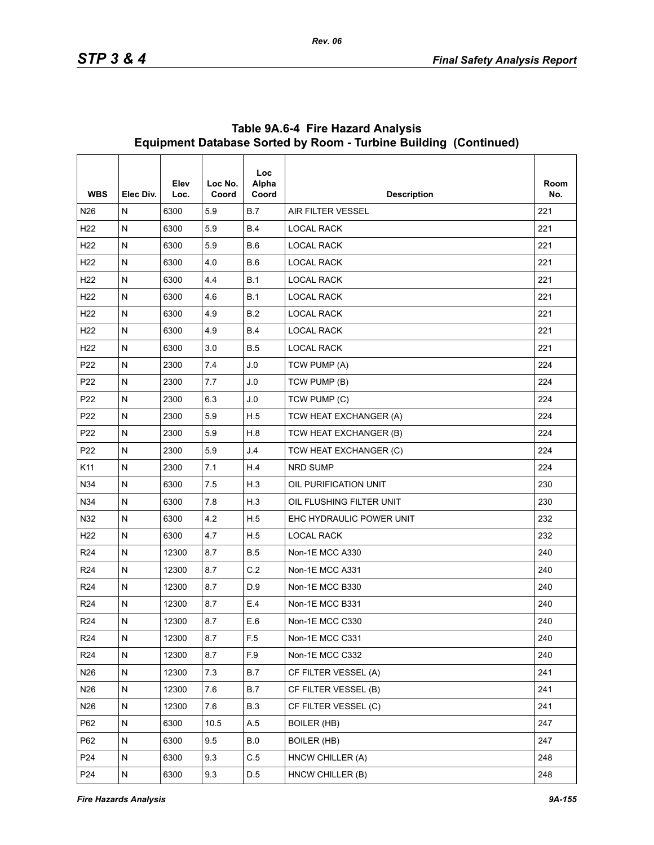| <b>WBS</b>      | Elec Div.    | Elev<br>Loc. | Loc No.<br>Coord | Loc<br>Alpha<br>Coord   | <b>Description</b>       | Room<br>No. |
|-----------------|--------------|--------------|------------------|-------------------------|--------------------------|-------------|
| N <sub>26</sub> | N            | 6300         | 5.9              | <b>B.7</b>              | <b>AIR FILTER VESSEL</b> | 221         |
| H <sub>22</sub> | N            | 6300         | 5.9              | <b>B.4</b>              | <b>LOCAL RACK</b>        | 221         |
| H <sub>22</sub> | N            | 6300         | 5.9              | B.6                     | <b>LOCAL RACK</b>        | 221         |
| H <sub>22</sub> | N            | 6300         | 4.0              | <b>B.6</b>              | <b>LOCAL RACK</b>        | 221         |
| H <sub>22</sub> | N            | 6300         | 4.4              | B.1                     | <b>LOCAL RACK</b>        | 221         |
| H <sub>22</sub> | N            | 6300         | 4.6              | B.1                     | <b>LOCAL RACK</b>        | 221         |
| H <sub>22</sub> | N            | 6300         | 4.9              | B.2                     | <b>LOCAL RACK</b>        | 221         |
| H <sub>22</sub> | N            | 6300         | 4.9              | <b>B.4</b>              | <b>LOCAL RACK</b>        | 221         |
| H <sub>22</sub> | ${\sf N}$    | 6300         | 3.0              | <b>B.5</b>              | <b>LOCAL RACK</b>        | 221         |
| P <sub>22</sub> | N            | 2300         | 7.4              | J.0                     | TCW PUMP (A)             | 224         |
| P <sub>22</sub> | N            | 2300         | 7.7              | J.0                     | TCW PUMP (B)             | 224         |
| P <sub>22</sub> | N            | 2300         | 6.3              | J.0                     | TCW PUMP (C)             | 224         |
| P <sub>22</sub> | N            | 2300         | 5.9              | H.5                     | TCW HEAT EXCHANGER (A)   | 224         |
| P <sub>22</sub> | N            | 2300         | 5.9              | H.8                     | TCW HEAT EXCHANGER (B)   | 224         |
| P <sub>22</sub> | N            | 2300         | 5.9              | J.4                     | TCW HEAT EXCHANGER (C)   | 224         |
| K11             | N            | 2300         | 7.1              | H.4                     | NRD SUMP                 | 224         |
| N34             | N            | 6300         | 7.5              | H.3                     | OIL PURIFICATION UNIT    | 230         |
| N34             | N            | 6300         | 7.8              | H.3                     | OIL FLUSHING FILTER UNIT | 230         |
| N32             | N            | 6300         | 4.2              | H.5                     | EHC HYDRAULIC POWER UNIT | 232         |
| H <sub>22</sub> | N            | 6300         | 4.7              | H.5                     | <b>LOCAL RACK</b>        | 232         |
| R <sub>24</sub> | ${\sf N}$    | 12300        | 8.7              | <b>B.5</b>              | Non-1E MCC A330          | 240         |
| R <sub>24</sub> | N            | 12300        | 8.7              | C.2                     | Non-1E MCC A331          | 240         |
| R <sub>24</sub> | N            | 12300        | 8.7              | D.9                     | Non-1E MCC B330          | 240         |
| R <sub>24</sub> | N            | 12300        | 8.7              | E.4                     | Non-1E MCC B331          | 240         |
| R <sub>24</sub> | N            | 12300        | 8.7              | E.6                     | Non-1E MCC C330          | 240         |
| R <sub>24</sub> | ${\sf N}$    | 12300        | 8.7              | F.5                     | Non-1E MCC C331          | 240         |
| R <sub>24</sub> | N            | 12300        | 8.7              | $\mathsf{F}.\mathsf{9}$ | Non-1E MCC C332          | 240         |
| N26             | N            | 12300        | 73               | <b>B.7</b>              | CF FILTER VESSEL (A)     | 241         |
| N26             | N            | 12300        | 7.6              | B.7                     | CF FILTER VESSEL (B)     | 241         |
| N26             | N            | 12300        | 7.6              | <b>B.3</b>              | CF FILTER VESSEL (C)     | 241         |
| P62             | ${\sf N}$    | 6300         | 10.5             | A.5                     | <b>BOILER (HB)</b>       | 247         |
| P62             | N            | 6300         | 9.5              | B.0                     | <b>BOILER (HB)</b>       | 247         |
| P <sub>24</sub> | $\mathsf{N}$ | 6300         | 9.3              | C.5                     | HNCW CHILLER (A)         | 248         |
| P <sub>24</sub> | ${\sf N}$    | 6300         | 9.3              | D.5                     | HNCW CHILLER (B)         | 248         |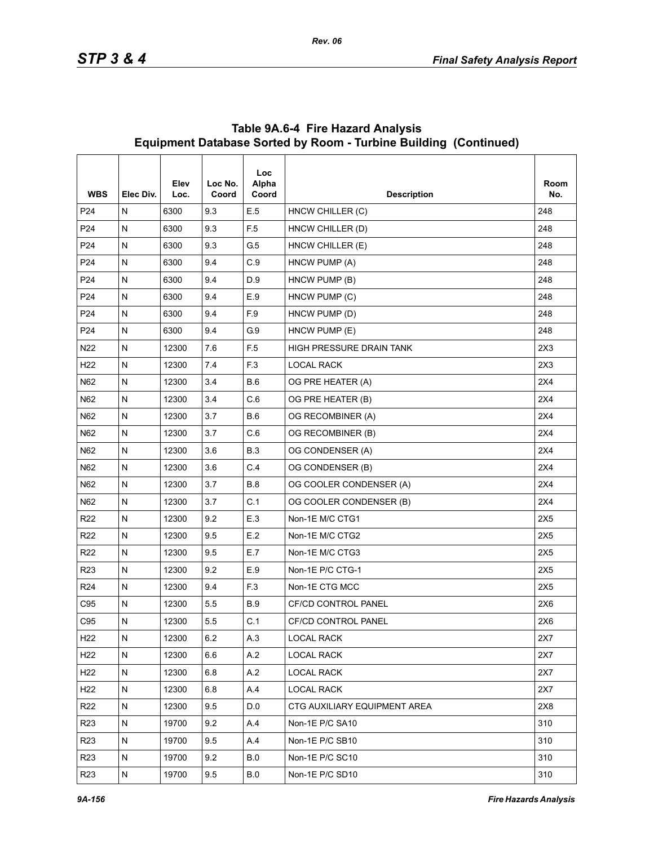| <b>WBS</b>      | Elec Div.    | Elev<br>Loc. | Loc No.<br>Coord | <b>Loc</b><br>Alpha<br>Coord | <b>Description</b>           | Room<br>No. |
|-----------------|--------------|--------------|------------------|------------------------------|------------------------------|-------------|
| P <sub>24</sub> | N            | 6300         | 9.3              | E.5                          | HNCW CHILLER (C)             | 248         |
| P <sub>24</sub> | $\mathsf{N}$ | 6300         | 9.3              | F <sub>5</sub>               | HNCW CHILLER (D)             | 248         |
| P <sub>24</sub> | ${\sf N}$    | 6300         | 9.3              | G.5                          | HNCW CHILLER (E)             | 248         |
| P24             | N            | 6300         | 9.4              | C.9                          | HNCW PUMP (A)                | 248         |
| P <sub>24</sub> | N            | 6300         | 9.4              | D.9                          | HNCW PUMP (B)                | 248         |
| P <sub>24</sub> | N            | 6300         | 9.4              | E.9                          | HNCW PUMP (C)                | 248         |
| P24             | N            | 6300         | 9.4              | F.9                          | HNCW PUMP (D)                | 248         |
| P <sub>24</sub> | $\mathsf{N}$ | 6300         | 9.4              | G.9                          | HNCW PUMP (E)                | 248         |
| N <sub>22</sub> | N            | 12300        | 7.6              | F <sub>5</sub>               | HIGH PRESSURE DRAIN TANK     | 2X3         |
| H <sub>22</sub> | N            | 12300        | 7.4              | F <sub>3</sub>               | <b>LOCAL RACK</b>            | 2X3         |
| N62             | N            | 12300        | 3.4              | <b>B.6</b>                   | OG PRE HEATER (A)            | 2X4         |
| N62             | N            | 12300        | 3.4              | C.6                          | OG PRE HEATER (B)            | 2X4         |
| N62             | N            | 12300        | 3.7              | <b>B.6</b>                   | OG RECOMBINER (A)            | 2X4         |
| N62             | N            | 12300        | 3.7              | C.6                          | OG RECOMBINER (B)            | 2X4         |
| N62             | N            | 12300        | 3.6              | <b>B.3</b>                   | OG CONDENSER (A)             | 2X4         |
| N62             | N            | 12300        | 3.6              | C.4                          | OG CONDENSER (B)             | 2X4         |
| N62             | N            | 12300        | 3.7              | <b>B.8</b>                   | OG COOLER CONDENSER (A)      | 2X4         |
| N62             | N            | 12300        | 3.7              | C.1                          | OG COOLER CONDENSER (B)      | 2X4         |
| R <sub>22</sub> | $\mathsf{N}$ | 12300        | 9.2              | E.3                          | Non-1E M/C CTG1              | 2X5         |
| R <sub>22</sub> | $\mathsf{N}$ | 12300        | 9.5              | E.2                          | Non-1E M/C CTG2              | 2X5         |
| R <sub>22</sub> | ${\sf N}$    | 12300        | 9.5              | E.7                          | Non-1E M/C CTG3              | 2X5         |
| R <sub>23</sub> | $\mathsf{N}$ | 12300        | 9.2              | E.9                          | Non-1E P/C CTG-1             | 2X5         |
| R <sub>24</sub> | N            | 12300        | 9.4              | F.3                          | Non-1E CTG MCC               | 2X5         |
| C95             | N            | 12300        | 5.5              | <b>B.9</b>                   | <b>CF/CD CONTROL PANEL</b>   | 2X6         |
| C95             | N            | 12300        | 5.5              | C.1                          | <b>CF/CD CONTROL PANEL</b>   | 2X6         |
| H <sub>22</sub> | N            | 12300        | 6.2              | A.3                          | <b>LOCAL RACK</b>            | 2X7         |
| H <sub>22</sub> | N            | 12300        | 6.6              | A.2                          | <b>LOCAL RACK</b>            | 2X7         |
| H <sub>22</sub> | N            | 12300        | 6.8              | A.2                          | LOCAL RACK                   | 2X7         |
| H <sub>22</sub> | N            | 12300        | 6.8              | A.4                          | <b>LOCAL RACK</b>            | 2X7         |
| R <sub>22</sub> | N            | 12300        | 9.5              | D.0                          | CTG AUXILIARY EQUIPMENT AREA | 2X8         |
| R <sub>23</sub> | ${\sf N}$    | 19700        | 9.2              | A.4                          | Non-1E P/C SA10              | 310         |
| R <sub>23</sub> | N            | 19700        | 9.5              | A.4                          | Non-1E P/C SB10              | 310         |
| R <sub>23</sub> | N            | 19700        | 9.2              | <b>B.0</b>                   | Non-1E P/C SC10              | 310         |
| R <sub>23</sub> | ${\sf N}$    | 19700        | 9.5              | $\mathsf B.0$                | Non-1E P/C SD10              | 310         |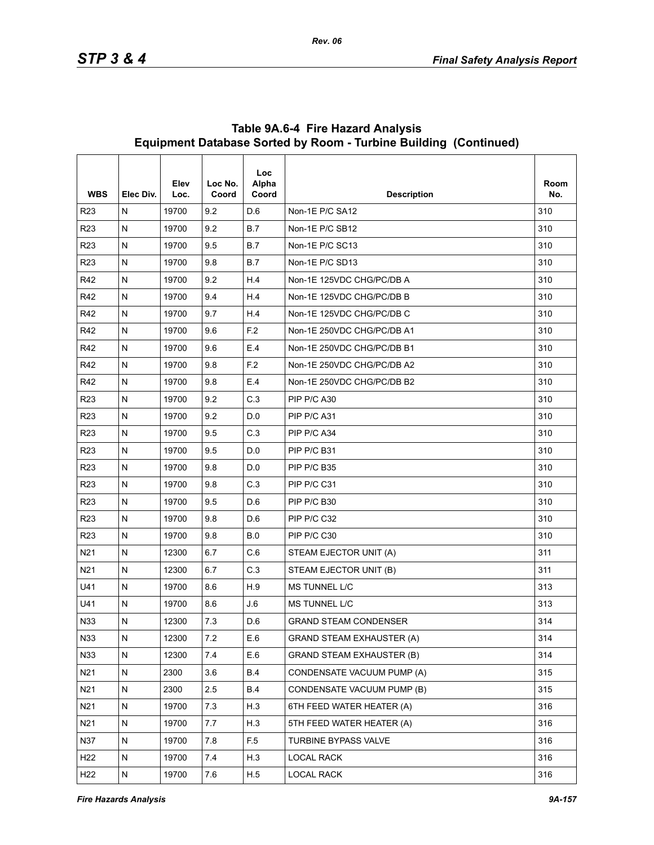| <b>WBS</b>      | Elec Div. | Elev<br>Loc. | Loc No.<br>Coord | Loc<br>Alpha<br>Coord | <b>Description</b>               | Room<br>No. |
|-----------------|-----------|--------------|------------------|-----------------------|----------------------------------|-------------|
| R <sub>23</sub> | N         | 19700        | 9.2              | D.6                   | Non-1E P/C SA12                  | 310         |
| <b>R23</b>      | N         | 19700        | 9.2              | B.7                   | Non-1E P/C SB12                  | 310         |
| R <sub>23</sub> | N         | 19700        | 9.5              | B.7                   | Non-1E P/C SC13                  | 310         |
| R <sub>23</sub> | Ν         | 19700        | 9.8              | B.7                   | Non-1E P/C SD13                  | 310         |
| R42             | N         | 19700        | 9.2              | H.4                   | Non-1E 125VDC CHG/PC/DB A        | 310         |
| R42             | N         | 19700        | 9.4              | H.4                   | Non-1E 125VDC CHG/PC/DB B        | 310         |
| R42             | N         | 19700        | 9.7              | H.4                   | Non-1E 125VDC CHG/PC/DB C        | 310         |
| R42             | N         | 19700        | 9.6              | F.2                   | Non-1E 250VDC CHG/PC/DB A1       | 310         |
| R42             | N         | 19700        | 9.6              | E.4                   | Non-1E 250VDC CHG/PC/DB B1       | 310         |
| R42             | Ν         | 19700        | 9.8              | F.2                   | Non-1E 250VDC CHG/PC/DB A2       | 310         |
| R42             | N         | 19700        | 9.8              | E.4                   | Non-1E 250VDC CHG/PC/DB B2       | 310         |
| R <sub>23</sub> | N         | 19700        | 9.2              | C.3                   | PIP P/C A30                      | 310         |
| R <sub>23</sub> | N         | 19700        | 9.2              | D.0                   | PIP P/C A31                      | 310         |
| <b>R23</b>      | N         | 19700        | 9.5              | C.3                   | PIP P/C A34                      | 310         |
| R <sub>23</sub> | N         | 19700        | 9.5              | D.0                   | PIP P/C B31                      | 310         |
| R <sub>23</sub> | Ν         | 19700        | 9.8              | D.0                   | PIP P/C B35                      | 310         |
| <b>R23</b>      | N         | 19700        | 9.8              | C.3                   | PIP P/C C31                      | 310         |
| R <sub>23</sub> | N         | 19700        | 9.5              | D.6                   | PIP P/C B30                      | 310         |
| R <sub>23</sub> | N         | 19700        | 9.8              | D.6                   | PIP P/C C32                      | 310         |
| <b>R23</b>      | N         | 19700        | 9.8              | B.0                   | PIP P/C C30                      | 310         |
| N21             | N         | 12300        | 6.7              | C.6                   | STEAM EJECTOR UNIT (A)           | 311         |
| N <sub>21</sub> | Ν         | 12300        | 6.7              | C.3                   | STEAM EJECTOR UNIT (B)           | 311         |
| U41             | N         | 19700        | 8.6              | H.9                   | <b>MS TUNNEL L/C</b>             | 313         |
| U41             | N         | 19700        | 8.6              | J.6                   | <b>MS TUNNEL L/C</b>             | 313         |
| N33             | N         | 12300        | 7.3              | D.6                   | <b>GRAND STEAM CONDENSER</b>     | 314         |
| N33             | N         | 12300        | 7.2              | E.6                   | <b>GRAND STEAM EXHAUSTER (A)</b> | 314         |
| N33             | N         | 12300        | 7.4              | E.6                   | <b>GRAND STEAM EXHAUSTER (B)</b> | 314         |
| N <sub>21</sub> | N         | 2300         | 3.6              | <b>B.4</b>            | CONDENSATE VACUUM PUMP (A)       | 315         |
| N21             | N         | 2300         | 2.5              | <b>B.4</b>            | CONDENSATE VACUUM PUMP (B)       | 315         |
| N21             | N         | 19700        | 7.3              | H.3                   | 6TH FEED WATER HEATER (A)        | 316         |
| N21             | N         | 19700        | 7.7              | H.3                   | 5TH FEED WATER HEATER (A)        | 316         |
| N37             | N         | 19700        | 7.8              | F <sub>5</sub>        | TURBINE BYPASS VALVE             | 316         |
| H <sub>22</sub> | N         | 19700        | 7.4              | H.3                   | <b>LOCAL RACK</b>                | 316         |
| H <sub>22</sub> | N         | 19700        | 7.6              | H.5                   | LOCAL RACK                       | 316         |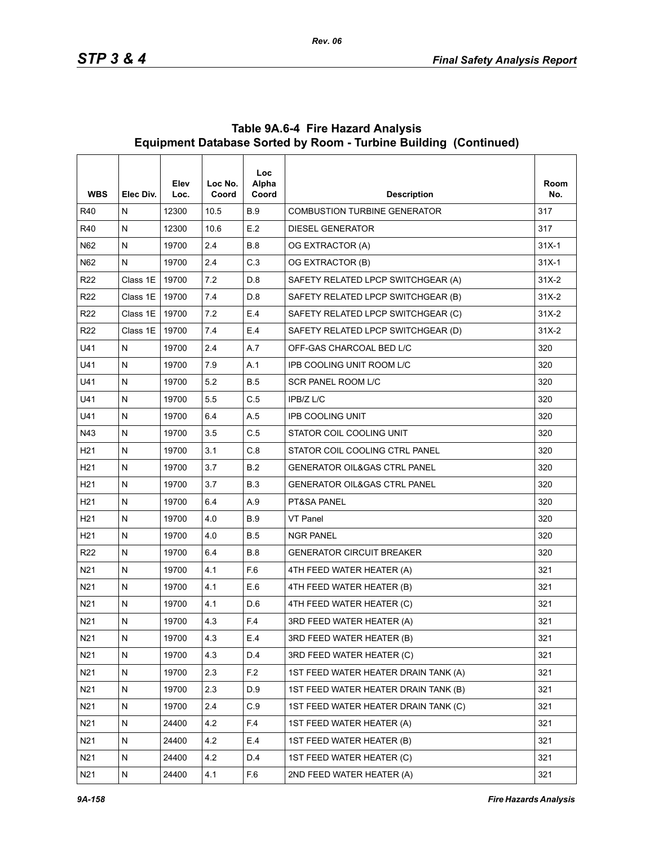| <b>WBS</b>      | Elec Div.    | Elev<br>Loc. | Loc No.<br>Coord | <b>Loc</b><br>Alpha<br>Coord | <b>Description</b>                      | Room<br>No. |
|-----------------|--------------|--------------|------------------|------------------------------|-----------------------------------------|-------------|
| R40             | N            | 12300        | 10.5             | <b>B.9</b>                   | <b>COMBUSTION TURBINE GENERATOR</b>     | 317         |
| R40             | ${\sf N}$    | 12300        | 10.6             | E.2                          | <b>DIESEL GENERATOR</b>                 | 317         |
| N62             | N            | 19700        | 2.4              | <b>B.8</b>                   | OG EXTRACTOR (A)                        | $31X-1$     |
| N62             | N            | 19700        | 2.4              | C.3                          | OG EXTRACTOR (B)                        | $31X-1$     |
| R <sub>22</sub> | Class 1E     | 19700        | 7.2              | D.8                          | SAFETY RELATED LPCP SWITCHGEAR (A)      | $31X-2$     |
| R <sub>22</sub> | Class 1E     | 19700        | 7.4              | D.8                          | SAFETY RELATED LPCP SWITCHGEAR (B)      | $31X-2$     |
| R <sub>22</sub> | Class 1E     | 19700        | 7.2              | E.4                          | SAFETY RELATED LPCP SWITCHGEAR (C)      | $31X-2$     |
| R <sub>22</sub> | Class 1E     | 19700        | 7.4              | E.4                          | SAFETY RELATED LPCP SWITCHGEAR (D)      | $31X-2$     |
| U41             | N            | 19700        | 2.4              | A.7                          | OFF-GAS CHARCOAL BED L/C                | 320         |
| U41             | N            | 19700        | 7.9              | A.1                          | IPB COOLING UNIT ROOM L/C               | 320         |
| U41             | ${\sf N}$    | 19700        | 5.2              | <b>B.5</b>                   | SCR PANEL ROOM L/C                      | 320         |
| U41             | $\mathsf{N}$ | 19700        | 5.5              | C.5                          | IPB/Z L/C                               | 320         |
| U41             | N            | 19700        | 6.4              | A.5                          | <b>IPB COOLING UNIT</b>                 | 320         |
| N43             | $\mathsf{N}$ | 19700        | 3.5              | C.5                          | STATOR COIL COOLING UNIT                | 320         |
| H <sub>21</sub> | N            | 19700        | 3.1              | C.8                          | STATOR COIL COOLING CTRL PANEL          | 320         |
| H <sub>21</sub> | ${\sf N}$    | 19700        | 3.7              | B.2                          | <b>GENERATOR OIL&amp;GAS CTRL PANEL</b> | 320         |
| H <sub>21</sub> | ${\sf N}$    | 19700        | 3.7              | <b>B.3</b>                   | <b>GENERATOR OIL&amp;GAS CTRL PANEL</b> | 320         |
| H <sub>21</sub> | N            | 19700        | 6.4              | A.9                          | PT&SA PANEL                             | 320         |
| H <sub>21</sub> | N            | 19700        | 4.0              | <b>B.9</b>                   | VT Panel                                | 320         |
| H <sub>21</sub> | ${\sf N}$    | 19700        | 4.0              | <b>B.5</b>                   | <b>NGR PANEL</b>                        | 320         |
| R <sub>22</sub> | N            | 19700        | 6.4              | <b>B.8</b>                   | <b>GENERATOR CIRCUIT BREAKER</b>        | 320         |
| N21             | N            | 19700        | 4.1              | F.6                          | 4TH FEED WATER HEATER (A)               | 321         |
| N21             | ${\sf N}$    | 19700        | 4.1              | E.6                          | 4TH FEED WATER HEATER (B)               | 321         |
| N21             | N            | 19700        | 4.1              | D.6                          | 4TH FEED WATER HEATER (C)               | 321         |
| N21             | ${\sf N}$    | 19700        | 4.3              | F.4                          | 3RD FEED WATER HEATER (A)               | 321         |
| N <sub>21</sub> | ${\sf N}$    | 19700        | 4.3              | E.4                          | 3RD FEED WATER HEATER (B)               | 321         |
| N <sub>21</sub> | ${\sf N}$    | 19700        | 4.3              | D.4                          | 3RD FEED WATER HEATER (C)               | 321         |
| N <sub>21</sub> | N            | 19700        | 2.3              | F.2                          | 1ST FEED WATER HEATER DRAIN TANK (A)    | 321         |
| N <sub>21</sub> | ${\sf N}$    | 19700        | 2.3              | D.9                          | 1ST FEED WATER HEATER DRAIN TANK (B)    | 321         |
| N21             | N            | 19700        | 2.4              | C.9                          | 1ST FEED WATER HEATER DRAIN TANK (C)    | 321         |
| N <sub>21</sub> | N            | 24400        | 4.2              | F <sub>4</sub>               | 1ST FEED WATER HEATER (A)               | 321         |
| N <sub>21</sub> | ${\sf N}$    | 24400        | 4.2              | E.4                          | 1ST FEED WATER HEATER (B)               | 321         |
| N21             | ${\sf N}$    | 24400        | 4.2              | D.4                          | 1ST FEED WATER HEATER (C)               | 321         |
| N <sub>21</sub> | N            | 24400        | 4.1              | F.6                          | 2ND FEED WATER HEATER (A)               | 321         |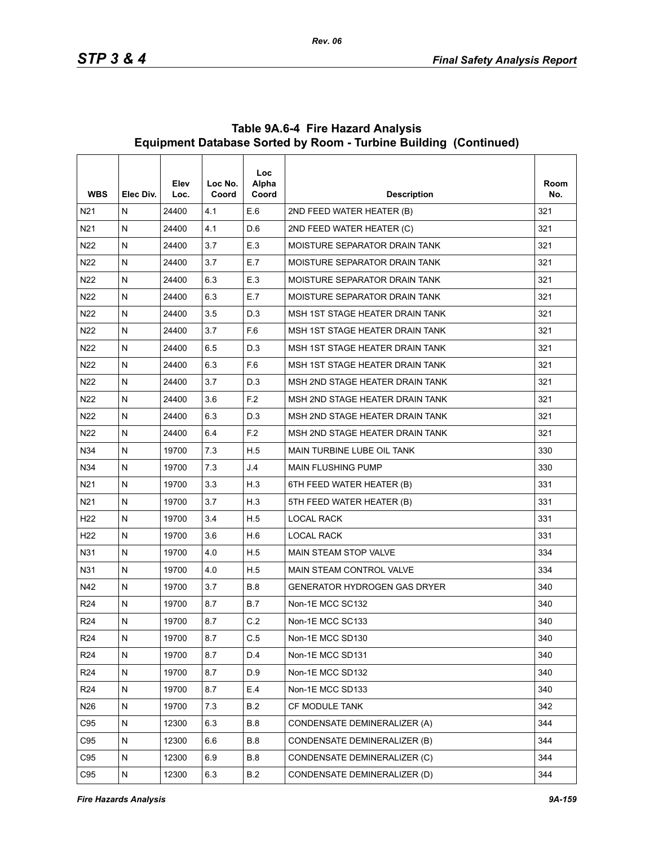| <b>WBS</b>      | Elec Div.    | Elev<br>Loc. | Loc No.<br>Coord | <b>Loc</b><br>Alpha<br>Coord | <b>Description</b>                  | Room<br>No. |
|-----------------|--------------|--------------|------------------|------------------------------|-------------------------------------|-------------|
| N <sub>21</sub> | N            | 24400        | 4.1              | E.6                          | 2ND FEED WATER HEATER (B)           | 321         |
| N <sub>21</sub> | N            | 24400        | 4.1              | D.6                          | 2ND FEED WATER HEATER (C)           | 321         |
| N <sub>22</sub> | $\mathsf{N}$ | 24400        | 3.7              | E.3                          | MOISTURE SEPARATOR DRAIN TANK       | 321         |
| N22             | N            | 24400        | 3.7              | E.7                          | MOISTURE SEPARATOR DRAIN TANK       | 321         |
| N22             | N            | 24400        | 6.3              | E.3                          | MOISTURE SEPARATOR DRAIN TANK       | 321         |
| N22             | $\mathsf{N}$ | 24400        | 6.3              | E.7                          | MOISTURE SEPARATOR DRAIN TANK       | 321         |
| N22             | N            | 24400        | 3.5              | D.3                          | MSH 1ST STAGE HEATER DRAIN TANK     | 321         |
| N22             | N            | 24400        | 3.7              | F.6                          | MSH 1ST STAGE HEATER DRAIN TANK     | 321         |
| N <sub>22</sub> | $\mathsf{N}$ | 24400        | 6.5              | D.3                          | MSH 1ST STAGE HEATER DRAIN TANK     | 321         |
| N22             | N            | 24400        | 6.3              | F.6                          | MSH 1ST STAGE HEATER DRAIN TANK     | 321         |
| N <sub>22</sub> | N            | 24400        | 3.7              | D.3                          | MSH 2ND STAGE HEATER DRAIN TANK     | 321         |
| N <sub>22</sub> | $\mathsf{N}$ | 24400        | 3.6              | F.2                          | MSH 2ND STAGE HEATER DRAIN TANK     | 321         |
| N22             | N            | 24400        | 6.3              | D.3                          | MSH 2ND STAGE HEATER DRAIN TANK     | 321         |
| N22             | N            | 24400        | 6.4              | F.2                          | MSH 2ND STAGE HEATER DRAIN TANK     | 321         |
| N34             | $\mathsf{N}$ | 19700        | 7.3              | H.5                          | <b>MAIN TURBINE LUBE OIL TANK</b>   | 330         |
| N34             | N            | 19700        | 7.3              | J.4                          | <b>MAIN FLUSHING PUMP</b>           | 330         |
| N21             | N            | 19700        | 3.3              | H.3                          | 6TH FEED WATER HEATER (B)           | 331         |
| N <sub>21</sub> | $\mathsf{N}$ | 19700        | 3.7              | H.3                          | 5TH FEED WATER HEATER (B)           | 331         |
| H <sub>22</sub> | N            | 19700        | 3.4              | H.5                          | <b>LOCAL RACK</b>                   | 331         |
| H <sub>22</sub> | N            | 19700        | 3.6              | H.6                          | <b>LOCAL RACK</b>                   | 331         |
| N31             | $\mathsf{N}$ | 19700        | 4.0              | H.5                          | <b>MAIN STEAM STOP VALVE</b>        | 334         |
| N31             | $\mathsf{N}$ | 19700        | 4.0              | H.5                          | MAIN STEAM CONTROL VALVE            | 334         |
| N42             | N            | 19700        | 3.7              | <b>B.8</b>                   | <b>GENERATOR HYDROGEN GAS DRYER</b> | 340         |
| R <sub>24</sub> | N            | 19700        | 8.7              | <b>B.7</b>                   | Non-1E MCC SC132                    | 340         |
| R <sub>24</sub> | $\mathsf{N}$ | 19700        | 8.7              | C.2                          | Non-1E MCC SC133                    | 340         |
| R <sub>24</sub> | ${\sf N}$    | 19700        | 8.7              | C.5                          | Non-1E MCC SD130                    | 340         |
| R <sub>24</sub> | ${\sf N}$    | 19700        | 8.7              | D.4                          | Non-1E MCC SD131                    | 340         |
| R <sub>24</sub> | ${\sf N}$    | 19700        | 8.7              | D.9                          | Non-1E MCC SD132                    | 340         |
| R <sub>24</sub> | N            | 19700        | 8.7              | E.4                          | Non-1E MCC SD133                    | 340         |
| N26             | ${\sf N}$    | 19700        | 7.3              | B.2                          | CF MODULE TANK                      | 342         |
| C95             | ${\sf N}$    | 12300        | 6.3              | <b>B.8</b>                   | CONDENSATE DEMINERALIZER (A)        | 344         |
| C95             | N            | 12300        | 6.6              | <b>B.8</b>                   | CONDENSATE DEMINERALIZER (B)        | 344         |
| C95             | ${\sf N}$    | 12300        | 6.9              | <b>B.8</b>                   | CONDENSATE DEMINERALIZER (C)        | 344         |
| C95             | N            | 12300        | 6.3              | B.2                          | CONDENSATE DEMINERALIZER (D)        | 344         |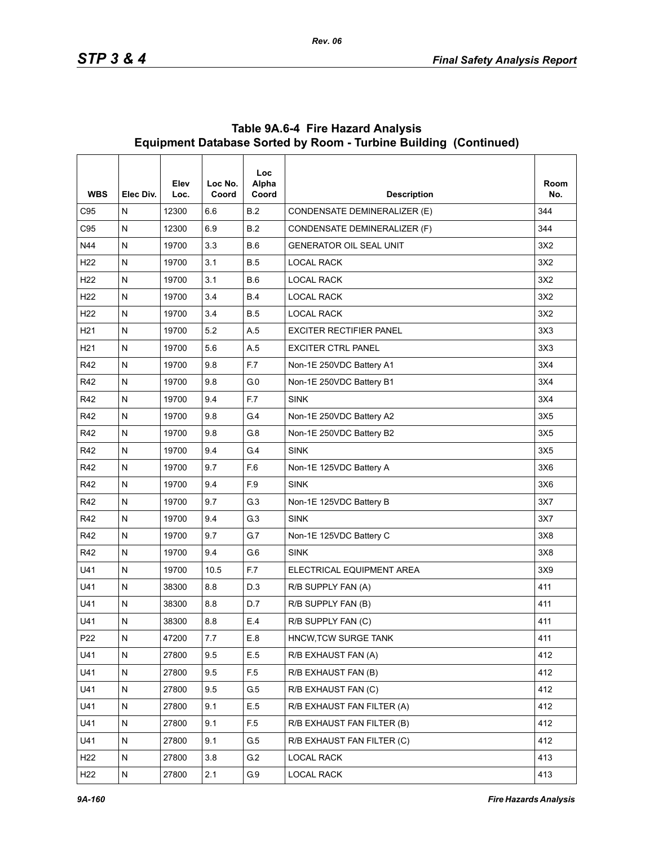| <b>WBS</b>      | Elec Div.    | Elev<br>Loc. | Loc No.<br>Coord | <b>Loc</b><br>Alpha<br>Coord | <b>Description</b>             | Room<br>No. |
|-----------------|--------------|--------------|------------------|------------------------------|--------------------------------|-------------|
| C95             | N            | 12300        | 6.6              | B.2                          | CONDENSATE DEMINERALIZER (E)   | 344         |
| C <sub>95</sub> | ${\sf N}$    | 12300        | 6.9              | B.2                          | CONDENSATE DEMINERALIZER (F)   | 344         |
| N44             | $\mathsf{N}$ | 19700        | 3.3              | B.6                          | <b>GENERATOR OIL SEAL UNIT</b> | 3X2         |
| H <sub>22</sub> | N            | 19700        | 3.1              | <b>B.5</b>                   | <b>LOCAL RACK</b>              | 3X2         |
| H <sub>22</sub> | $\mathsf{N}$ | 19700        | 3.1              | <b>B.6</b>                   | <b>LOCAL RACK</b>              | 3X2         |
| H <sub>22</sub> | $\mathsf{N}$ | 19700        | 3.4              | <b>B.4</b>                   | <b>LOCAL RACK</b>              | 3X2         |
| H <sub>22</sub> | N            | 19700        | 3.4              | <b>B.5</b>                   | <b>LOCAL RACK</b>              | 3X2         |
| H <sub>21</sub> | ${\sf N}$    | 19700        | 5.2              | A.5                          | <b>EXCITER RECTIFIER PANEL</b> | 3X3         |
| H <sub>21</sub> | N            | 19700        | 5.6              | A.5                          | <b>EXCITER CTRL PANEL</b>      | 3X3         |
| R42             | N            | 19700        | 9.8              | F.7                          | Non-1E 250VDC Battery A1       | 3X4         |
| R42             | $\mathsf{N}$ | 19700        | 9.8              | G <sub>0</sub>               | Non-1E 250VDC Battery B1       | 3X4         |
| R42             | $\mathsf{N}$ | 19700        | 9.4              | F.7                          | <b>SINK</b>                    | 3X4         |
| R42             | N            | 19700        | 9.8              | G <sub>4</sub>               | Non-1E 250VDC Battery A2       | 3X5         |
| R42             | ${\sf N}$    | 19700        | 9.8              | G.8                          | Non-1E 250VDC Battery B2       | 3X5         |
| R42             | N            | 19700        | 9.4              | G.4                          | <b>SINK</b>                    | 3X5         |
| R42             | N            | 19700        | 9.7              | F.6                          | Non-1E 125VDC Battery A        | 3X6         |
| R42             | $\mathsf{N}$ | 19700        | 9.4              | F.9                          | <b>SINK</b>                    | 3X6         |
| R42             | $\mathsf{N}$ | 19700        | 9.7              | G.3                          | Non-1E 125VDC Battery B        | 3X7         |
| R42             | N            | 19700        | 9.4              | G.3                          | <b>SINK</b>                    | 3X7         |
| R42             | ${\sf N}$    | 19700        | 9.7              | G.7                          | Non-1E 125VDC Battery C        | 3X8         |
| R42             | N            | 19700        | 9.4              | G.6                          | <b>SINK</b>                    | 3X8         |
| U41             | N            | 19700        | 10.5             | F.7                          | ELECTRICAL EQUIPMENT AREA      | 3X9         |
| U41             | ${\sf N}$    | 38300        | 8.8              | D.3                          | R/B SUPPLY FAN (A)             | 411         |
| U41             | ${\sf N}$    | 38300        | 8.8              | D.7                          | R/B SUPPLY FAN (B)             | 411         |
| U41             | ${\sf N}$    | 38300        | 8.8              | E.4                          | R/B SUPPLY FAN (C)             | 411         |
| P22             | ${\sf N}$    | 47200        | 7.7              | $E.8$                        | HNCW, TCW SURGE TANK           | 411         |
| U41             | $\mathsf{N}$ | 27800        | 9.5              | $\mathsf{E.5}$               | R/B EXHAUST FAN (A)            | 412         |
| U41             | N            | 27800        | 9.5              | F <sub>5</sub>               | R/B EXHAUST FAN (B)            | 412         |
| U41             | ${\sf N}$    | 27800        | 9.5              | G.5                          | R/B EXHAUST FAN (C)            | 412         |
| U41             | $\mathsf{N}$ | 27800        | 9.1              | E.5                          | R/B EXHAUST FAN FILTER (A)     | 412         |
| U41             | N            | 27800        | 9.1              | F <sub>5</sub>               | R/B EXHAUST FAN FILTER (B)     | 412         |
| U41             | ${\sf N}$    | 27800        | 9.1              | G.5                          | R/B EXHAUST FAN FILTER (C)     | 412         |
| H <sub>22</sub> | $\mathsf{N}$ | 27800        | 3.8              | G.2                          | <b>LOCAL RACK</b>              | 413         |
| H <sub>22</sub> | ${\sf N}$    | 27800        | 2.1              | G.9                          | LOCAL RACK                     | 413         |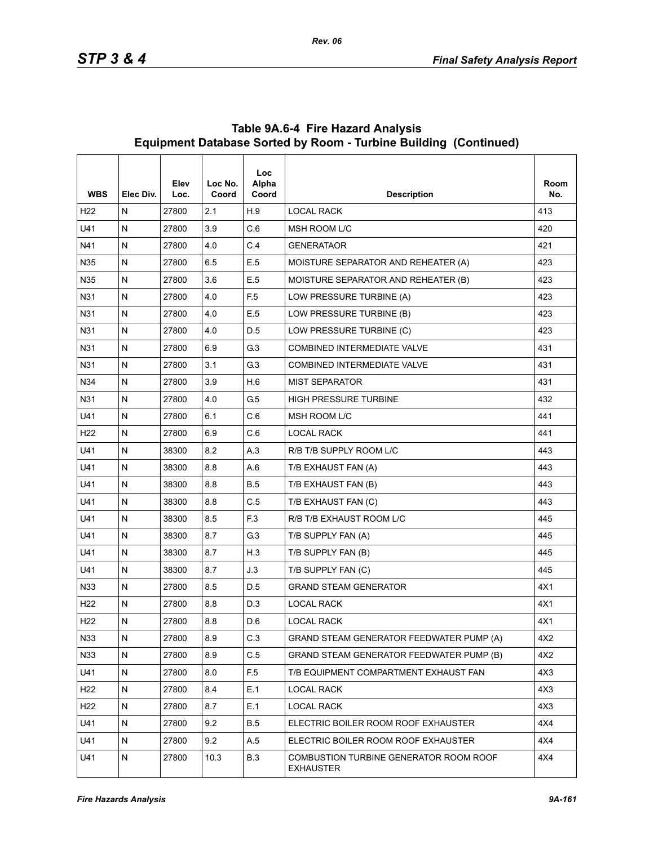| <b>WBS</b>      | Elec Div.    | Elev<br>Loc. | Loc No.<br>Coord | Loc.<br>Alpha<br>Coord | <b>Description</b>                                         | Room<br>No. |
|-----------------|--------------|--------------|------------------|------------------------|------------------------------------------------------------|-------------|
| H <sub>22</sub> | N            | 27800        | 2.1              | H.9                    | <b>LOCAL RACK</b>                                          | 413         |
| U41             | $\mathsf{N}$ | 27800        | 3.9              | C.6                    | MSH ROOM L/C                                               | 420         |
| N41             | ${\sf N}$    | 27800        | $4.0\,$          | C.4                    | <b>GENERATAOR</b>                                          | 421         |
| N35             | N            | 27800        | 6.5              | E.5                    | MOISTURE SEPARATOR AND REHEATER (A)                        | 423         |
| N35             | $\mathsf{N}$ | 27800        | 3.6              | E.5                    | MOISTURE SEPARATOR AND REHEATER (B)                        | 423         |
| N31             | ${\sf N}$    | 27800        | 4.0              | F <sub>5</sub>         | LOW PRESSURE TURBINE (A)                                   | 423         |
| N31             | N            | 27800        | 4.0              | E.5                    | LOW PRESSURE TURBINE (B)                                   | 423         |
| N31             | $\mathsf{N}$ | 27800        | 4.0              | D.5                    | LOW PRESSURE TURBINE (C)                                   | 423         |
| N31             | N            | 27800        | 6.9              | G.3                    | <b>COMBINED INTERMEDIATE VALVE</b>                         | 431         |
| N31             | N            | 27800        | 3.1              | G.3                    | COMBINED INTERMEDIATE VALVE                                | 431         |
| N34             | $\mathsf{N}$ | 27800        | 3.9              | H.6                    | <b>MIST SEPARATOR</b>                                      | 431         |
| N31             | ${\sf N}$    | 27800        | 4.0              | G.5                    | <b>HIGH PRESSURE TURBINE</b>                               | 432         |
| U41             | N            | 27800        | 6.1              | C.6                    | MSH ROOM L/C                                               | 441         |
| H <sub>22</sub> | $\mathsf{N}$ | 27800        | 6.9              | C.6                    | <b>LOCAL RACK</b>                                          | 441         |
| U41             | N            | 38300        | 8.2              | A.3                    | R/B T/B SUPPLY ROOM L/C                                    | 443         |
| U41             | N            | 38300        | 8.8              | A.6                    | T/B EXHAUST FAN (A)                                        | 443         |
| U41             | N            | 38300        | 8.8              | <b>B.5</b>             | T/B EXHAUST FAN (B)                                        | 443         |
| U41             | ${\sf N}$    | 38300        | 8.8              | C.5                    | T/B EXHAUST FAN (C)                                        | 443         |
| U41             | N            | 38300        | 8.5              | F <sub>3</sub>         | R/B T/B EXHAUST ROOM L/C                                   | 445         |
| U41             | N            | 38300        | 8.7              | G <sub>3</sub>         | T/B SUPPLY FAN (A)                                         | 445         |
| U41             | ${\sf N}$    | 38300        | 8.7              | H.3                    | T/B SUPPLY FAN (B)                                         | 445         |
| U41             | N            | 38300        | 8.7              | J.3                    | T/B SUPPLY FAN (C)                                         | 445         |
| N33             | $\mathsf{N}$ | 27800        | 8.5              | D.5                    | <b>GRAND STEAM GENERATOR</b>                               | 4X1         |
| H <sub>22</sub> | ${\sf N}$    | 27800        | 8.8              | D.3                    | <b>LOCAL RACK</b>                                          | 4X1         |
| H <sub>22</sub> | N            | 27800        | 8.8              | D.6                    | <b>LOCAL RACK</b>                                          | 4X1         |
| N33             | ${\sf N}$    | 27800        | 8.9              | C.3                    | GRAND STEAM GENERATOR FEEDWATER PUMP (A)                   | 4X2         |
| N33             | ${\sf N}$    | 27800        | 8.9              | C.5                    | GRAND STEAM GENERATOR FEEDWATER PUMP (B)                   | 4X2         |
| U41             | N            | 27800        | 8.0              | F <sub>5</sub>         | T/B EQUIPMENT COMPARTMENT EXHAUST FAN                      | 4X3         |
| H <sub>22</sub> | ${\sf N}$    | 27800        | 8.4              | E.1                    | <b>LOCAL RACK</b>                                          | 4X3         |
| H <sub>22</sub> | N            | 27800        | 8.7              | E.1                    | <b>LOCAL RACK</b>                                          | 4X3         |
| U41             | N            | 27800        | 9.2              | <b>B.5</b>             | ELECTRIC BOILER ROOM ROOF EXHAUSTER                        | 4X4         |
| U41             | ${\sf N}$    | 27800        | 9.2              | A.5                    | ELECTRIC BOILER ROOM ROOF EXHAUSTER                        | 4X4         |
| U41             | N            | 27800        | 10.3             | <b>B.3</b>             | COMBUSTION TURBINE GENERATOR ROOM ROOF<br><b>EXHAUSTER</b> | 4X4         |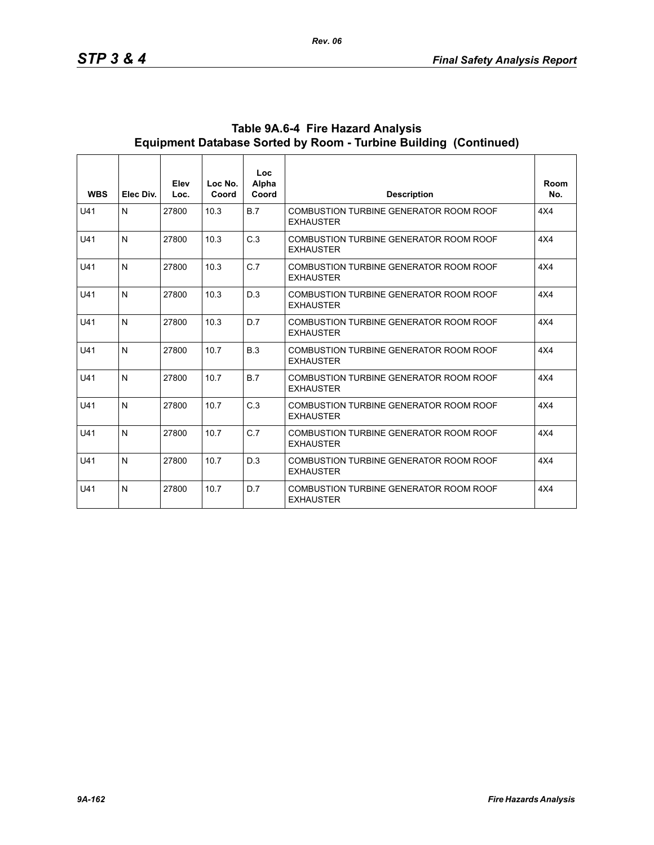| <b>WBS</b> | Elec Div.    | Elev<br>Loc. | Loc No.<br>Coord | Loc<br>Alpha<br>Coord | <b>Description</b>                                                | Room<br>No. |
|------------|--------------|--------------|------------------|-----------------------|-------------------------------------------------------------------|-------------|
| U41        | N            | 27800        | 10.3             | B.7                   | COMBUSTION TURBINE GENERATOR ROOM ROOF<br><b>EXHAUSTER</b>        | 4X4         |
| U41        | $\mathsf{N}$ | 27800        | 10.3             | C.3                   | COMBUSTION TURBINE GENERATOR ROOM ROOF<br><b>EXHAUSTER</b>        | 4X4         |
| U41        | $\mathsf{N}$ | 27800        | 10.3             | C.7                   | COMBUSTION TURBINE GENERATOR ROOM ROOF<br><b>EXHAUSTER</b>        | 4X4         |
| U41        | $\mathsf{N}$ | 27800        | 10.3             | D.3                   | COMBUSTION TURBINE GENERATOR ROOM ROOF<br><b>EXHAUSTER</b>        | 4X4         |
| U41        | $\mathsf{N}$ | 27800        | 10.3             | D.7                   | COMBUSTION TURBINE GENERATOR ROOM ROOF<br><b>EXHAUSTER</b>        | 4X4         |
| U41        | $\mathsf{N}$ | 27800        | 10.7             | B.3                   | COMBUSTION TURBINE GENERATOR ROOM ROOF<br><b>EXHAUSTER</b>        | 4X4         |
| U41        | N            | 27800        | 10.7             | B.7                   | COMBUSTION TURBINE GENERATOR ROOM ROOF<br><b>EXHAUSTER</b>        | 4X4         |
| U41        | $\mathsf{N}$ | 27800        | 10.7             | C.3                   | COMBUSTION TURBINE GENERATOR ROOM ROOF<br><b>EXHAUSTER</b>        | 4X4         |
| U41        | $\mathsf{N}$ | 27800        | 10.7             | C.7                   | <b>COMBUSTION TURBINE GENERATOR ROOM ROOF</b><br><b>EXHAUSTER</b> | 4X4         |
| U41        | $\mathsf{N}$ | 27800        | 10.7             | D.3                   | COMBUSTION TURBINE GENERATOR ROOM ROOF<br><b>EXHAUSTER</b>        | 4X4         |
| U41        | $\mathsf{N}$ | 27800        | 10.7             | D.7                   | COMBUSTION TURBINE GENERATOR ROOM ROOF<br><b>EXHAUSTER</b>        | 4X4         |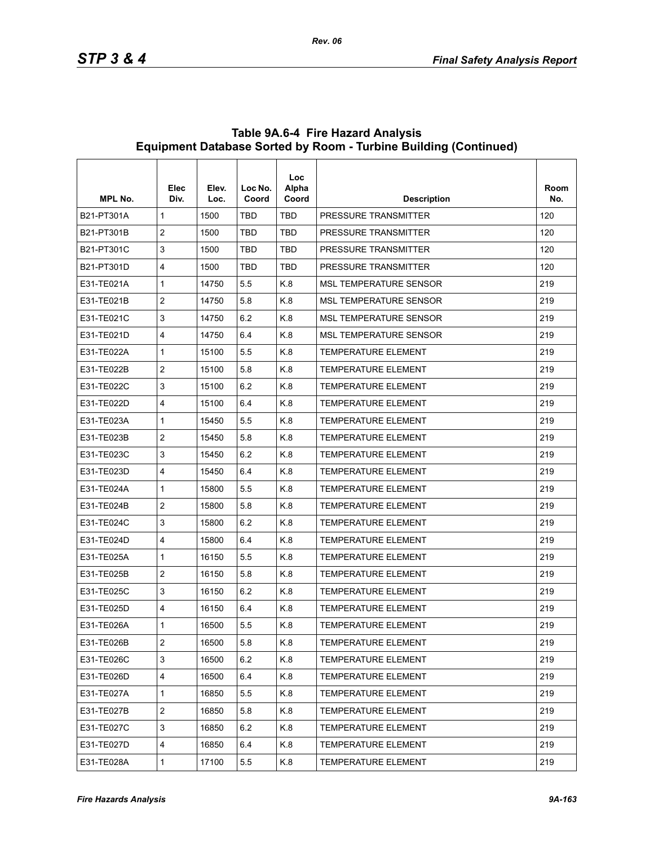| <b>MPL No.</b> | Elec<br>Div.   | Elev.<br>Loc. | Loc No.<br>Coord | Loc<br>Alpha<br>Coord | <b>Description</b>            | Room<br>No. |
|----------------|----------------|---------------|------------------|-----------------------|-------------------------------|-------------|
| B21-PT301A     | $\mathbf{1}$   | 1500          | <b>TBD</b>       | TBD                   | PRESSURE TRANSMITTER          | 120         |
| B21-PT301B     | $\overline{2}$ | 1500          | <b>TBD</b>       | <b>TBD</b>            | PRESSURE TRANSMITTER          | 120         |
| B21-PT301C     | 3              | 1500          | <b>TBD</b>       | TBD                   | PRESSURE TRANSMITTER          | 120         |
| B21-PT301D     | 4              | 1500          | <b>TBD</b>       | TBD                   | <b>PRESSURE TRANSMITTER</b>   | 120         |
| F31-TF021A     | 1              | 14750         | 5.5              | K.8                   | <b>MSL TEMPERATURE SENSOR</b> | 219         |
| E31-TE021B     | $\overline{c}$ | 14750         | 5.8              | K.8                   | <b>MSL TEMPERATURE SENSOR</b> | 219         |
| E31-TE021C     | 3              | 14750         | 6.2              | K.8                   | <b>MSL TEMPERATURE SENSOR</b> | 219         |
| E31-TE021D     | 4              | 14750         | 6.4              | K.8                   | <b>MSL TEMPERATURE SENSOR</b> | 219         |
| E31-TE022A     | 1              | 15100         | 5.5              | K.8                   | <b>TEMPERATURE ELEMENT</b>    | 219         |
| E31-TE022B     | $\overline{2}$ | 15100         | 5.8              | K.8                   | <b>TEMPERATURE ELEMENT</b>    | 219         |
| E31-TE022C     | 3              | 15100         | 6.2              | K.8                   | <b>TEMPERATURE ELEMENT</b>    | 219         |
| E31-TE022D     | 4              | 15100         | 6.4              | K.8                   | <b>TEMPERATURE ELEMENT</b>    | 219         |
| E31-TE023A     | 1              | 15450         | 5.5              | K.8                   | <b>TEMPERATURE ELEMENT</b>    | 219         |
| E31-TE023B     | $\overline{c}$ | 15450         | 5.8              | K.8                   | <b>TEMPERATURE ELEMENT</b>    | 219         |
| E31-TE023C     | 3              | 15450         | 6.2              | K.8                   | <b>TEMPERATURE ELEMENT</b>    | 219         |
| E31-TE023D     | 4              | 15450         | 6.4              | K.8                   | <b>TEMPERATURE ELEMENT</b>    | 219         |
| E31-TE024A     | 1              | 15800         | 5.5              | K.8                   | <b>TEMPERATURE ELEMENT</b>    | 219         |
| E31-TE024B     | 2              | 15800         | 5.8              | K.8                   | <b>TEMPERATURE ELEMENT</b>    | 219         |
| E31-TE024C     | 3              | 15800         | 6.2              | K.8                   | <b>TEMPERATURE ELEMENT</b>    | 219         |
| E31-TE024D     | 4              | 15800         | 6.4              | K.8                   | <b>TEMPERATURE ELEMENT</b>    | 219         |
| E31-TE025A     | 1              | 16150         | 5.5              | K.8                   | <b>TEMPERATURE ELEMENT</b>    | 219         |
| E31-TE025B     | $\overline{c}$ | 16150         | 5.8              | K.8                   | <b>TEMPERATURE ELEMENT</b>    | 219         |
| E31-TE025C     | 3              | 16150         | 6.2              | K.8                   | <b>TEMPERATURE ELEMENT</b>    | 219         |
| E31-TE025D     | 4              | 16150         | 6.4              | K.8                   | <b>TEMPERATURE ELEMENT</b>    | 219         |
| E31-TE026A     | 1              | 16500         | 5.5              | K.8                   | <b>TEMPERATURE ELEMENT</b>    | 219         |
| E31-TE026B     | $\overline{2}$ | 16500         | 5.8              | K.8                   | TEMPERATURE ELEMENT           | 219         |
| E31-TE026C     | 3              | 16500         | 6.2              | K.8                   | <b>TEMPERATURE ELEMENT</b>    | 219         |
| E31-TE026D     | 4              | 16500         | 6.4              | K.8                   | TEMPERATURE ELEMENT           | 219         |
| E31-TE027A     | 1              | 16850         | 5.5              | K.8                   | <b>TEMPERATURE ELEMENT</b>    | 219         |
| E31-TE027B     | $\overline{2}$ | 16850         | 5.8              | K.8                   | TEMPERATURE ELEMENT           | 219         |
| E31-TE027C     | 3              | 16850         | 6.2              | K.8                   | TEMPERATURE ELEMENT           | 219         |
| E31-TE027D     | 4              | 16850         | 6.4              | K.8                   | TEMPERATURE ELEMENT           | 219         |
| E31-TE028A     | 1              | 17100         | 5.5              | K.8                   | TEMPERATURE ELEMENT           | 219         |